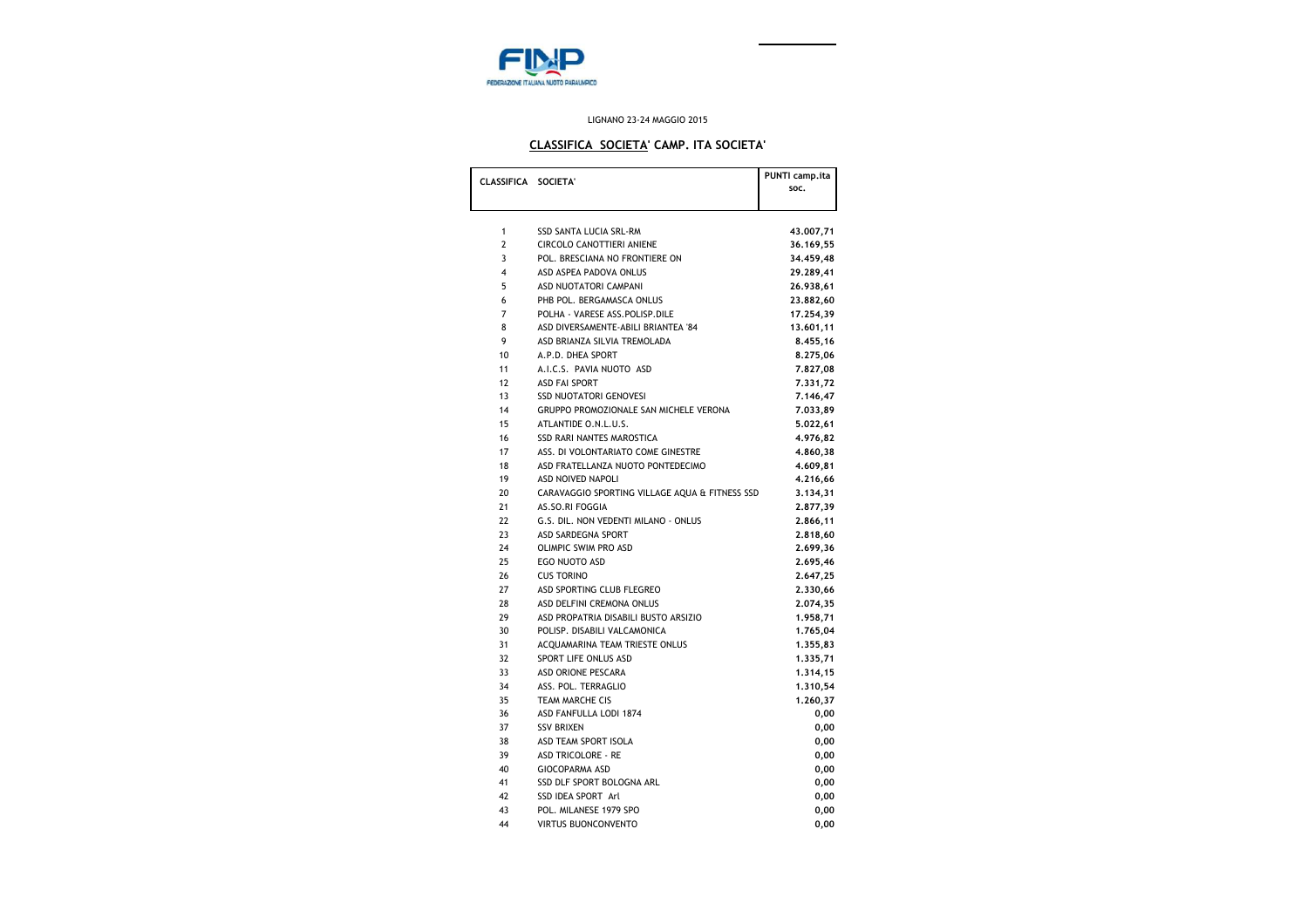

LIGNANO 23-24 MAGGIO 2015

### **CLASSIFICA SOCIETA' CAMP. ITA SOCIETA'**

| <b>CLASSIFICA</b> | SOCIETA'                                       | PUNTI camp.ita |
|-------------------|------------------------------------------------|----------------|
|                   |                                                | SOC.           |
|                   |                                                |                |
|                   |                                                |                |
| $\mathbf{1}$      | <b>SSD SANTA LUCIA SRL-RM</b>                  | 43,007,71      |
| $\overline{2}$    | <b>CIRCOLO CANOTTIERI ANIENE</b>               | 36,169,55      |
| 3                 | POL. BRESCIANA NO FRONTIERE ON                 | 34.459,48      |
| 4                 | ASD ASPEA PADOVA ONLUS                         | 29.289,41      |
| 5                 | ASD NUOTATORI CAMPANI                          | 26,938,61      |
| 6                 | PHB POL. BERGAMASCA ONLUS                      | 23.882,60      |
| 7                 | POLHA - VARESE ASS.POLISP.DILE                 | 17.254,39      |
| 8                 | ASD DIVERSAMENTE-ABILI BRIANTEA '84            | 13,601,11      |
| 9                 | ASD BRIANZA SILVIA TREMOLADA                   | 8.455,16       |
| 10                | A.P.D. DHEA SPORT                              | 8.275,06       |
| 11                | A.I.C.S. PAVIA NUOTO ASD                       | 7.827,08       |
| 12                | <b>ASD FAI SPORT</b>                           | 7.331,72       |
| 13                | <b>SSD NUOTATORI GENOVESI</b>                  | 7.146,47       |
| 14                | GRUPPO PROMOZIONALE SAN MICHELE VERONA         | 7.033,89       |
| 15                | ATLANTIDE O.N.L.U.S.                           | 5.022,61       |
| 16                | SSD RARI NANTES MAROSTICA                      | 4.976,82       |
| 17                | ASS. DI VOLONTARIATO COME GINESTRE             | 4.860,38       |
| 18                | ASD FRATELLANZA NUOTO PONTEDECIMO              | 4.609,81       |
| 19                | ASD NOIVED NAPOLI                              | 4,216,66       |
| 20                | CARAVAGGIO SPORTING VILLAGE AQUA & FITNESS SSD | 3.134,31       |
| 21                | AS.SO.RI FOGGIA                                | 2.877,39       |
| 22                | G.S. DIL. NON VEDENTI MILANO - ONLUS           | 2,866,11       |
| 23                | ASD SARDEGNA SPORT                             | 2.818,60       |
| 24                | OLIMPIC SWIM PRO ASD                           | 2.699,36       |
| 25                | EGO NUOTO ASD                                  | 2.695,46       |
| 26                | <b>CUS TORINO</b>                              | 2.647,25       |
| 27                | ASD SPORTING CLUB FLEGREO                      | 2.330,66       |
| 28                | ASD DELFINI CREMONA ONLUS                      | 2.074,35       |
| 29                | ASD PROPATRIA DISABILI BUSTO ARSIZIO           | 1.958,71       |
| 30                | POLISP. DISABILI VALCAMONICA                   | 1.765,04       |
| 31                | ACQUAMARINA TEAM TRIESTE ONLUS                 | 1,355,83       |
| 32                | SPORT LIFE ONLUS ASD                           | 1.335,71       |
| 33                | ASD ORIONE PESCARA                             | 1,314,15       |
| 34                | ASS. POL. TERRAGLIO                            | 1,310,54       |
| 35                | TEAM MARCHE CIS                                | 1.260,37       |
| 36                | ASD FANFULLA LODI 1874                         | 0,00           |
| 37                | <b>SSV BRIXEN</b>                              | 0,00           |
| 38                | ASD TEAM SPORT ISOLA                           | 0,00           |
| 39                | <b>ASD TRICOLORE - RE</b>                      | 0,00           |
| 40                | GIOCOPARMA ASD                                 | 0,00           |
| 41                | SSD DLF SPORT BOLOGNA ARL                      | 0,00           |
| 42                | SSD IDEA SPORT Arl                             | 0,00           |
| 43                | POL. MILANESE 1979 SPO                         | 0,00           |
| 44                | VIRTUS BUONCONVENTO                            | 0,00           |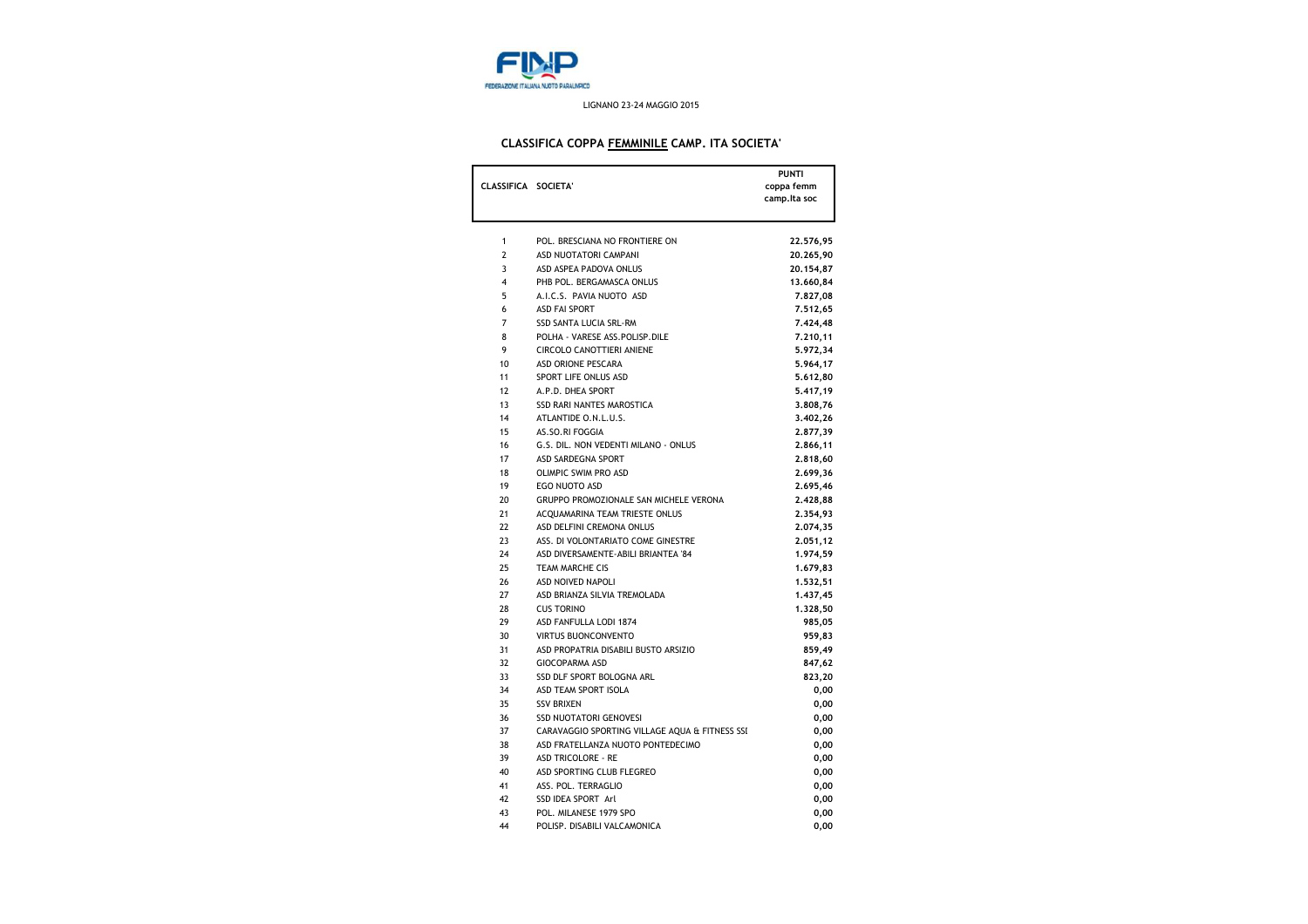

#### LIGNANO 23-24 MAGGIO 2015

#### **CLASSIFICA COPPA FEMMINILE CAMP. ITA SOCIETA'**

|                     |                                                | <b>PUNTI</b>  |
|---------------------|------------------------------------------------|---------------|
| CLASSIFICA SOCIETA' |                                                | coppa femm    |
|                     |                                                | camp. Ita soc |
|                     |                                                |               |
|                     |                                                |               |
| 1                   | POL. BRESCIANA NO FRONTIERE ON                 | 22,576,95     |
| 2                   | ASD NUOTATORI CAMPANI                          | 20,265,90     |
| 3                   | ASD ASPEA PADOVA ONLUS                         | 20,154,87     |
| 4                   | PHB POL. BERGAMASCA ONLUS                      | 13,660,84     |
| 5                   | A.I.C.S. PAVIA NUOTO ASD                       | 7.827,08      |
| 6                   | <b>ASD FAI SPORT</b>                           | 7.512,65      |
| 7                   | SSD SANTA LUCIA SRL-RM                         | 7.424,48      |
| 8                   | POLHA - VARESE ASS.POLISP.DILE                 | 7.210,11      |
| 9                   | CIRCOLO CANOTTIERI ANIENE                      | 5.972,34      |
| 10                  | ASD ORIONE PESCARA                             | 5.964,17      |
| 11                  | SPORT LIFE ONLUS ASD                           | 5,612,80      |
| 12                  | A.P.D. DHEA SPORT                              | 5,417,19      |
| 13                  | <b>SSD RARI NANTES MAROSTICA</b>               | 3,808,76      |
| 14                  | ATLANTIDE O.N.L.U.S.                           | 3,402,26      |
| 15                  | AS.SO.RI FOGGIA                                | 2.877,39      |
| 16                  | G.S. DIL. NON VEDENTI MILANO - ONLUS           | 2,866,11      |
| 17                  | ASD SARDEGNA SPORT                             | 2.818,60      |
| 18                  | <b>OLIMPIC SWIM PRO ASD</b>                    | 2.699,36      |
| 19                  | EGO NUOTO ASD                                  | 2.695,46      |
| 20                  | GRUPPO PROMOZIONALE SAN MICHELE VERONA         | 2.428,88      |
| 21                  | ACQUAMARINA TEAM TRIESTE ONLUS                 | 2,354,93      |
| 22                  | ASD DELFINI CREMONA ONLUS                      | 2,074,35      |
| 23                  | ASS. DI VOLONTARIATO COME GINESTRE             | 2,051,12      |
| 24                  | ASD DIVERSAMENTE-ABILI BRIANTEA '84            | 1,974,59      |
| 25                  | TEAM MARCHE CIS                                | 1.679,83      |
| 26                  | ASD NOIVED NAPOLI                              | 1,532,51      |
| 27                  | ASD BRIANZA SILVIA TREMOLADA                   | 1.437,45      |
| 28                  | <b>CUS TORINO</b>                              | 1.328,50      |
| 29                  | ASD FANFULLA LODI 1874                         | 985,05        |
| 30                  | <b>VIRTUS BUONCONVENTO</b>                     | 959,83        |
| 31                  | ASD PROPATRIA DISABILI BUSTO ARSIZIO           | 859,49        |
| 32                  | <b>GIOCOPARMA ASD</b>                          | 847,62        |
| 33                  | SSD DLF SPORT BOLOGNA ARL                      | 823,20        |
| 34                  | ASD TEAM SPORT ISOLA                           | 0,00          |
| 35                  | <b>SSV BRIXEN</b>                              | 0,00          |
| 36                  | <b>SSD NUOTATORI GENOVESI</b>                  | 0,00          |
| 37                  | CARAVAGGIO SPORTING VILLAGE AQUA & FITNESS SSI | 0,00          |
| 38                  | ASD FRATELLANZA NUOTO PONTEDECIMO              | 0,00          |
| 39                  | <b>ASD TRICOLORE - RE</b>                      | 0,00          |
| 40                  | ASD SPORTING CLUB FLEGREO                      | 0,00          |
| 41                  | ASS. POL. TERRAGLIO                            | 0,00          |
| 42                  | SSD IDEA SPORT Arl                             | 0,00          |
| 43                  | POL. MILANESE 1979 SPO                         | 0,00          |
| 44                  | POLISP. DISABILI VALCAMONICA                   | 0,00          |
|                     |                                                |               |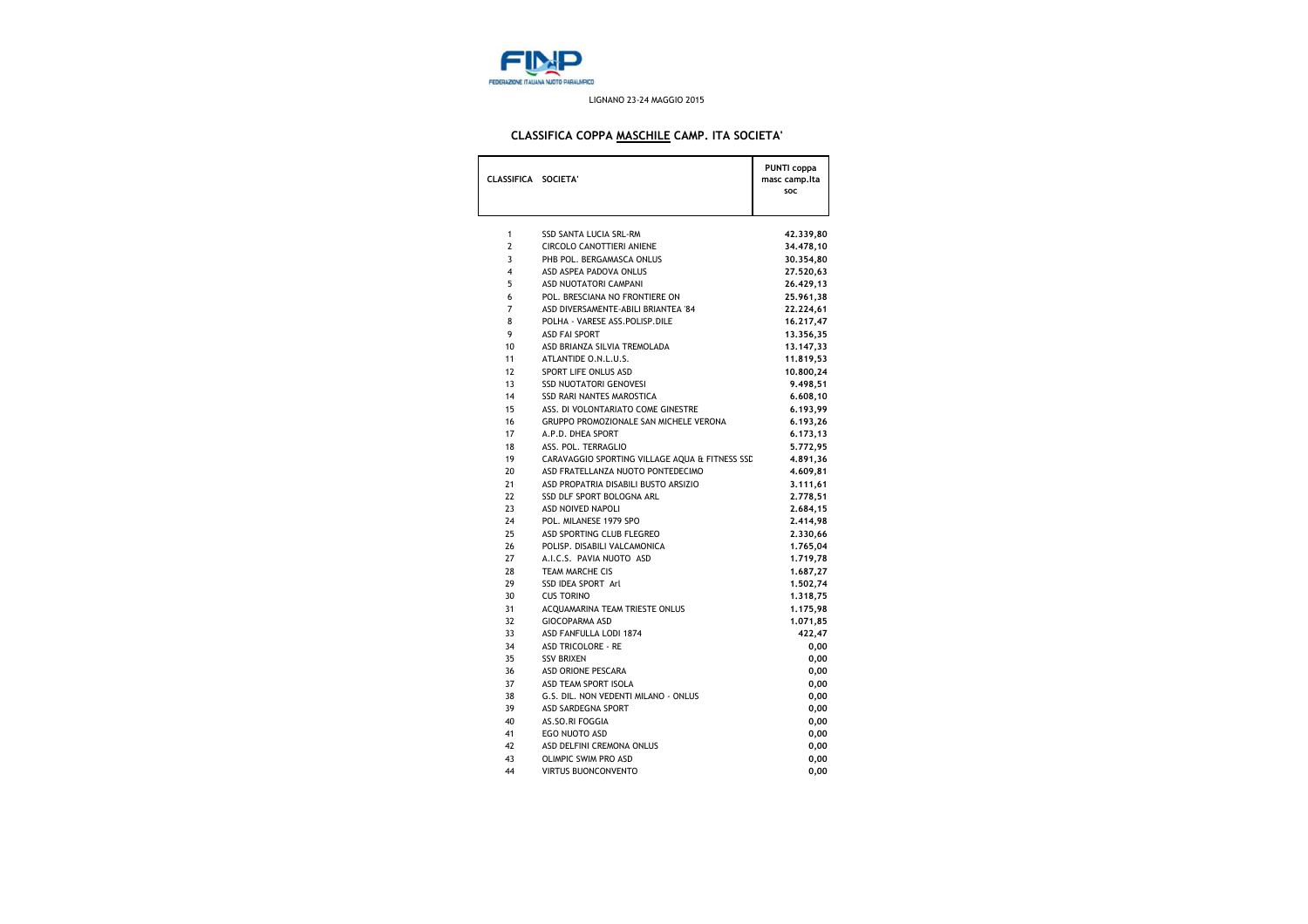

LIGNANO 23-24 MAGGIO 2015

### **CLASSIFICA COPPA MASCHILE CAMP. ITA SOCIETA'**

| CLASSIFICA     | SOCIETA'                                       | <b>PUNTI coppa</b><br>masc camp.lta<br>SOC |
|----------------|------------------------------------------------|--------------------------------------------|
| $\mathbf{1}$   | <b>SSD SANTA LUCIA SRL-RM</b>                  | 42,339,80                                  |
| 2              | <b>CIRCOLO CANOTTIERI ANIENE</b>               | 34,478,10                                  |
| 3              | PHB POL. BERGAMASCA ONLUS                      | 30,354,80                                  |
| $\overline{4}$ | ASD ASPEA PADOVA ONLUS                         | 27.520,63                                  |
| 5              | ASD NUOTATORI CAMPANI                          | 26,429,13                                  |
| 6              | POL. BRESCIANA NO FRONTIERE ON                 | 25,961,38                                  |
| 7              | ASD DIVERSAMENTE-ABILI BRIANTEA '84            | 22,224,61                                  |
| 8              | POLHA - VARESE ASS.POLISP.DILE                 | 16,217,47                                  |
| 9              | <b>ASD FAI SPORT</b>                           | 13,356,35                                  |
| 10             | ASD BRIANZA SILVIA TREMOLADA                   | 13, 147, 33                                |
| 11             | ATLANTIDE O.N.L.U.S.                           | 11,819,53                                  |
| 12             | SPORT LIFE ONLUS ASD                           | 10,800,24                                  |
| 13             | <b>SSD NUOTATORI GENOVESI</b>                  | 9,498,51                                   |
| 14             | <b>SSD RARI NANTES MAROSTICA</b>               | 6,608,10                                   |
| 15             | ASS. DI VOLONTARIATO COME GINESTRE             | 6.193,99                                   |
| 16             | <b>GRUPPO PROMOZIONALE SAN MICHELE VERONA</b>  | 6,193,26                                   |
| 17             | A.P.D. DHEA SPORT                              | 6.173,13                                   |
| 18             | ASS. POL. TERRAGLIO                            | 5,772,95                                   |
| 19             | CARAVAGGIO SPORTING VILLAGE AQUA & FITNESS SSD | 4.891,36                                   |
| 20             | ASD FRATELLANZA NUOTO PONTEDECIMO              | 4,609,81                                   |
| 21             | ASD PROPATRIA DISABILI BUSTO ARSIZIO           | 3,111,61                                   |
| 22             | SSD DLF SPORT BOLOGNA ARL                      | 2.778,51                                   |
| 23             | ASD NOIVED NAPOLI                              | 2,684,15                                   |
| 24             | POL. MILANESE 1979 SPO                         | 2,414,98                                   |
| 25             | ASD SPORTING CLUB FLEGREO                      | 2.330,66                                   |
| 26             | POLISP. DISABILI VALCAMONICA                   | 1,765,04                                   |
| 27             | A.I.C.S. PAVIA NUOTO ASD                       | 1.719,78                                   |
| 28             | TEAM MARCHE CIS                                | 1,687,27                                   |
| 29             | SSD IDEA SPORT Arl                             | 1,502,74                                   |
| 30             | <b>CUS TORINO</b>                              | 1.318,75                                   |
| 31             | <b>ACOUAMARINA TEAM TRIESTE ONLUS</b>          | 1.175,98                                   |
| 32             | <b>GIOCOPARMA ASD</b>                          | 1.071,85                                   |
| 33             | ASD FANFULLA LODI 1874                         | 422,47                                     |
| 34             | <b>ASD TRICOLORE - RE</b>                      | 0,00                                       |
| 35             | <b>SSV BRIXEN</b>                              | 0,00                                       |
| 36             | <b>ASD ORIONE PESCARA</b>                      | 0,00                                       |
| 37             | ASD TEAM SPORT ISOLA                           | 0,00                                       |
| 38             | G.S. DIL. NON VEDENTI MILANO - ONLUS           | 0,00                                       |
| 39             | ASD SARDEGNA SPORT                             | 0,00                                       |
| 40             | AS.SO.RI FOGGIA                                | 0,00                                       |
| 41             | EGO NUOTO ASD                                  | 0,00                                       |
| 42             | ASD DELFINI CREMONA ONLUS                      | 0,00                                       |
| 43             | <b>OLIMPIC SWIM PRO ASD</b>                    | 0,00                                       |
| 44             | <b>VIRTUS BUONCONVENTO</b>                     | 0,00                                       |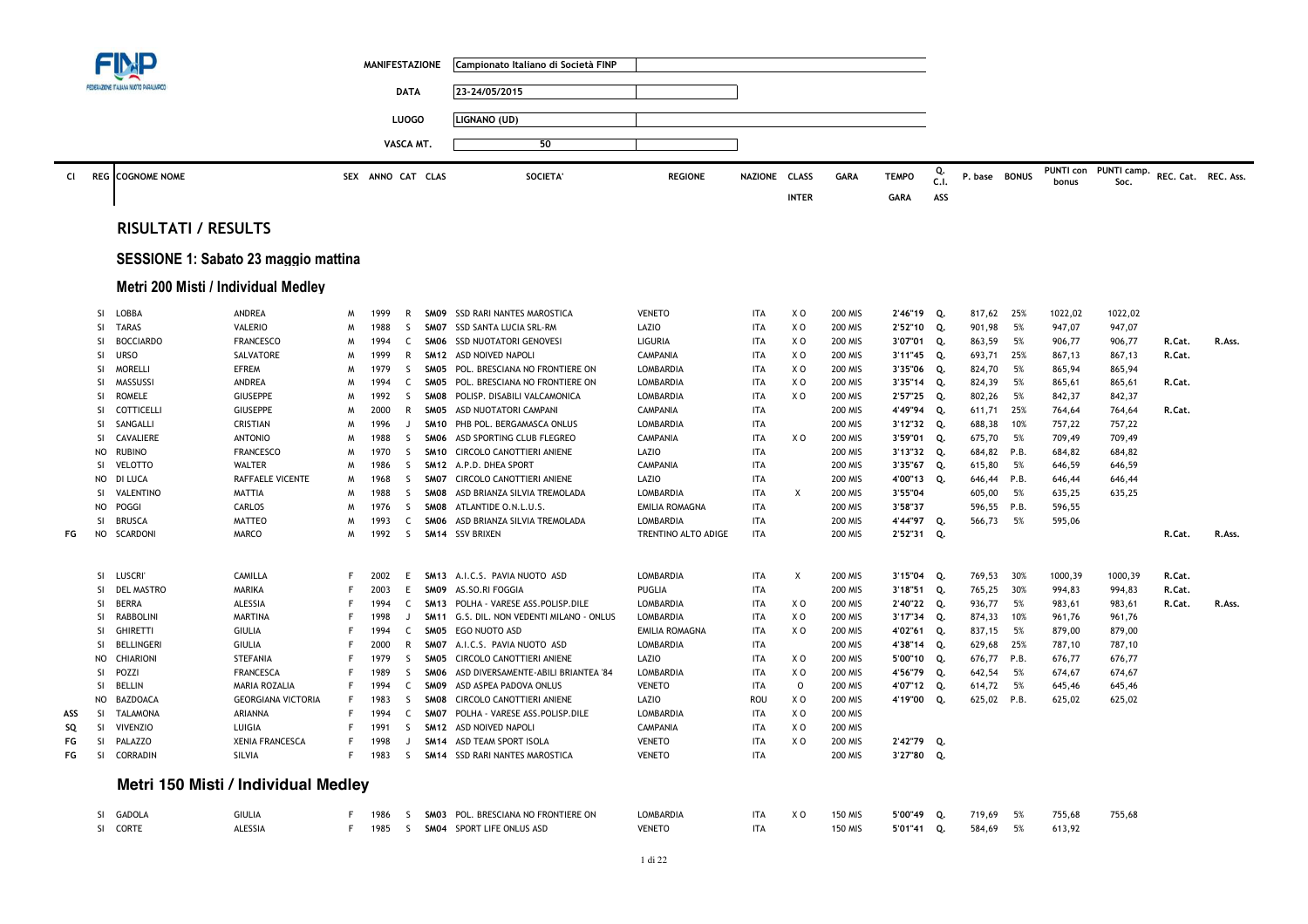|     |                        |                                       |                                             |    | <b>MANIFESTAZIONE</b> |                  |                                      | Campionato Italiano di Società FINP                              |                                   |                          |                       |                                  |                       |           |                  |          |                  |                               |                     |         |
|-----|------------------------|---------------------------------------|---------------------------------------------|----|-----------------------|------------------|--------------------------------------|------------------------------------------------------------------|-----------------------------------|--------------------------|-----------------------|----------------------------------|-----------------------|-----------|------------------|----------|------------------|-------------------------------|---------------------|---------|
|     |                        | EDERAZIONE ITALIANA NUOTO PARALIMPICI |                                             |    |                       | <b>DATA</b>      |                                      | 23-24/05/2015                                                    |                                   |                          |                       |                                  |                       |           |                  |          |                  |                               |                     |         |
|     |                        |                                       |                                             |    |                       |                  |                                      |                                                                  |                                   |                          |                       |                                  |                       |           |                  |          |                  |                               |                     |         |
|     |                        |                                       |                                             |    |                       | <b>LUOGO</b>     |                                      | LIGNANO (UD)                                                     |                                   |                          |                       |                                  |                       |           |                  |          |                  |                               |                     |         |
|     |                        |                                       |                                             |    |                       |                  |                                      | 50                                                               |                                   |                          |                       |                                  |                       |           |                  |          |                  |                               |                     |         |
|     |                        |                                       |                                             |    |                       | VASCA MT.        |                                      |                                                                  |                                   |                          |                       |                                  |                       |           |                  |          |                  |                               |                     |         |
| CI  | REG                    | <b>COGNOME NOME</b>                   |                                             |    | SEX ANNO CAT CLAS     |                  |                                      | <b>SOCIETA</b>                                                   | <b>REGIONE</b>                    | NAZIONE CLASS            |                       | <b>GARA</b>                      | <b>TEMPO</b>          | Q.<br>C.1 | P. base BONUS    |          | bonus            | PUNTI con PUNTI camp.<br>Soc. | REC. Cat. REC. Ass. |         |
|     |                        |                                       |                                             |    |                       |                  |                                      |                                                                  |                                   |                          | <b>INTER</b>          |                                  | <b>GARA</b>           | ASS       |                  |          |                  |                               |                     |         |
|     |                        |                                       |                                             |    |                       |                  |                                      |                                                                  |                                   |                          |                       |                                  |                       |           |                  |          |                  |                               |                     |         |
|     |                        | <b>RISULTATI / RESULTS</b>            |                                             |    |                       |                  |                                      |                                                                  |                                   |                          |                       |                                  |                       |           |                  |          |                  |                               |                     |         |
|     |                        |                                       | <b>SESSIONE 1: Sabato 23 maggio mattina</b> |    |                       |                  |                                      |                                                                  |                                   |                          |                       |                                  |                       |           |                  |          |                  |                               |                     |         |
|     |                        | Metri 200 Misti / Individual Medlev   |                                             |    |                       |                  |                                      |                                                                  |                                   |                          |                       |                                  |                       |           |                  |          |                  |                               |                     |         |
|     | SI                     | LOBBA                                 | ANDREA                                      | M  | 1999                  | R                | SMO9                                 | SSD RARI NANTES MAROSTICA                                        | <b>VENETO</b>                     | ITA                      | X O                   | <b>200 MIS</b>                   | 2'46"19               | Q.        | 817,62           | 25%      | 1022,02          | 1022,02                       |                     |         |
|     | <b>SI</b>              | <b>TARAS</b>                          | <b>VALERIO</b>                              | M  | 1988                  | <sub>S</sub>     | SM07                                 | SSD SANTA LUCIA SRL-RN                                           | LAZIO                             | <b>ITA</b>               | X <sub>0</sub>        | <b>200 MIS</b>                   | 2'52"10               | Q.        | 901,98           | 5%       | 947,07           | 947,07                        |                     |         |
|     | <b>SI</b>              | <b>BOCCIARDO</b>                      | <b>FRANCESCO</b>                            | M  | 1994                  | C.               | SMO6                                 | SSD NUOTATORI GENOVESI                                           | LIGURIA                           | <b>ITA</b>               | X <sub>0</sub>        | 200 MIS                          | 3'07"01 Q.            |           | 863,59           | 5%       | 906,77           | 906,77                        | R.Cat.              | R.Ass.  |
|     | SI                     | <b>URSO</b>                           | SALVATORE                                   | M  | 1999                  | R                | <b>SM12</b>                          | ASD NOIVED NAPOLI                                                | CAMPANIA                          | ITA                      | X <sub>0</sub>        | 200 MIS                          | 3'11"45               | Q.        | 693,71           | 25%      | 867,13           | 867,13                        | R.Cat.              |         |
|     | SI                     | <b>MORELLI</b>                        | <b>EFREM</b>                                | M  | 1979                  | S                | SM05                                 | POL. BRESCIANA NO FRONTIERE ON                                   | LOMBARDIA                         | <b>ITA</b>               | X <sub>0</sub>        | 200 MIS                          | 3'35"06               | Q.        | 824,70           | 5%       | 865,94           | 865,94                        |                     |         |
|     | -SI                    | MASSUSSI                              | ANDREA                                      | M  | 1994                  | C                | SMO <sub>5</sub>                     | POL. BRESCIANA NO FRONTIERE ON                                   | LOMBARDIA                         | ITA                      | X O                   | 200 MIS                          | 3'35"14               | Q.        | 824,39           | 5%       | 865,61           | 865,61                        | R.Cat.              |         |
|     | <sup>SI</sup>          | <b>ROMELE</b>                         | <b>GIUSEPPE</b>                             | M  | 1992                  | S.               | SM08                                 | POLISP, DISABILI VALCAMONICA                                     | LOMBARDIA                         | <b>ITA</b>               | X O                   | <b>200 MIS</b>                   | 2'57"25               | Q.        | 802,26           | 5%       | 842,37           | 842,37                        |                     |         |
|     | SI                     | COTTICELLI                            | <b>GIUSEPPE</b>                             | M  | 2000                  | R                | <b>SM05</b>                          | ASD NUOTATORI CAMPANI                                            | <b>CAMPANIA</b>                   | <b>ITA</b>               |                       | <b>200 MIS</b>                   | 4'49"94               | Q.        | 611,71           | 25%      | 764,64           | 764,64                        | R.Cat.              |         |
|     | SI                     | SANGALLI                              | CRISTIAN                                    | M  | 1996                  | $\mathbf{I}$     | <b>SM10</b>                          | PHB POL. BERGAMASCA ONLUS                                        | LOMBARDIA                         | <b>ITA</b>               |                       | <b>200 MIS</b>                   | 3'12"32               | Q.        | 688,38           | 10%      | 757,22           | 757,22                        |                     |         |
|     | SI                     | CAVALIERE                             | <b>ANTONIO</b>                              | м  | 1988                  | S                | SMO <sub>6</sub>                     | ASD SPORTING CLUB FLEGREO                                        | <b>CAMPANIA</b>                   | <b>ITA</b>               | X O                   | 200 MIS                          | 3'59"01               | Q.        | 675,70           | 5%       | 709,49           | 709,49                        |                     |         |
|     | <b>NO</b>              | RUBINO                                | <b>FRANCESCO</b>                            |    | 1970                  | <sub>S</sub>     | <b>SM10</b>                          | CIRCOLO CANOTTIERI ANIENE                                        | LAZIO                             | <b>ITA</b>               |                       | 200 MIS                          | 3'13"32               | Q.        | 684,82           | P.B.     | 684,82           | 684,82                        |                     |         |
|     | SI                     | VELOTTO                               | WALTER                                      | M  | 1986                  | <sub>S</sub>     | <b>SM12</b>                          | A.P.D. DHEA SPORT                                                | <b>CAMPANIA</b>                   | <b>ITA</b>               |                       | 200 MIS                          | 3'35"67               | Q.        | 615,80           | 5%       | 646,59           | 646,59                        |                     |         |
|     |                        | NO DI LUCA                            | RAFFAELE VICENTE                            | M  | 1968                  | S.               | SMO7                                 | CIRCOLO CANOTTIERI ANIENE                                        | LAZIO                             | <b>ITA</b>               |                       | 200 MIS                          | 4'00"13 Q.            |           | 646,44           | P.B.     | 646,44           | 646,44                        |                     |         |
|     | <b>SI</b>              | VALENTINO                             | <b>MATTIA</b>                               | M  | 1988                  | S.               | SM08                                 | ASD BRIANZA SILVIA TREMOLADA                                     | LOMBARDIA                         | ITA                      | X                     | 200 MIS                          | 3'55"04               |           | 605,00           | 5%       | 635,25           | 635,25                        |                     |         |
|     | <b>NO</b>              | POGGI                                 | CARLOS                                      | M  | 1976                  | -S               | SM08                                 | ATLANTIDE O.N.L.U.S.                                             | <b>EMILIA ROMAGNA</b>             | <b>ITA</b>               |                       | 200 MIS                          | 3'58"37               |           | 596,55           | P.B.     | 596,55           |                               |                     |         |
|     | SI                     | <b>BRUSCA</b>                         | <b>MATTEO</b>                               | M  | 1993                  | C.               | SMO <sub>6</sub>                     | ASD BRIANZA SILVIA TREMOLADA                                     | LOMBARDIA                         | ITA                      |                       | <b>200 MIS</b>                   | 4'44"97 Q.            |           | 566,73           | 5%       | 595,06           |                               |                     |         |
| FG  | <b>NO</b>              | SCARDONI                              | <b>MARCO</b>                                | M  | 1992                  | S                |                                      | SM14 SSV BRIXEN                                                  | TRENTINO ALTO ADIGE               | <b>ITA</b>               |                       | 200 MIS                          | 2'52"31 Q.            |           |                  |          |                  |                               | R.Cat.              | R. Ass. |
|     | SI                     | <b>LUSCRI</b>                         | CAMILLA                                     | F  | 2002                  | E.               |                                      | SM13 A.I.C.S. PAVIA NUOTO ASD                                    | LOMBARDIA                         | <b>ITA</b>               | X                     | <b>200 MIS</b>                   | 3'15"04               | Q.        | 769,53           | 30%      | 1000,39          | 1000,39                       | R.Cat.              |         |
|     | SI                     | <b>DEL MASTRO</b>                     | <b>MARIKA</b>                               |    | 2003                  | E                | SMO <sub>9</sub>                     | AS.SO.RI FOGGIA                                                  | PUGLIA                            | ITA                      |                       | 200 MIS                          | 3'18"51               | Q.        | 765,25           | 30%      | 994,83           | 994,83                        | R.Cat.              |         |
|     | SI.                    | <b>BERRA</b>                          | <b>ALESSIA</b>                              |    | 1994                  | C                | <b>SM13</b>                          | POLHA - VARESE ASS.POLISP.DILE                                   | LOMBARDIA                         | <b>ITA</b>               | X O                   | 200 MIS                          | 2'40"22 Q.            |           | 936,77           | 5%       | 983,61           | 983,61                        | R.Cat.              | R.Ass.  |
|     | SI                     | RABBOLINI                             | <b>MARTINA</b>                              |    | 1998                  | $\cdot$          | <b>SM11</b>                          | G.S. DIL. NON VEDENTI MILANO - ONLUS                             | LOMBARDIA                         | <b>ITA</b>               | X O                   | 200 MIS                          | 3'17"34               | Q.        | 874,33           | 10%      | 961,76           | 961,76                        |                     |         |
|     | SI                     | <b>GHIRETTI</b>                       | <b>GIULIA</b>                               |    | 1994                  | C.               | SMO5                                 | EGO NUOTO ASD                                                    | <b>EMILIA ROMAGNA</b>             | <b>ITA</b>               | X <sub>0</sub>        | <b>200 MIS</b>                   | 4'02"61               | Q.        | 837,15           | 5%       | 879,00           | 879,00                        |                     |         |
|     | <b>SI</b>              | BELLINGERI                            | <b>GIULIA</b>                               |    | 2000                  | R                | SM07                                 | A.I.C.S. PAVIA NUOTO ASD                                         | LOMBARDIA                         | <b>ITA</b>               |                       | <b>200 MIS</b>                   | 4'38"14               | Q.        | 629,68           | 25%      | 787,10           | 787,10                        |                     |         |
|     | <b>NO</b>              | CHIARIONI                             | <b>STEFANIA</b>                             |    | 1979<br>1989          | S<br>$\varsigma$ | SMO <sub>5</sub><br>SMO <sub>6</sub> | CIRCOLO CANOTTIERI ANIENE                                        | LAZIO                             | <b>ITA</b>               | X O<br>X <sub>0</sub> | 200 MIS                          | 5'00"10 Q.            |           | 676,77           | P.B.     | 676,77           | 676,77                        |                     |         |
|     | <b>SI</b><br><b>SI</b> | POZZI<br>BELLIN                       | <b>FRANCESCA</b><br><b>MARIA ROZALIA</b>    |    | 1994                  | $\epsilon$       | SMO <sub>9</sub>                     | ASD DIVERSAMENTE-ABILI BRIANTEA '84<br>ASD ASPEA PADOVA ONLUS    | LOMBARDIA<br><b>VENETO</b>        | <b>ITA</b><br><b>ITA</b> | $\circ$               | 200 MIS<br><b>200 MIS</b>        | 4'56"79<br>4'07"12 Q. | Q.        | 642,54<br>614,72 | 5%<br>5% | 674,67<br>645,46 | 674,67<br>645,46              |                     |         |
|     | <b>NO</b>              | BAZDOACA                              | <b>GEORGIANA VICTORIA</b>                   |    | 1983                  | S                | SM08                                 | CIRCOLO CANOTTIERI ANIENE                                        | LAZIO                             | <b>ROU</b>               | X <sub>0</sub>        | 200 MIS                          | 4'19"00 Q.            |           | 625,02 P.B.      |          | 625,02           | 625,02                        |                     |         |
| ASS | SI                     | TALAMONA                              | <b>ARIANNA</b>                              |    | 1994                  | C                | SMO7                                 | POLHA - VARESE ASS.POLISP.DILE                                   | LOMBARDIA                         | ITA                      | X O                   | <b>200 MIS</b>                   |                       |           |                  |          |                  |                               |                     |         |
| SQ  | <b>SI</b>              | <b>VIVENZIO</b>                       | LUIGIA                                      | F  | 1991                  | S                | <b>SM12</b>                          | ASD NOIVED NAPOLI                                                | CAMPANIA                          | <b>ITA</b>               | X O                   | 200 MIS                          |                       |           |                  |          |                  |                               |                     |         |
| FG  | <b>SI</b>              | <b>PALAZZO</b>                        | <b>XENIA FRANCESCA</b>                      | F  | 1998                  | J                | <b>SM14</b>                          | ASD TEAM SPORT ISOLA                                             | <b>VENETO</b>                     | <b>ITA</b>               | X <sub>0</sub>        | 200 MIS                          | 2'42"79 Q.            |           |                  |          |                  |                               |                     |         |
| FG  | SI.                    | CORRADIN                              | SILVIA                                      | F. | 1983                  | S.               |                                      | SM14 SSD RARI NANTES MAROSTICA                                   | <b>VENETO</b>                     | <b>ITA</b>               |                       | 200 MIS                          | 3'27"80 Q.            |           |                  |          |                  |                               |                     |         |
|     |                        |                                       | Metri 150 Misti / Individual Medley         |    |                       |                  |                                      |                                                                  |                                   |                          |                       |                                  |                       |           |                  |          |                  |                               |                     |         |
|     |                        |                                       |                                             |    |                       |                  |                                      |                                                                  |                                   |                          |                       |                                  |                       |           |                  |          |                  |                               |                     |         |
|     | <sup>SI</sup>          | GADOLA<br>SI CORTE                    | <b>GIULIA</b><br><b>ALESSIA</b>             | F. | 1986<br>1985          | S.<br>-S         |                                      | SM03 POL. BRESCIANA NO FRONTIERE ON<br>SM04 SPORT LIFE ONLUS ASD | <b>LOMBARDIA</b><br><b>VENETO</b> | <b>ITA</b><br><b>ITA</b> | X O                   | <b>150 MIS</b><br><b>150 MIS</b> | 5'00"49<br>5'01"41 Q. | Q.        | 719.69<br>584,69 | 5%<br>5% | 755,68<br>613,92 | 755.68                        |                     |         |
|     |                        |                                       |                                             |    |                       |                  |                                      |                                                                  |                                   |                          |                       |                                  |                       |           |                  |          |                  |                               |                     |         |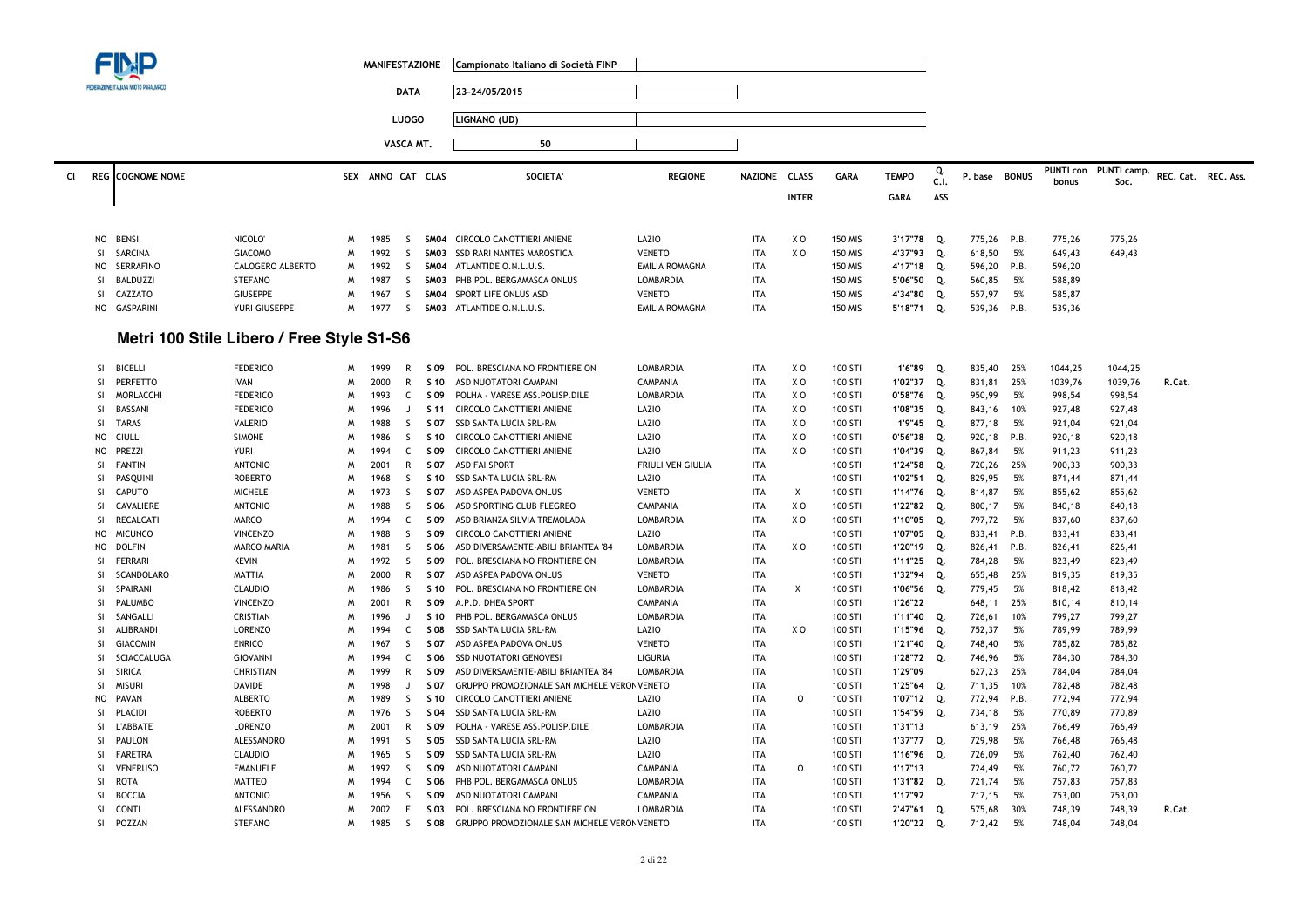|           |                                   |                                           |   | <b>MANIFESTAZIONE</b> |                   |                  | Campionato Italiano di Società FINP               |                             |                          |                           |                           |              |             |                  |            |                  |             |                     |
|-----------|-----------------------------------|-------------------------------------------|---|-----------------------|-------------------|------------------|---------------------------------------------------|-----------------------------|--------------------------|---------------------------|---------------------------|--------------|-------------|------------------|------------|------------------|-------------|---------------------|
|           |                                   |                                           |   |                       |                   |                  |                                                   |                             |                          |                           |                           |              |             |                  |            |                  |             |                     |
|           | ZIONE ITALIANA NUOTO PARALIMPI    |                                           |   |                       | DATA              |                  | 23-24/05/2015                                     |                             |                          |                           |                           |              |             |                  |            |                  |             |                     |
|           |                                   |                                           |   |                       | <b>LUOGO</b>      |                  | LIGNANO (UD)                                      |                             |                          |                           |                           |              |             |                  |            |                  |             |                     |
|           |                                   |                                           |   |                       | VASCA MT.         |                  | 50                                                |                             |                          |                           |                           |              |             |                  |            |                  |             |                     |
| <b>CI</b> | <b>COGNOME NOME</b><br><b>REG</b> |                                           |   | SEX ANNO CAT CLAS     |                   |                  | SOCIETA'                                          | <b>REGIONE</b>              | <b>NAZIONE</b>           | <b>CLASS</b>              | <b>GARA</b>               | <b>TEMPO</b> | Q.          | P. base BONUS    |            | PUNTI con        | PUNTI camp. | REC. Cat. REC. Ass. |
|           |                                   |                                           |   |                       |                   |                  |                                                   |                             |                          | <b>INTER</b>              |                           | <b>GARA</b>  | C.1.<br>ASS |                  |            | bonus            | Soc.        |                     |
|           |                                   |                                           |   |                       |                   |                  |                                                   |                             |                          |                           |                           |              |             |                  |            |                  |             |                     |
|           | NO BENSI                          | NICOLO'                                   | M | 1985                  | <sub>S</sub>      | <b>SM04</b>      | CIRCOLO CANOTTIERI ANIENE                         | LAZIO                       | <b>ITA</b>               | X <sub>0</sub>            | <b>150 MIS</b>            | 3'17"78      | Q.          | 775.26 P.B.      |            | 775.26           | 775.26      |                     |
|           | <b>SI</b><br>SARCINA              | <b>GIACOMO</b>                            | м | 1992                  | <sub>S</sub>      | SMO3             | SSD RARI NANTES MAROSTICA                         | <b>VENETO</b>               | <b>ITA</b>               | X <sub>0</sub>            | 150 MIS                   | 4'37"93      | Q.          | 618,50           | 5%         | 649,43           | 649,43      |                     |
|           | <b>SERRAFINO</b>                  |                                           | W | 1992                  |                   | SM04             |                                                   |                             |                          |                           |                           | 4'17"18      |             |                  |            |                  |             |                     |
|           | NO<br>-SI<br><b>BALDUZZI</b>      | CALOGERO ALBERTO<br><b>STEFANO</b>        | м | 1987                  | S<br><sub>S</sub> | SMO <sub>3</sub> | ATLANTIDE O.N.L.U.S.                              | EMILIA ROMAGNA<br>LOMBARDIA | <b>ITA</b><br><b>ITA</b> |                           | 150 MIS                   | 5'06"50      | Q.          | 596,20           | P.B.<br>5% | 596,20           |             |                     |
|           | CAZZATO                           | <b>GIUSEPPE</b>                           | W | 1967                  | S                 | <b>SM04</b>      | PHB POL. BERGAMASCA ONLUS<br>SPORT LIFE ONLUS ASD | <b>VENETO</b>               | ITA                      |                           | <b>150 MIS</b><br>150 MIS | 4'34"80      | Q.<br>Q.    | 560,85<br>557,97 | 5%         | 588,89<br>585,87 |             |                     |
|           | SI.                               |                                           |   |                       |                   |                  |                                                   |                             |                          |                           |                           |              |             |                  |            |                  |             |                     |
|           | NO GASPARINI                      | YURI GIUSEPPE                             | M | 1977                  | S.                |                  | SM03 ATLANTIDE O.N.L.U.S.                         | <b>EMILIA ROMAGNA</b>       | <b>ITA</b>               |                           | 150 MIS                   | 5'18"71 Q.   |             | 539,36 P.B.      |            | 539,36           |             |                     |
|           |                                   | Metri 100 Stile Libero / Free Style S1-S6 |   |                       |                   |                  |                                                   |                             |                          |                           |                           |              |             |                  |            |                  |             |                     |
|           | <b>SI</b><br><b>BICELLI</b>       | <b>FEDERICO</b>                           | W | 1999                  | R                 | S 09             | POL. BRESCIANA NO FRONTIERE ON                    | LOMBARDIA                   | <b>ITA</b>               | X <sub>0</sub>            | 100 STI                   | 1'6"89       | Q.          | 835,40           | 25%        | 1044,25          | 1044,25     |                     |
|           | <b>SI</b><br>PERFETTO             | <b>IVAN</b>                               | м | 2000                  | $\mathsf{R}$      | S 10             | ASD NUOTATORI CAMPANI                             | CAMPANIA                    | <b>ITA</b>               | X <sub>0</sub>            | 100 STI                   | 1'02"37      | Q.          | 831.81           | 25%        | 1039,76          | 1039,76     | R.Cat.              |
|           | SI.<br>MORLACCHI                  | <b>FEDERICO</b>                           | м | 1993                  | $\mathsf{C}$      | S 09             | POLHA - VARESE ASS.POLISP.DILE                    | LOMBARDIA                   | <b>ITA</b>               | X <sub>0</sub>            | 100 STI                   | 0'58"76      | Q.          | 950,99           | 5%         | 998,54           | 998,54      |                     |
|           | BASSANI<br>SI.                    | <b>FEDERICO</b>                           | W | 1996                  | J                 | S 11             | CIRCOLO CANOTTIERI ANIENE                         | LAZIO                       | <b>ITA</b>               | X <sub>0</sub>            | 100 STI                   | 1'08"35      | Q.          | 843,16           | 10%        | 927,48           | 927,48      |                     |
|           | SI.<br><b>TARAS</b>               | <b>VALERIO</b>                            | м | 1988                  | S                 | S 07             | SSD SANTA LUCIA SRL-RM                            | LAZIO                       | <b>ITA</b>               | X <sub>0</sub>            | 100 STI                   | 1'9"45       | Q.          | 877,18           | 5%         | 921,04           | 921,04      |                     |
|           | NO CIULLI                         | <b>SIMONE</b>                             | м | 1986                  | S.                | S 10             | CIRCOLO CANOTTIERI ANIENE                         | LAZIO                       | <b>ITA</b>               | X <sub>0</sub>            | 100 STI                   | 0'56"38      | Q.          | 920,18           | P.B.       | 920,18           | 920,18      |                     |
|           | NO<br>PREZZI                      | <b>YURI</b>                               | W | 1994                  | C                 | S 09             | CIRCOLO CANOTTIERI ANIENE                         | LAZIO                       | ITA                      | X <sub>0</sub>            | 100 STI                   | 1'04"39      | Q.          | 867,84           | 5%         | 911,23           | 911,23      |                     |
|           | SI<br><b>FANTIN</b>               | <b>ANTONIO</b>                            | M | 2001                  | $\mathsf{R}$      | S 07             | <b>ASD FAI SPORT</b>                              | <b>FRIULI VEN GIULIA</b>    | <b>ITA</b>               |                           | 100 STI                   | 1'24"58      | Q.          | 720,26           | 25%        | 900,33           | 900,33      |                     |
|           | PASQUINI<br>SI                    | <b>ROBERTO</b>                            | W | 1968                  | S                 | S 10             | SSD SANTA LUCIA SRL-RM                            | LAZIO                       | <b>ITA</b>               |                           | 100 STI                   | 1'02"51      | Q.          | 829,95           | 5%         | 871,44           | 871,44      |                     |
|           | SI.<br>CAPUTO                     | <b>MICHELE</b>                            | W | 1973                  | S.                | S 07             | ASD ASPEA PADOVA ONLUS                            | <b>VENETO</b>               | <b>ITA</b>               | $\boldsymbol{\mathsf{X}}$ | 100 STI                   | 1'14"76      | Q.          | 814,87           | 5%         | 855,62           | 855,62      |                     |
|           | CAVALIERE                         | <b>ANTONIO</b>                            | м | 1988                  | S                 | S 06             | ASD SPORTING CLUB FLEGREO                         | <b>CAMPANIA</b>             | <b>ITA</b>               | X <sub>0</sub>            | 100 STI                   | 1'22"82      | Q.          | 800,17           | 5%         | 840,18           | 840,18      |                     |
|           | SI.                               |                                           |   |                       |                   |                  |                                                   |                             |                          |                           |                           |              |             |                  |            |                  |             |                     |
|           | SI<br>RECALCATI                   | MARCO                                     | W | 1994                  | C                 | S 09             | ASD BRIANZA SILVIA TREMOLADA                      | LOMBARDIA                   | <b>ITA</b>               | X <sub>0</sub>            | 100 STI                   | 1'10"05      | Q.          | 797,72           | 5%         | 837,60           | 837,60      |                     |
|           | NO<br><b>MICUNCO</b>              | VINCENZO                                  | м | 1988                  | S                 | S 09             | CIRCOLO CANOTTIERI ANIENE                         | LAZIO                       | <b>ITA</b>               |                           | 100 STI                   | 1'07"05      | Q.          | 833,41           | P.B.       | 833,41           | 833,41      |                     |
|           | NO<br>DOLFIN                      | <b>MARCO MARIA</b>                        | W | 1981                  | S.                | S 06             | ASD DIVERSAMENTE-ABILI BRIANTEA '84               | LOMBARDIA                   | <b>ITA</b>               | X <sub>0</sub>            | 100 STI                   | 1'20"19      | Q.          | 826,41           | P.B.       | 826,41           | 826,41      |                     |
|           | FERRARI<br>-SI                    | <b>KEVIN</b>                              | м | 1992                  | S.                | S 09             | POL. BRESCIANA NO FRONTIERE ON                    | LOMBARDIA                   | <b>ITA</b>               |                           | 100 STI                   | 1'11"25      | Q.          | 784,28           | 5%         | 823,49           | 823,49      |                     |
|           | SI<br>SCANDOLARO                  | <b>MATTIA</b>                             | м | 2000                  | R                 | S 07             | ASD ASPEA PADOVA ONLUS                            | <b>VENETO</b>               | <b>ITA</b>               |                           | 100 STI                   | 1'32"94      | Q.          | 655,48           | 25%        | 819,35           | 819,35      |                     |
|           | -SI<br>SPAIRANI                   | <b>CLAUDIO</b>                            | W | 1986                  | S.                | S 10             | POL. BRESCIANA NO FRONTIERE ON                    | LOMBARDIA                   | ITA                      | Χ                         | 100 STI                   | 1'06"56      | Q.          | 779,45           | 5%         | 818,42           | 818,42      |                     |
|           | PALUMBO<br>SI.                    | <b>VINCENZO</b>                           | W | 2001                  | R                 | S 09             | A.P.D. DHEA SPORT                                 | <b>CAMPANIA</b>             | <b>ITA</b>               |                           | 100 STI                   | 1'26"22      |             | 648,11           | 25%        | 810,14           | 810,14      |                     |
|           | SANGALLI<br>SI                    | CRISTIAN                                  | M | 1996                  | J                 | S 10             | PHB POL. BERGAMASCA ONLUS                         | LOMBARDIA                   | <b>ITA</b>               |                           | 100 STI                   | 1'11"40      | Q.          | 726,61           | 10%        | 799,27           | 799,27      |                     |
|           | <b>ALIBRANDI</b><br>SI            | LORENZO                                   | W | 1994                  | C                 | S 08             | SSD SANTA LUCIA SRL-RM                            | LAZIO                       | <b>ITA</b>               | X <sub>0</sub>            | 100 STI                   | 1'15"96      | Q.          | 752,37           | 5%         | 789,99           | 789,99      |                     |
|           | <b>GIACOMIN</b><br>-SI            | <b>ENRICO</b>                             | м | 1967                  | S.                | S 07             | ASD ASPEA PADOVA ONLUS                            | <b>VENETO</b>               | <b>ITA</b>               |                           | 100 STI                   | 1'21"40      | Q.          | 748,40           | 5%         | 785,82           | 785,82      |                     |
|           | SI.<br>SCIACCALUGA                | <b>GIOVANNI</b>                           | W | 1994                  | C                 | S 06             | <b>SSD NUOTATORI GENOVESI</b>                     | LIGURIA                     | ITA                      |                           | 100 STI                   | 1'28"72 Q.   |             | 746,96           | 5%         | 784,30           | 784,30      |                     |
|           | <b>SI</b><br>SIRICA               | CHRISTIAN                                 | м | 1999                  | $\mathsf{R}$      | S 09             | ASD DIVERSAMENTE-ABILI BRIANTEA '84               | <b>LOMBARDIA</b>            | <b>ITA</b>               |                           | 100 STI                   | 1'29"09      |             | 627,23           | 25%        | 784,04           | 784,04      |                     |
|           | SI<br><b>MISURI</b>               | DAVIDE                                    | м | 1998                  | J                 | S 07             | GRUPPO PROMOZIONALE SAN MICHELE VERON VENETO      |                             | <b>ITA</b>               |                           | 100 STI                   | 1'25"64      | Q.          | 711,35           | 10%        | 782,48           | 782,48      |                     |
|           | NO.<br><b>PAVAN</b>               | <b>ALBERTO</b>                            | W | 1989                  | S.                | S 10             | CIRCOLO CANOTTIERI ANIENE                         | LAZIO                       | <b>ITA</b>               | $\circ$                   | 100 STI                   | 1'07"12      | Q.          | 772,94           | P.B.       | 772,94           | 772,94      |                     |
|           | PLACIDI<br>-SI                    | <b>ROBERTO</b>                            |   | 1976                  | S                 | S 04             | SSD SANTA LUCIA SRL-RM                            | LAZIO                       | <b>ITA</b>               |                           | 100 STI                   | 1'54"59      | Q.          | 734,18           | 5%         | 770,89           | 770,89      |                     |
|           | SI<br><b>L'ABBATE</b>             | LORENZO                                   | м | 2001                  | R                 | S 09             | POLHA - VARESE ASS.POLISP.DILE                    | LOMBARDIA                   | <b>ITA</b>               |                           | 100 STI                   | 1'31"13      |             | 613,19           | 25%        | 766,49           | 766,49      |                     |
|           | <b>PAULON</b><br>SI               | ALESSANDRO                                | W | 1991                  | S.                | S 05             | SSD SANTA LUCIA SRL-RM                            | LAZIO                       | <b>ITA</b>               |                           | 100 STI                   | 1'37"77      | Q.          | 729,98           | 5%         | 766,48           | 766,48      |                     |
|           | <b>FARETRA</b><br>SI.             | <b>CLAUDIO</b>                            | м | 1965                  | S.                | S 09             | SSD SANTA LUCIA SRL-RM                            | LAZIO                       | ITA                      |                           | 100 STI                   | 1'16"96      | Q.          | 726,09           | 5%         | 762,40           | 762,40      |                     |
|           | <b>VENERUSO</b><br>SI             | <b>EMANUELE</b>                           | W | 1992                  | S                 | S 09             | ASD NUOTATORI CAMPANI                             | CAMPANIA                    | <b>ITA</b>               | $\mathsf O$               | 100 STI                   | 1'17''13     |             | 724,49           | 5%         | 760,72           | 760,72      |                     |
|           | SI.<br>ROTA                       | MATTEO                                    | м | 1994                  | $\mathsf{C}$      | S 06             | PHB POL. BERGAMASCA ONLUS                         | LOMBARDIA                   | <b>ITA</b>               |                           | 100 STI                   | 1'31"82 Q.   |             | 721,74           | 5%         | 757,83           | 757,83      |                     |
|           | <b>BOCCIA</b><br>SI.              | <b>ANTONIO</b>                            | м | 1956                  | S.                | S 09             | ASD NUOTATORI CAMPANI                             | CAMPANIA                    | <b>ITA</b>               |                           | 100 STI                   | 1'17"92      |             | 717,15           | 5%         | 753,00           | 753,00      |                     |
|           | SI.<br><b>CONTI</b>               | ALESSANDRO                                | W | 2002                  | E.                | S 03             | POL. BRESCIANA NO FRONTIERE ON                    | LOMBARDIA                   | <b>ITA</b>               |                           | 100 STI                   | 2'47"61      | Q.          | 575,68           | 30%        | 748,39           | 748,39      | R.Cat.              |
|           | SI POZZAN                         | <b>STEFANO</b>                            | M | 1985                  | S                 | S 08             | GRUPPO PROMOZIONALE SAN MICHELE VERON VENETO      |                             | <b>ITA</b>               |                           | 100 STI                   | 1'20"22      | Q.          | 712,42           | 5%         | 748,04           | 748,04      |                     |
|           |                                   |                                           |   |                       |                   |                  |                                                   |                             |                          |                           |                           |              |             |                  |            |                  |             |                     |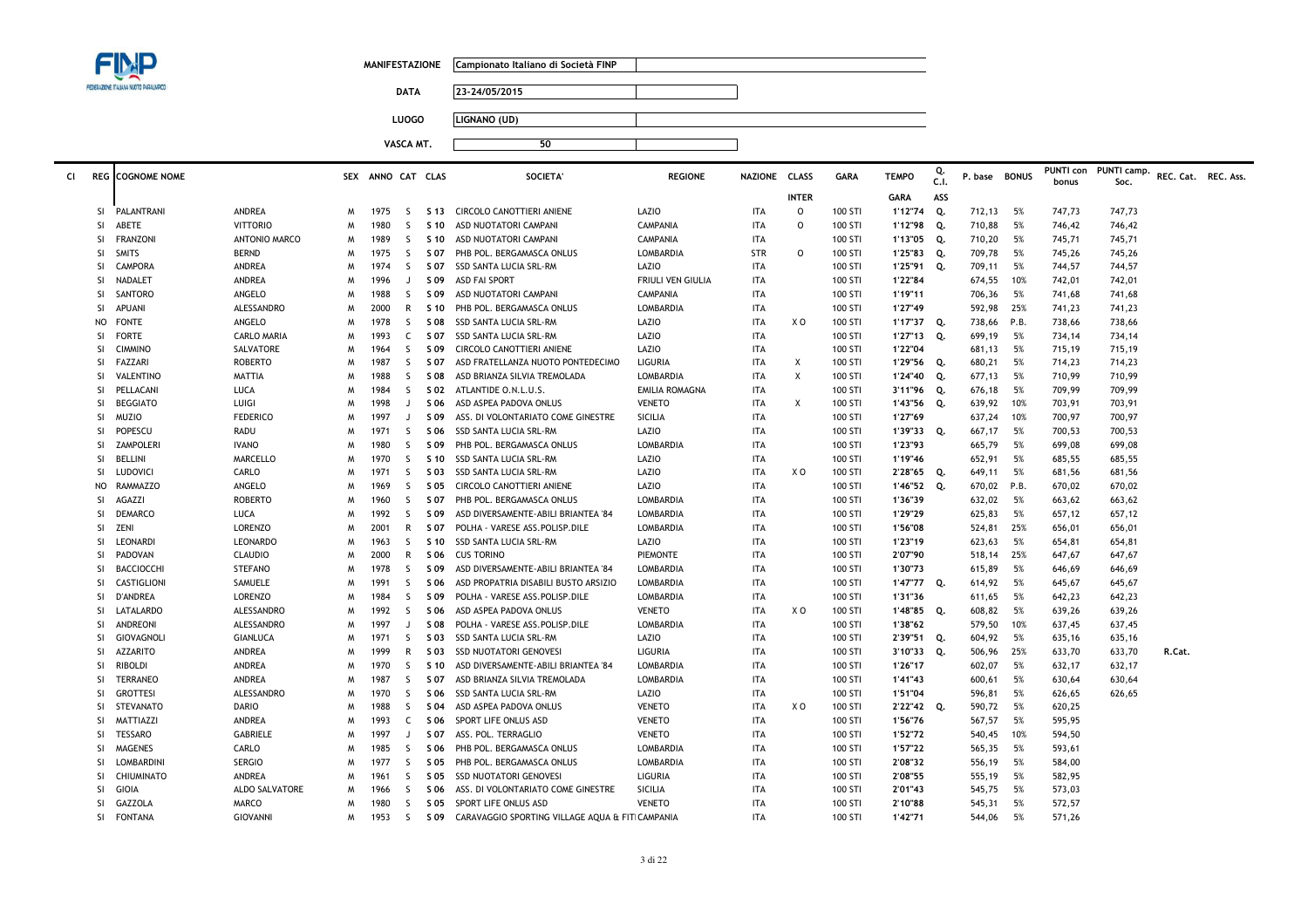| <b>MINTO DIQILMPICO</b><br><b>ATTANA</b><br>FRAZINE IT |  |
|--------------------------------------------------------|--|

| <b>MANIFESTAZIONE</b> | Campionato Italiano di Società FINP |  |
|-----------------------|-------------------------------------|--|
|                       |                                     |  |

**LUOGO LIGNANO (UD)**

| CI. | REG       | <b>COGNOME NOME</b> |                      |   | SEX ANNO CAT CLAS |              |      | SOCIETA'                                        | <b>REGIONE</b>        | NAZIONE CLASS |              | <b>GARA</b> | <b>TEMPO</b>  | Q.<br>C.1 | P. base BONUS |      | bonus  | PUNTI con PUNTI camp.<br>Soc. | REC. Cat. REC. Ass. |  |
|-----|-----------|---------------------|----------------------|---|-------------------|--------------|------|-------------------------------------------------|-----------------------|---------------|--------------|-------------|---------------|-----------|---------------|------|--------|-------------------------------|---------------------|--|
|     |           |                     |                      |   |                   |              |      |                                                 |                       |               | <b>INTER</b> |             | GARA          | ASS       |               |      |        |                               |                     |  |
|     |           | SI PALANTRANI       | <b>ANDREA</b>        | M | 1975              | -S           | S 13 | CIRCOLO CANOTTIERI ANIENE                       | LAZIO                 | ITA           | $\circ$      | 100 STI     | 1'12"74 Q.    |           | 712,13        | - 5% | 747,73 | 747,73                        |                     |  |
|     | SI        | ABETE               | <b>VITTORIO</b>      | м | 1980              | <sub>S</sub> | S 10 | ASD NUOTATORI CAMPANI                           | <b>CAMPANIA</b>       | ITA           | $\Omega$     | 100 STI     | 1'12"98 Q.    |           | 710,88        | 5%   | 746,42 | 746,42                        |                     |  |
|     | SI.       | <b>FRANZONI</b>     | <b>ANTONIO MARCO</b> | м | 1989              | S.           | S 10 | ASD NUOTATORI CAMPANI                           | <b>CAMPANIA</b>       | ITA           |              | 100 STI     | 1'13"05 Q.    |           | 710,20        | - 5% | 745,71 | 745,71                        |                     |  |
|     | SI        | SMITS               | <b>BERND</b>         | м | 1975              | -S           | S 07 | PHB POL. BERGAMASCA ONLUS                       | LOMBARDIA             | STR           | 0            | 100 STI     | $1'25''83Q$ . |           | 709,78        | 5%   | 745,26 | 745,26                        |                     |  |
|     | SI.       | CAMPORA             | ANDREA               | м | 1974              | <sub>S</sub> | S 07 | SSD SANTA LUCIA SRL-RM                          | LAZIO                 | ITA           |              | 100 STI     | 1'25"91 Q.    |           | 709,11        | 5%   | 744,57 | 744,57                        |                     |  |
|     | SI        | NADALET             | ANDREA               | M | 1996              | J            | S 09 | ASD FAI SPORT                                   | FRIULI VEN GIULIA     | ITA           |              | 100 STI     | 1'22"84       |           | 674,55        | 10%  | 742,01 | 742,01                        |                     |  |
|     | SI        | SANTORO             | ANGELO               | м | 1988              | S.           | S 09 | ASD NUOTATORI CAMPANI                           | <b>CAMPANIA</b>       | ITA           |              | 100 STI     | 1'19"11       |           | 706,36        | - 5% | 741,68 | 741,68                        |                     |  |
|     | SI        | <b>APUANI</b>       | ALESSANDRO           | M | 2000              | R            | S 10 | PHB POL. BERGAMASCA ONLUS                       | LOMBARDIA             | ITA           |              | 100 STI     | 1'27"49       |           | 592,98        | 25%  | 741,23 | 741,23                        |                     |  |
|     | <b>NO</b> | <b>FONTE</b>        | ANGELO               | м | 1978              | -S           | S 08 | SSD SANTA LUCIA SRL-RM                          | LAZIO                 | ITA           | X O          | 100 STI     | $1'17''37$ Q. |           | 738,66        | P.B. | 738,66 | 738,66                        |                     |  |
|     |           | SI FORTE            | <b>CARLO MARIA</b>   | M | 1993              | $\mathsf{C}$ | S 07 | SSD SANTA LUCIA SRL-RM                          | LAZIO                 | ITA           |              | 100 STI     | 1'27"13 Q.    |           | 699,19        | - 5% | 734,14 | 734,14                        |                     |  |
|     | SI.       | <b>CIMMINO</b>      | SALVATORE            | м | 1964              | -S           | S 09 | CIRCOLO CANOTTIERI ANIENE                       | LAZIO                 | ITA           |              | 100 STI     | 1'22"04       |           | 681,13        | - 5% | 715,19 | 715,19                        |                     |  |
|     |           | SI FAZZARI          | <b>ROBERTO</b>       | м | 1987              | S.           | S 07 | ASD FRATELLANZA NUOTO PONTEDECIMO               | LIGURIA               | ITA           | Х            | 100 STI     | 1'29"56 Q.    |           | 680,21        | 5%   | 714,23 | 714,23                        |                     |  |
|     | SI        | VALENTINO           | <b>MATTIA</b>        | M | 1988              | -S           | S 08 | ASD BRIANZA SILVIA TREMOLADA                    | LOMBARDIA             | ITA           | X            | 100 STI     | 1'24"40       | Q.        | 677,13        | 5%   | 710,99 | 710,99                        |                     |  |
|     | SI        | PELLACANI           | LUCA                 | M | 1984              | <sub>S</sub> | S 02 | ATLANTIDE O.N.L.U.S.                            | <b>EMILIA ROMAGNA</b> | ITA           |              | 100 STI     | 3'11"96 Q.    |           | 676,18        | 5%   | 709,99 | 709,99                        |                     |  |
|     | SI.       | <b>BEGGIATO</b>     | LUIGI                | м | 1998              | $\mathbf{J}$ | S 06 | ASD ASPEA PADOVA ONLUS                          | <b>VENETO</b>         | <b>ITA</b>    | X            | 100 STI     | $1'43''56$ 0. |           | 639,92        | 10%  | 703,91 | 703,91                        |                     |  |
|     | SI        | MUZIO               | <b>FEDERICO</b>      | м | 1997              | $\Box$       | S 09 | ASS. DI VOLONTARIATO COME GINESTRE              | SICILIA               | ITA           |              | 100 STI     | 1'27"69       |           | 637,24        | 10%  | 700,97 | 700,97                        |                     |  |
|     | SI.       | POPESCU             | RADU                 | M | 1971              | -S           | S 06 | SSD SANTA LUCIA SRL-RM                          | LAZIO                 | ITA           |              | 100 STI     | 1'39"33 Q.    |           | 667,17        | 5%   | 700,53 | 700,53                        |                     |  |
|     | SI        | ZAMPOLERI           | <b>IVANO</b>         | M | 1980              | <sub>S</sub> | S 09 | PHB POL. BERGAMASCA ONLUS                       | LOMBARDIA             | <b>ITA</b>    |              | 100 STI     | 1'23"93       |           | 665,79        | 5%   | 699,08 | 699,08                        |                     |  |
|     | SI.       | BELLINI             | MARCELLO             | м | 1970              | S.           | S 10 | SSD SANTA LUCIA SRL-RM                          | LAZIO                 | <b>ITA</b>    |              | 100 STI     | 1'19"46       |           | 652,91        | - 5% | 685,55 | 685,55                        |                     |  |
|     | SI.       | LUDOVICI            | CARLO                | м | 1971              | -S           | S 03 | SSD SANTA LUCIA SRL-RM                          | LAZIO                 | <b>ITA</b>    | X O          | 100 STI     | 2'28"65 Q.    |           | 649,11        | - 5% | 681,56 | 681,56                        |                     |  |
|     | NO.       | RAMMAZZO            | ANGELO               | м | 1969              | -S           | S 05 | CIRCOLO CANOTTIERI ANIENE                       | LAZIO                 | ITA           |              | 100 STI     | 1'46"52 Q.    |           | 670,02 P.B.   |      | 670,02 | 670,02                        |                     |  |
|     | SI        | AGAZZI              | <b>ROBERTO</b>       | M | 1960              | <sub>S</sub> | S 07 | PHB POL. BERGAMASCA ONLUS                       | LOMBARDIA             | ITA           |              | 100 STI     | 1'36"39       |           | 632,02        | 5%   | 663,62 | 663,62                        |                     |  |
|     | SI.       | <b>DEMARCO</b>      | LUCA                 | м | 1992              | <sub>S</sub> | S 09 | ASD DIVERSAMENTE-ABILI BRIANTEA '84             | <b>LOMBARDIA</b>      | <b>ITA</b>    |              | 100 STI     | 1'29"29       |           | 625.83        | 5%   | 657.12 | 657,12                        |                     |  |
|     |           | SI ZEN              | <b>LORENZO</b>       | м | 2001              | R            | S 07 | POLHA - VARESE ASS.POLISP.DILE                  | LOMBARDIA             | ITA           |              | 100 STI     | 1'56"08       |           | 524,81        | 25%  | 656,01 | 656,01                        |                     |  |
|     | SI        | LEONARDI            | <b>LEONARDO</b>      | M | 1963              | S            | S 10 | SSD SANTA LUCIA SRL-RM                          | LAZIO                 | ITA           |              | 100 STI     | 1'23"19       |           | 623,63        | - 5% | 654,81 | 654,81                        |                     |  |
|     | SI        | PADOVAN             | <b>CLAUDIO</b>       | M | 2000              | R            | S 06 | <b>CUS TORINO</b>                               | PIEMONTE              | ITA           |              | 100 STI     | 2'07"90       |           | 518,14 25%    |      | 647,67 | 647,67                        |                     |  |
|     | <b>SI</b> | BACCIOCCHI          | <b>STEFANO</b>       | M | 1978              | <sub>S</sub> | S 09 | ASD DIVERSAMENTE-ABILI BRIANTEA '84             | <b>LOMBARDIA</b>      | ITA           |              | 100 STI     | 1'30"73       |           | 615,89        | - 5% | 646,69 | 646,69                        |                     |  |
|     | SI.       | CASTIGLIONI         | SAMUELE              | м | 1991              | -S           | S 06 | ASD PROPATRIA DISABILI BUSTO ARSIZIO            | LOMBARDIA             | <b>ITA</b>    |              | 100 STI     | 1'47"77 Q.    |           | 614,92        | - 5% | 645,67 | 645,67                        |                     |  |
|     | SI.       | <b>D'ANDREA</b>     | LORENZO              | м | 1984              | -S           | S 09 | POLHA - VARESE ASS.POLISP.DILE                  | LOMBARDIA             | ITA           |              | 100 STI     | 1'31"36       |           | 611,65        | 5%   | 642,23 | 642,23                        |                     |  |
|     | SI.       | LATALARDO           | ALESSANDRO           | M | 1992              | S            | S 06 | ASD ASPEA PADOVA ONLUS                          | <b>VENETO</b>         | ITA           | x o          | 100 STI     | 1'48"85 Q.    |           | 608,82        | - 5% | 639,26 | 639,26                        |                     |  |
|     | SI.       | <b>ANDREONI</b>     | ALESSANDRO           | M | 1997              | J            | S 08 | POLHA - VARESE ASS. POLISP. DILE                | <b>LOMBARDIA</b>      | ITA           |              | 100 STI     | 1'38"62       |           | 579,50        | 10%  | 637,45 | 637,45                        |                     |  |
|     | SI.       | GIOVAGNOLI          | <b>GIANLUCA</b>      | м | 1971              | S.           | S 03 | SSD SANTA LUCIA SRL-RM                          | LAZIO                 | <b>ITA</b>    |              | 100 STI     | 2'39"51       | Q.        | 604.92        | - 5% | 635,16 | 635,16                        |                     |  |
|     | SI.       | AZZARITO            | ANDREA               | м | 1999              | R            | S 03 | SSD NUOTATORI GENOVESI                          | LIGURIA               | ITA           |              | 100 STI     | 3'10"33 Q.    |           | 506,96        | 25%  | 633,70 | 633,70                        | R.Cat.              |  |
|     | SI        | <b>RIBOLDI</b>      | ANDREA               | M | 1970              | S            | S 10 | ASD DIVERSAMENTE-ABILI BRIANTEA '84             | LOMBARDIA             | <b>ITA</b>    |              | 100 STI     | 1'26"17       |           | 602,07        | 5%   | 632,17 | 632,17                        |                     |  |
|     | SI.       | TERRANEO            | <b>ANDREA</b>        | M | 1987              | <sub>S</sub> | S 07 | ASD BRIANZA SILVIA TREMOLADA                    | <b>LOMBARDIA</b>      | ITA           |              | 100 STI     | 1'41''43      |           | 600,61        | - 5% | 630,64 | 630,64                        |                     |  |
|     | <b>SI</b> | <b>GROTTESI</b>     | ALESSANDRO           | м | 1970              | -S           | S 06 | SSD SANTA LUCIA SRL-RM                          | LAZIO                 | ITA           |              | 100 STI     | 1'51"04       |           | 596,81        | - 5% | 626,65 | 626,65                        |                     |  |
|     |           | SI STEVANATO        | DARIO                | м | 1988              | -S           | S 04 | ASD ASPEA PADOVA ONLUS                          | <b>VENETO</b>         | ITA           | X O          | 100 STI     | 2'22"42 Q.    |           | 590,72        | - 5% | 620,25 |                               |                     |  |
|     | SI        | MATTIAZZI           | ANDREA               | м | 1993              | $\mathsf{C}$ | S 06 | SPORT LIFE ONLUS ASD                            | <b>VENETO</b>         | <b>ITA</b>    |              | 100 STI     | 1'56"76       |           | 567,57        | 5%   | 595,95 |                               |                     |  |
|     | SI        | TESSARO             | <b>GABRIELE</b>      | M | 1997              | J            | S 07 | ASS. POL. TERRAGLIO                             | <b>VENETO</b>         | ITA           |              | 100 STI     | 1'52"72       |           | 540,45        | 10%  | 594,50 |                               |                     |  |
|     | SI.       | <b>MAGENES</b>      | CARLO                | м | 1985              | -S           | S 06 | PHB POL. BERGAMASCA ONLUS                       | LOMBARDIA             | ITA           |              | 100 STI     | 1'57"22       |           | 565,35        | 5%   | 593,61 |                               |                     |  |
|     | SI.       | LOMBARDINI          | <b>SERGIO</b>        | м | 1977              | -S           | S 05 | PHB POL. BERGAMASCA ONLUS                       | <b>LOMBARDIA</b>      | ITA           |              | 100 STI     | 2'08"32       |           | 556,19        | 5%   | 584,00 |                               |                     |  |
|     | SI        | CHIUMINATO          | ANDREA               | M | 1961              | S            | S 05 | SSD NUOTATORI GENOVESI                          | LIGURIA               | ITA           |              | 100 STI     | 2'08"55       |           | 555,19        | 5%   | 582,95 |                               |                     |  |
|     | SI        | GIOIA               | ALDO SALVATORE       | M | 1966              | S            | S 06 | ASS. DI VOLONTARIATO COME GINESTRE              | SICILIA               | ITA           |              | 100 STI     | 2'01"43       |           | 545,75        | 5%   | 573,03 |                               |                     |  |
|     | SI.       | GAZZOLA             | <b>MARCO</b>         | м | 1980              | -S           | S 05 | SPORT LIFE ONLUS ASD                            | <b>VENETO</b>         | ITA           |              | 100 STI     | 2'10"88       |           | 545,31        | - 5% | 572,57 |                               |                     |  |
|     |           | SI FONTANA          | <b>GIOVANNI</b>      | M | 1953              | -S           | S 09 | CARAVAGGIO SPORTING VILLAGE AQUA & FITICAMPANIA |                       | <b>ITA</b>    |              | 100 STI     | 1'42"71       |           | 544,06        | - 5% | 571.26 |                               |                     |  |
|     |           |                     |                      |   |                   |              |      |                                                 |                       |               |              |             |               |           |               |      |        |                               |                     |  |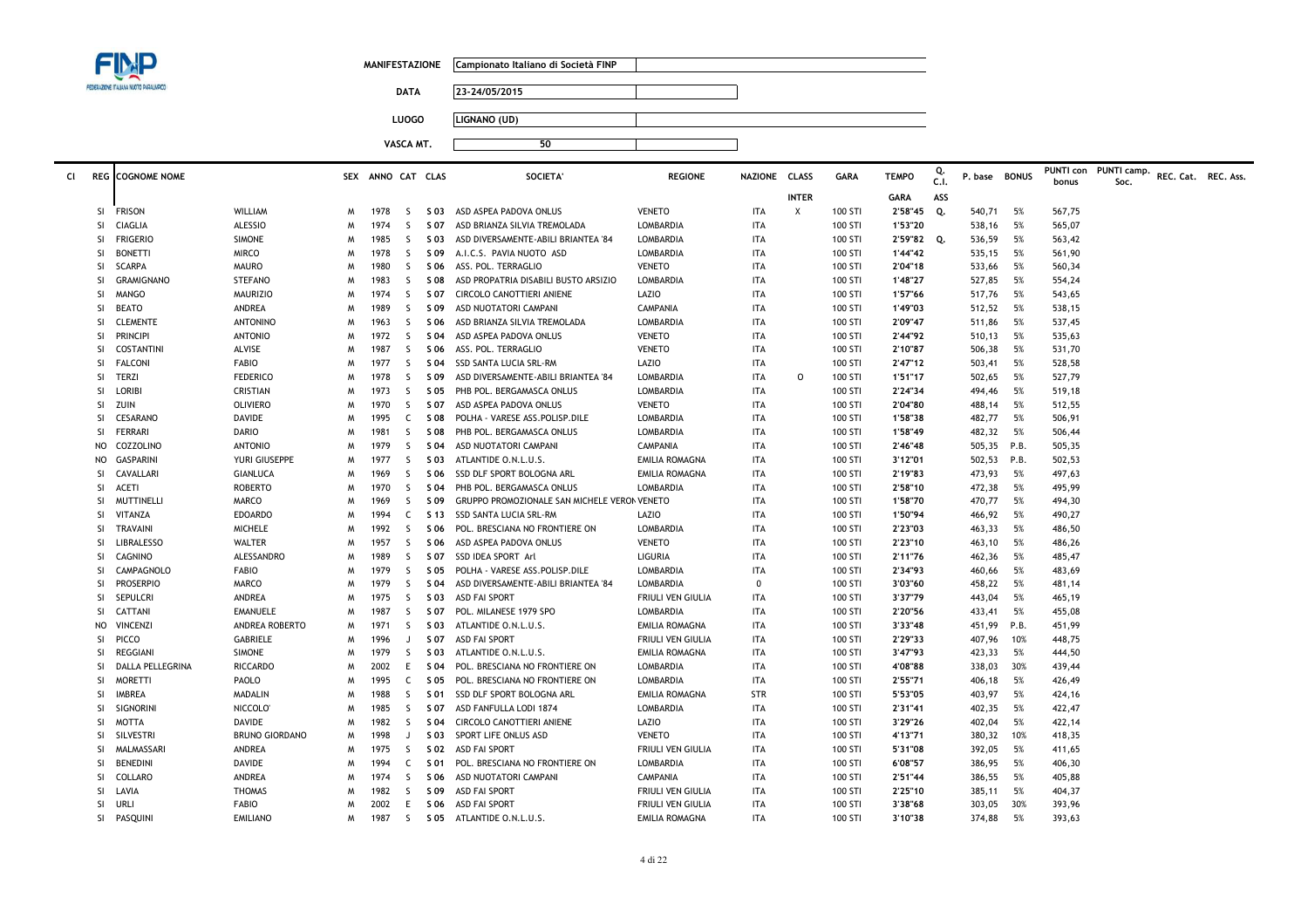| <b>MANA NIOTO PARALMPICO</b><br>VE ITI |
|----------------------------------------|
|                                        |

| <b>MANIFESTAZIONE</b> | Campionato Italiano di Società FINP |  |
|-----------------------|-------------------------------------|--|
|                       |                                     |  |

**LUOGO LIGNANO (UD)**

| CI. |           | <b>REG</b> COGNOME NOME |                       |   | SEX ANNO CAT CLAS |              |      | <b>SOCIETA</b>                               | <b>REGIONE</b>           | NAZIONE CLASS |              | <b>GARA</b> | <b>TEMPO</b> | Q.<br>C.1 | P. base BONUS |       | bonus  | PUNTI con PUNTI camp.<br>Soc. | REC. Cat. REC. Ass. |
|-----|-----------|-------------------------|-----------------------|---|-------------------|--------------|------|----------------------------------------------|--------------------------|---------------|--------------|-------------|--------------|-----------|---------------|-------|--------|-------------------------------|---------------------|
|     |           |                         |                       |   |                   |              |      |                                              |                          |               | <b>INTER</b> |             | GARA         | ASS       |               |       |        |                               |                     |
|     |           | SI FRISON               | WILLIAM               | M | 1978              | S.           | S 03 | ASD ASPEA PADOVA ONLUS                       | <b>VENETO</b>            | ITA           | X            | 100 STI     | 2'58"45 Q.   |           | 540,71        | 5%    | 567,75 |                               |                     |
|     | SI.       | <b>CIAGLIA</b>          | <b>ALESSIO</b>        | M | 1974              | <sub>S</sub> | S 07 | ASD BRIANZA SILVIA TREMOLADA                 | LOMBARDIA                | ITA           |              | 100 STI     | 1'53"20      |           | 538,16        | 5%    | 565,07 |                               |                     |
|     | SI.       | <b>FRIGERIO</b>         | <b>SIMONE</b>         | M | 1985              | <sub>S</sub> | S 03 | ASD DIVERSAMENTE-ABILI BRIANTEA '84          | LOMBARDIA                | ITA           |              | 100 STI     | 2'59"82 Q.   |           | 536,59        | 5%    | 563,42 |                               |                     |
|     | SI.       | <b>BONETTI</b>          | <b>MIRCO</b>          | M | 1978              | S.           | S 09 | A.I.C.S. PAVIA NUOTO ASD                     | LOMBARDIA                | ITA           |              | 100 STI     | 1'44"42      |           | 535,15        | 5%    | 561,90 |                               |                     |
|     | SI.       | <b>SCARPA</b>           | <b>MAURO</b>          | M | 1980              | S            | S 06 | ASS. POL. TERRAGLIO                          | <b>VENETO</b>            | ITA           |              | 100 STI     | 2'04"18      |           | 533,66        | 5%    | 560,34 |                               |                     |
|     | SI        | <b>GRAMIGNANO</b>       | <b>STEFANO</b>        | M | 1983              | S            | S 08 | ASD PROPATRIA DISABILI BUSTO ARSIZIO         | LOMBARDIA                | ITA           |              | 100 STI     | 1'48"27      |           | 527,85        | 5%    | 554,24 |                               |                     |
|     | SI.       | <b>MANGO</b>            | <b>MAURIZIO</b>       | M | 1974              | -S           | S 07 | CIRCOLO CANOTTIERI ANIENE                    | LAZIO                    | ITA           |              | 100 STI     | 1'57"66      |           | 517,76        | 5%    | 543,65 |                               |                     |
|     | SI        | BEATO                   | ANDREA                | M | 1989              | S.           | S 09 | ASD NUOTATORI CAMPANI                        | <b>CAMPANIA</b>          | ITA           |              | 100 STI     | 1'49"03      |           | 512,52        | - 5%  | 538,15 |                               |                     |
|     | SI        | <b>CLEMENTE</b>         | <b>ANTONINO</b>       | M | 1963              | <sub>S</sub> | S 06 | ASD BRIANZA SILVIA TREMOLADA                 | LOMBARDIA                | ITA           |              | 100 STI     | 2'09"47      |           | 511,86        | - 5%  | 537,45 |                               |                     |
|     | SI        | <b>PRINCIPI</b>         | <b>ANTONIO</b>        | M | 1972              | S.           | S 04 | ASD ASPEA PADOVA ONLUS                       | <b>VENETO</b>            | ITA           |              | 100 STI     | 2'44"92      |           | 510,13        | 5%    | 535,63 |                               |                     |
|     | SI.       | COSTANTINI              | ALVISE                | M | 1987              | -S           | S 06 | ASS. POL. TERRAGLIO                          | <b>VENETO</b>            | ITA           |              | 100 STI     | 2'10"87      |           | 506,38        | - 5%  | 531,70 |                               |                     |
|     | SI.       | <b>FALCONI</b>          | FABIO                 | M | 1977              | <sub>S</sub> | S 04 | SSD SANTA LUCIA SRL-RM                       | LAZIO                    | ITA           |              | 100 STI     | 2'47"12      |           | 503,41        | 5%    | 528,58 |                               |                     |
|     | SI.       | <b>TERZI</b>            | <b>FEDERICO</b>       | M | 1978              | <sub>S</sub> | S 09 | ASD DIVERSAMENTE-ABILI BRIANTEA '84          | LOMBARDIA                | <b>ITA</b>    | $\circ$      | 100 STI     | 1'51''17     |           | 502,65        | 5%    | 527,79 |                               |                     |
|     | SI        | LORIBI                  | CRISTIAN              | M | 1973              | S.           | S 05 | PHB POL. BERGAMASCA ONLUS                    | LOMBARDIA                | ITA           |              | 100 STI     | 2'24"34      |           | 494,46        | 5%    | 519,18 |                               |                     |
|     |           | SI ZUIN                 | <b>OLIVIERO</b>       | M | 1970              | S.           | S 07 | ASD ASPEA PADOVA ONLUS                       | <b>VENETO</b>            | ITA           |              | 100 STI     | 2'04"80      |           | 488,14 5%     |       | 512,55 |                               |                     |
|     | SI.       | CESARANO                | <b>DAVIDE</b>         | M | 1995              | C            | S 08 | POLHA - VARESE ASS.POLISP.DILE               | LOMBARDIA                | ITA           |              | 100 STI     | 1'58"38      |           | 482,77        | 5%    | 506,91 |                               |                     |
|     | SI        | <b>FERRARI</b>          | DARIO                 | M | 1981              | S.           | S 08 | PHB POL. BERGAMASCA ONLUS                    | LOMBARDIA                | ITA           |              | 100 STI     | 1'58"49      |           | 482,32        | - 5%  | 506,44 |                               |                     |
|     | NO        | COZZOLINO               | <b>ANTONIO</b>        | M | 1979              | <sub>S</sub> | S 04 | ASD NUOTATORI CAMPANI                        | <b>CAMPANIA</b>          | ITA           |              | 100 STI     | 2'46"48      |           | 505,35 P.B.   |       | 505,35 |                               |                     |
|     | NO.       | GASPARINI               | YURI GIUSEPPE         | M | 1977              | S.           | S 03 | ATLANTIDE O.N.L.U.S.                         | <b>EMILIA ROMAGNA</b>    | ITA           |              | 100 STI     | 3'12"01      |           | 502,53 P.B.   |       | 502,53 |                               |                     |
|     | SI.       | CAVALLARI               | <b>GIANLUCA</b>       | M | 1969              | -S           | S 06 | SSD DLF SPORT BOLOGNA ARL                    | <b>EMILIA ROMAGNA</b>    | ITA           |              | 100 STI     | 2'19"83      |           | 473,93        | 5%    | 497,63 |                               |                     |
|     | SI        | ACETI                   | <b>ROBERTO</b>        | M | 1970              | S.           | S 04 | PHB POL. BERGAMASCA ONLUS                    | LOMBARDIA                | ITA           |              | 100 STI     | 2'58"10      |           | 472,38        | - 5%  | 495,99 |                               |                     |
|     | SI.       | <b>MUTTINELLI</b>       | MARCO                 | M | 1969              | -S           | S 09 | GRUPPO PROMOZIONALE SAN MICHELE VERON VENETO |                          | ITA           |              | 100 STI     | 1'58"70      |           | 470,77        | - 5%  | 494,30 |                               |                     |
|     | SI.       | VITANZA                 | <b>EDOARDO</b>        | M | 1994              | C            | S 13 | SSD SANTA LUCIA SRL-RM                       | LAZIO                    | ITA           |              | 100 STI     | 1'50"94      |           | 466,92        | 5%    | 490,27 |                               |                     |
|     | SI        | TRAVAINI                | <b>MICHELE</b>        | M | 1992              | S.           | S 06 | POL. BRESCIANA NO FRONTIERE ON               | LOMBARDIA                | ITA           |              | 100 STI     | 2'23"03      |           | 463,33        | - 5%  | 486,50 |                               |                     |
|     | <b>SI</b> | <b>LIBRALESSO</b>       | WALTER                | M | 1957              | -S           | S 06 | ASD ASPEA PADOVA ONLUS                       | <b>VENETO</b>            | ITA           |              | 100 STI     | 2'23"10      |           | 463,10        | 5%    | 486,26 |                               |                     |
|     | SI        | CAGNINO                 | ALESSANDRO            | M | 1989              | S            | S 07 | SSD IDEA SPORT Arl                           | LIGURIA                  | <b>ITA</b>    |              | 100 STI     | 2'11"76      |           | 462,36        | 5%    | 485,47 |                               |                     |
|     | <b>SI</b> | CAMPAGNOLO              | FABIO                 | M | 1979              | -S           | S 05 | POLHA - VARESE ASS. POLISP. DILE             | <b>LOMBARDIA</b>         | ITA           |              | 100 STI     | 2'34"93      |           | 460,66        | 5%    | 483,69 |                               |                     |
|     | SI.       | <b>PROSERPIO</b>        | MARCO                 | M | 1979              | -S           | S 04 | ASD DIVERSAMENTE-ABILI BRIANTEA '84          | LOMBARDIA                | $\mathbf 0$   |              | 100 STI     | 3'03"60      |           | 458,22        | - 5%  | 481,14 |                               |                     |
|     | SI        | SEPULCRI                | ANDREA                | M | 1975              | S            | S 03 | ASD FAI SPORT                                | FRIULI VEN GIULIA        | ITA           |              | 100 STI     | 3'37"79      |           | 443,04        | 5%    | 465,19 |                               |                     |
|     | SI        | CATTANI                 | <b>EMANUELE</b>       | M | 1987              | S.           | S 07 | POL. MILANESE 1979 SPO                       | LOMBARDIA                | ITA           |              | 100 STI     | 2'20"56      |           | 433,41        | 5%    | 455,08 |                               |                     |
|     |           | NO VINCENZI             | ANDREA ROBERTO        | M | 1971              | -S           | S 03 | ATLANTIDE O.N.L.U.S.                         | <b>EMILIA ROMAGNA</b>    | ITA           |              | 100 STI     | 3'33"48      |           | 451,99 P.B.   |       | 451,99 |                               |                     |
|     | SI.       | <b>PICCO</b>            | GABRIELE              | M | 1996              | J            | S 07 | ASD FAI SPORT                                | FRIULI VEN GIULIA        | ITA           |              | 100 STI     | 2'29"33      |           | 407,96        | 10%   | 448,75 |                               |                     |
|     | SI        | REGGIANI                | <b>SIMONE</b>         | M | 1979              | S.           | S 03 | ATLANTIDE O.N.L.U.S.                         | <b>EMILIA ROMAGNA</b>    | ITA           |              | 100 STI     | 3'47"93      |           | 423,33        | - 5%  | 444,50 |                               |                     |
|     | <b>SI</b> | DALLA PELLEGRINA        | <b>RICCARDO</b>       | M | 2002              | E            | S 04 | POL. BRESCIANA NO FRONTIERE ON               | LOMBARDIA                | ITA           |              | 100 STI     | 4'08"88      |           | 338,03        | 30%   | 439,44 |                               |                     |
|     | SI.       | <b>MORETTI</b>          | PAOLO                 | M | 1995              | C.           | S 05 | POL. BRESCIANA NO FRONTIERE ON               | <b>LOMBARDIA</b>         | ITA           |              | 100 STI     | 2'55"71      |           | 406,18        | - 5%  | 426,49 |                               |                     |
|     | SI        | <b>IMBREA</b>           | <b>MADALIN</b>        | M | 1988              | -S           | S 01 | SSD DLF SPORT BOLOGNA ARL                    | <b>EMILIA ROMAGNA</b>    | STR           |              | 100 STI     | 5'53"05      |           | 403,97        | 5%    | 424,16 |                               |                     |
|     | SI.       | SIGNORINI               | NICCOLO <sup>®</sup>  | M | 1985              | S.           | S 07 | ASD FANFULLA LODI 1874                       | LOMBARDIA                | ITA           |              | 100 STI     | 2'31"41      |           | 402,35        | 5%    | 422,47 |                               |                     |
|     | SI        | <b>MOTTA</b>            | DAVIDE                | M | 1982              | S            | S 04 | CIRCOLO CANOTTIERI ANIENE                    | LAZIO                    | ITA           |              | 100 STI     | 3'29"26      |           | 402,04        | 5%    | 422,14 |                               |                     |
|     | SI.       | SILVESTRI               | <b>BRUNO GIORDANO</b> | M | 1998              | $\mathbf{J}$ | S 03 | SPORT LIFE ONLUS ASD                         | <b>VENETO</b>            | ITA           |              | 100 STI     | 4'13"71      |           | 380,32        | 10%   | 418,35 |                               |                     |
|     | SI.       | MALMASSARI              | ANDREA                | W | 1975              | S.           | S 02 | ASD FAI SPORT                                | FRIULI VEN GIULIA        | ITA           |              | 100 STI     | 5'31"08      |           | 392,05        | 5%    | 411,65 |                               |                     |
|     | SI.       | BENEDINI                | <b>DAVIDE</b>         | M | 1994              | C            | S 01 | POL. BRESCIANA NO FRONTIERE ON               | LOMBARDIA                | ITA           |              | 100 STI     | 6'08"57      |           | 386,95        | 5%    | 406,30 |                               |                     |
|     | SI        | COLLARO                 | ANDREA                | M | 1974              | S.           | S 06 | ASD NUOTATORI CAMPANI                        | <b>CAMPANIA</b>          | ITA           |              | 100 STI     | 2'51"44      |           | 386,55        | 5%    | 405,88 |                               |                     |
|     | SI.       | LAVIA                   | <b>THOMAS</b>         | M | 1982              | <sub>S</sub> | S 09 | ASD FAI SPORT                                | <b>FRIULI VEN GIULIA</b> | ITA           |              | 100 STI     | 2'25"10      |           | 385,11        | - 5%  | 404,37 |                               |                     |
|     | SI.       | URLI                    | FABIO                 | M | 2002              | E            | S 06 | ASD FAI SPORT                                | FRIULI VEN GIULIA        | ITA           |              | 100 STI     | 3'38"68      |           | 303,05        | - 30% | 393,96 |                               |                     |
|     |           | SI PASQUINI             | <b>EMILIANO</b>       | W | 1987              | S.           | S 05 | ATLANTIDE O.N.L.U.S.                         | <b>EMILIA ROMAGNA</b>    | <b>ITA</b>    |              | 100 STI     | 3'10"38      |           | 374,88        | 5%    | 393,63 |                               |                     |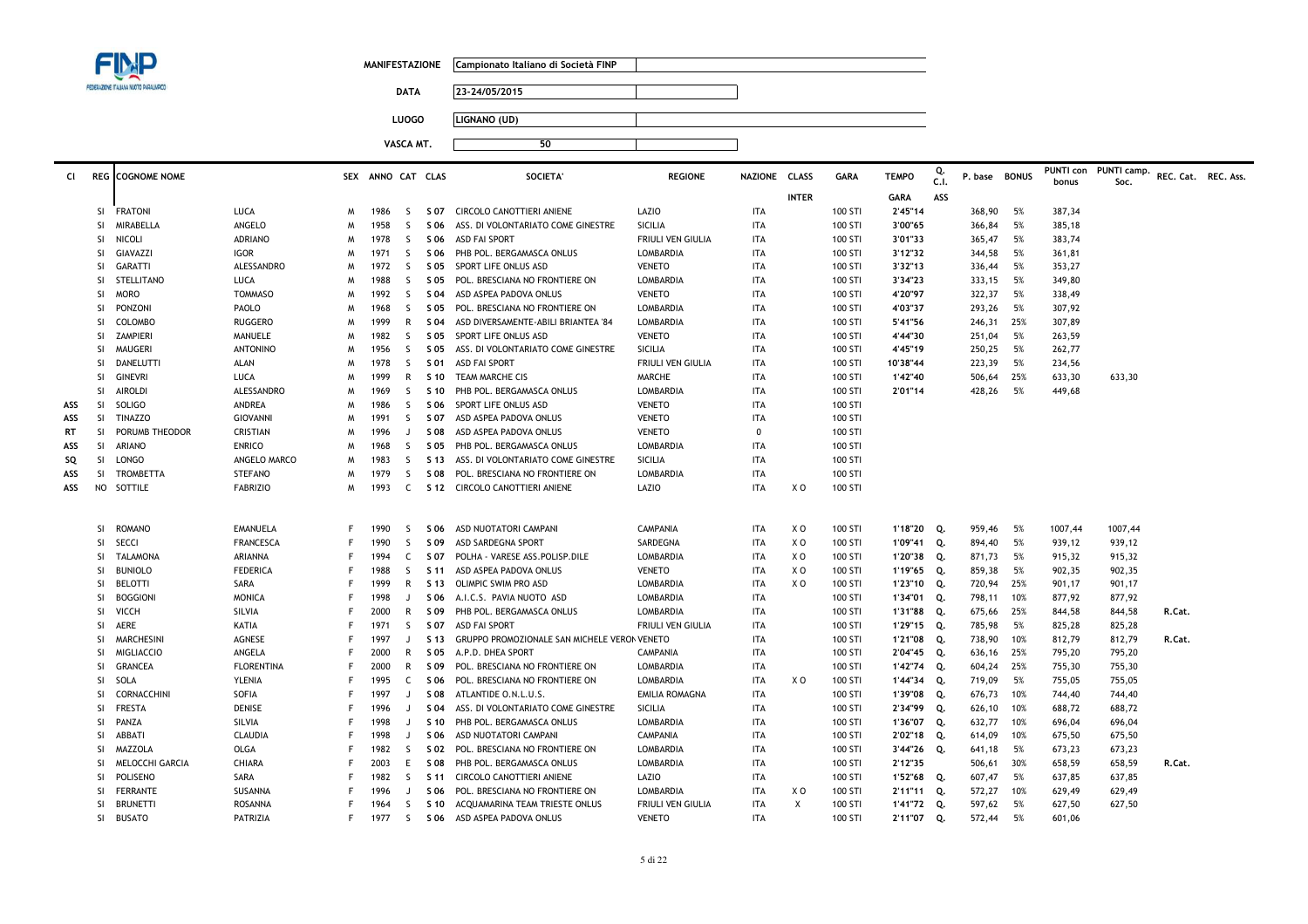| <b>MINTO DIQILMPICO</b><br><b>ATTANA</b><br>FRAZINE IT |  |
|--------------------------------------------------------|--|

|--|--|--|

**LUOGO LIGNANO (UD)**

| CI  |               | <b>REG</b> COGNOME NOME |                   |    | SEX ANNO CAT CLAS |              |      | <b>SOCIETA</b>                                      | <b>REGIONE</b>           | NAZIONE CLASS |              | <b>GARA</b> | <b>TEMPO</b>  | Q.<br>C.1 | P. base BONUS |      | bonus   | PUNTI con PUNTI camp.<br>Soc. | REC. Cat. REC. Ass. |  |
|-----|---------------|-------------------------|-------------------|----|-------------------|--------------|------|-----------------------------------------------------|--------------------------|---------------|--------------|-------------|---------------|-----------|---------------|------|---------|-------------------------------|---------------------|--|
|     |               |                         |                   |    |                   |              |      |                                                     |                          |               | <b>INTER</b> |             | <b>GARA</b>   | ASS       |               |      |         |                               |                     |  |
|     |               | SI FRATONI              | LUCA              | M  | 1986              | -S           | S 07 | CIRCOLO CANOTTIERI ANIENE                           | LAZIO                    | ITA           |              | 100 STI     | 2'45"14       |           | 368,90        | - 5% | 387,34  |                               |                     |  |
|     | <b>SI</b>     | MIRABELLA               | ANGELO            | M  | 1958              | -S           | S 06 | ASS. DI VOLONTARIATO COME GINESTRE                  | SICILIA                  | ITA           |              | 100 STI     | 3'00"65       |           | 366,84        | 5%   | 385,18  |                               |                     |  |
|     | <sup>SI</sup> | NICOLI                  | ADRIANO           | M  | 1978              | -S           | S 06 | <b>ASD FAI SPORT</b>                                | <b>FRIULI VEN GIULIA</b> | ITA           |              | 100 STI     | 3'01"33       |           | 365,47        | 5%   | 383,74  |                               |                     |  |
|     | <b>SI</b>     | GIAVAZZI                | <b>IGOR</b>       | M  | 1971              | <sub>S</sub> | S 06 | PHB POL. BERGAMASCA ONLUS                           | LOMBARDIA                | <b>ITA</b>    |              | 100 STI     | 3'12"32       |           | 344,58        | 5%   | 361,81  |                               |                     |  |
|     | <b>SI</b>     | GARATTI                 | ALESSANDRO        | M  | 1972              | -S           | S 05 | SPORT LIFE ONLUS ASD                                | <b>VENETO</b>            | ITA           |              | 100 STI     | 3'32"13       |           | 336,44        | 5%   | 353,27  |                               |                     |  |
|     | <b>SI</b>     | <b>STELLITANO</b>       | LUCA              | M  | 1988              | -S           | S 05 | POL. BRESCIANA NO FRONTIERE ON                      | <b>LOMBARDIA</b>         | ITA           |              | 100 STI     | 3'34"23       |           | 333,15        | 5%   | 349,80  |                               |                     |  |
|     | <sup>SI</sup> | <b>MORO</b>             | <b>TOMMASO</b>    | M  | 1992              | -S           | S 04 | ASD ASPEA PADOVA ONLUS                              | <b>VENETO</b>            | ITA           |              | 100 STI     | 4'20"97       |           | 322,37        | 5%   | 338,49  |                               |                     |  |
|     | -SI           | PONZONI                 | PAOLO             | M  | 1968              | -S           | S 05 | POL. BRESCIANA NO FRONTIERE ON                      | LOMBARDIA                | ITA           |              | 100 STI     | 4'03"37       |           | 293,26        | - 5% | 307,92  |                               |                     |  |
|     | -SI           | <b>COLOMBO</b>          | <b>RUGGERO</b>    | M  | 1999              | R            | S 04 | ASD DIVERSAMENTE-ABILI BRIANTEA '84                 | LOMBARDIA                | ITA           |              | 100 STI     | 5'41"56       |           | 246,31        | 25%  | 307,89  |                               |                     |  |
|     | <b>SI</b>     | ZAMPIERI                | MANUELE           | M  | 1982              | <sub>S</sub> | S 05 | SPORT LIFE ONLUS ASD                                | <b>VENETO</b>            | ITA           |              | 100 STI     | 4'44"30       |           | 251,04        | 5%   | 263,59  |                               |                     |  |
|     | SI            | MAUGERI                 | <b>ANTONINO</b>   | M  | 1956              | <sub>S</sub> | S 05 | ASS. DI VOLONTARIATO COME GINESTRE                  | SICILIA                  | ITA           |              | 100 STI     | 4'45"19       |           | 250,25        | 5%   | 262,77  |                               |                     |  |
|     | -SI           | DANELUTTI               | ALAN              | M  | 1978              | S.           | S 01 | <b>ASD FAI SPORT</b>                                | <b>FRIULI VEN GIULIA</b> | ITA           |              | 100 STI     | 10'38"44      |           | 223,39        | - 5% | 234,56  |                               |                     |  |
|     | <b>SI</b>     | <b>GINEVRI</b>          | LUCA              | M  | 1999              | R            | S 10 | TEAM MARCHE CIS                                     | <b>MARCHE</b>            | <b>ITA</b>    |              | 100 STI     | 1'42"40       |           | 506,64        | 25%  | 633,30  | 633,30                        |                     |  |
|     | -SI           | <b>AIROLDI</b>          | ALESSANDRO        | M  | 1969              | -S           | S 10 | PHB POL. BERGAMASCA ONLUS                           | <b>LOMBARDIA</b>         | ITA           |              | 100 STI     | 2'01"14       |           | 428,26        | 5%   | 449,68  |                               |                     |  |
| ASS | -SI           | SOLIGO                  | ANDREA            | M  | 1986              | -S           | S 06 | SPORT LIFE ONLUS ASD                                | <b>VENETO</b>            | ITA           |              | 100 STI     |               |           |               |      |         |                               |                     |  |
| ASS | SI.           | <b>TINAZZO</b>          | <b>GIOVANNI</b>   | M  | 1991              | S.           | S 07 | ASD ASPEA PADOVA ONLUS                              | <b>VENETO</b>            | <b>ITA</b>    |              | 100 STI     |               |           |               |      |         |                               |                     |  |
| RT  | SI            | PORUMB THEODOR          | CRISTIAN          | M  | 1996              | $\mathbf{I}$ | S 08 | ASD ASPEA PADOVA ONLUS                              | <b>VENETO</b>            | $\mathbf 0$   |              | 100 STI     |               |           |               |      |         |                               |                     |  |
| ASS | SI            | ARIANO                  | <b>ENRICO</b>     | M  | 1968              | <sub>S</sub> | S 05 | PHB POL. BERGAMASCA ONLUS                           | LOMBARDIA                | ITA           |              | 100 STI     |               |           |               |      |         |                               |                     |  |
| SQ  | -SI           | <b>LONGO</b>            | ANGELO MARCO      | M  | 1983              | -S           | S 13 | ASS. DI VOLONTARIATO COME GINESTRE                  | SICILIA                  | ITA           |              | 100 STI     |               |           |               |      |         |                               |                     |  |
| ASS | -SI           | TROMBETTA               | <b>STEFANO</b>    | M  | 1979              | -S           | S 08 | POL. BRESCIANA NO FRONTIERE ON                      | <b>LOMBARDIA</b>         | ITA           |              | 100 STI     |               |           |               |      |         |                               |                     |  |
| ASS |               | NO SOTTILE              | <b>FABRIZIO</b>   | M  | 1993              | C.           |      | S 12 CIRCOLO CANOTTIERI ANIENE                      | LAZIO                    | ITA           | X O          | 100 STI     |               |           |               |      |         |                               |                     |  |
|     |               |                         |                   |    |                   |              |      |                                                     |                          |               |              |             |               |           |               |      |         |                               |                     |  |
|     | <b>SI</b>     | <b>ROMANO</b>           | <b>EMANUELA</b>   |    | 1990              | -S           | S 06 | ASD NUOTATORI CAMPANI                               | <b>CAMPANIA</b>          | ITA           | X O          | 100 STI     | 1'18"20 Q.    |           | 959,46        | 5%   | 1007,44 | 1007,44                       |                     |  |
|     | <sup>SI</sup> | SECCI                   | <b>FRANCESCA</b>  |    | 1990              | -S           | S 09 | ASD SARDEGNA SPORT                                  | SARDEGNA                 | ITA           | X O          | 100 STI     | 1'09"41 Q.    |           | 894,40        | 5%   | 939,12  | 939,12                        |                     |  |
|     | -SI           | <b>TALAMONA</b>         | ARIANNA           |    | 1994              | C.           | S 07 | POLHA - VARESE ASS.POLISP.DILE                      | LOMBARDIA                | ITA           | X O          | 100 STI     | 1'20"38 Q.    |           | 871,73        | - 5% | 915,32  | 915,32                        |                     |  |
|     | <sup>SI</sup> | <b>BUNIOLO</b>          | <b>FEDERICA</b>   |    | 1988              | S.           | S 11 | ASD ASPEA PADOVA ONLUS                              | <b>VENETO</b>            | ITA           | x o          | 100 STI     | 1'19''65Q.    |           | 859,38        | - 5% | 902,35  | 902,35                        |                     |  |
|     | -SI           | <b>BELOTTI</b>          | SARA              | F  | 1999              | R            | S 13 | <b>OLIMPIC SWIM PRO ASD</b>                         | <b>LOMBARDIA</b>         | ITA           | X O          | 100 STI     | $1'23''10Q$ . |           | 720,94        | 25%  | 901,17  | 901,17                        |                     |  |
|     | SI            | <b>BOGGIONI</b>         | <b>MONICA</b>     |    | 1998              | $\mathbf{I}$ | S 06 | A.I.C.S. PAVIA NUOTO ASD                            | LOMBARDIA                | <b>ITA</b>    |              | 100 STI     | 1'34"01 Q.    |           | 798,11        | 10%  | 877,92  | 877,92                        |                     |  |
|     | SI            | VICCH                   | SILVIA            | F  | 2000              | R            | S 09 | PHB POL. BERGAMASCA ONLUS                           | LOMBARDIA                | ITA           |              | 100 STI     | 1'31"88 Q.    |           | 675,66        | 25%  | 844,58  | 844,58                        | R.Cat.              |  |
|     | <b>SI</b>     | <b>AERE</b>             | KATIA             |    | 197               | -S           | S 07 | <b>ASD FAI SPORT</b>                                | <b>FRIULI VEN GIULIA</b> | ITA           |              | 100 STI     | 1'29"15 Q.    |           | 785,98        | 5%   | 825,28  | 825,28                        |                     |  |
|     | SI.           | <b>MARCHESINI</b>       | <b>AGNESE</b>     |    | 1997              | $\mathbf{I}$ | S 13 | <b>GRUPPO PROMOZIONALE SAN MICHELE VERON VENETO</b> |                          | ITA           |              | 100 STI     | 1'21"08 Q.    |           | 738,90        | 10%  | 812,79  | 812,79                        | R.Cat.              |  |
|     | -SI           | <b>MIGLIACCIO</b>       | ANGELA            |    | 2000              | R            | S 05 | A.P.D. DHEA SPORT                                   | <b>CAMPANIA</b>          | ITA           |              | 100 STI     | 2'04"45 Q.    |           | 636,16        | 25%  | 795,20  | 795,20                        |                     |  |
|     | SI.           | <b>GRANCEA</b>          | <b>FLORENTINA</b> | -F | 2000              | R            | S 09 | POL. BRESCIANA NO FRONTIERE ON                      | LOMBARDIA                | ITA           |              | 100 STI     | 1'42"74 Q.    |           | 604,24 25%    |      | 755,30  | 755,30                        |                     |  |
|     | SI            | SOLA                    | YLENIA            |    | 1995              | C            | S 06 | POL. BRESCIANA NO FRONTIERE ON                      | LOMBARDIA                | <b>ITA</b>    | X O          | 100 STI     | 1'44"34 Q.    |           | 719,09        | 5%   | 755,05  | 755,05                        |                     |  |
|     | SI.           | CORNACCHINI             | SOFIA             |    | 1997              | J            | S 08 | ATLANTIDE O.N.L.U.S.                                | <b>EMILIA ROMAGNA</b>    | <b>ITA</b>    |              | 100 STI     | 1'39"08       | Q.        | 676,73        | 10%  | 744,40  | 744,40                        |                     |  |
|     | <sup>SI</sup> | <b>FRESTA</b>           | <b>DENISE</b>     |    | 1996              | J            | S 04 | ASS. DI VOLONTARIATO COME GINESTRE                  | <b>SICILIA</b>           | <b>ITA</b>    |              | 100 STI     | 2'34"99 Q.    |           | 626,10        | 10%  | 688,72  | 688,72                        |                     |  |
|     | <sup>SI</sup> | PANZA                   | <b>SILVIA</b>     |    | 1998              | $\mathbf{I}$ | S 10 | PHB POL. BERGAMASCA ONLUS                           | <b>LOMBARDIA</b>         | ITA           |              | 100 STI     | 1'36"07       | Q.        | 632,77        | 10%  | 696,04  | 696,04                        |                     |  |
|     | -SI           | ABBATI                  | <b>CLAUDIA</b>    | E  | 1998              | $\mathbf{J}$ | S 06 | ASD NUOTATORI CAMPANI                               | <b>CAMPANIA</b>          | ITA           |              | 100 STI     | 2'02"18 Q.    |           | 614,09        | 10%  | 675,50  | 675,50                        |                     |  |
|     | -SI           | MAZZOLA                 | OLGA              | E  | 1982              | -S           | S 02 | POL. BRESCIANA NO FRONTIERE ON                      | LOMBARDIA                | ITA           |              | 100 STI     | 3'44"26 Q.    |           | 641,18        | - 5% | 673,23  | 673,23                        |                     |  |
|     | <b>SI</b>     | MELOCCHI GARCIA         | CHIARA            |    | 2003              | E            | S 08 | PHB POL. BERGAMASCA ONLUS                           | LOMBARDIA                | ITA           |              | 100 STI     | 2'12"35       |           | 506,61        | 30%  | 658,59  | 658,59                        | R.Cat.              |  |
|     | <b>SI</b>     | POLISENO                | SARA              |    | 1982              | <sub>S</sub> | S 11 | CIRCOLO CANOTTIERI ANIENE                           | LAZIO                    | <b>ITA</b>    |              | 100 STI     | $1'52''68$ Q. |           | 607,47        | 5%   | 637,85  | 637,85                        |                     |  |
|     | -SI           | FERRANTE                | SUSANNA           |    | 1996              | J            | S 06 | POL. BRESCIANA NO FRONTIERE ON                      | LOMBARDIA                | ITA           | X O          | 100 STI     | 2'11"11 Q.    |           | 572,27        | 10%  | 629,49  | 629,49                        |                     |  |
|     | -SI           | <b>BRUNETTI</b>         | <b>ROSANNA</b>    |    | 1964              | -S           | S 10 | ACQUAMARINA TEAM TRIESTE ONLUS                      | <b>FRIULI VEN GIULIA</b> | ITA           | X            | 100 STI     | 1'41"72 Q.    |           | 597,62        | 5%   | 627,50  | 627,50                        |                     |  |
|     |               | SI BUSATO               | PATRIZIA          | F. | 1977              | S.           |      | S 06 ASD ASPEA PADOVA ONLUS                         | <b>VENETO</b>            | ITA           |              | 100 STI     | 2'11"07 Q.    |           | 572,44        | 5%   | 601,06  |                               |                     |  |
|     |               |                         |                   |    |                   |              |      |                                                     |                          |               |              |             |               |           |               |      |         |                               |                     |  |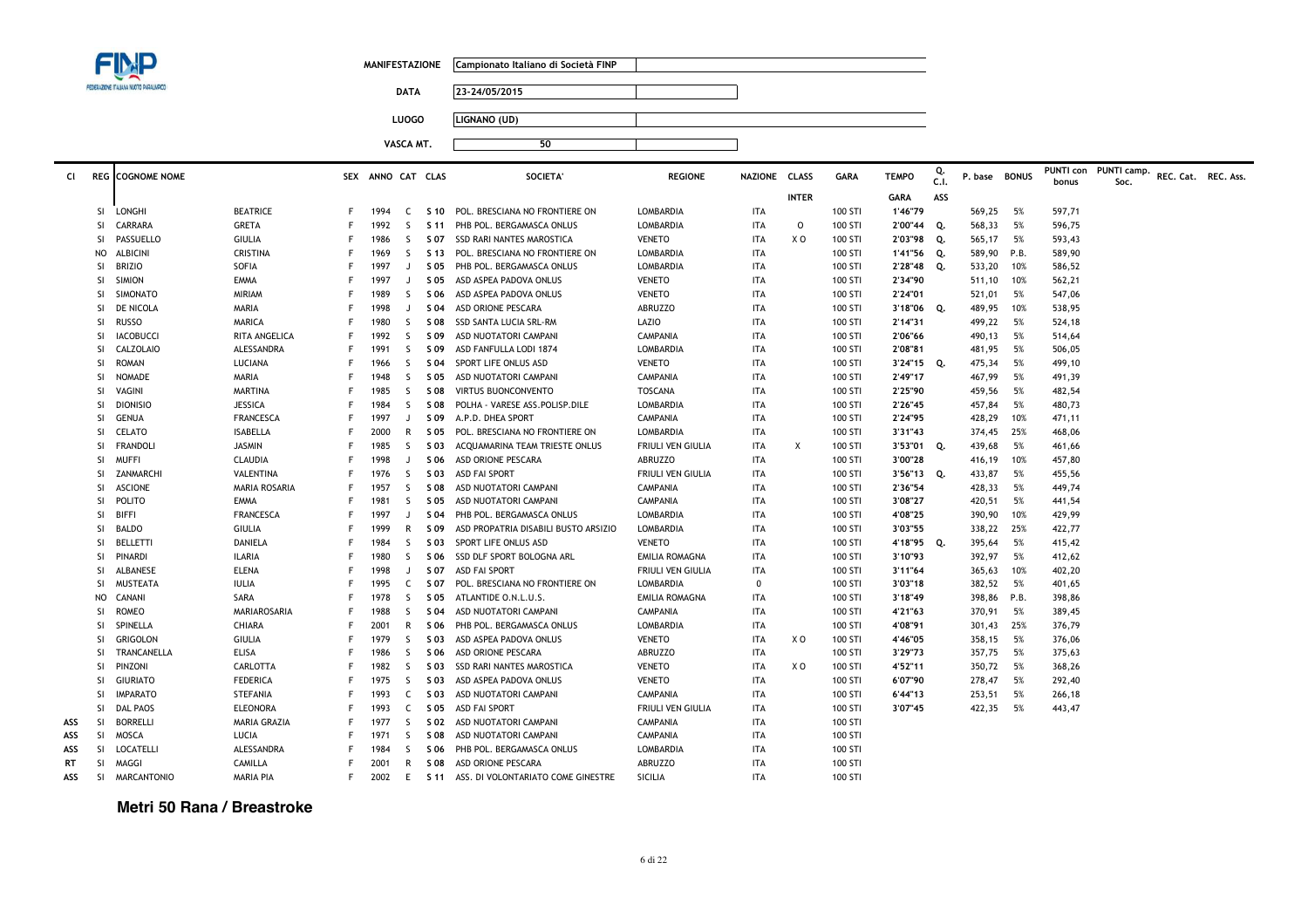| <b>MANA NIOTO PARALMPICO</b><br>VE ITI |
|----------------------------------------|
|                                        |

| <b>MANIFESTAZIONE</b> | Campionato Italiano di Società FINP |  |
|-----------------------|-------------------------------------|--|
|                       |                                     |  |

**LUOGO LIGNANO (UD)**

**VASCA MT. 50**

| CI.              | <b>REG ICOGNOME NOME</b> |                      |    |      |              | SEX ANNO CAT CLAS | SOCIETA'                                | <b>REGIONE</b>           | NAZIONE CLASS |                | <b>GARA</b> | <b>TEMPO</b>  | Q.<br>C.I. | P. base BONUS |      | bonus  | PUNTI con PUNTI camp.<br>Soc. | REC. Cat. REC. Ass. |
|------------------|--------------------------|----------------------|----|------|--------------|-------------------|-----------------------------------------|--------------------------|---------------|----------------|-------------|---------------|------------|---------------|------|--------|-------------------------------|---------------------|
|                  |                          |                      |    |      |              |                   |                                         |                          |               | <b>INTER</b>   |             | GARA          | ASS        |               |      |        |                               |                     |
|                  | SI LONGHI                | <b>BEATRICE</b>      |    | 1994 | C            | S 10              | POL. BRESCIANA NO FRONTIERE ON          | LOMBARDIA                | ITA           |                | 100 STI     | 1'46"79       |            | 569,25        | 5%   | 597,71 |                               |                     |
| SI               | CARRARA                  | GRETA                |    | 1992 | S.           | S 11              | PHB POL. BERGAMASCA ONLUS               | LOMBARDIA                | ITA           | $\circ$        | 100 STI     | 2'00"44 Q.    |            | 568,33        | 5%   | 596,75 |                               |                     |
| SI               | PASSUELLO                | <b>GIULIA</b>        |    | 1986 | -S           | S 07              | SSD RARI NANTES MAROSTICA               | <b>VENETO</b>            | ITA           | X <sub>0</sub> | 100 STI     | 2'03"98       | Q.         | 565,17        | 5%   | 593,43 |                               |                     |
| NO.              | ALBICINI                 | <b>CRISTINA</b>      |    | 1969 | S.           | S 13              | POL. BRESCIANA NO FRONTIERE ON          | LOMBARDIA                | ITA           |                | 100 STI     | 1'41"56 Q.    |            | 589,90 P.B.   |      | 589,90 |                               |                     |
| SI               | <b>BRIZIO</b>            | SOFIA                |    | 1997 | $\cdot$      | S 05              | PHB POL. BERGAMASCA ONLUS               | LOMBARDIA                | ITA           |                | 100 STI     | 2'28"48 Q.    |            | 533,20 10%    |      | 586,52 |                               |                     |
| SI.              | <b>SIMION</b>            | <b>EMMA</b>          |    | 1997 | $\cdot$      | S 05              | ASD ASPEA PADOVA ONLUS                  | <b>VENETO</b>            | ITA           |                | 100 STI     | 2'34"90       |            | 511,10 10%    |      | 562,21 |                               |                     |
| SI               | SIMONATO                 | <b>MIRIAM</b>        |    | 1989 | -S           | S 06              | ASD ASPEA PADOVA ONLUS                  | <b>VENETO</b>            | ITA           |                | 100 STI     | 2'24"01       |            | 521,01        | 5%   | 547,06 |                               |                     |
| SI               | DE NICOLA                | MARIA                |    | 1998 | $\cdot$      | S 04              | <b>ASD ORIONE PESCARA</b>               | <b>ABRUZZO</b>           | <b>ITA</b>    |                | 100 STI     | 3'18"06 Q.    |            | 489,95        | 10%  | 538,95 |                               |                     |
| SI.              | <b>RUSSO</b>             | <b>MARICA</b>        |    | 1980 | -S           | S 08              | SSD SANTA LUCIA SRL-RM                  | LAZIO                    | <b>ITA</b>    |                | 100 STI     | 2'14''31      |            | 499,22        | 5%   | 524,18 |                               |                     |
| SI               | <b>IACOBUCCI</b>         | RITA ANGELICA        |    | 1992 | S.           | S 09              | ASD NUOTATORI CAMPANI                   | CAMPANIA                 | <b>ITA</b>    |                | 100 STI     | 2'06"66       |            | 490,13        | 5%   | 514,64 |                               |                     |
| SI.              | CALZOLAIO                | ALESSANDRA           |    | 1991 | -S           | S 09              | ASD FANFULLA LODI 1874                  | LOMBARDIA                | ITA           |                | 100 STI     | 2'08"81       |            | 481,95        | 5%   | 506,05 |                               |                     |
| SI.              | <b>ROMAN</b>             | LUCIANA              |    | 1966 | -S           | S 04              | SPORT LIFE ONLUS ASD                    | <b>VENETO</b>            | ITA           |                | 100 STI     | $3'24''15$ Q. |            | 475,34        | 5%   | 499,10 |                               |                     |
| SI               | <b>NOMADE</b>            | MARIA                |    | 1948 | S.           | S 05              | ASD NUOTATORI CAMPANI                   | CAMPANIA                 | <b>ITA</b>    |                | 100 STI     | 2'49"17       |            | 467,99        | 5%   | 491,39 |                               |                     |
| SI.              | VAGINI                   | <b>MARTINA</b>       |    | 1985 | S.           | S 08              | VIRTUS BUONCONVENTO                     | <b>TOSCANA</b>           | ITA           |                | 100 STI     | 2'25"90       |            | 459,56        | 5%   | 482,54 |                               |                     |
|                  | SI DIONISIO              | <b>JESSICA</b>       |    | 1984 | S            | S 08              | POLHA - VARESE ASS.POLISP.DILE          | LOMBARDIA                | ITA           |                | 100 STI     | 2'26"45       |            | 457,84        | 5%   | 480,73 |                               |                     |
|                  | SI GENUA                 | <b>FRANCESCA</b>     |    | 1997 | J            | S 09              | A.P.D. DHEA SPORT                       | CAMPANIA                 | <b>ITA</b>    |                | 100 STI     | 2'24"95       |            | 428,29 10%    |      | 471,11 |                               |                     |
| SI.              | CELATO                   | <b>ISABELLA</b>      |    | 2000 | R            | S 05              | POL. BRESCIANA NO FRONTIERE ON          | LOMBARDIA                | ITA           |                | 100 STI     | 3'31"43       |            | 374,45        | 25%  | 468,06 |                               |                     |
| SI.              | <b>FRANDOLI</b>          | <b>JASMIN</b>        |    | 1985 | -S           | S 03              | ACQUAMARINA TEAM TRIESTE ONLUS          | FRIULI VEN GIULIA        | ITA           | X              | 100 STI     | 3'53"01 Q.    |            | 439,68        | 5%   | 461,66 |                               |                     |
| SI.              | <b>MUFFI</b>             | <b>CLAUDIA</b>       |    | 1998 | $\mathbf{I}$ | S 06              | ASD ORIONE PESCARA                      | <b>ABRUZZO</b>           | <b>ITA</b>    |                | 100 STI     | 3'00"28       |            | 416,19        | 10%  | 457,80 |                               |                     |
| SI.              | ZANMARCHI                | <b>VALENTINA</b>     |    | 1976 | -S           | S 03              | ASD FAI SPORT                           | <b>FRIULI VEN GIULIA</b> | ITA           |                | 100 STI     | $3'56''13$ 0. |            | 433,87        | 5%   | 455,56 |                               |                     |
| SI               | <b>ASCIONE</b>           | <b>MARIA ROSARIA</b> |    | 1957 | S.           | S 08              | ASD NUOTATORI CAMPANI                   | CAMPANIA                 | ITA           |                | 100 STI     | 2'36"54       |            | 428,33        | 5%   | 449,74 |                               |                     |
| SI.              | <b>POLITO</b>            | <b>EMMA</b>          |    | 1981 | -S           | S 05              | ASD NUOTATORI CAMPANI                   | CAMPANIA                 | ITA           |                | 100 STI     | 3'08"27       |            | 420,51        | 5%   | 441,54 |                               |                     |
|                  | SI BIFFI                 | <b>FRANCESCA</b>     |    | 1997 | J            | S 04              | PHB POL. BERGAMASCA ONLUS               | LOMBARDIA                | ITA           |                | 100 STI     | 4'08"25       |            | 390,90        | 10%  | 429,99 |                               |                     |
| SI.              | <b>BALDO</b>             | <b>GIULIA</b>        |    | 1999 | R            | S 09              | ASD PROPATRIA DISABILI BUSTO ARSIZIO    | LOMBARDIA                | ITA           |                | 100 STI     | 3'03"55       |            | 338,22 25%    |      | 422,77 |                               |                     |
| SI               | BELLETTI                 | DANIELA              |    | 1984 | -S           | S 03              | SPORT LIFE ONLUS ASD                    | <b>VENETO</b>            | ITA           |                | 100 STI     | 4'18"95 Q.    |            | 395,64        | - 5% | 415,42 |                               |                     |
| SI.              | PINARDI                  | <b>ILARIA</b>        |    | 1980 | S.           | S 06              | SSD DLF SPORT BOLOGNA ARL               | <b>EMILIA ROMAGNA</b>    | ITA           |                | 100 STI     | 3'10"93       |            | 392,97        | 5%   | 412,62 |                               |                     |
| SI.              | ALBANESE                 | <b>ELENA</b>         |    | 1998 | J            | S 07              | ASD FAI SPORT                           | FRIULI VEN GIULIA        | <b>ITA</b>    |                | 100 STI     | 3'11"64       |            | 365,63 10%    |      | 402,20 |                               |                     |
| SI.              | MUSTEATA                 | <b>IULIA</b>         |    | 1995 | C.           | S 07              | POL. BRESCIANA NO FRONTIERE ON          | <b>LOMBARDIA</b>         | $\Omega$      |                | 100 STI     | 3'03"18       |            | 382,52        | 5%   | 401,65 |                               |                     |
|                  | NO CANANI                | SARA                 |    | 1978 | S.           | S 05              | ATLANTIDE O.N.L.U.S.                    | <b>EMILIA ROMAGNA</b>    | ITA           |                | 100 STI     | 3'18"49       |            | 398,86 P.B.   |      | 398,86 |                               |                     |
| SI               | <b>ROMEO</b>             | <b>MARIAROSARIA</b>  |    | 1988 | -S           | S 04              | ASD NUOTATORI CAMPANI                   | CAMPANIA                 | <b>ITA</b>    |                | 100 STI     | 4'21"63       |            | 370,91        | 5%   | 389,45 |                               |                     |
| <b>SI</b>        | SPINELLA                 | CHIARA               |    | 2001 | R            | S 06              | PHB POL. BERGAMASCA ONLUS               | LOMBARDIA                | ITA           |                | 100 STI     | 4'08"91       |            | 301,43        | 25%  | 376,79 |                               |                     |
| SI.              | <b>GRIGOLON</b>          | GIULIA               |    | 1979 | S.           | S 03              | ASD ASPEA PADOVA ONLUS                  | <b>VENETO</b>            | ITA           | X O            | 100 STI     | 4'46"05       |            | 358,15        | 5%   | 376,06 |                               |                     |
| -SI.             | TRANCANELLA              | ELISA                |    | 1986 | S.           | S 06              | ASD ORIONE PESCARA                      | ABRUZZO                  | ITA           |                | 100 STI     | 3'29"73       |            | 357,75        | 5%   | 375,63 |                               |                     |
| SI               | PINZONI                  | CARLOTTA             |    | 1982 | S.           | S 03              | SSD RARI NANTES MAROSTICA               | <b>VENETO</b>            | ITA           | X O            | 100 STI     | 4'52"11       |            | 350,72        | 5%   | 368,26 |                               |                     |
| SI.              | <b>GIURIATO</b>          | <b>FEDERICA</b>      |    | 1975 | -S           | S 03              | ASD ASPEA PADOVA ONLUS                  | <b>VENETO</b>            | <b>ITA</b>    |                | 100 STI     | 6'07"90       |            | 278,47        | 5%   | 292,40 |                               |                     |
| -SI              | <b>IMPARATO</b>          | STEFANIA             |    | 1993 | C            | S 03              | ASD NUOTATORI CAMPANI                   | <b>CAMPANIA</b>          | ITA           |                | 100 STI     | 6'44"13       |            | 253,51        | 5%   | 266,18 |                               |                     |
| SI.              | <b>DAL PAOS</b>          | <b>ELEONORA</b>      |    | 1993 | $\mathsf{C}$ | S 05              | <b>ASD FAI SPORT</b>                    | FRIULI VEN GIULIA        | ITA           |                | 100 STI     | 3'07"45       |            | 422,35        | 5%   | 443,47 |                               |                     |
| <b>SI</b><br>ASS | <b>BORRELLI</b>          | <b>MARIA GRAZIA</b>  |    | 1977 | S.           | S 02              | ASD NUOTATORI CAMPANI                   | CAMPANIA                 | <b>ITA</b>    |                | 100 STI     |               |            |               |      |        |                               |                     |
| ASS              | SI MOSCA                 | LUCIA                |    | 1971 | -S           | S 08              | ASD NUOTATORI CAMPANI                   | CAMPANIA                 | ITA           |                | 100 STI     |               |            |               |      |        |                               |                     |
| ASS              | SI LOCATELLI             | ALESSANDRA           |    | 1984 | S.           | S 06              | PHB POL. BERGAMASCA ONLUS               | LOMBARDIA                | ITA           |                | 100 STI     |               |            |               |      |        |                               |                     |
| RT               | SI MAGGI                 | CAMILLA              |    | 2001 | R            | S 08              | ASD ORIONE PESCARA                      | ABRUZZO                  | ITA           |                | 100 STI     |               |            |               |      |        |                               |                     |
| ASS              | SI MARCANTONIO           | <b>MARIA PIA</b>     | F. | 2002 | E.           |                   | S 11 ASS. DI VOLONTARIATO COME GINESTRE | SICILIA                  | <b>ITA</b>    |                | 100 STI     |               |            |               |      |        |                               |                     |

**Metri 50 Rana / Breastroke**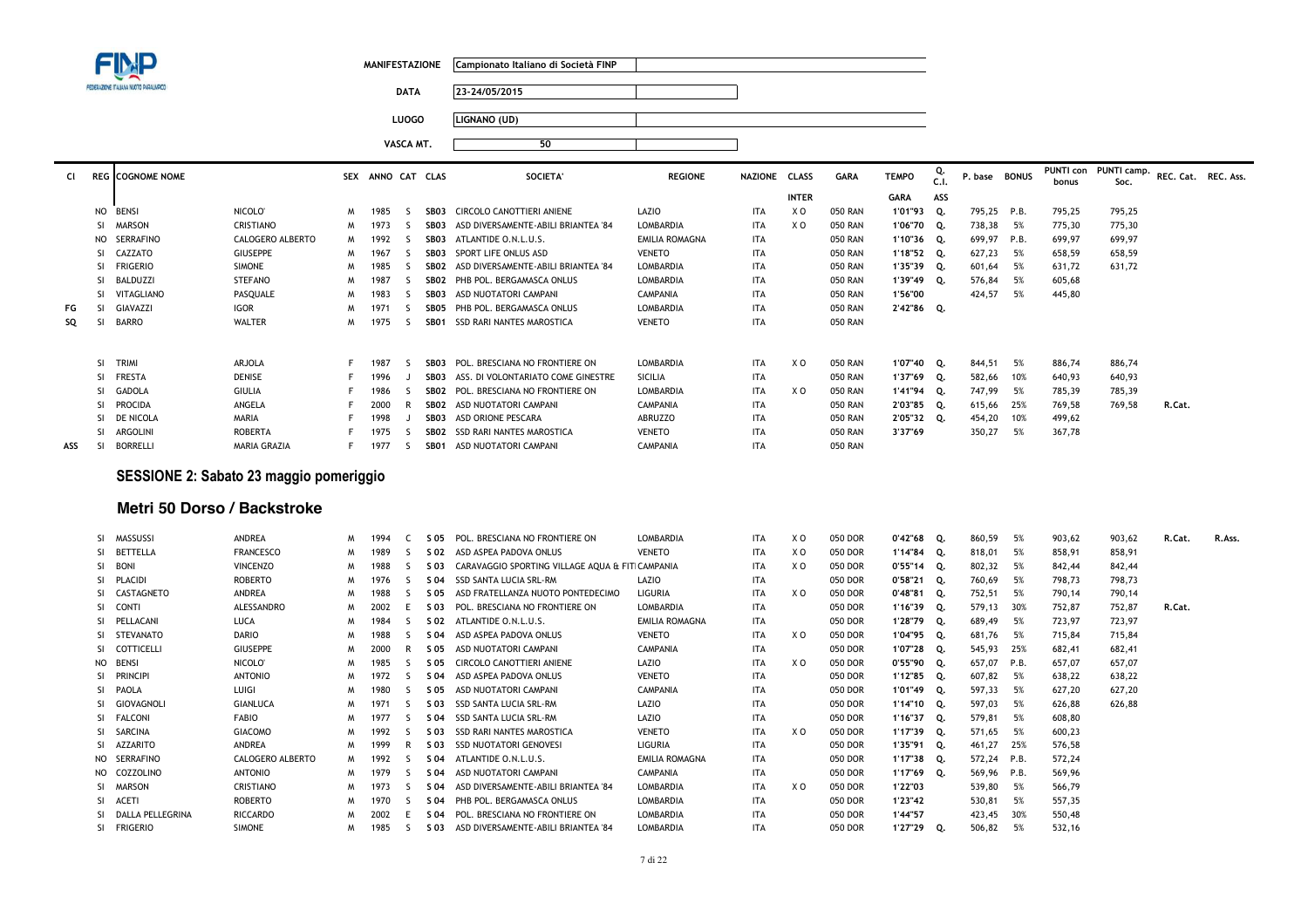| <b>WINE ITALIANA NUOTO PARALIMPICO</b> |  |
|----------------------------------------|--|

|  | MANIFESTAZIONE       Campionato Italiano di Società FINP |  |
|--|----------------------------------------------------------|--|
|--|----------------------------------------------------------|--|

**LUOGO LIGNANO (UD)**

**VASCA MT. 50**

| CI. |     | <b>REG</b> COGNOME NOME |                  | <b>SEX</b> | ANNO CAT CLAS |    |             | SOCIETA'                            | <b>REGIONE</b>        | <b>NAZIONE</b> | <b>CLASS</b>   | <b>GARA</b>    | <b>TEMPO</b>  | Q.<br>C.1. | P. base BONUS |      | bonus  | PUNTI con PUNTI camp. REC. Cat.<br>Soc. |        | REC. Ass. |
|-----|-----|-------------------------|------------------|------------|---------------|----|-------------|-------------------------------------|-----------------------|----------------|----------------|----------------|---------------|------------|---------------|------|--------|-----------------------------------------|--------|-----------|
|     |     |                         |                  |            |               |    |             |                                     |                       |                | <b>INTER</b>   |                | GARA          | ASS        |               |      |        |                                         |        |           |
|     |     | NO BENSI                | NICOLO'          | M          | 1985          |    |             | SB03 CIRCOLO CANOTTIERI ANIENE      | LAZIO                 | ITA            | X O            | <b>050 RAN</b> | 1'01"93       | Q.         | 795,25        | P.B. | 795,25 | 795,25                                  |        |           |
|     |     | SI MARSON               | <b>CRISTIANO</b> | M          | 1973          |    | SBO3        | ASD DIVERSAMENTE-ABILI BRIANTEA '84 | <b>LOMBARDIA</b>      | ITA            | X <sub>0</sub> | <b>050 RAN</b> | 1'06"70 Q.    |            | 738,38        | - 5% | 775,30 | 775,30                                  |        |           |
|     |     | NO SERRAFINO            | CALOGERO ALBERTO | M          | 1992          |    |             | SB03 ATLANTIDE O.N.L.U.S.           | <b>EMILIA ROMAGNA</b> | <b>ITA</b>     |                | <b>050 RAN</b> | $1'10''36$ Q. |            | 699,97        | P.B. | 699,97 | 699,97                                  |        |           |
|     |     | SI CAZZATO              | <b>GIUSEPPE</b>  | M          | 1967          |    | SB03        | SPORT LIFE ONLUS ASD                | <b>VENETO</b>         | ITA            |                | 050 RAN        | 1'18''52Q.    |            | 627,23        | - 5% | 658,59 | 658,59                                  |        |           |
|     |     | SI FRIGERIO             | <b>SIMONE</b>    | M          | 1985          |    | <b>SB02</b> | ASD DIVERSAMENTE-ABILI BRIANTEA '84 | <b>LOMBARDIA</b>      | <b>ITA</b>     |                | <b>050 RAN</b> | 1'35"39 0.    |            | 601,64        | - 5% | 631,72 | 631,72                                  |        |           |
|     | SI. | BALDUZZI                | <b>STEFANO</b>   | M          | 1987          |    | SB02        | PHB POL. BERGAMASCA ONLUS           | LOMBARDIA             | <b>ITA</b>     |                | <b>050 RAN</b> | $1'39''49$ Q. |            | 576,84        | 5%   | 605,68 |                                         |        |           |
|     |     | SI VITAGLIANO           | PASQUALE         | M          | 1983          |    | SB03        | ASD NUOTATORI CAMPANI               | <b>CAMPANIA</b>       | ITA            |                | <b>050 RAN</b> | 1'56"00       |            | 424,57        | 5%   | 445,80 |                                         |        |           |
| FG  |     | GIAVAZZI                | IGOR             | M          | 1971          |    | SB05        | PHB POL. BERGAMASCA ONLUS           | LOMBARDIA             | ITA            |                | <b>050 RAN</b> | 2'42"86 Q.    |            |               |      |        |                                         |        |           |
| SQ  |     | <b>BARRO</b>            | WALTER           | M          | 1975          |    | <b>SB01</b> | SSD RARI NANTES MAROSTICA           | <b>VENETO</b>         | <b>ITA</b>     |                | <b>050 RAN</b> |               |            |               |      |        |                                         |        |           |
|     | SI. | <b>TRIMI</b>            | <b>ARJOLA</b>    |            |               | ς. | SB03        |                                     |                       |                | X O            |                |               |            |               |      |        |                                         |        |           |
|     |     |                         |                  |            | 1987          |    |             | POL. BRESCIANA NO FRONTIERE ON      | LOMBARDIA             | <b>ITA</b>     |                | <b>050 RAN</b> | 1'07"40 Q.    |            | 844,51        | - 5% | 886,74 | 886,74                                  |        |           |
|     |     | SI FRESTA               | DENISE           |            | 1996          |    | SB03        | ASS. DI VOLONTARIATO COME GINESTRE  | SICILIA               | <b>ITA</b>     |                | <b>050 RAN</b> | $1'37'69$ Q.  |            | 582,66        | 10%  | 640,93 | 640,93                                  |        |           |
|     |     | SI GADOLA               | <b>GIULIA</b>    |            | 1986          |    |             | SB02 POL. BRESCIANA NO FRONTIERE ON | LOMBARDIA             | <b>ITA</b>     | X <sub>0</sub> | <b>050 RAN</b> | 1'41"94 Q.    |            | 747,99        | 5%   | 785,39 | 785,39                                  |        |           |
|     |     | SI PROCIDA              | ANGELA           |            | 2000          |    | <b>SB02</b> | ASD NUOTATORI CAMPANI               | <b>CAMPANIA</b>       | <b>ITA</b>     |                | <b>050 RAN</b> | 2'03"85       | O.         | 615,66        | 25%  | 769,58 | 769,58                                  | R.Cat. |           |
|     | SL. | <b>DE NICOLA</b>        | MARIA            |            | 1998          |    | SB03        | ASD ORIONE PESCARA                  | ABRUZZO               | ITA            |                | <b>050 RAN</b> | 2'05"32 Q.    |            | 454,20        | 10%  | 499,62 |                                         |        |           |
|     | SI. | ARGOLINI                | <b>ROBERTA</b>   |            | 1975          |    | <b>SB02</b> | SSD RARI NANTES MAROSTICA           | <b>VENETO</b>         | ITA            |                | 050 RAN        | 3'37"69       |            | 350,27        | 5%   | 367,78 |                                         |        |           |
| ASS | SI. | <b>BORRELLI</b>         | MARIA GRAZIA     |            | 1977          | -S | SB01        | ASD NUOTATORI CAMPANI               | <b>CAMPANIA</b>       | ITA            |                | <b>050 RAN</b> |               |            |               |      |        |                                         |        |           |

# **SESSIONE 2: Sabato 23 maggio pomeriggio**

## **Metri 50 Dorso / Backstroke**

|     | SI MASSUSSI         | ANDREA           | м | 1994 |    | S 05 | POL. BRESCIANA NO FRONTIERE ON                  | <b>LOMBARDIA</b>      | ITA        | X O | 050 DOR | $0'42''68$ Q. |    | 860,59      | - 5% | 903,62 | 903,62 | R.Cat. | R.Ass. |
|-----|---------------------|------------------|---|------|----|------|-------------------------------------------------|-----------------------|------------|-----|---------|---------------|----|-------------|------|--------|--------|--------|--------|
| SI. | BETTELLA            | <b>FRANCESCO</b> | м | 1989 |    | S 02 | ASD ASPEA PADOVA ONLUS                          | <b>VENETO</b>         | ITA        | X O | 050 DOR | $1'14''84$ Q. |    | 818,01      | 5%   | 858,91 | 858,91 |        |        |
|     | SI BONI             | VINCENZO         | м | 1988 |    | S 03 | CARAVAGGIO SPORTING VILLAGE AQUA & FITICAMPANIA |                       | ITA        | X O | 050 DOR | $0'55''14$ Q. |    | 802,32      | - 5% | 842,44 | 842,44 |        |        |
|     | SI PLACIDI          | <b>ROBERTO</b>   | м | 1976 |    | S 04 | SSD SANTA LUCIA SRL-RM                          | LAZIO                 | ITA        |     | 050 DOR | $0'58''21$ Q. |    | 760,69      | - 5% | 798,73 | 798,73 |        |        |
|     | SI CASTAGNETO       | ANDREA           | м | 1988 |    | S 05 | ASD FRATELLANZA NUOTO PONTEDECIMO               | LIGURIA               | ITA        | X O | 050 DOR | $0'48''81$ Q. |    | 752,51      | - 5% | 790,14 | 790,14 |        |        |
|     | SI CONTI            | ALESSANDRO       | M | 2002 |    | S 03 | POL. BRESCIANA NO FRONTIERE ON                  | LOMBARDIA             | <b>ITA</b> |     | 050 DOR | $1'16''39$ Q. |    | 579,13      | 30%  | 752,87 | 752,87 | R.Cat. |        |
|     | SI PELLACANI        | LUCA             | м | 1984 |    | S 02 | ATLANTIDE O.N.L.U.S.                            | <b>EMILIA ROMAGNA</b> | ITA        |     | 050 DOR | 1'28"79 Q.    |    | 689,49      | - 5% | 723,97 | 723,97 |        |        |
|     | SI STEVANATO        | DARIO            | M | 1988 |    | S 04 | ASD ASPEA PADOVA ONLUS                          | <b>VENETO</b>         | ITA        | X O | 050 DOR | 1'04"95 Q.    |    | 681,76      | - 5% | 715,84 | 715,84 |        |        |
|     | SI COTTICELLI       | <b>GIUSEPPE</b>  | W | 2000 |    | S 05 | ASD NUOTATORI CAMPANI                           | <b>CAMPANIA</b>       | <b>ITA</b> |     | 050 DOR | 1'07"28 Q.    |    | 545,93      | 25%  | 682,41 | 682,41 |        |        |
|     | NO BENSI            | NICOLO'          | м | 1985 |    | S 05 | CIRCOLO CANOTTIERI ANIENE                       | LAZIO                 | ITA        | X O | 050 DOR | 0'55''90Q.    |    | 657,07 P.B. |      | 657,07 | 657,07 |        |        |
|     | SI PRINCIPI         | <b>ANTONIO</b>   | W | 1972 |    | S 04 | ASD ASPEA PADOVA ONLUS                          | <b>VENETO</b>         | ITA        |     | 050 DOR | 1'12''85Q.    |    | 607,82      | - 5% | 638,22 | 638,22 |        |        |
|     | SI PAOLA            | LUIGI            | м | 1980 |    | S 05 | ASD NUOTATORI CAMPANI                           | <b>CAMPANIA</b>       | <b>ITA</b> |     | 050 DOR | 1'01"49 Q.    |    | 597,33      | - 5% | 627,20 | 627,20 |        |        |
|     | SI GIOVAGNOLI       | <b>GIANLUCA</b>  | M | 1971 |    | S 03 | SSD SANTA LUCIA SRL-RM                          | LAZIO                 | ITA        |     | 050 DOR | $1'14''10$ Q. |    | 597,03      | - 5% | 626,88 | 626,88 |        |        |
|     | SI FALCONI          | FABIO            | м | 1977 |    | S 04 | SSD SANTA LUCIA SRL-RM                          | LAZIO                 | <b>ITA</b> |     | 050 DOR | $1'16''37$ Q. |    | 579,81      | - 5% | 608,80 |        |        |        |
|     | SI SARCINA          | <b>GIACOMO</b>   | м | 1992 |    | S 03 | SSD RARI NANTES MAROSTICA                       | <b>VENETO</b>         | ITA        | X O | 050 DOR | $1'17''39$ Q. |    | 571,65      | - 5% | 600,23 |        |        |        |
|     | SI AZZARITO         | ANDREA           | м | 1999 |    | S 03 | SSD NUOTATORI GENOVESI                          | LIGURIA               | <b>ITA</b> |     | 050 DOR | 1'35"91 Q.    |    | 461,27      | 25%  | 576,58 |        |        |        |
|     | NO SERRAFINO        | CALOGERO ALBERTO | M | 1992 | ς. | S 04 | ATLANTIDE O.N.L.U.S.                            | <b>EMILIA ROMAGNA</b> | <b>ITA</b> |     | 050 DOR | 1'17"38 Q.    |    | 572,24 P.B. |      | 572,24 |        |        |        |
|     | NO COZZOLINO        | ANTONIO          | M | 1979 |    | S 04 | ASD NUOTATORI CAMPANI                           | <b>CAMPANIA</b>       | ITA        |     | 050 DOR | $1'17''69$ Q. |    | 569,96 P.B. |      | 569,96 |        |        |        |
|     | SI MARSON           | <b>CRISTIANO</b> | м | 1973 |    | S 04 | ASD DIVERSAMENTE-ABILI BRIANTEA '84             | LOMBARDIA             | <b>ITA</b> | X O | 050 DOR | 1'22"03       |    | 539,80      | 5%   | 566,79 |        |        |        |
|     | SI ACETI            | <b>ROBERTO</b>   | M | 1970 |    | S 04 | PHB POL. BERGAMASCA ONLUS                       | LOMBARDIA             | <b>ITA</b> |     | 050 DOR | 1'23''42      |    | 530,81      | 5%   | 557,35 |        |        |        |
|     | SI DALLA PELLEGRINA | <b>RICCARDO</b>  | м | 2002 |    | S 04 | POL. BRESCIANA NO FRONTIERE ON                  | LOMBARDIA             | <b>ITA</b> |     | 050 DOR | 1'44"57       |    | 423,45      | 30%  | 550,48 |        |        |        |
|     | SI FRIGERIO         | <b>SIMONE</b>    | M | 1985 | S. | S 03 | ASD DIVERSAMENTE-ABILI BRIANTEA '84             | LOMBARDIA             | ITA        |     | 050 DOR | 1'27"29       | Q. | 506,82      | - 5% | 532,16 |        |        |        |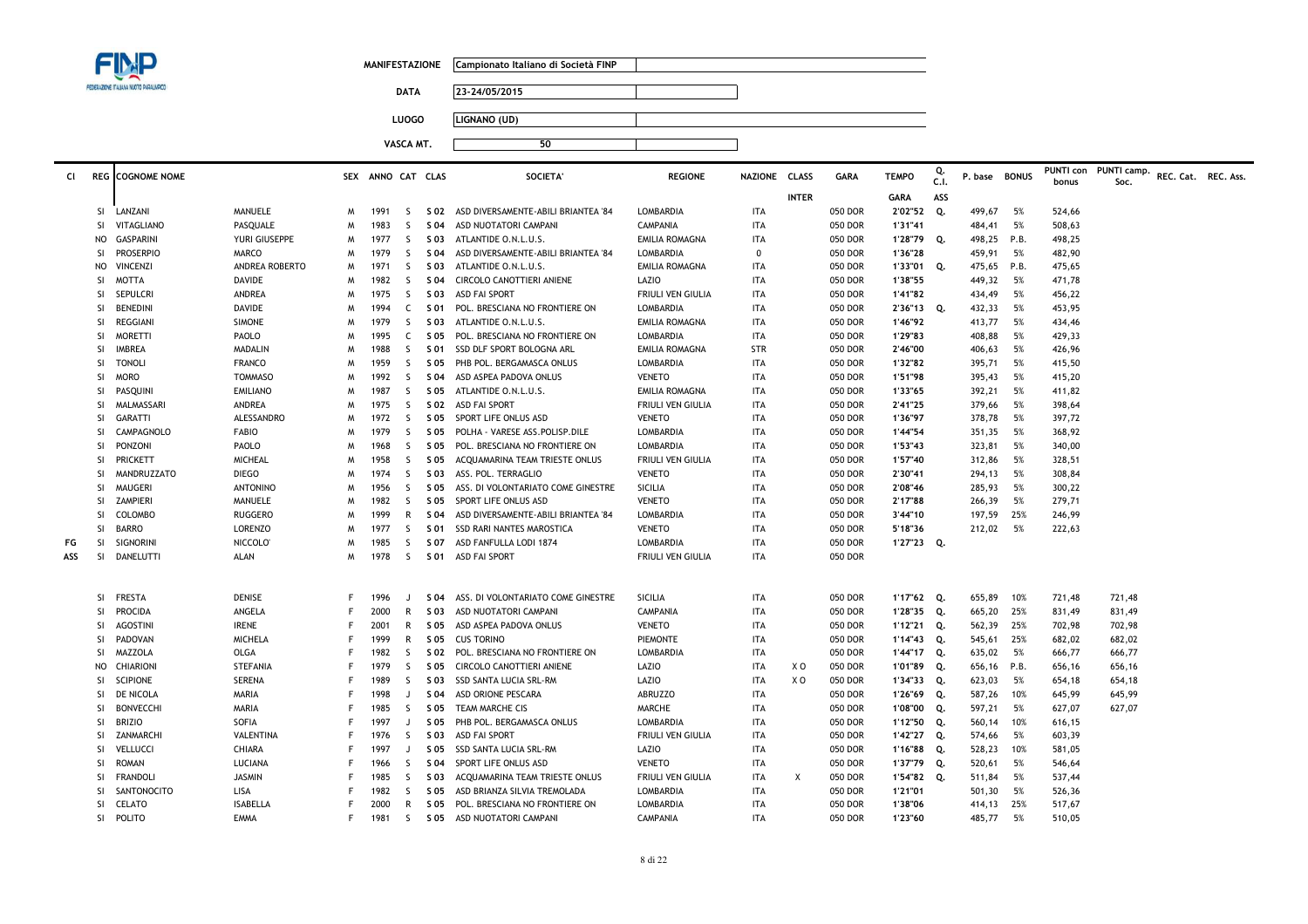| <b>TO DIDILI</b><br>orn<br>×<br>na |  |
|------------------------------------|--|

| <b>MANIFESTAZIONE</b> | Campionato Italiano di Società FINP |  |
|-----------------------|-------------------------------------|--|
|                       |                                     |  |

**LUOGO LIGNANO (UD)**

| <b>CI</b> |               | <b>REG</b> COGNOME NOME |                 |    | SEX ANNO CAT CLAS |              |      | <b>SOCIETA</b>                           | <b>REGIONE</b>           | NAZIONE CLASS |              | <b>GARA</b> | <b>TEMPO</b>  | Q.<br>C.1 | P. base BONUS |      | bonus  | PUNTI con PUNTI camp.<br>Soc. | REC. Cat. REC. Ass. |
|-----------|---------------|-------------------------|-----------------|----|-------------------|--------------|------|------------------------------------------|--------------------------|---------------|--------------|-------------|---------------|-----------|---------------|------|--------|-------------------------------|---------------------|
|           |               |                         |                 |    |                   |              |      |                                          |                          |               | <b>INTER</b> |             | <b>GARA</b>   | ASS       |               |      |        |                               |                     |
|           |               | SI LANZANI              | <b>MANUELE</b>  | M  | 1991              | S.           |      | S 02 ASD DIVERSAMENTE-ABILI BRIANTEA '84 | <b>LOMBARDIA</b>         | ITA           |              | 050 DOR     | 2'02"52 Q.    |           | 499,67        | 5%   | 524,66 |                               |                     |
|           | SI            | VITAGLIANO              | PASQUALE        | M  | 1983              | S.           | S 04 | ASD NUOTATORI CAMPANI                    | <b>CAMPANIA</b>          | ITA           |              | 050 DOR     | 1'31"41       |           | 484,41        | 5%   | 508,63 |                               |                     |
|           | NO.           | <b>GASPARINI</b>        | YURI GIUSEPPE   | M  | 1977              | S.           | S 03 | ATLANTIDE O.N.L.U.S.                     | <b>EMILIA ROMAGNA</b>    | ITA           |              | 050 DOR     | 1'28"79 Q.    |           | 498,25 P.B.   |      | 498,25 |                               |                     |
|           | SI.           | <b>PROSERPIO</b>        | <b>MARCO</b>    | M  | 1979              | -S           | S 04 | ASD DIVERSAMENTE-ABILI BRIANTEA '84      | <b>LOMBARDIA</b>         | $\mathbf{0}$  |              | 050 DOR     | 1'36"28       |           | 459,91        | - 5% | 482,90 |                               |                     |
|           | NO.           | <b>VINCENZI</b>         | ANDREA ROBERTO  | M  | 1971              | -S           | S 03 | ATLANTIDE O.N.L.U.S.                     | <b>EMILIA ROMAGNA</b>    | ITA           |              | 050 DOR     | 1'33"01 Q.    |           | 475,65        | P.B. | 475,65 |                               |                     |
|           | -SI.          | <b>MOTTA</b>            | <b>DAVIDE</b>   | M  | 1982              | S.           | S 04 | CIRCOLO CANOTTIERI ANIENE                | LAZIO                    | ITA           |              | 050 DOR     | 1'38"55       |           | 449,32        | 5%   | 471,78 |                               |                     |
|           | SI            | SEPULCRI                | ANDREA          | M  | 1975              | S.           | S 03 | <b>ASD FAI SPORT</b>                     | <b>FRIULI VEN GIULIA</b> | ITA           |              | 050 DOR     | 1'41"82       |           | 434,49        | 5%   | 456,22 |                               |                     |
|           | SI            | <b>BENEDINI</b>         | DAVIDE          | M  | 1994              | C            | S 01 | POL. BRESCIANA NO FRONTIERE ON           | LOMBARDIA                | ITA           |              | 050 DOR     | 2'36"13 Q.    |           | 432,33        | 5%   | 453,95 |                               |                     |
|           | SI            | REGGIANI                | <b>SIMONE</b>   | M  | 1979              | S.           | S 03 | ATLANTIDE O.N.L.U.S.                     | <b>EMILIA ROMAGNA</b>    | ITA           |              | 050 DOR     | 1'46"92       |           | 413,77        | 5%   | 434,46 |                               |                     |
|           | -SI           | <b>MORETTI</b>          | PAOLO           | M  | 1995              | C.           | S 05 | POL. BRESCIANA NO FRONTIERE ON           | LOMBARDIA                | ITA           |              | 050 DOR     | 1'29"83       |           | 408,88        | 5%   | 429,33 |                               |                     |
|           | SI.           | <b>IMBREA</b>           | <b>MADALIN</b>  | M  | 1988              | -S           | S 01 | SSD DLF SPORT BOLOGNA ARL                | <b>EMILIA ROMAGNA</b>    | STR           |              | 050 DOR     | 2'46"00       |           | 406,63        | - 5% | 426,96 |                               |                     |
|           | SI            | <b>TONOLI</b>           | <b>FRANCO</b>   | M  | 1959              | -S           | S 05 | PHB POL. BERGAMASCA ONLUS                | <b>LOMBARDIA</b>         | ITA           |              | 050 DOR     | 1'32"82       |           | 395,71        | 5%   | 415,50 |                               |                     |
|           | SI.           | <b>MORO</b>             | <b>TOMMASO</b>  | M  | 1992              | -S           | S 04 | ASD ASPEA PADOVA ONLUS                   | <b>VENETO</b>            | ITA           |              | 050 DOR     | 1'51"98       |           | 395,43        | 5%   | 415,20 |                               |                     |
|           | SI            | PASQUINI                | <b>EMILIANO</b> | M  | 1987              | S.           | S 05 | ATLANTIDE O.N.L.U.S.                     | <b>EMILIA ROMAGNA</b>    | ITA           |              | 050 DOR     | 1'33"65       |           | 392,21        | 5%   | 411,82 |                               |                     |
|           | SI.           | MALMASSARI              | ANDREA          | M  | 1975              | S.           | S 02 | <b>ASD FAI SPORT</b>                     | <b>FRIULI VEN GIULIA</b> | ITA           |              | 050 DOR     | 2'41"25       |           | 379,66        | 5%   | 398,64 |                               |                     |
|           | SI.           | <b>GARATTI</b>          | ALESSANDRO      | M  | 1972              | S            | S 05 | SPORT LIFE ONLUS ASD                     | <b>VENETO</b>            | ITA           |              | 050 DOR     | 1'36"97       |           | 378,78        | - 5% | 397,72 |                               |                     |
|           | SI.           | CAMPAGNOLO              | <b>FABIO</b>    | M  | 1979              | S.           | S 05 | POLHA - VARESE ASS. POLISP. DILE         | LOMBARDIA                | ITA           |              | 050 DOR     | 1'44"54       |           | 351,35        | 5%   | 368,92 |                               |                     |
|           | SI.           | <b>PONZONI</b>          | PAOLO           | M  | 1968              | S.           | S 05 | POL. BRESCIANA NO FRONTIERE ON           | LOMBARDIA                | ITA           |              | 050 DOR     | 1'53"43       |           | 323,81        | - 5% | 340,00 |                               |                     |
|           | SI.           | <b>PRICKETT</b>         | <b>MICHEAL</b>  | M  | 1958              | S.           | S 05 | ACQUAMARINA TEAM TRIESTE ONLUS           | <b>FRIULI VEN GIULIA</b> | ITA           |              | 050 DOR     | 1'57"40       |           | 312,86        | 5%   | 328,51 |                               |                     |
|           | SI.           | MANDRUZZATO             | <b>DIEGO</b>    | M  | 1974              | S.           | S 03 | ASS. POL. TERRAGLIO                      | <b>VENETO</b>            | ITA           |              | 050 DOR     | 2'30"41       |           | 294,13        | 5%   | 308,84 |                               |                     |
|           | SI            | MAUGERI                 | <b>ANTONINO</b> | M  | 1956              | S.           | S 05 | ASS. DI VOLONTARIATO COME GINESTRE       | SICILIA                  | ITA           |              | 050 DOR     | 2'08"46       |           | 285,93        | 5%   | 300,22 |                               |                     |
|           | SI            | ZAMPIERI                | MANUELE         | M  | 1982              | S.           | S 05 | SPORT LIFE ONLUS ASD                     | <b>VENETO</b>            | ITA           |              | 050 DOR     | 2'17"88       |           | 266,39        | 5%   | 279,71 |                               |                     |
|           | <sup>SI</sup> | COLOMBO                 | <b>RUGGERO</b>  | M  | 1999              | R            | S 04 | ASD DIVERSAMENTE-ABILI BRIANTEA '84      | <b>LOMBARDIA</b>         | ITA           |              | 050 DOR     | 3'44"10       |           | 197,59        | 25%  | 246,99 |                               |                     |
|           | SI.           | <b>BARRO</b>            | <b>LORENZO</b>  | M  | 1977              | -S           | S 01 | SSD RARI NANTES MAROSTICA                | <b>VENETO</b>            | ITA           |              | 050 DOR     | 5'18"36       |           | 212,02        | - 5% | 222,63 |                               |                     |
| FG        | -SI           | <b>SIGNORINI</b>        | NICCOLO'        | M  | 1985              | -S           | S 07 | ASD FANFULLA LODI 1874                   | LOMBARDIA                | ITA           |              | 050 DOR     | 1'27"23 Q.    |           |               |      |        |                               |                     |
| ASS       |               | SI DANELUTTI            | ALAN            | M  | 1978              | -S           | S 01 | ASD FAI SPORT                            | FRIULI VEN GIULIA        | ITA           |              | 050 DOR     |               |           |               |      |        |                               |                     |
|           |               |                         |                 |    |                   |              |      |                                          |                          |               |              |             |               |           |               |      |        |                               |                     |
|           |               | SI FRESTA               | <b>DENISE</b>   | F  | 1996              | - 1          | S 04 | ASS. DI VOLONTARIATO COME GINESTRE       | <b>SICILIA</b>           | ITA           |              | 050 DOR     | $1'17''62$ Q. |           | 655,89        | 10%  | 721,48 | 721,48                        |                     |
|           | -SI           | <b>PROCIDA</b>          | ANGELA          |    | 2000              | R            | S 03 | ASD NUOTATORI CAMPANI                    | <b>CAMPANIA</b>          | ITA           |              | 050 DOR     | 1'28"35 Q.    |           | 665,20 25%    |      | 831,49 | 831,49                        |                     |
|           | SI            | <b>AGOSTINI</b>         | <b>IRENE</b>    |    | 2001              | R            | S 05 | ASD ASPEA PADOVA ONLUS                   | <b>VENETO</b>            | ITA           |              | 050 DOR     | $1'12''21$ Q. |           | 562,39 25%    |      | 702,98 | 702,98                        |                     |
|           | SI.           | PADOVAN                 | <b>MICHELA</b>  |    | 1999              | R            | S 05 | <b>CUS TORINO</b>                        | PIEMONTE                 | ITA           |              | 050 DOR     | 1'14''43Q.    |           | 545,61        | 25%  | 682,02 | 682,02                        |                     |
|           | SI            | MAZZOLA                 | OLGA            |    | 1982              | S.           | S 02 | POL. BRESCIANA NO FRONTIERE ON           | LOMBARDIA                | ITA           |              | 050 DOR     | 1'44"17 Q.    |           | 635,02        | 5%   | 666,77 | 666,77                        |                     |
|           | NO.           | CHIARIONI               | STEFANIA        |    | 1979              | -S           | S 05 | CIRCOLO CANOTTIERI ANIENE                | LAZIO                    | ITA           | X O          | 050 DOR     | 1'01"89 Q.    |           | 656,16 P.B.   |      | 656,16 | 656,16                        |                     |
|           | -SI           | <b>SCIPIONE</b>         | <b>SERENA</b>   |    | 1989              | S.           | S 03 | <b>SSD SANTA LUCIA SRL-RM</b>            | LAZIO                    | ITA           | X O          | 050 DOR     | 1'34"33 Q.    |           | 623,03        | - 5% | 654,18 | 654,18                        |                     |
|           | SI.           | DE NICOLA               | MARIA           |    | 1998              | $\mathbf{I}$ | S 04 | ASD ORIONE PESCARA                       | ABRUZZO                  | ITA           |              | 050 DOR     | $1'26''69$ Q. |           | 587,26        | 10%  | 645,99 | 645,99                        |                     |
|           |               | SI BONVECCHI            | <b>MARIA</b>    | F  | 1985              | S.           | S 05 | TEAM MARCHE CIS                          | <b>MARCHE</b>            | ITA           |              | 050 DOR     | 1'08"00       | Q.        | 597,21        | 5%   | 627,07 | 627,07                        |                     |
|           |               | SI BRIZIO               | <b>SOFIA</b>    |    | 1997              | J            | S 05 | PHB POL. BERGAMASCA ONLUS                | LOMBARDIA                | ITA           |              | 050 DOR     | 1'12"50       | Q.        | 560,14        | 10%  | 616,15 |                               |                     |
|           | -SI           | ZANMARCHI               | VALENTINA       |    | 1976              | S.           | S 03 | <b>ASD FAI SPORT</b>                     | <b>FRIULI VEN GIULIA</b> | ITA           |              | 050 DOR     | 1'42"27       | Q.        | 574,66        | 5%   | 603,39 |                               |                     |
|           | SI            | VELLUCCI                | CHIARA          |    | 1997              | J            | S 05 | SSD SANTA LUCIA SRL-RM                   | LAZIO                    | ITA           |              | 050 DOR     | 1'16"88 Q.    |           | 528,23        | 10%  | 581,05 |                               |                     |
|           | -SI           | <b>ROMAN</b>            | <b>LUCIANA</b>  |    | 1966              | -S           | S 04 | SPORT LIFE ONLUS ASD                     | <b>VENETO</b>            | ITA           |              | 050 DOR     | 1'37"79       | Q.        | 520,61        | 5%   | 546,64 |                               |                     |
|           | SI.           | <b>FRANDOLI</b>         | <b>JASMIN</b>   |    | 1985              | S.           | S 03 | ACQUAMARINA TEAM TRIESTE ONLUS           | <b>FRIULI VEN GIULIA</b> | ITA           | $\mathsf{x}$ | 050 DOR     | 1'54"82 Q.    |           | 511,84        | 5%   | 537,44 |                               |                     |
|           | SI.           | SANTONOCITO             | LISA            |    | 1982              | -S           | S 05 | ASD BRIANZA SILVIA TREMOLADA             | LOMBARDIA                | ITA           |              | 050 DOR     | 1'21"01       |           | 501,30        | 5%   | 526,36 |                               |                     |
|           | SI.           | CELATO                  | <b>ISABELLA</b> |    | 2000              | R            | S 05 | POL. BRESCIANA NO FRONTIERE ON           | LOMBARDIA                | ITA           |              | 050 DOR     | 1'38"06       |           | 414,13        | 25%  | 517,67 |                               |                     |
|           |               | SI POLITO               | <b>EMMA</b>     | F. | 1981              | S.           | S 05 | ASD NUOTATORI CAMPANI                    | <b>CAMPANIA</b>          | ITA           |              | 050 DOR     | 1'23"60       |           | 485,77        | 5%   | 510,05 |                               |                     |
|           |               |                         |                 |    |                   |              |      |                                          |                          |               |              |             |               |           |               |      |        |                               |                     |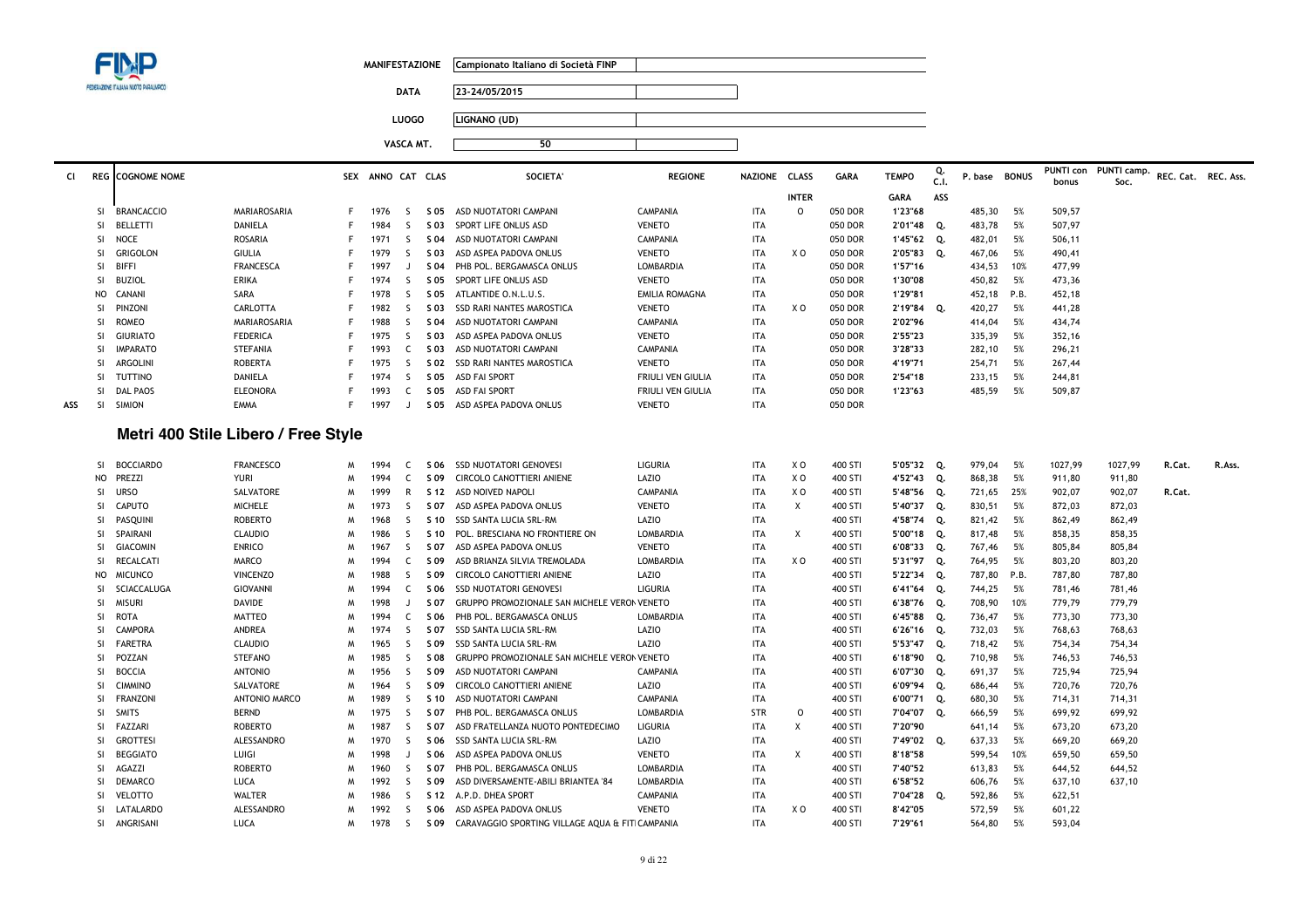| <b>OTO PARALMPICO</b><br>EDERAZIONE ITALIANA |  |
|----------------------------------------------|--|

| <b>MANIFESTAZIONE</b> | Campionato Italiano di Società FINP |  |
|-----------------------|-------------------------------------|--|
|                       |                                     |  |

**LUOGO LIGNANO (UD)**

|           |               |                                     |                      |   |                   |              |      |                                                 |                          |               |              |             |              | Q.   |               |     |         | PUNTI con PUNTI camp. |                     |        |
|-----------|---------------|-------------------------------------|----------------------|---|-------------------|--------------|------|-------------------------------------------------|--------------------------|---------------|--------------|-------------|--------------|------|---------------|-----|---------|-----------------------|---------------------|--------|
| <b>CI</b> | <b>REG</b>    | <b>COGNOME NOME</b>                 |                      |   | SEX ANNO CAT CLAS |              |      | <b>SOCIETA'</b>                                 | <b>REGIONE</b>           | NAZIONE CLASS |              | <b>GARA</b> | <b>TEMPO</b> | C.I. | P. base BONUS |     | bonus   | Soc.                  | REC. Cat. REC. Ass. |        |
|           |               |                                     |                      |   |                   |              |      |                                                 |                          |               | <b>INTER</b> |             | <b>GARA</b>  | ASS  |               |     |         |                       |                     |        |
|           | SI            | <b>BRANCACCIO</b>                   | MARIAROSARIA         |   | 1976              | -S           | S 05 | ASD NUOTATORI CAMPANI                           | <b>CAMPANIA</b>          | ITA           | 0            | 050 DOR     | 1'23"68      |      | 485,30        | 5%  | 509,57  |                       |                     |        |
|           | <sup>SI</sup> | BELLETTI                            | DANIELA              |   | 1984              | S            | S 03 | SPORT LIFE ONLUS ASD                            | <b>VENETO</b>            | <b>ITA</b>    |              | 050 DOR     | 2'01"48      | Q.   | 483,78        | 5%  | 507,97  |                       |                     |        |
|           | SI.           | <b>NOCE</b>                         | <b>ROSARIA</b>       |   | 1971              | -S           | S 04 | ASD NUOTATORI CAMPANI                           | <b>CAMPANIA</b>          | <b>ITA</b>    |              | 050 DOR     | 1'45"62      | O.   | 482,01        | 5%  | 506,11  |                       |                     |        |
|           | SI            | <b>GRIGOLON</b>                     | <b>GIULIA</b>        |   | 1979              | S.           | S 03 | ASD ASPEA PADOVA ONLUS                          | <b>VENETO</b>            | <b>ITA</b>    | X O          | 050 DOR     | 2'05"83      | Q.   | 467,06        | 5%  | 490,41  |                       |                     |        |
|           | SI.           | BIFF                                | <b>FRANCESCA</b>     |   | 1997              |              | S 04 | PHB POL. BERGAMASCA ONLUS                       | LOMBARDIA                | <b>ITA</b>    |              | 050 DOR     | 1'57"16      |      | 434,53        | 10% | 477,99  |                       |                     |        |
|           | SI            | <b>BUZIOL</b>                       | <b>ERIKA</b>         |   | 1974              | <sub>S</sub> | S 05 | SPORT LIFE ONLUS ASD                            | <b>VENETO</b>            | <b>ITA</b>    |              | 050 DOR     | 1'30"08      |      | 450,82        | 5%  | 473,36  |                       |                     |        |
|           |               | NO CANANI                           | SARA                 |   | 1978              | <sub>S</sub> | S 05 | ATLANTIDE O.N.L.U.S.                            | <b>EMILIA ROMAGNA</b>    | <b>ITA</b>    |              | 050 DOR     | 1'29"81      |      | 452,18 P.B.   |     | 452,18  |                       |                     |        |
|           | SI            | PINZONI                             | CARLOTTA             |   | 1982              | S.           | S 03 | SSD RARI NANTES MAROSTICA                       | <b>VENETO</b>            | <b>ITA</b>    | X O          | 050 DOR     | 2'19"84      | Q.   | 420,27        | 5%  | 441,28  |                       |                     |        |
|           | SI            | <b>ROMEO</b>                        | MARIAROSARIA         |   | 1988              | S.           | S 04 | ASD NUOTATORI CAMPANI                           | <b>CAMPANIA</b>          | <b>ITA</b>    |              | 050 DOR     | 2'02"96      |      | 414,04        | 5%  | 434,74  |                       |                     |        |
|           | SI.           | <b>GIURIATO</b>                     | <b>FEDERICA</b>      |   | 1975              | -S           | S 03 | ASD ASPEA PADOVA ONLUS                          | <b>VENETO</b>            | <b>ITA</b>    |              | 050 DOR     | 2'55"23      |      | 335,39        | 5%  | 352,16  |                       |                     |        |
|           | SI.           | <b>IMPARATO</b>                     | <b>STEFANIA</b>      |   | 1993              | C.           | S 03 | ASD NUOTATORI CAMPANI                           | <b>CAMPANIA</b>          | <b>ITA</b>    |              | 050 DOR     | 3'28"33      |      | 282,10        | 5%  | 296,21  |                       |                     |        |
|           | SI            | ARGOLINI                            | <b>ROBERTA</b>       |   | 1975              | S.           | S 02 | SSD RARI NANTES MAROSTICA                       | <b>VENETO</b>            | <b>ITA</b>    |              | 050 DOR     | 4'19"71      |      | 254,71        | 5%  | 267,44  |                       |                     |        |
|           | SI.           | TUTTINO                             | <b>DANIELA</b>       |   | 1974              | S.           | S 05 | <b>ASD FAI SPORT</b>                            | FRIULI VEN GIULIA        | <b>ITA</b>    |              | 050 DOR     | 2'54"18      |      | 233,15        | 5%  | 244,81  |                       |                     |        |
|           | SI            | <b>DAL PAOS</b>                     | <b>ELEONORA</b>      |   | 1993              | $\mathsf{C}$ | S 05 | ASD FAI SPORT                                   | <b>FRIULI VEN GIULIA</b> | <b>ITA</b>    |              | 050 DOR     | 1'23"63      |      | 485,59        | 5%  | 509,87  |                       |                     |        |
| ASS       | SI.           | <b>SIMION</b>                       | <b>EMMA</b>          | E | 1997              | J            |      | S 05 ASD ASPEA PADOVA ONLUS                     | <b>VENETO</b>            | <b>ITA</b>    |              | 050 DOR     |              |      |               |     |         |                       |                     |        |
|           |               | Metri 400 Stile Libero / Free Style |                      |   |                   |              |      |                                                 |                          |               |              |             |              |      |               |     |         |                       |                     |        |
|           |               |                                     |                      |   |                   |              |      |                                                 |                          |               |              |             |              |      |               |     |         |                       |                     |        |
|           | -SI           | <b>BOCCIARDO</b>                    | <b>FRANCESCO</b>     | M | 1994              | C            | S 06 | <b>SSD NUOTATORI GENOVESI</b>                   | LIGURIA                  | <b>ITA</b>    | X O          | 400 STI     | 5'05"32 Q.   |      | 979,04        | 5%  | 1027,99 | 1027,99               | R.Cat.              | R.Ass. |
|           | NO            | <b>PREZZI</b>                       | <b>YURI</b>          |   | 1994              | C            | S 09 | CIRCOLO CANOTTIERI ANIENE                       | LAZIO                    | <b>ITA</b>    | XO           | 400 STI     | 4'52"43      | O.   | 868,38        | 5%  | 911,80  | 911,80                |                     |        |
|           |               | SI URSO                             | SALVATORE            | M | 1999              | R            | S 12 | ASD NOIVED NAPOLI                               | <b>CAMPANIA</b>          | <b>ITA</b>    | X O          | 400 STI     | 5'48"56 Q.   |      | 721,65 25%    |     | 902,07  | 902,07                | R.Cat.              |        |
|           | SI            | CAPUTO                              | <b>MICHELE</b>       |   | 1973              | S.           | S 07 | ASD ASPEA PADOVA ONLUS                          | <b>VENETO</b>            | <b>ITA</b>    | $\times$     | 400 STI     | 5'40"37      | Q.   | 830,51        | 5%  | 872,03  | 872,03                |                     |        |
|           | SI            | PASQUINI                            | <b>ROBERTO</b>       | M | 1968              | S.           | S 10 | SSD SANTA LUCIA SRL-RM                          | LAZIO                    | <b>ITA</b>    |              | 400 STI     | 4'58"74      | Q.   | 821,42        | 5%  | 862,49  | 862,49                |                     |        |
|           | SI            | SPAIRANI                            | CLAUDIO              |   | 1986              | <sub>S</sub> | S 10 | POL. BRESCIANA NO FRONTIERE ON                  | LOMBARDIA                | <b>ITA</b>    | $\mathsf{X}$ | 400 STI     | 5'00"18      | Q.   | 817,48        | 5%  | 858,35  | 858,35                |                     |        |
|           | SI            | GIACOMIN                            | <b>ENRICO</b>        | M | 1967              | S.           | S 07 | ASD ASPEA PADOVA ONLUS                          | <b>VENETO</b>            | <b>ITA</b>    |              | 400 STI     | 6'08"33      | Q.   | 767,46        | 5%  | 805,84  | 805,84                |                     |        |
|           | SI            | RECALCATI                           | <b>MARCO</b>         |   | 1994              | $\mathsf{C}$ | S 09 | ASD BRIANZA SILVIA TREMOLADA                    | LOMBARDIA                | <b>ITA</b>    | X O          | 400 STI     | 5'31"97      | Q.   | 764,95        | 5%  | 803,20  | 803,20                |                     |        |
|           | NO            | <b>MICUNCO</b>                      | <b>VINCENZO</b>      |   | 1988              | S.           | S 09 | CIRCOLO CANOTTIERI ANIENE                       | LAZIO                    | ITA           |              | 400 STI     | 5'22"34      | Q.   | 787,80 P.B.   |     | 787,80  | 787,80                |                     |        |
|           | SI.           | SCIACCALUGA                         | <b>GIOVANNI</b>      |   | 1994              | C            | S 06 | <b>SSD NUOTATORI GENOVESI</b>                   | LIGURIA                  | <b>ITA</b>    |              | 400 STI     | 6'41"64      | Q.   | 744,25        | 5%  | 781,46  | 781,46                |                     |        |
|           | <sup>SI</sup> | <b>MISURI</b>                       | <b>DAVIDE</b>        |   | 1998              | $\mathbf{I}$ | S 07 | GRUPPO PROMOZIONALE SAN MICHELE VERON VENETO    |                          | <b>ITA</b>    |              | 400 STI     | 6'38"76      | Q.   | 708,90        | 10% | 779,79  | 779,79                |                     |        |
|           | SI            | ROTA                                | <b>MATTEO</b>        | M | 1994              | C            | S 06 | PHB POL. BERGAMASCA ONLUS                       | <b>LOMBARDIA</b>         | ITA           |              | 400 STI     | 6'45"88      | Q.   | 736,47        | 5%  | 773,30  | 773,30                |                     |        |
|           | SI            | CAMPORA                             | ANDREA               |   | 1974              | S.           | S 07 | SSD SANTA LUCIA SRL-RM                          | LAZIO                    | ITA           |              | 400 STI     | 6'26"16      | Q.   | 732,03        | 5%  | 768,63  | 768,63                |                     |        |
|           | SI            | FARETRA                             | <b>CLAUDIO</b>       | M | 1965              | -S           | S 09 | SSD SANTA LUCIA SRL-RM                          | LAZIO                    | ITA           |              | 400 STI     | 5'53"47      | Q.   | 718,42        | 5%  | 754,34  | 754,34                |                     |        |
|           | SI.           | POZZAN                              | <b>STEFANO</b>       |   | 1985              | -S           | S 08 | GRUPPO PROMOZIONALE SAN MICHELE VERON VENETO    |                          | <b>ITA</b>    |              | 400 STI     | 6'18"90      | Q.   | 710,98        | 5%  | 746,53  | 746,53                |                     |        |
|           | SI.           | BOCCIA                              | <b>ANTONIO</b>       | M | 1956              | -S           | S 09 | ASD NUOTATORI CAMPANI                           | <b>CAMPANIA</b>          | <b>ITA</b>    |              | 400 STI     | 6'07"30      | Q.   | 691,37        | 5%  | 725,94  | 725,94                |                     |        |
|           | SI            | <b>CIMMINO</b>                      | <b>SALVATORE</b>     |   | 1964              | -S           | S 09 | <b>CIRCOLO CANOTTIERI ANIENE</b>                | LAZIO                    | <b>ITA</b>    |              | 400 STI     | 6'09"94      | Q.   | 686,44        | 5%  | 720,76  | 720,76                |                     |        |
|           | SI            | <b>FRANZONI</b>                     | <b>ANTONIO MARCO</b> | M | 1989              | S.           | S 10 | ASD NUOTATORI CAMPANI                           | CAMPANIA                 | ITA           |              | 400 STI     | 6'00"71      | Q.   | 680,30        | 5%  | 714,31  | 714,31                |                     |        |
|           | SI            | SMITS                               | <b>BERND</b>         |   | 1975              | -S           | S 07 | PHB POL. BERGAMASCA ONLUS                       | <b>LOMBARDIA</b>         | <b>STR</b>    | $\circ$      | 400 STI     | 7'04"07      | Q.   | 666,59        | 5%  | 699,92  | 699,92                |                     |        |
|           | SI.           | FAZZARI                             | <b>ROBERTO</b>       | M | 1987              | S.           | S 07 | ASD FRATELLANZA NUOTO PONTEDECIMO               | LIGURIA                  | ITA           | $\mathsf{X}$ | 400 STI     | 7'20"90      |      | 641.14        | 5%  | 673,20  | 673,20                |                     |        |
|           | -SI           | <b>GROTTES</b>                      | ALESSANDRO           | M | 1970              | -S           | S 06 | SSD SANTA LUCIA SRL-RM                          | LAZIO                    | <b>ITA</b>    |              | 400 STI     | 7'49"02 Q.   |      | 637.33        | 5%  | 669.20  | 669,20                |                     |        |
|           | SI.           | <b>BEGGIATO</b>                     | LUIGI                |   | 1998              | $\mathbf{J}$ | S 06 | ASD ASPEA PADOVA ONLUS                          | <b>VENETO</b>            | <b>ITA</b>    | $\mathsf{X}$ | 400 STI     | 8'18"58      |      | 599.54        | 10% | 659.50  | 659,50                |                     |        |
|           | SI.           | AGAZZI                              | <b>ROBERTO</b>       | M | 1960              | -S           | S 07 | PHB POL. BERGAMASCA ONLUS                       | <b>LOMBARDIA</b>         | <b>ITA</b>    |              | 400 STI     | 7'40"52      |      | 613,83        | 5%  | 644.52  | 644,52                |                     |        |
|           | SI.           | <b>DEMARCO</b>                      | LUCA                 |   | 1992              | -S           | S 09 | ASD DIVERSAMENTE-ABILI BRIANTEA '84             | <b>LOMBARDIA</b>         | <b>ITA</b>    |              | 400 STI     | 6'58"52      |      | 606,76        | 5%  | 637,10  | 637,10                |                     |        |
|           | SI            | VELOTTO                             | <b>WALTER</b>        |   | 1986              | S.           |      | S 12 A.P.D. DHEA SPORT                          | <b>CAMPANIA</b>          | ITA           |              | 400 STI     | 7'04"28 Q.   |      | 592,86        | 5%  | 622,51  |                       |                     |        |
|           | SI            | LATALARDO                           | ALESSANDRO           | M | 1992              | S.           | S 06 | ASD ASPEA PADOVA ONLUS                          | <b>VENETO</b>            | ITA           | X O          | 400 STI     | 8'42"05      |      | 572,59        | 5%  | 601,22  |                       |                     |        |
|           |               | SI ANGRISANI                        | LUCA                 | M | 1978              | S.           | S 09 | CARAVAGGIO SPORTING VILLAGE AQUA & FITICAMPANIA |                          | <b>ITA</b>    |              | 400 STI     | 7'29"61      |      | 564,80        | 5%  | 593.04  |                       |                     |        |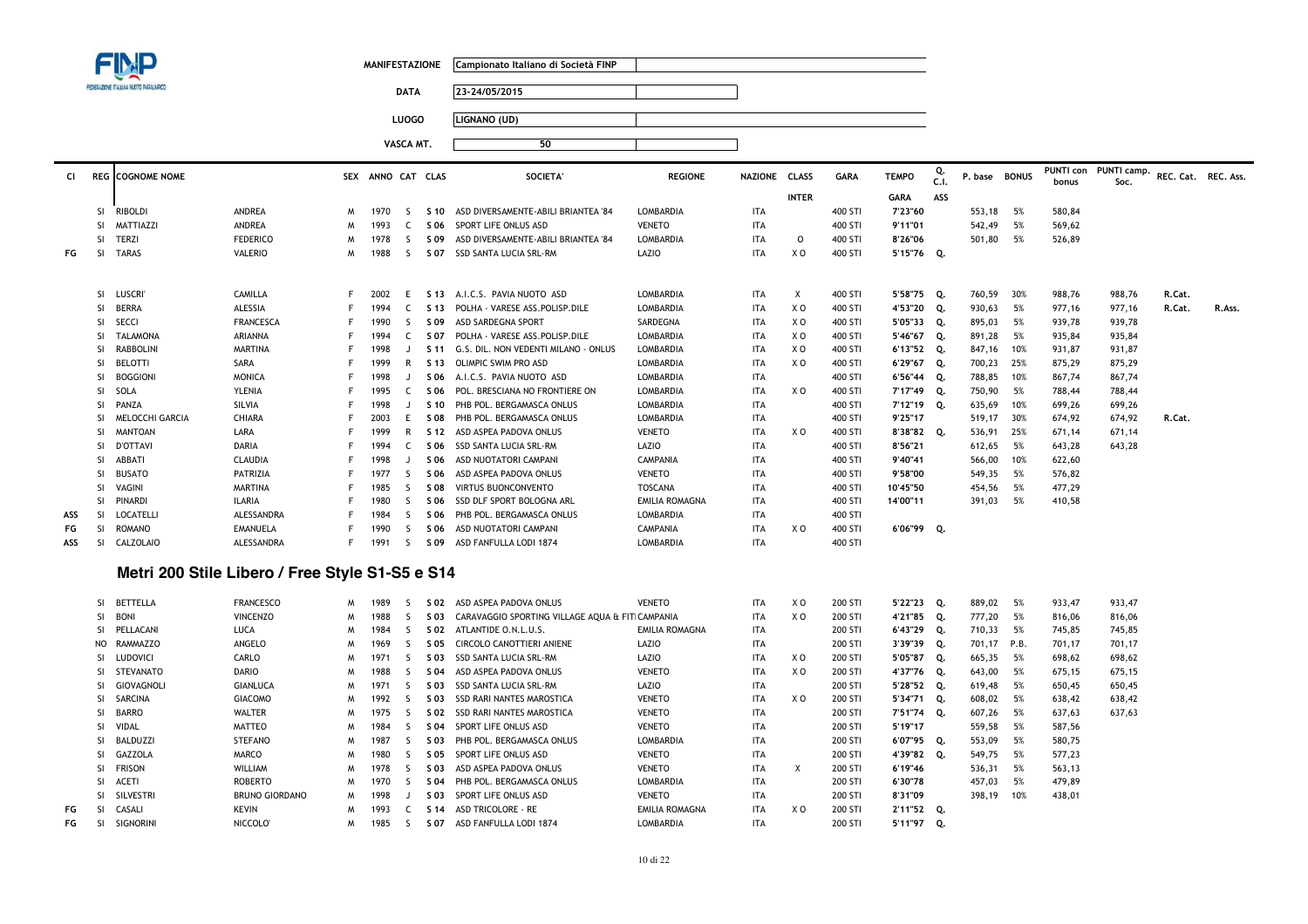| <b>NINTO DIDILI</b><br><b>TIAMA</b><br>MPICO<br>٩n |
|----------------------------------------------------|

|  | MANIFESTAZIONE Campionato Italiano di Società FINP |  |
|--|----------------------------------------------------|--|
|--|----------------------------------------------------|--|

**LUOGO LIGNANO (UD)**

**VASCA MT. 50**

| CI  |           | <b>REG COGNOME NOME</b>                         |                       |   | SEX ANNO CAT CLAS |              |      | SOCIETA'                                        | <b>REGIONE</b>        | NAZIONE CLASS |                | <b>GARA</b> | <b>TEMPO</b> | Q.   | P. base BONUS |      |        | PUNTI con PUNTI camp. | REC. Cat. REC. Ass. |        |
|-----|-----------|-------------------------------------------------|-----------------------|---|-------------------|--------------|------|-------------------------------------------------|-----------------------|---------------|----------------|-------------|--------------|------|---------------|------|--------|-----------------------|---------------------|--------|
|     |           |                                                 |                       |   |                   |              |      |                                                 |                       |               |                |             |              | C.1. |               |      | bonus  | Soc.                  |                     |        |
|     |           |                                                 |                       |   |                   |              |      |                                                 |                       |               | <b>INTER</b>   |             | <b>GARA</b>  | ASS  |               |      |        |                       |                     |        |
|     | SI        | <b>RIBOLDI</b>                                  | ANDREA                | M | 1970              | -S           | S 10 | ASD DIVERSAMENTE-ABILI BRIANTEA '84             | LOMBARDIA             | ITA           |                | 400 STI     | 7'23"60      |      | 553,18        | - 5% | 580,84 |                       |                     |        |
|     | SI.       | MATTIAZZI                                       | ANDREA                | м | 1993              | <sup>c</sup> | S 06 | SPORT LIFE ONLUS ASD                            | <b>VENETO</b>         | <b>ITA</b>    |                | 400 STI     | 9'11"01      |      | 542,49        | 5%   | 569,62 |                       |                     |        |
|     | SI.       | <b>TERZI</b>                                    | <b>FEDERICO</b>       | M | 1978              | -S           | S 09 | ASD DIVERSAMENTE-ABILI BRIANTEA '84             | <b>LOMBARDIA</b>      | ITA           | 0              | 400 STI     | 8'26"06      |      | 501,80        | 5%   | 526,89 |                       |                     |        |
| FG  | <b>SI</b> | <b>TARAS</b>                                    | VALERIO               | M | 1988              | <sub>S</sub> |      | S 07 SSD SANTA LUCIA SRL-RM                     | LAZIO                 | ITA           | X <sub>0</sub> | 400 STI     | 5'15"76 Q.   |      |               |      |        |                       |                     |        |
|     |           |                                                 |                       |   |                   |              |      |                                                 |                       |               |                |             |              |      |               |      |        |                       |                     |        |
|     |           | SI LUSCRI                                       | CAMILLA               |   | 2002              | E            |      | S 13 A.I.C.S. PAVIA NUOTO ASD                   | <b>LOMBARDIA</b>      | ITA           | Χ              | 400 STI     | 5'58"75 Q.   |      | 760,59        | 30%  | 988,76 | 988,76                | R.Cat.              |        |
|     | SI        | <b>BERRA</b>                                    | ALESSIA               |   | 1994              | $\mathsf{C}$ | S 13 | POLHA - VARESE ASS.POLISP.DILE                  | LOMBARDIA             | ITA           | X O            | 400 STI     | 4'53"20      | Q.   | 930,63        | 5%   | 977,16 | 977,16                | R.Cat.              | R.Ass. |
|     |           | SI SECCI                                        | <b>FRANCESCA</b>      |   | 1990              | S.           | S 09 | ASD SARDEGNA SPORT                              | SARDEGNA              | ITA           | X O            | 400 STI     | 5'05"33 Q.   |      | 895,03        | 5%   | 939,78 | 939,78                |                     |        |
|     | SI        | <b>TALAMONA</b>                                 | ARIANNA               |   | 1994              | C            | S 07 | POLHA - VARESE ASS.POLISP.DILE                  | LOMBARDIA             | ITA           | X O            | 400 STI     | 5'46"67      | Q.   | 891,28        | 5%   | 935,84 | 935,84                |                     |        |
|     | SI        | RABBOLINI                                       | <b>MARTINA</b>        |   | 1998              | J            | S 11 | G.S. DIL. NON VEDENTI MILANO - ONLUS            | LOMBARDIA             | ITA           | X O            | 400 STI     | 6'13''52Q.   |      | 847,16        | 10%  | 931,87 | 931,87                |                     |        |
|     | SI        | <b>BELOTTI</b>                                  | SARA                  |   | 1999              | R            | S 13 | <b>OLIMPIC SWIM PRO ASD</b>                     | LOMBARDIA             | ITA           | X <sub>0</sub> | 400 STI     | 6'29"67      | Q.   | 700,23        | 25%  | 875,29 | 875,29                |                     |        |
|     | SI        | <b>BOGGIONI</b>                                 | <b>MONICA</b>         |   | 1998              | J            | S 06 | A.I.C.S. PAVIA NUOTO ASD                        | LOMBARDIA             | ITA           |                | 400 STI     | 6'56"44      | Q.   | 788,85        | 10%  | 867,74 | 867,74                |                     |        |
|     |           | SI SOLA                                         | YLENIA                |   | 1995              | C            | S 06 | POL. BRESCIANA NO FRONTIERE ON                  | LOMBARDIA             | <b>ITA</b>    | X O            | 400 STI     | 7'17"49 Q.   |      | 750,90        | 5%   | 788,44 | 788,44                |                     |        |
|     | SI        | PANZA                                           | SILVIA                |   | 1998              | $\mathbf{J}$ | S 10 | PHB POL. BERGAMASCA ONLUS                       | LOMBARDIA             | ITA           |                | 400 STI     | 7'12"19      | Q.   | 635,69        | 10%  | 699,26 | 699,26                |                     |        |
|     | SI.       | MELOCCHI GARCIA                                 | <b>CHIARA</b>         |   | 2003              | E            | S 08 | PHB POL. BERGAMASCA ONLUS                       | LOMBARDIA             | <b>ITA</b>    |                | 400 STI     | 9'25"17      |      | 519.17        | 30%  | 674,92 | 674,92                | R.Cat.              |        |
|     | SI.       | <b>MANTOAN</b>                                  | LARA                  |   | 1999              | $\mathsf{R}$ | S 12 | ASD ASPEA PADOVA ONLUS                          | <b>VENETO</b>         | ITA           | X <sub>0</sub> | 400 STI     | 8'38"82 Q.   |      | 536,91        | 25%  | 671,14 | 671,14                |                     |        |
|     | SI.       | <b>D'OTTAVI</b>                                 | <b>DARIA</b>          |   | 1994              | $\mathsf{C}$ | S 06 | SSD SANTA LUCIA SRL-RM                          | LAZIO                 | ITA           |                | 400 STI     | 8'56"21      |      | 612,65        | 5%   | 643,28 | 643,28                |                     |        |
|     | SI        | ABBATI                                          | <b>CLAUDIA</b>        |   | 1998              | $\mathbf{J}$ | S 06 | ASD NUOTATORI CAMPANI                           | CAMPANIA              | ITA           |                | 400 STI     | 9'40"41      |      | 566,00        | 10%  | 622,60 |                       |                     |        |
|     | SI.       | <b>BUSATO</b>                                   | PATRIZIA              |   | 1977              | <sub>S</sub> | S 06 | ASD ASPEA PADOVA ONLUS                          | <b>VENETO</b>         | <b>ITA</b>    |                | 400 STI     | 9'58"00      |      | 549,35        | 5%   | 576,82 |                       |                     |        |
|     | SI.       | <b>VAGINI</b>                                   | <b>MARTINA</b>        |   | 1985              | <sub>S</sub> | S 08 | <b>VIRTUS BUONCONVENTO</b>                      | <b>TOSCANA</b>        | <b>ITA</b>    |                | 400 STI     | 10'45"50     |      | 454,56        | 5%   | 477,29 |                       |                     |        |
|     | SI.       | PINARDI                                         | <b>ILARIA</b>         |   | 1980              | -S           | S 06 | SSD DLF SPORT BOLOGNA ARL                       | <b>EMILIA ROMAGNA</b> | ITA           |                | 400 STI     | 14'00"11     |      | 391,03        | 5%   | 410,58 |                       |                     |        |
| ASS | -SI       | LOCATELLI                                       | ALESSANDRA            |   | 1984              | <sub>S</sub> | S 06 | PHB POL. BERGAMASCA ONLUS                       | <b>LOMBARDIA</b>      | <b>ITA</b>    |                | 400 STI     |              |      |               |      |        |                       |                     |        |
| FG  | SI.       | <b>ROMANO</b>                                   | <b>EMANUELA</b>       |   | 1990              | <sub>S</sub> | S 06 | ASD NUOTATORI CAMPANI                           | <b>CAMPANIA</b>       | ITA           | X <sub>0</sub> | 400 STI     | 6'06"99 Q.   |      |               |      |        |                       |                     |        |
| ASS | -SI       | CALZOLAIO                                       | ALESSANDRA            | F | 1991              | S.           |      | S 09 ASD FANFULLA LODI 1874                     | <b>LOMBARDIA</b>      | <b>ITA</b>    |                | 400 STI     |              |      |               |      |        |                       |                     |        |
|     |           | Metri 200 Stile Libero / Free Style S1-S5 e S14 |                       |   |                   |              |      |                                                 |                       |               |                |             |              |      |               |      |        |                       |                     |        |
|     |           |                                                 |                       |   |                   |              |      |                                                 |                       |               |                |             |              |      |               |      |        |                       |                     |        |
|     | SI        | BETTELLA                                        | <b>FRANCESCO</b>      | M | 1989              | -S           | S 02 | ASD ASPEA PADOVA ONLUS                          | <b>VENETO</b>         | ITA           | X O            | 200 STI     | 5'22"23 Q.   |      | 889,02        | - 5% | 933,47 | 933,47                |                     |        |
|     | SI.       | BONI                                            | <b>VINCENZO</b>       | M | 1988              | -S           | S 03 | CARAVAGGIO SPORTING VILLAGE AQUA & FITICAMPANIA |                       | ITA           | X O            | 200 STI     | 4'21"85 Q.   |      | 777,20        | - 5% | 816,06 | 816,06                |                     |        |
|     | SI.       | PELLACANI                                       | LUCA                  | M | 1984              | -S           | S 02 | ATLANTIDE O.N.L.U.S.                            | <b>EMILIA ROMAGNA</b> | ITA           |                | 200 STI     | 6'43"29 Q.   |      | 710,33        | 5%   | 745,85 | 745,85                |                     |        |
|     | NO        | RAMMAZZO                                        | ANGELO                | M | 1969              | S            | S 05 | CIRCOLO CANOTTIERI ANIENE                       | LAZIO                 | ITA           |                | 200 STI     | 3'39"39      | Q.   | 701,17 P.B.   |      | 701,17 | 701,17                |                     |        |
|     | SI.       | <b>LUDOVICI</b>                                 | CARLO                 | M | 1971              | -S           | S 03 | SSD SANTA LUCIA SRL-RM                          | LAZIO                 | ITA           | X O            | 200 STI     | 5'05"87      | Q.   | 665,35        | - 5% | 698,62 | 698,62                |                     |        |
|     | SI        | STEVANATO                                       | DARIO                 | M | 1988              | <sub>S</sub> | S 04 | ASD ASPEA PADOVA ONLUS                          | <b>VENETO</b>         | ITA           | X O            | 200 STI     | 4'37"76      | Q.   | 643,00        | - 5% | 675,15 | 675,15                |                     |        |
|     | SI.       | GIOVAGNOLI                                      | GIANLUCA              | M | 1971              | -S           | S 03 | SSD SANTA LUCIA SRL-RM                          | LAZIO                 | ITA           |                | 200 STI     | 5'28"52 Q.   |      | 619,48        | 5%   | 650,45 | 650,45                |                     |        |
|     | SI.       | SARCINA                                         | <b>GIACOMO</b>        | M | 1992              | -S           | S 03 | SSD RARI NANTES MAROSTICA                       | <b>VENETO</b>         | ITA           | X O            | 200 STI     | 5'34"71 Q.   |      | 608,02        | 5%   | 638,42 | 638,42                |                     |        |
|     | SI        | <b>BARRO</b>                                    | <b>WALTER</b>         | M | 1975              | <sub>S</sub> | S 02 | SSD RARI NANTES MAROSTICA                       | <b>VENETO</b>         | ITA           |                | 200 STI     | 7'51"74      | Q.   | 607,26        | 5%   | 637,63 | 637,63                |                     |        |
|     | SI.       | VIDAL                                           | <b>MATTEO</b>         | M | 1984              | -S           | S 04 | SPORT LIFE ONLUS ASD                            | <b>VENETO</b>         | ITA           |                | 200 STI     | 5'19"17      |      | 559,58        | - 5% | 587,56 |                       |                     |        |
|     | SI        | <b>BALDUZZI</b>                                 | <b>STEFANO</b>        | M | 1987              | -S           | S 03 | PHB POL. BERGAMASCA ONLUS                       | LOMBARDIA             | ITA           |                | 200 STI     | 6'07"95      | Q.   | 553,09        | 5%   | 580,75 |                       |                     |        |
|     | SI.       | GAZZOLA                                         | MARCO                 | M | 1980              | -S           | S 05 | SPORT LIFE ONLUS ASD                            | <b>VENETO</b>         | <b>ITA</b>    |                | 200 STI     | 4'39"82 Q.   |      | 549,75        | 5%   | 577,23 |                       |                     |        |
|     | SI        | <b>FRISON</b>                                   | WILLIAM               | M | 1978              | -S           | S 03 | ASD ASPEA PADOVA ONLUS                          | <b>VENETO</b>         | ITA           | X              | 200 STI     | 6'19"46      |      | 536,31        | 5%   | 563,13 |                       |                     |        |
|     | SI.       | ACETI                                           | <b>ROBERTO</b>        | M | 1970              | S.           | S 04 | PHB POL. BERGAMASCA ONLUS                       | <b>LOMBARDIA</b>      | ITA           |                | 200 STI     | 6'30"78      |      | 457,03        | 5%   | 479,89 |                       |                     |        |
|     |           | SI SILVESTRI                                    | <b>BRUNO GIORDANO</b> | M | 1998              | $\mathbf{J}$ | S 03 | SPORT LIFE ONLUS ASD                            | <b>VENETO</b>         | <b>ITA</b>    |                | 200 STI     | 8'31"09      |      | 398,19        | 10%  | 438,01 |                       |                     |        |

**FG** SI CASALI KEVIN M 1993 C **S 14** ASD TRICOLORE - RE EMILIA ROMAGNA ITA X O 200 STI **2'11"52 Q. FG** SI SIGNORINI NICCOLO' M 1985 S **S 07** ASD FANFULLA LODI 1874 LOMBARDIA ITA 200 STI **5'11"97 Q.**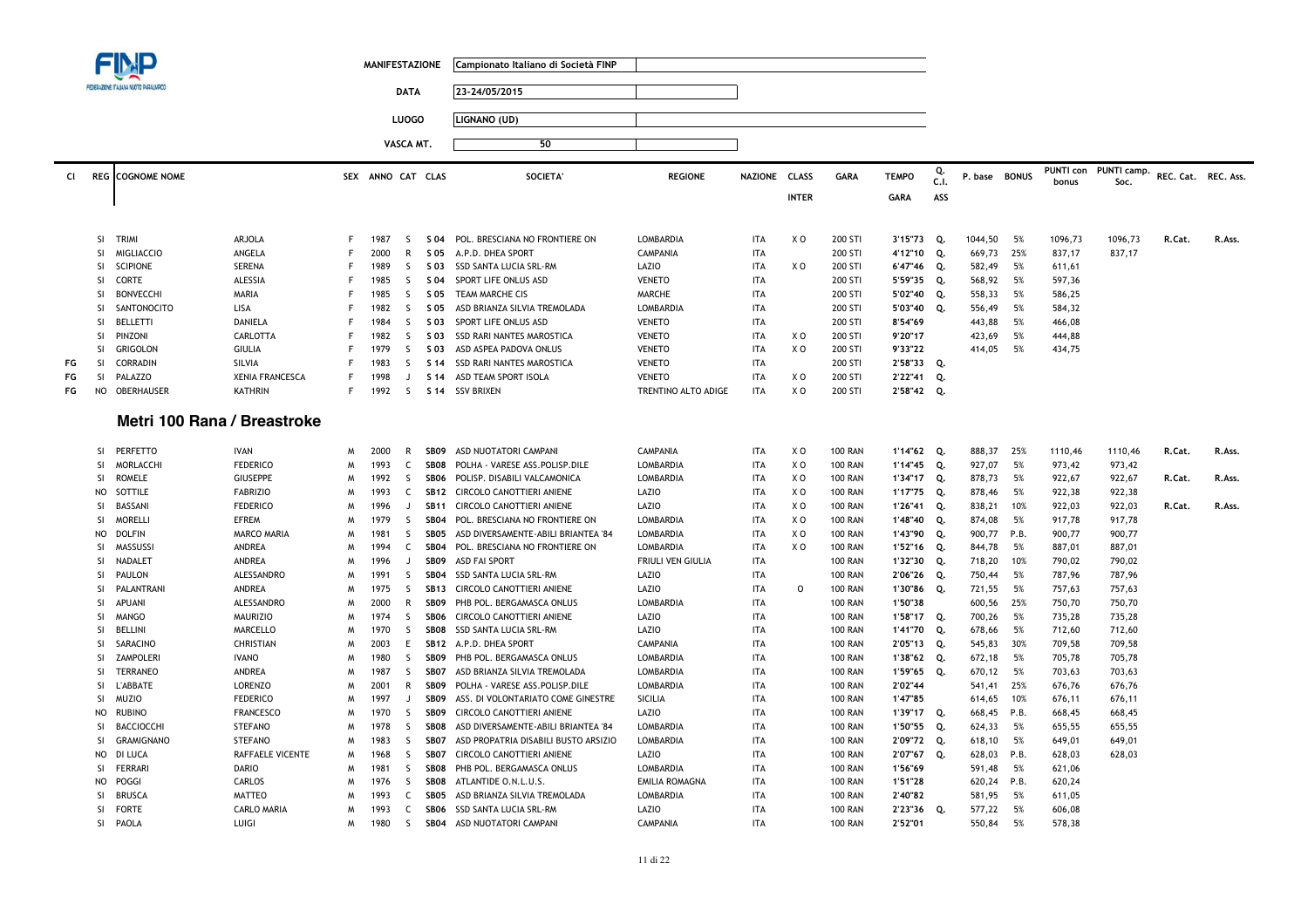|    |               |                                  |                         |        | <b>MANIFESTAZIONE</b> |              |                  | Campionato Italiano di Società FINP                 |                              |                          |                |                    |                    |             |                   |           |                   |             |                     |        |
|----|---------------|----------------------------------|-------------------------|--------|-----------------------|--------------|------------------|-----------------------------------------------------|------------------------------|--------------------------|----------------|--------------------|--------------------|-------------|-------------------|-----------|-------------------|-------------|---------------------|--------|
|    |               |                                  |                         |        |                       |              |                  |                                                     |                              |                          |                |                    |                    |             |                   |           |                   |             |                     |        |
|    |               | IONE ITALIANA NJOTO PARALIVPIO   |                         |        |                       | <b>DATA</b>  |                  | 23-24/05/2015                                       |                              |                          |                |                    |                    |             |                   |           |                   |             |                     |        |
|    |               |                                  |                         |        |                       | <b>LUOGO</b> |                  | LIGNANO (UD)                                        |                              |                          |                |                    |                    |             |                   |           |                   |             |                     |        |
|    |               |                                  |                         |        |                       | VASCA MT.    |                  | 50                                                  |                              |                          |                |                    |                    |             |                   |           |                   |             |                     |        |
| CI |               | <b>REG</b> COGNOME NOME          |                         |        | SEX ANNO CAT CLAS     |              |                  | SOCIETA'                                            | <b>REGIONE</b>               | <b>NAZIONE</b>           | <b>CLASS</b>   | <b>GARA</b>        | <b>TEMPO</b>       | Q.          | P. base BONUS     |           | PUNTI con         | PUNTI camp. | REC. Cat. REC. Ass. |        |
|    |               |                                  |                         |        |                       |              |                  |                                                     |                              |                          | <b>INTER</b>   |                    | <b>GARA</b>        | C.1.<br>ASS |                   |           | bonus             | Soc.        |                     |        |
|    |               |                                  |                         |        |                       |              |                  |                                                     |                              |                          |                |                    |                    |             |                   |           |                   |             |                     |        |
|    |               |                                  |                         |        |                       |              |                  |                                                     |                              |                          |                |                    |                    |             |                   |           |                   |             |                     |        |
|    | SI.           | SI TRIMI<br><b>MIGLIACCIO</b>    | <b>ARJOLA</b><br>ANGELA | F<br>F | 1987<br>2000          | S<br>R       | S 04<br>S 05     | POL. BRESCIANA NO FRONTIERE ON<br>A.P.D. DHEA SPORT | LOMBARDIA<br><b>CAMPANIA</b> | <b>ITA</b><br><b>ITA</b> | XO             | 200 STI<br>200 STI | 3'15"73<br>4'12"10 | Q.          | 1044,50<br>669.73 | 5%<br>25% | 1096,73<br>837.17 | 1096,73     | R.Cat.              | R.Ass. |
|    |               | <b>SCIPIONE</b>                  |                         | F      | 1989                  | S.           | S 03             |                                                     |                              |                          |                |                    |                    | Q.          |                   |           |                   | 837,17      |                     |        |
|    | SI            |                                  | SERENA                  | F      |                       | $\mathsf{S}$ |                  | SSD SANTA LUCIA SRL-RM                              | LAZIO                        | <b>ITA</b><br><b>ITA</b> | X <sub>0</sub> | 200 STI            | 6'47"46            | Q.<br>Q.    | 582,49            | 5%        | 611,61            |             |                     |        |
|    | -SI           | <b>CORTE</b><br><b>BONVECCHI</b> | ALESSIA                 |        | 198<br>1985           | S            | S 04             | SPORT LIFE ONLUS ASD                                | <b>VENETO</b><br>MARCHE      | <b>ITA</b>               |                | 200 STI<br>200 STI | 5'59"35            |             | 568,92<br>558,33  | 5%<br>5%  | 597,36            |             |                     |        |
|    | SI            |                                  | MARIA                   |        | 1987                  |              | S 05<br>S 05     | TEAM MARCHE CIS                                     |                              |                          |                |                    | 5'02"40            | Q.          |                   |           | 586,25            |             |                     |        |
|    | SI.           | SANTONOCITO                      | LISA                    |        |                       | <sub>S</sub> |                  | ASD BRIANZA SILVIA TREMOLADA                        | <b>LOMBARDIA</b>             | <b>ITA</b>               |                | 200 STI            | 5'03"40            | Q.          | 556.49            | 5%        | 584.32            |             |                     |        |
|    | <b>SI</b>     | <b>BELLETTI</b>                  | DANIELA                 |        | 198                   | S.           | S 03             | SPORT LIFE ONLUS ASD                                | <b>VENETO</b>                | <b>ITA</b>               |                | 200 STI            | 8'54"69            |             | 443,88            | 5%        | 466,08            |             |                     |        |
|    | SI            | <b>PINZONI</b>                   | CARLOTTA                |        | 1982                  | S.           | S 03             | SSD RARI NANTES MAROSTICA                           | <b>VENETO</b>                | <b>ITA</b>               | X O            | 200 STI            | 9'20"17            |             | 423,69            | 5%        | 444,88            |             |                     |        |
|    | SI            | <b>GRIGOLON</b>                  | <b>GIULIA</b>           |        | 1979                  | S            | S 03             | ASD ASPEA PADOVA ONLUS                              | <b>VENETO</b>                | <b>ITA</b>               | ΧO             | 200 STI            | 9'33"22            |             | 414,05            | 5%        | 434,75            |             |                     |        |
| FG | <b>SI</b>     | <b>CORRADIN</b>                  | SILVIA                  |        | 198                   | S            | S 14             | SSD RARI NANTES MAROSTICA                           | <b>VENETO</b>                | <b>ITA</b>               |                | 200 STI            | 2'58"33            | Q.          |                   |           |                   |             |                     |        |
| FG | SI.           | PALAZZO                          | <b>XENIA FRANCESCA</b>  |        | 1998                  | $\mathbf{I}$ | S 14             | ASD TEAM SPORT ISOLA                                | <b>VENETO</b>                | <b>ITA</b>               | X <sub>0</sub> | 200 STI            | 2'22"41            | Q.          |                   |           |                   |             |                     |        |
| FG | NO            | OBERHAUSER                       | <b>KATHRIN</b>          | F      | 1992                  | $\mathsf{S}$ | S 14             | <b>SSV BRIXEN</b>                                   | TRENTINO ALTO ADIGE          | <b>ITA</b>               | XO             | 200 STI            | 2'58"42 Q.         |             |                   |           |                   |             |                     |        |
|    |               | Metri 100 Rana / Breastroke      |                         |        |                       |              |                  |                                                     |                              |                          |                |                    |                    |             |                   |           |                   |             |                     |        |
|    | SI.           | PERFETTO                         | <b>IVAN</b>             | M      | 2000                  | R            | <b>SB09</b>      | ASD NUOTATORI CAMPANI                               | CAMPANIA                     | <b>ITA</b>               | X <sub>0</sub> | <b>100 RAN</b>     | 1'14"62            | Q.          | 888.37            | 25%       | 1110,46           | 1110,46     | R.Cat.              | R.Ass. |
|    | <b>SI</b>     | MORLACCHI                        | <b>FEDERICO</b>         | M      | 1993                  | C            | <b>SB08</b>      | POLHA - VARESE ASS.POLISP.DILE                      | LOMBARDIA                    | <b>ITA</b>               | XO             | <b>100 RAN</b>     | 1'14''45           | Q.          | 927,07            | 5%        | 973,42            | 973,42      |                     |        |
|    | SI            | <b>ROMELE</b>                    | <b>GIUSEPPE</b>         | M      | 1992                  | S.           | <b>SB06</b>      | POLISP. DISABILI VALCAMONICA                        | LOMBARDIA                    | <b>ITA</b>               | X <sub>0</sub> | <b>100 RAN</b>     | 1'34"17            | Q.          | 878,73            | 5%        | 922,67            | 922,67      | R.Cat.              | R.Ass. |
|    | NO.           | SOTTILE                          | <b>FABRIZIO</b>         | M      | 1993                  | C            | <b>SB12</b>      | CIRCOLO CANOTTIERI ANIENE                           | LAZIO                        | ITA                      | X O            | <b>100 RAN</b>     | 1'17"75            | Q.          | 878,46            | 5%        | 922,38            | 922,38      |                     |        |
|    | SI.           | BASSANI                          | <b>FEDERICO</b>         | M      | 1996                  | $\mathbf{J}$ | <b>SB11</b>      | CIRCOLO CANOTTIERI ANIENE                           | LAZIO                        | <b>ITA</b>               | X O            | <b>100 RAN</b>     | 1'26"41            | Q.          | 838,21            | 10%       | 922,03            | 922,03      | R.Cat.              | R.Ass. |
|    | <b>SI</b>     | <b>MORELLI</b>                   | <b>EFREM</b>            | M      | 1979                  | <sub>S</sub> | <b>SB04</b>      | POL. BRESCIANA NO FRONTIERE ON                      | LOMBARDIA                    | <b>ITA</b>               | XO             | <b>100 RAN</b>     | 1'48"40            | Q.          | 874,08            | 5%        | 917,78            | 917,78      |                     |        |
|    | NO            | <b>DOLFIN</b>                    | MARCO MARIA             | м      | 198                   | <sub>S</sub> | SB05             | ASD DIVERSAMENTE-ABILI BRIANTEA '84                 | LOMBARDIA                    | <b>ITA</b>               | XO             | <b>100 RAN</b>     | 1'43"90            | Q.          | 900,77            | P.B.      | 900,77            | 900,77      |                     |        |
|    | SI.           | MASSUSSI                         | ANDREA                  | M      | 1994                  | C            | <b>SB04</b>      | POL. BRESCIANA NO FRONTIERE ON                      | LOMBARDIA                    | ITA                      | X O            | <b>100 RAN</b>     | 1'52"16            | Q.          | 844,78            | 5%        | 887,01            | 887,01      |                     |        |
|    | SI.           | NADALET                          | ANDREA                  | M      | 1996                  | J            | <b>SB09</b>      | <b>ASD FAI SPORT</b>                                | <b>FRIULI VEN GIULIA</b>     | <b>ITA</b>               |                | <b>100 RAN</b>     | 1'32"30            | Q.          | 718,20            | 10%       | 790,02            | 790,02      |                     |        |
|    | <b>SI</b>     | <b>PAULON</b>                    | ALESSANDRO              | M      | 1991                  | <sub>S</sub> | <b>SB04</b>      | SSD SANTA LUCIA SRL-RM                              | LAZIO                        | <b>ITA</b>               |                | <b>100 RAN</b>     | 2'06"26            | Q.          | 750,44            | 5%        | 787,96            | 787,96      |                     |        |
|    |               | PALANTRANI                       | ANDREA                  | M      | 1975                  | <sub>S</sub> | <b>SB13</b>      | CIRCOLO CANOTTIERI ANIENE                           | LAZIO                        | <b>ITA</b>               | $\circ$        | <b>100 RAN</b>     | 1'30"86            | Q.          | 721,55            | 5%        | 757,63            | 757,63      |                     |        |
|    | SI            |                                  |                         |        |                       | R            |                  |                                                     |                              |                          |                |                    |                    |             |                   | 25%       |                   |             |                     |        |
|    | SI.           | <b>APUANI</b>                    | ALESSANDRO              | M      | 2000                  |              | SB <sub>09</sub> | PHB POL. BERGAMASCA ONLUS                           | <b>LOMBARDIA</b>             | <b>ITA</b>               |                | <b>100 RAN</b>     | 1'50"38            |             | 600,56            |           | 750.70            | 750,70      |                     |        |
|    | SI.           | <b>MANGO</b>                     | <b>MAURIZIO</b>         | M      | 1974                  | -S           | <b>SB06</b>      | CIRCOLO CANOTTIERI ANIENE                           | LAZIO                        | <b>ITA</b>               |                | <b>100 RAN</b>     | 1'58"17            | Q.          | 700,26            | 5%        | 735,28            | 735,28      |                     |        |
|    | <b>SI</b>     | <b>BELLINI</b>                   | MARCELLO                | M      | 1970                  | S.           | SB <sub>08</sub> | SSD SANTA LUCIA SRL-RM                              | LAZIO                        | <b>ITA</b>               |                | <b>100 RAN</b>     | 1'41"70            | Q.          | 678,66            | 5%        | 712,60            | 712,60      |                     |        |
|    | SI.           | SARACINO                         | CHRISTIAN               | M      | 2003                  | E            | <b>SB12</b>      | A.P.D. DHEA SPORT                                   | CAMPANIA                     | <b>ITA</b>               |                | <b>100 RAN</b>     | 2'05"13            | Q.          | 545,83            | 30%       | 709,58            | 709,58      |                     |        |
|    | SI.           | ZAMPOLERI                        | <b>IVANO</b>            | M      | 1980                  | S.           | SB <sub>09</sub> | PHB POL. BERGAMASCA ONLUS                           | LOMBARDIA                    | <b>ITA</b>               |                | <b>100 RAN</b>     | 1'38"62            | Q.          | 672,18            | 5%        | 705,78            | 705,78      |                     |        |
|    | SI            | TERRANEO                         | ANDREA                  | M      | 1987                  | S.           | SB <sub>07</sub> | ASD BRIANZA SILVIA TREMOLADA                        | LOMBARDIA                    | ITA                      |                | <b>100 RAN</b>     | 1'59"65            | Q.          | 670,12            | 5%        | 703,63            | 703,63      |                     |        |
|    | <sup>SI</sup> | <b>L'ABBATE</b>                  | <b>LORENZO</b>          | M      | 2001                  | R            | <b>SB09</b>      | POLHA - VARESE ASS.POLISP.DILE                      | <b>LOMBARDIA</b>             | <b>ITA</b>               |                | <b>100 RAN</b>     | 2'02"44            |             | 541,41            | 25%       | 676,76            | 676,76      |                     |        |
|    | SI            | <b>MUZIO</b>                     | <b>FEDERICO</b>         | M      | 1997                  | J            | <b>SB09</b>      | ASS. DI VOLONTARIATO COME GINESTRE                  | SICILIA                      | <b>ITA</b>               |                | <b>100 RAN</b>     | 1'47"85            |             | 614,65            | 10%       | 676,11            | 676,11      |                     |        |
|    | NO            | <b>RUBINO</b>                    | <b>FRANCESCO</b>        | M      | 1970                  | <sub>S</sub> | <b>SB09</b>      | CIRCOLO CANOTTIERI ANIENE                           | LAZIO                        | <b>ITA</b>               |                | <b>100 RAN</b>     | 1'39"17            | Q.          | 668,45            | P.B.      | 668,45            | 668,45      |                     |        |
|    | SI            | <b>BACCIOCCHI</b>                | <b>STEFANO</b>          | M      | 1978                  | S            | SB <sub>08</sub> | ASD DIVERSAMENTE-ABILI BRIANTEA '84                 | LOMBARDIA                    | ITA                      |                | <b>100 RAN</b>     | 1'50"55            | Q.          | 624,33            | 5%        | 655,55            | 655,55      |                     |        |
|    | <sup>SI</sup> | <b>GRAMIGNANO</b>                | <b>STEFANO</b>          | M      | 1983                  | S.           | SB <sub>07</sub> | ASD PROPATRIA DISABILI BUSTO ARSIZIO                | <b>LOMBARDIA</b>             | <b>ITA</b>               |                | <b>100 RAN</b>     | 2'09"72            | Q.          | 618,10            | 5%        | 649.01            | 649,01      |                     |        |
|    | <b>NO</b>     | DI LUCA                          | RAFFAELE VICENTE        | M      | 1968                  | <sub>S</sub> | <b>SB07</b>      | CIRCOLO CANOTTIERI ANIENE                           | LAZIO                        | <b>ITA</b>               |                | <b>100 RAN</b>     | 2'07"67            | Q.          | 628,03            | P.B.      | 628,03            | 628,03      |                     |        |
|    | SI            | FERRARI                          | DARIO                   | M      | 1981                  | S.           | SB <sub>08</sub> | PHB POL. BERGAMASCA ONLUS                           | LOMBARDIA                    | <b>ITA</b>               |                | <b>100 RAN</b>     | 1'56"69            |             | 591,48            | 5%        | 621,06            |             |                     |        |
|    | NO.           | POGGI                            | CARLOS                  | M      | 1976                  | <sub>S</sub> | SB <sub>08</sub> | ATLANTIDE O.N.L.U.S.                                | <b>EMILIA ROMAGNA</b>        | ITA                      |                | <b>100 RAN</b>     | 1'51"28            |             | 620,24            | P.B.      | 620,24            |             |                     |        |
|    | SI            | <b>BRUSCA</b>                    | MATTEO                  | M      | 1993                  | C.           | SB05             | ASD BRIANZA SILVIA TREMOLADA                        | LOMBARDIA                    | <b>ITA</b>               |                | <b>100 RAN</b>     | 2'40"82            |             | 581,95            | 5%        | 611,05            |             |                     |        |
|    | <b>SI</b>     | <b>FORTE</b>                     | <b>CARLO MARIA</b>      | м      | 1993                  | C            | <b>SB06</b>      | SSD SANTA LUCIA SRL-RM                              | LAZIO                        | <b>ITA</b>               |                | <b>100 RAN</b>     | 2'23"36            | Q.          | 577,22            | 5%        | 606,08            |             |                     |        |
|    | SI.           | PAOLA                            | LUIGI                   | M      | 1980                  | S.           | <b>SB04</b>      | ASD NUOTATORI CAMPANI                               | CAMPANIA                     | <b>ITA</b>               |                | <b>100 RAN</b>     | 2'52"01            |             | 550,84            | 5%        | 578,38            |             |                     |        |
|    |               |                                  |                         |        |                       |              |                  |                                                     |                              |                          |                |                    |                    |             |                   |           |                   |             |                     |        |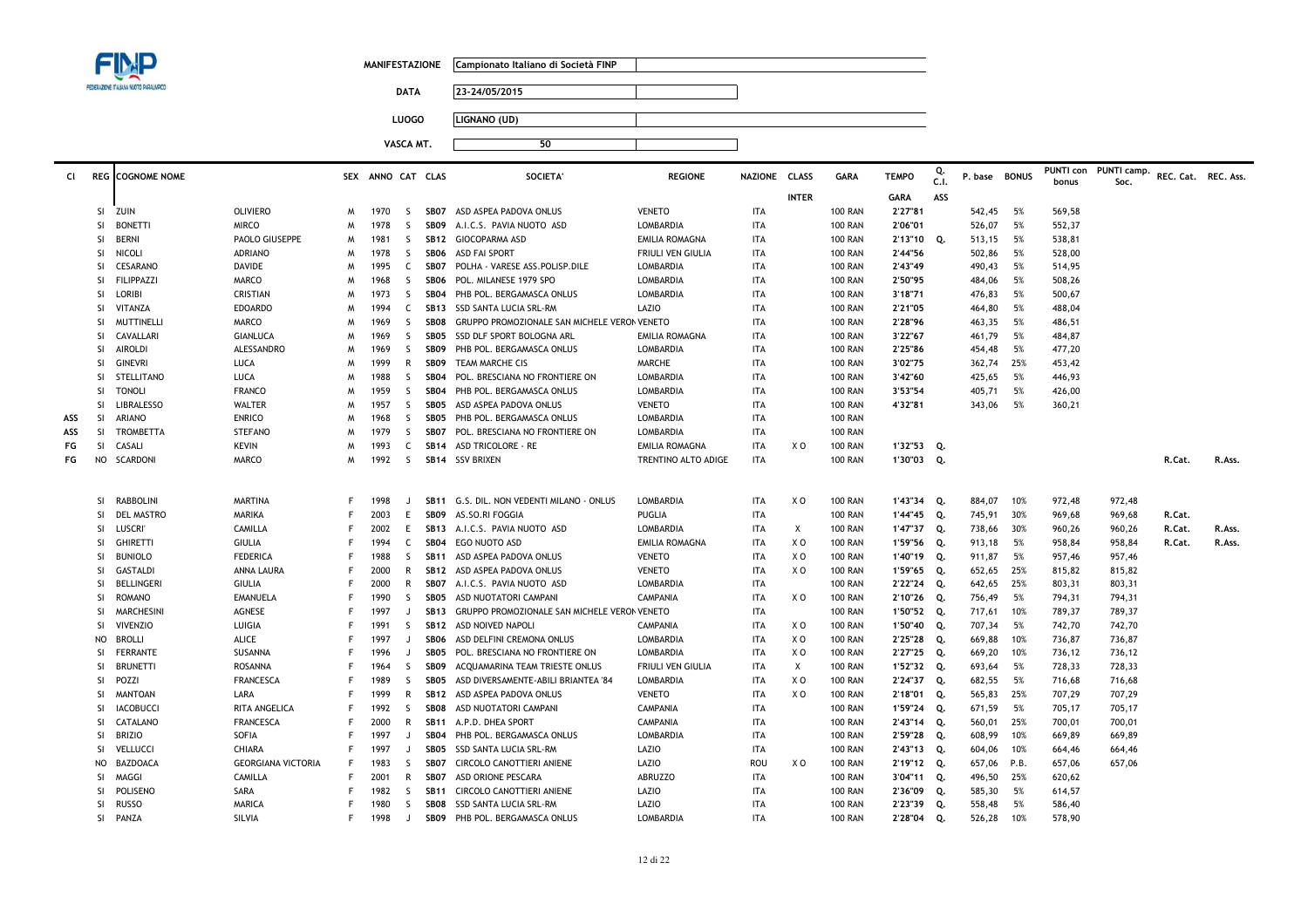|  | MANIFESTAZIONE       Campionato Italiano di Società FINP |  |
|--|----------------------------------------------------------|--|
|--|----------------------------------------------------------|--|

**LUOGO LIGNANO (UD)**

| <b>CI</b> | <b>REG</b>    | <b>COGNOME NOME</b>               |                                 |        | SEX ANNO CAT CLAS |                   |                     | <b>SOCIETA</b>                                  | <b>REGIONE</b>                         | NAZIONE CLASS     |              | GARA                             | <b>TEMPO</b>       | Q.       | P. base BONUS    |          |                  | PUNTI con PUNTI camp. | REC. Cat. REC. Ass. |         |
|-----------|---------------|-----------------------------------|---------------------------------|--------|-------------------|-------------------|---------------------|-------------------------------------------------|----------------------------------------|-------------------|--------------|----------------------------------|--------------------|----------|------------------|----------|------------------|-----------------------|---------------------|---------|
|           |               |                                   |                                 |        |                   |                   |                     |                                                 |                                        |                   |              |                                  |                    | C.I.     |                  |          | bonus            | Soc.                  |                     |         |
|           |               |                                   |                                 |        |                   |                   |                     |                                                 |                                        |                   | <b>INTER</b> |                                  | GARA               | ASS      |                  |          |                  |                       |                     |         |
|           | SI.           | ZUIN                              | <b>OLIVIERO</b>                 | м      | 1970              | -S                |                     | SB07 ASD ASPEA PADOVA ONLUS                     | <b>VENETO</b>                          | ITA               |              | <b>100 RAN</b>                   | 2'27"81            |          | 542,45           | 5%       | 569,58           |                       |                     |         |
|           | SI.           | <b>BONETTI</b>                    | <b>MIRCO</b>                    | M      | 1978              | <sub>S</sub>      |                     | SB09 A.I.C.S. PAVIA NUOTO ASD                   | <b>LOMBARDIA</b>                       | <b>ITA</b>        |              | <b>100 RAN</b>                   | 2'06"01            |          | 526,07           | 5%       | 552,37           |                       |                     |         |
|           | SI.           | BERNI                             | <b>PAOLO GIUSEPPE</b>           | M<br>M | 1981<br>1978      | S.                |                     | SB12 GIOCOPARMA ASD                             | <b>EMILIA ROMAGNA</b>                  | <b>ITA</b>        |              | <b>100 RAN</b>                   | 2'13"10            | 0.       | 513,15           | 5%       | 538,81           |                       |                     |         |
|           | SI.           | NICOLI<br>CESARANO                | <b>ADRIANO</b><br><b>DAVIDE</b> | M      | 1995              | -S<br>C.          | <b>SB06</b><br>SB07 | ASD FAI SPORT<br>POLHA - VARESE ASS.POLISP.DILE | <b>FRIULI VEN GIULIA</b>               | ITA               |              | <b>100 RAN</b>                   | 2'44"56<br>2'43"49 |          | 502,86           | 5%<br>5% | 528,00           |                       |                     |         |
|           | SI.<br>SI.    | <b>FILIPPAZZI</b>                 |                                 |        | 1968              | -S                | SB <sub>06</sub>    | POL. MILANESE 1979 SPO                          | LOMBARDIA                              | ITA               |              | <b>100 RAN</b>                   | 2'50"95            |          | 490,43           | 5%       | 514,95           |                       |                     |         |
|           | SI.           | LORIBI                            | <b>MARCO</b><br><b>CRISTIAN</b> |        | 1973              | -S                | SB04                | PHB POL. BERGAMASCA ONLUS                       | LOMBARDIA<br>LOMBARDIA                 | ITA<br>ITA        |              | <b>100 RAN</b><br><b>100 RAN</b> | 3'18"71            |          | 484,06<br>476,83 | 5%       | 508,26<br>500,67 |                       |                     |         |
|           | SI.           | VITANZA                           | <b>EDOARDO</b>                  |        | 1994              | C.                | <b>SB13</b>         | SSD SANTA LUCIA SRL-RM                          | LAZIO                                  | ITA               |              | <b>100 RAN</b>                   | 2'21"05            |          | 464,80           | 5%       | 488,04           |                       |                     |         |
|           | SI.           | <b>MUTTINELLI</b>                 | <b>MARCO</b>                    |        | 1969              | -S                | SB08                | GRUPPO PROMOZIONALE SAN MICHELE VERON VENETO    |                                        | ITA               |              | <b>100 RAN</b>                   | 2'28"96            |          | 463,35           | 5%       | 486,51           |                       |                     |         |
|           | SI.           | CAVALLARI                         | <b>GIANLUCA</b>                 |        | 1969              | -S                | SB05                | SSD DLF SPORT BOLOGNA ARL                       | <b>EMILIA ROMAGNA</b>                  | <b>ITA</b>        |              | <b>100 RAN</b>                   | 3'22"67            |          | 461,79           | 5%       | 484,87           |                       |                     |         |
|           | SI.           | <b>AIROLDI</b>                    | <b>ALESSANDRO</b>               |        | 1969              | -S                | SB09                | PHB POL. BERGAMASCA ONLUS                       | LOMBARDIA                              | ITA               |              | <b>100 RAN</b>                   | 2'25"86            |          | 454,48           | 5%       | 477,20           |                       |                     |         |
|           | SI.           | <b>GINEVRI</b>                    | <b>LUCA</b>                     |        | 1999              | R                 | SB09                | TEAM MARCHE CIS                                 | MARCHE                                 | ITA               |              | <b>100 RAN</b>                   | 3'02"75            |          | 362,74 25%       |          | 453,42           |                       |                     |         |
|           | SI.           | STELLITANO                        | <b>LUCA</b>                     |        | 1988              | -S                | SB04                | POL. BRESCIANA NO FRONTIERE ON                  | <b>LOMBARDIA</b>                       | ITA               |              | <b>100 RAN</b>                   | 3'42"60            |          | 425,65           | 5%       | 446,93           |                       |                     |         |
|           | SI            | <b>TONOLI</b>                     | <b>FRANCO</b>                   |        | 1959              | <sub>S</sub>      | SB <sub>04</sub>    | PHB POL. BERGAMASCA ONLUS                       | LOMBARDIA                              | ITA               |              | <b>100 RAN</b>                   | 3'53"54            |          | 405,71           | 5%       | 426,00           |                       |                     |         |
|           | SI.           | <b>LIBRALESSO</b>                 | <b>WALTER</b>                   |        | 1957              | S.                | SB05                | ASD ASPEA PADOVA ONLUS                          | <b>VENETO</b>                          | <b>ITA</b>        |              | <b>100 RAN</b>                   | 4'32"81            |          | 343,06           | 5%       | 360,21           |                       |                     |         |
| ASS       | <b>SI</b>     | ARIANO                            | <b>ENRICO</b>                   |        | 1968              | -S                | SB05                | PHB POL. BERGAMASCA ONLUS                       | LOMBARDIA                              | ITA               |              | <b>100 RAN</b>                   |                    |          |                  |          |                  |                       |                     |         |
| ASS       | <b>SI</b>     | TROMBETTA                         | <b>STEFANO</b>                  |        | 1979              | -S                | SB07                | POL. BRESCIANA NO FRONTIERE ON                  | LOMBARDIA                              | ITA               |              | <b>100 RAN</b>                   |                    |          |                  |          |                  |                       |                     |         |
| FG        | <b>SI</b>     | CASALI                            | <b>KEVIN</b>                    | M      | 1993              | C.                |                     | SB14 ASD TRICOLORE - RE                         | <b>EMILIA ROMAGNA</b>                  | ITA               | X O          | <b>100 RAN</b>                   | 1'32"53 Q.         |          |                  |          |                  |                       |                     |         |
| FG        | NO            | SCARDONI                          | <b>MARCO</b>                    | M      | 1992              | S.                |                     | SB14 SSV BRIXEN                                 | TRENTINO ALTO ADIGE                    | <b>ITA</b>        |              | <b>100 RAN</b>                   | 1'30"03 Q.         |          |                  |          |                  |                       | R.Cat.              | R.Ass.  |
|           |               |                                   |                                 |        |                   |                   |                     |                                                 |                                        |                   |              |                                  |                    |          |                  |          |                  |                       |                     |         |
|           |               |                                   |                                 |        |                   |                   |                     |                                                 |                                        |                   |              |                                  |                    |          |                  |          |                  |                       |                     |         |
|           | <sub>SI</sub> | RABBOLINI                         | <b>MARTINA</b>                  |        | 1998              |                   |                     | SB11 G.S. DIL. NON VEDENTI MILANO - ONLUS       | LOMBARDIA                              | ITA               | X O          | <b>100 RAN</b>                   | 1'43"34            | Q.       | 884,07           | 10%      | 972,48           | 972,48                |                     |         |
|           | <sub>SI</sub> | <b>DEL MASTRO</b>                 | MARIKA                          |        | 2003              | E                 | SB09                | AS.SO.RI FOGGIA                                 | PUGLIA                                 | <b>ITA</b>        |              | <b>100 RAN</b>                   | 1'44"45            | Q.       | 745,91           | 30%      | 969,68           | 969,68                | R.Cat.              |         |
|           | SI            | <b>LUSCRI</b>                     | CAMILLA                         |        | 2002<br>1994      | E<br>$\mathsf{C}$ | SB04                | SB13 A.I.C.S. PAVIA NUOTO ASD                   | LOMBARDIA                              | ITA               | X            | <b>100 RAN</b>                   | 1'47"37 Q.         |          | 738,66           | 30%      | 960,26           | 960,26                | R.Cat.              | R. Ass. |
|           | SI<br>SI.     | <b>GHIRETTI</b><br><b>BUNIOLO</b> | GIULIA<br><b>FEDERICA</b>       |        | 1988              | S.                |                     | EGO NUOTO ASD<br>SB11 ASD ASPEA PADOVA ONLUS    | <b>EMILIA ROMAGNA</b><br><b>VENETO</b> | ITA<br><b>ITA</b> | X O<br>X O   | <b>100 RAN</b><br><b>100 RAN</b> | 1'59"56<br>1'40"19 | Q.       | 913,18<br>911,87 | 5%<br>5% | 958,84           | 958,84<br>957,46      | R.Cat.              | R.Ass.  |
|           | <sub>SI</sub> | <b>GASTALDI</b>                   | ANNA LAURA                      |        | 2000              | R                 |                     | SB12 ASD ASPEA PADOVA ONLUS                     | <b>VENETO</b>                          | <b>ITA</b>        | X O          | <b>100 RAN</b>                   | 1'59"65            | Q.<br>Q. | 652,65           | 25%      | 957,46<br>815,82 | 815,82                |                     |         |
|           | <sub>SI</sub> | BELLINGERI                        | <b>GIULIA</b>                   |        | 2000              | R                 | SB07                | A.I.C.S. PAVIA NUOTO ASD                        | LOMBARDIA                              | <b>ITA</b>        |              | <b>100 RAN</b>                   | 2'22"24            | Q.       | 642,65           | 25%      | 803,31           | 803,31                |                     |         |
|           | SI.           | ROMANO                            | <b>EMANUELA</b>                 |        | 1990              | <sub>S</sub>      | SB05                | ASD NUOTATORI CAMPANI                           | <b>CAMPANIA</b>                        | <b>ITA</b>        | X O          | <b>100 RAN</b>                   | 2'10"26 Q.         |          | 756,49           | 5%       | 794,31           | 794,31                |                     |         |
|           | SI            | <b>MARCHESINI</b>                 | AGNESE                          |        | 1997              | $\cdot$           | <b>SB13</b>         | GRUPPO PROMOZIONALE SAN MICHELE VERON VENETO    |                                        | <b>ITA</b>        |              | <b>100 RAN</b>                   | 1'50"52            | Q.       | 717,61           | 10%      | 789,37           | 789,37                |                     |         |
|           | SI            | <b>VIVENZIO</b>                   | LUIGIA                          |        | 1991              | <sub>S</sub>      |                     | SB12 ASD NOIVED NAPOLI                          | <b>CAMPANIA</b>                        | <b>ITA</b>        | X O          | <b>100 RAN</b>                   | 1'50"40            | Q.       | 707,34           | 5%       | 742,70           | 742,70                |                     |         |
|           | NO            | <b>BROLLI</b>                     | <b>ALICE</b>                    |        | 1997              | $\mathbf{J}$      | SB06                | ASD DELFINI CREMONA ONLUS                       | LOMBARDIA                              | <b>ITA</b>        | X O          | <b>100 RAN</b>                   | 2'25"28            | Q.       | 669,88           | 10%      | 736,87           | 736,87                |                     |         |
|           | SI            | FERRANTE                          | SUSANNA                         |        | 1996              | $\cdot$           | SB05                | POL. BRESCIANA NO FRONTIERE ON                  | LOMBARDIA                              | <b>ITA</b>        | X O          | <b>100 RAN</b>                   | 2'27"25            | Q.       | 669,20           | 10%      | 736,12           | 736,12                |                     |         |
|           | <b>SI</b>     | <b>BRUNETTI</b>                   | <b>ROSANNA</b>                  |        | 1964              | -S                | SB <sub>09</sub>    | ACQUAMARINA TEAM TRIESTE ONLUS                  | <b>FRIULI VEN GIULIA</b>               | ITA               | Χ            | <b>100 RAN</b>                   | 1'52"32 Q.         |          | 693,64           | 5%       | 728,33           | 728,33                |                     |         |
|           | SI.           | POZZI                             | <b>FRANCESCA</b>                |        | 1989              | -S                | SB05                | ASD DIVERSAMENTE-ABILI BRIANTEA '84             | LOMBARDIA                              | <b>ITA</b>        | X O          | <b>100 RAN</b>                   | 2'24"37            | Q.       | 682,55           | 5%       | 716,68           | 716,68                |                     |         |
|           | <b>SI</b>     | <b>MANTOAN</b>                    | LARA                            |        | 1999              | R                 | <b>SB12</b>         | ASD ASPEA PADOVA ONLUS                          | <b>VENETO</b>                          | <b>ITA</b>        | X O          | <b>100 RAN</b>                   | 2'18"01            | Q.       | 565,83           | 25%      | 707,29           | 707,29                |                     |         |
|           | SI.           | <b>IACOBUCCI</b>                  | RITA ANGELICA                   |        | 1992              | <sub>S</sub>      | SB08                | ASD NUOTATORI CAMPANI                           | <b>CAMPANIA</b>                        | <b>ITA</b>        |              | <b>100 RAN</b>                   | 1'59"24            | Q.       | 671,59           | 5%       | 705,17           | 705,17                |                     |         |
|           | SI            | CATALANO                          | <b>FRANCESCA</b>                |        | 2000              | R                 | <b>SB11</b>         | A.P.D. DHEA SPORT                               | <b>CAMPANIA</b>                        | <b>ITA</b>        |              | <b>100 RAN</b>                   | 2'43"14            | Q.       | 560,01           | 25%      | 700,01           | 700,01                |                     |         |
|           | SI.           | <b>BRIZIO</b>                     | SOFIA                           |        | 1997              | $\cdot$           | SB04                | PHB POL. BERGAMASCA ONLUS                       | LOMBARDIA                              | <b>ITA</b>        |              | <b>100 RAN</b>                   | 2'59"28            | Q.       | 608,99           | 10%      | 669,89           | 669,89                |                     |         |
|           | SI.           | VELLUCCI                          | <b>CHIARA</b>                   |        | 1997              | $\mathbf{I}$      | SB05                | SSD SANTA LUCIA SRL-RM                          | LAZIO                                  | <b>ITA</b>        |              | <b>100 RAN</b>                   | 2'43"13 Q.         |          | 604,06           | 10%      | 664,46           | 664,46                |                     |         |
|           | <b>NO</b>     | BAZDOACA                          | <b>GEORGIANA VICTORIA</b>       |        | 1983              | <sub>S</sub>      | SB07                | CIRCOLO CANOTTIERI ANIENE                       | LAZIO                                  | <b>ROU</b>        | X O          | <b>100 RAN</b>                   | 2'19"12            | Q.       | 657,06           | P.B.     | 657,06           | 657,06                |                     |         |
|           | SI            | MAGGI                             | CAMILLA                         |        | 2001              | R                 | SB07                | ASD ORIONE PESCARA                              | ABRUZZO                                | ITA               |              | <b>100 RAN</b>                   | 3'04"11 Q.         |          | 496,50 25%       |          | 620,62           |                       |                     |         |
|           | SI.           | <b>POLISENO</b>                   | SARA                            |        | 1982              | -S                | <b>SB11</b>         | CIRCOLO CANOTTIERI ANIENE                       | LAZIO                                  | <b>ITA</b>        |              | <b>100 RAN</b>                   | 2'36"09            | Q.       | 585,30           | 5%       | 614,57           |                       |                     |         |
|           | SI.           | <b>RUSSO</b>                      | <b>MARICA</b>                   |        | 1980              | -S                | SB08                | SSD SANTA LUCIA SRL-RM                          | LAZIO                                  | <b>ITA</b>        |              | <b>100 RAN</b>                   | 2'23"39            | Q.       | 558,48           | 5%       | 586,40           |                       |                     |         |
|           |               | SI PANZA                          | SILVIA                          | F      | 1998              | J                 | SB09                | PHB POL. BERGAMASCA ONLUS                       | LOMBARDIA                              | <b>ITA</b>        |              | <b>100 RAN</b>                   | 2'28"04            | Q.       | 526,28           | 10%      | 578,90           |                       |                     |         |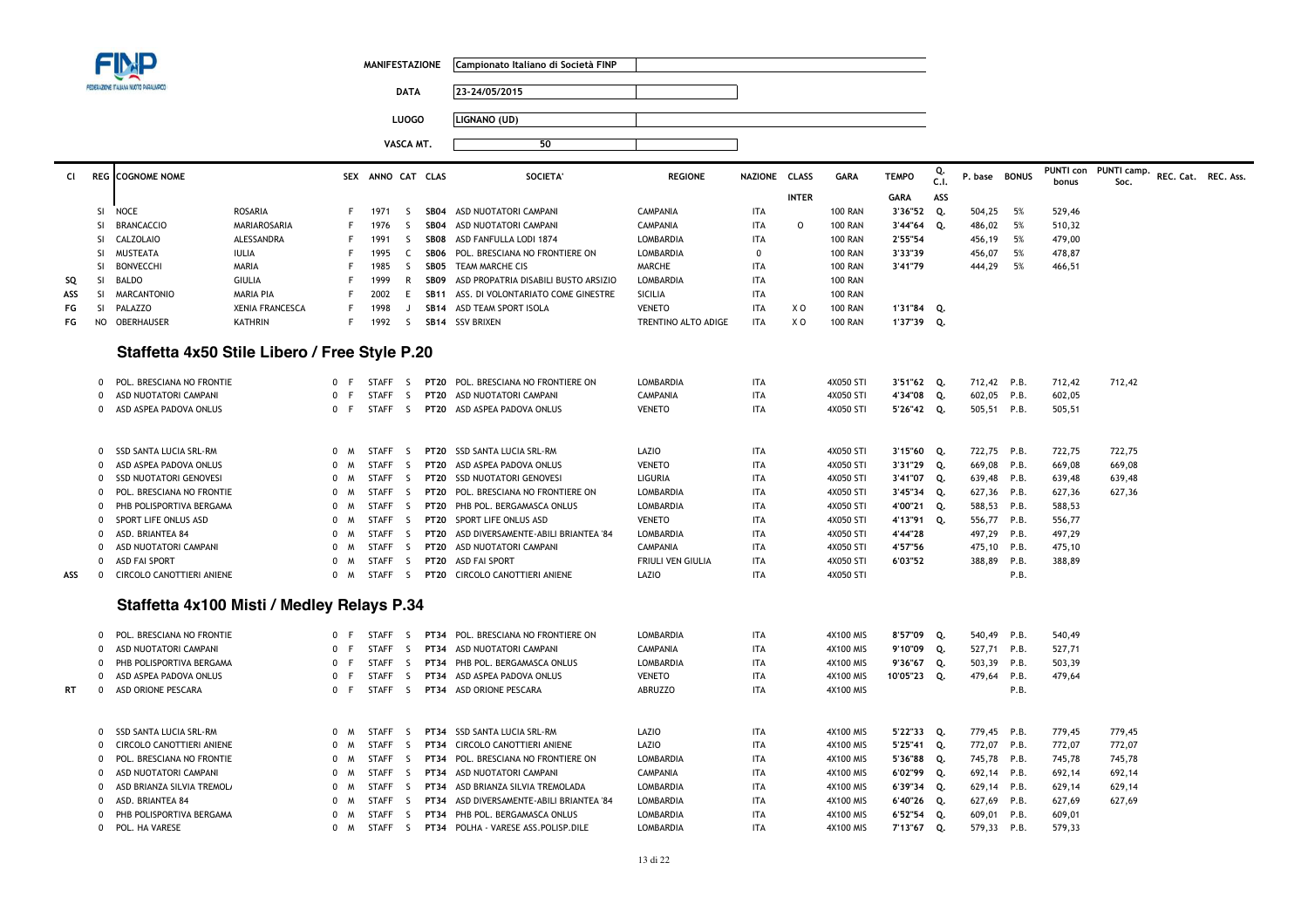| <b>TO DIDILI</b><br><b>DONE ITALIA</b><br>orn<br>smart i<br>70 F HAN |  |
|----------------------------------------------------------------------|--|

|  | MANIFESTAZIONE Campionato Italiano di Società FINP |  |
|--|----------------------------------------------------|--|
|--|----------------------------------------------------|--|

**LUOGO LIGNANO (UD)**

| <b>CI</b> |              | <b>REG</b> COGNOME NOME                       |                        |                   | SEX ANNO CAT CLAS  |              |                  | <b>SOCIETA</b>                       | <b>REGIONE</b>           | NAZIONE CLASS |              | <b>GARA</b>    | <b>TEMPO</b>  | Q.<br>C.1 | P. base BONUS |      | bonus  | PUNTI con PUNTI camp.<br>Soc. | REC. Cat. REC. Ass. |  |
|-----------|--------------|-----------------------------------------------|------------------------|-------------------|--------------------|--------------|------------------|--------------------------------------|--------------------------|---------------|--------------|----------------|---------------|-----------|---------------|------|--------|-------------------------------|---------------------|--|
|           |              |                                               |                        |                   |                    |              |                  |                                      |                          |               | <b>INTER</b> |                | <b>GARA</b>   | ASS       |               |      |        |                               |                     |  |
|           | SI.          | <b>NOCE</b>                                   | ROSARIA                | F.                | 1971               | S.           | SB04             | ASD NUOTATORI CAMPANI                | <b>CAMPANIA</b>          | ITA           |              | <b>100 RAN</b> | 3'36"52 Q.    |           | 504,25        | 5%   | 529,46 |                               |                     |  |
|           | -SI.         | <b>BRANCACCIO</b>                             | MARIAROSARIA           | F                 | 1976               | S.           | <b>SB04</b>      | ASD NUOTATORI CAMPANI                | <b>CAMPANIA</b>          | <b>ITA</b>    | $\circ$      | <b>100 RAN</b> | $3'44''64$ Q. |           | 486,02        | 5%   | 510,32 |                               |                     |  |
|           | SI           | CALZOLAIO                                     | ALESSANDRA             | F                 | 1991               | S.           | SB08             | ASD FANFULLA LODI 1874               | LOMBARDIA                | ITA           |              | <b>100 RAN</b> | 2'55"54       |           | 456,19        | 5%   | 479,00 |                               |                     |  |
|           | SI.          | MUSTEATA                                      | <b>IULIA</b>           | F                 | 1995               | C            | SB06             | POL. BRESCIANA NO FRONTIERE ON       | LOMBARDIA                | 0             |              | <b>100 RAN</b> | 3'33"39       |           | 456,07        | 5%   | 478,87 |                               |                     |  |
|           | SI.          | <b>BONVECCHI</b>                              | <b>MARIA</b>           |                   | 1985               | <sub>S</sub> | SB05             | TEAM MARCHE CIS                      | <b>MARCHE</b>            | <b>ITA</b>    |              | <b>100 RAN</b> | 3'41"79       |           | 444,29        | 5%   | 466,51 |                               |                     |  |
| SQ        | -SI          | <b>BALDO</b>                                  | <b>GIULIA</b>          | F                 | 1999               | R            | SB <sub>09</sub> | ASD PROPATRIA DISABILI BUSTO ARSIZIO | <b>LOMBARDIA</b>         | ITA           |              | <b>100 RAN</b> |               |           |               |      |        |                               |                     |  |
| ASS       | -SI          | <b>MARCANTONIO</b>                            | <b>MARIA PIA</b>       |                   | 2002               | E            | <b>SB11</b>      | ASS. DI VOLONTARIATO COME GINESTRE   | <b>SICILIA</b>           | ITA           |              | <b>100 RAN</b> |               |           |               |      |        |                               |                     |  |
| FG        | SI.          | PALAZZO                                       | <b>XENIA FRANCESCA</b> | E                 | 1998               | J            | <b>SB14</b>      | ASD TEAM SPORT ISOLA                 | <b>VENETO</b>            | ITA           | X O          | <b>100 RAN</b> | 1'31"84 Q.    |           |               |      |        |                               |                     |  |
| FG        | <b>NO</b>    | OBERHAUSER                                    | <b>KATHRIN</b>         | F.                | 1992               | S.           |                  | SB14 SSV BRIXEN                      | TRENTINO ALTO ADIGE      | <b>ITA</b>    | X O          | <b>100 RAN</b> | 1'37"39 Q.    |           |               |      |        |                               |                     |  |
|           |              | Staffetta 4x50 Stile Libero / Free Style P.20 |                        |                   |                    |              |                  |                                      |                          |               |              |                |               |           |               |      |        |                               |                     |  |
|           | 0            | POL. BRESCIANA NO FRONTIE                     |                        | 0 F               | STAFF <sub>S</sub> |              | <b>PT20</b>      | POL. BRESCIANA NO FRONTIERE ON       | <b>LOMBARDIA</b>         | ITA           |              | 4X050 STI      | 3'51"62 Q.    |           | 712,42 P.B.   |      | 712,42 | 712,42                        |                     |  |
|           | <sup>0</sup> | ASD NUOTATORI CAMPANI                         |                        | $\Omega$<br>- F   | STAFF              | S.           | <b>PT20</b>      | ASD NUOTATORI CAMPANI                | <b>CAMPANIA</b>          | ITA           |              | 4X050 STI      | 4'34"08 Q.    |           | 602,05 P.B.   |      | 602,05 |                               |                     |  |
|           | $^{\circ}$   | ASD ASPEA PADOVA ONLUS                        |                        | 0 F               | STAFF S            |              |                  | PT20 ASD ASPEA PADOVA ONLUS          | <b>VENETO</b>            | ITA           |              | 4X050 STI      | 5'26"42 Q.    |           | 505,51 P.B.   |      | 505,51 |                               |                     |  |
|           |              |                                               |                        |                   |                    |              |                  |                                      |                          |               |              |                |               |           |               |      |        |                               |                     |  |
|           |              | 0 SSD SANTA LUCIA SRL-RM                      |                        | $\mathbf 0$<br>M  | STAFF              | S.           |                  | PT20 SSD SANTA LUCIA SRL-RM          | LAZIO                    | <b>ITA</b>    |              | 4X050 STI      | $3'15''60$ Q. |           | 722,75 P.B.   |      | 722,75 | 722,75                        |                     |  |
|           | <sup>0</sup> | ASD ASPEA PADOVA ONLUS                        |                        | $^{\circ}$<br>M   | <b>STAFF</b>       | S            | <b>PT20</b>      | ASD ASPEA PADOVA ONLUS               | <b>VENETO</b>            | <b>ITA</b>    |              | 4X050 STI      | 3'31"29       | Q.        | 669,08 P.B.   |      | 669,08 | 669,08                        |                     |  |
|           | 0            | <b>SSD NUOTATORI GENOVESI</b>                 |                        | $^{\circ}$<br>M   | STAFF <sub>S</sub> |              |                  | PT20 SSD NUOTATORI GENOVESI          | LIGURIA                  | <b>ITA</b>    |              | 4X050 STI      | 3'41"07 Q.    |           | 639,48 P.B.   |      | 639,48 | 639,48                        |                     |  |
|           | $\mathbf{0}$ | . BRESCIANA NO FRONTIE<br>POL.                |                        | $\mathbf{0}$<br>M | STAFF              | S.           | <b>PT20</b>      | POL. BRESCIANA NO FRONTIERE ON       | LOMBARDIA                | ITA           |              | 4X050 STI      | 3'45"34 Q.    |           | 627,36 P.B.   |      | 627,36 | 627,36                        |                     |  |
|           | 0            | PHB POLISPORTIVA BERGAMA                      |                        | $\mathbf 0$<br>M  | STAFF S            |              | <b>PT20</b>      | PHB POL. BERGAMASCA ONLUS            | LOMBARDIA                | ITA           |              | 4X050 STI      | 4'00"21 Q.    |           | 588,53 P.B.   |      | 588,53 |                               |                     |  |
|           | $\mathbf{0}$ | SPORT LIFE ONLUS ASD                          |                        | 0<br>$\mathbf{M}$ | STAFF              | S.           | <b>PT20</b>      | SPORT LIFE ONLUS ASD                 | <b>VENETO</b>            | <b>ITA</b>    |              | 4X050 STI      | 4'13"91 Q.    |           | 556,77 P.B.   |      | 556,77 |                               |                     |  |
|           | 0            | ASD. BRIANTEA 84                              |                        | $\mathbf{0}$<br>M | STAFF              | S.           | <b>PT20</b>      | ASD DIVERSAMENTE-ABILI BRIANTEA '84  | LOMBARDIA                | ITA           |              | 4X050 STI      | 4'44"28       |           | 497,29 P.B.   |      | 497,29 |                               |                     |  |
|           | <sup>0</sup> | ASD NUOTATORI CAMPANI                         |                        | $\mathbf 0$       | STAFF              | - S          | <b>PT20</b>      | ASD NUOTATORI CAMPANI                | <b>CAMPANIA</b>          | ITA           |              | 4X050 STI      | 4'57"56       |           | 475,10 P.B.   |      | 475,10 |                               |                     |  |
|           | 0            | <b>ASD FAI SPORT</b>                          |                        | 0<br>M            | STAFF              | S.           | <b>PT20</b>      | <b>ASD FAI SPORT</b>                 | <b>FRIULI VEN GIULIA</b> | ITA           |              | 4X050 STI      | 6'03"52       |           | 388,89        | P.B. | 388,89 |                               |                     |  |
| ASS       | $^{\circ}$   | CIRCOLO CANOTTIERI ANIENE                     |                        | $\mathbf 0$<br>M  | STAFF              | S.           | <b>PT20</b>      | CIRCOLO CANOTTIERI ANIENE            | LAZIO                    | <b>ITA</b>    |              | 4X050 STI      |               |           |               | P.B. |        |                               |                     |  |
|           |              | Staffetta 4x100 Misti / Medley Relays P.34    |                        |                   |                    |              |                  |                                      |                          |               |              |                |               |           |               |      |        |                               |                     |  |
|           | 0            | POL. BRESCIANA NO FRONTIE                     |                        | 0 F               | STAFF S            |              |                  | PT34 POL. BRESCIANA NO FRONTIERE ON  | <b>LOMBARDIA</b>         | ITA           |              | 4X100 MIS      | 8'57"09       | Q.        | 540,49 P.B.   |      | 540,49 |                               |                     |  |
|           | 0            | ASD NUOTATORI CAMPANI                         |                        | $\mathbf 0$<br>-F | STAFF <sub>S</sub> |              | <b>PT34</b>      | ASD NUOTATORI CAMPANI                | <b>CAMPANIA</b>          | ITA           |              | 4X100 MIS      | 9'10"09 Q.    |           | 527,71 P.B.   |      | 527,71 |                               |                     |  |
|           | 0            | PHB POLISPORTIVA BERGAMA                      |                        | $\mathbf 0$<br>F  | STAFF S            |              | <b>PT34</b>      | PHB POL. BERGAMASCA ONLUS            | LOMBARDIA                | ITA           |              | 4X100 MIS      | 9'36"67 Q.    |           | 503,39        | P.B. | 503,39 |                               |                     |  |
|           | <sup>0</sup> | ASD ASPEA PADOVA ONLUS                        |                        | 0<br>- F          | STAFF S            |              |                  | PT34 ASD ASPEA PADOVA ONLUS          | <b>VENETO</b>            | ITA           |              | 4X100 MIS      | 10'05"23 Q.   |           | 479,64        | P.B. | 479,64 |                               |                     |  |
| RT        | $\mathbf{0}$ | ASD ORIONE PESCARA                            |                        | $\mathbf 0$<br>F  | STAFF S            |              |                  | PT34 ASD ORIONE PESCARA              | <b>ABRUZZO</b>           | ITA           |              | 4X100 MIS      |               |           |               | P.B. |        |                               |                     |  |
|           | 0            | SSD SANTA LUCIA SRL-RM                        |                        | $\mathbf 0$<br>M  | STAFF S            |              |                  | PT34 SSD SANTA LUCIA SRL-RM          | LAZIO                    | ITA           |              | 4X100 MIS      | 5'22"33 Q.    |           | 779,45 P.B.   |      | 779,45 | 779,45                        |                     |  |
|           | $\mathbf{0}$ | CIRCOLO CANOTTIERI ANIENE                     |                        | 0<br>M            | STAFF              | S.           | PT34             | CIRCOLO CANOTTIERI ANIENE            | LAZIO                    | ITA           |              | 4X100 MIS      | 5'25"41 Q.    |           | 772,07 P.B.   |      | 772,07 | 772,07                        |                     |  |
|           | 0            | POL. BRESCIANA NO FRONTIE                     |                        | $\mathbf 0$<br>M  | STAFF              | S.           | PT34             | POL. BRESCIANA NO FRONTIERE ON       | LOMBARDIA                | ITA           |              | 4X100 MIS      | 5'36"88 Q.    |           | 745,78 P.B.   |      | 745,78 | 745,78                        |                     |  |
|           | 0            | ASD NUOTATORI CAMPANI                         |                        | $\mathbf 0$       | <b>STAFF</b>       | S.           | PT34             | ASD NUOTATORI CAMPANI                | <b>CAMPANIA</b>          | ITA           |              | 4X100 MIS      | 6'02"99       | Q.        | 692,14 P.B.   |      | 692,14 | 692,14                        |                     |  |
|           | 0            | ASD BRIANZA SILVIA TREMOLA                    |                        | $\mathbf 0$<br>M  | STAFF              | - S          | <b>PT34</b>      | ASD BRIANZA SILVIA TREMOLADA         | LOMBARDIA                | ITA           |              | 4X100 MIS      | $6'39''34$ Q. |           | 629,14 P.B.   |      | 629,14 | 629,14                        |                     |  |
|           | <sup>0</sup> | ASD. BRIANTEA 84                              |                        | $\Omega$          | <b>STAFF</b>       | -S           | <b>PT34</b>      | ASD DIVERSAMENTE-ABILI BRIANTEA '84  | LOMBARDIA                | <b>ITA</b>    |              | 4X100 MIS      | 6'40"26 Q.    |           | 627,69 P.B.   |      | 627,69 | 627,69                        |                     |  |
|           | 0            | PHB POLISPORTIVA BERGAMA                      |                        | $\mathbf 0$<br>M  | STAFF              | S.           | PT34             | PHB POL. BERGAMASCA ONLUS            | LOMBARDIA                | ITA           |              | 4X100 MIS      | 6'52"54       | Q.        | 609,01 P.B.   |      | 609,01 |                               |                     |  |
|           | $\mathbf{0}$ | POL. HA VARESE                                |                        | 0 M               | STAFF S            |              |                  | PT34 POLHA - VARESE ASS.POLISP.DILE  | LOMBARDIA                | <b>ITA</b>    |              | 4X100 MIS      | 7'13"67       | Q.        | 579,33 P.B.   |      | 579,33 |                               |                     |  |
|           |              |                                               |                        |                   |                    |              |                  |                                      |                          |               |              |                |               |           |               |      |        |                               |                     |  |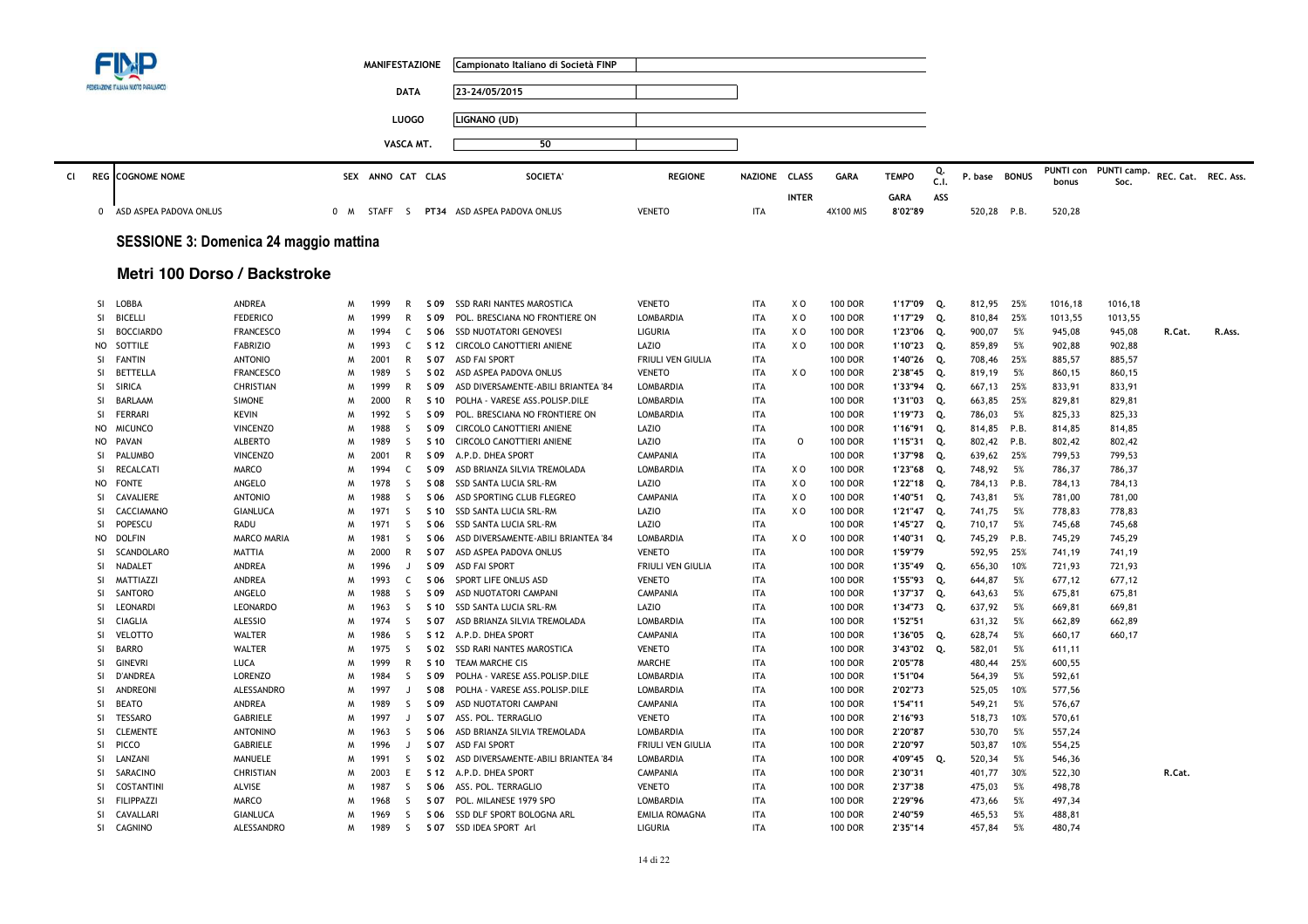|    |            |                                               |                  |     | <b>MANIFESTAZIONE</b> |              |      | Campionato Italiano di Società FINP |                          |                |                |                |              |           |               |      |                           |                     |                     |        |
|----|------------|-----------------------------------------------|------------------|-----|-----------------------|--------------|------|-------------------------------------|--------------------------|----------------|----------------|----------------|--------------|-----------|---------------|------|---------------------------|---------------------|---------------------|--------|
|    |            | <b>WINE ITALIANA NUOTO PARALIMPIO</b>         |                  |     |                       |              |      |                                     |                          |                |                |                |              |           |               |      |                           |                     |                     |        |
|    |            |                                               |                  |     |                       | <b>DATA</b>  |      | 23-24/05/2015                       |                          |                |                |                |              |           |               |      |                           |                     |                     |        |
|    |            |                                               |                  |     |                       | <b>LUOGO</b> |      | LIGNANO (UD)                        |                          |                |                |                |              |           |               |      |                           |                     |                     |        |
|    |            |                                               |                  |     |                       |              |      |                                     |                          |                |                |                |              |           |               |      |                           |                     |                     |        |
|    |            |                                               |                  |     |                       | VASCA MT.    |      | 50                                  |                          |                |                |                |              |           |               |      |                           |                     |                     |        |
| Cl | <b>REG</b> | COGNOME NOME                                  |                  |     | SEX ANNO CAT CLAS     |              |      | SOCIETA'                            | <b>REGIONE</b>           | <b>NAZIONE</b> | <b>CLASS</b>   | <b>GARA</b>    | <b>TEMPO</b> | Q.<br>C.1 | P. base BONUS |      | <b>PUNTI con</b><br>bonus | PUNTI camp.<br>Soc. | REC. Cat. REC. Ass. |        |
|    |            |                                               |                  |     |                       |              |      |                                     |                          |                | <b>INTER</b>   |                | <b>GARA</b>  | ASS       |               |      |                           |                     |                     |        |
|    |            | 0 ASD ASPEA PADOVA ONLUS                      |                  | 0 M | <b>STAFF</b>          | S.           |      | PT34 ASD ASPEA PADOVA ONLUS         | <b>VENETO</b>            | <b>ITA</b>     |                | 4X100 MIS      | 8'02"89      |           | 520,28        | P.B. | 520,28                    |                     |                     |        |
|    |            | <b>SESSIONE 3: Domenica 24 maggio mattina</b> |                  |     |                       |              |      |                                     |                          |                |                |                |              |           |               |      |                           |                     |                     |        |
|    |            | Metri 100 Dorso / Backstroke                  |                  |     |                       |              |      |                                     |                          |                |                |                |              |           |               |      |                           |                     |                     |        |
|    | SI         | LOBBA                                         | ANDREA           | M   | 1999                  | R            | S 09 | SSD RARI NANTES MAROSTICA           | <b>VENETO</b>            | <b>ITA</b>     | X O            | <b>100 DOR</b> | 1'17"09      | Q.        | 812,95        | 25%  | 1016,18                   | 1016,18             |                     |        |
|    | <b>SI</b>  | <b>BICELLI</b>                                | <b>FEDERICO</b>  | M   | 1999                  | $\mathsf{R}$ | S 09 | POL. BRESCIANA NO FRONTIERE ON      | <b>LOMBARDIA</b>         | <b>ITA</b>     | X <sub>0</sub> | <b>100 DOR</b> | 1'17"29      | Q.        | 810.84        | 25%  | 1013,55                   | 1013.55             |                     |        |
|    | SI         | <b>BOCCIARDO</b>                              | <b>FRANCESCO</b> | M   | 1994                  | C            | S 06 | <b>SSD NUOTATORI GENOVESI</b>       | LIGURIA                  | <b>ITA</b>     | X O            | <b>100 DOR</b> | 1'23"06      | Q.        | 900,07        | 5%   | 945,08                    | 945,08              | R.Cat.              | R.Ass. |
|    | <b>NO</b>  | SOTTILE                                       | <b>FABRIZIO</b>  | M   | 1993                  | $\mathsf{C}$ | S 12 | CIRCOLO CANOTTIERI ANIENE           | LAZIO                    | <b>ITA</b>     | X <sub>0</sub> | <b>100 DOR</b> | 1'10"23      | Q.        | 859,89        | 5%   | 902,88                    | 902,88              |                     |        |
|    | SI         | <b>FANTIN</b>                                 | <b>ANTONIO</b>   | M   | 2001                  | $\mathsf{R}$ | S 07 | <b>ASD FAI SPORT</b>                | <b>FRIULI VEN GIULIA</b> | <b>ITA</b>     |                | <b>100 DOR</b> | 1'40"26      | Q.        | 708,46        | 25%  | 885,57                    | 885,57              |                     |        |
|    | SI         | BETTELLA                                      | <b>FRANCESCO</b> | M   | 1989                  | <sub>S</sub> | S 02 | ASD ASPEA PADOVA ONLUS              | <b>VENETO</b>            | <b>ITA</b>     | X <sub>0</sub> | <b>100 DOR</b> | 2'38"45      | Q.        | 819,19        | 5%   | 860,15                    | 860,15              |                     |        |
|    | SI.        | SIRICA                                        | <b>CHRISTIAN</b> | M   | 1999                  | R            | S 09 | ASD DIVERSAMENTE-ABILI BRIANTEA '84 | <b>LOMBARDIA</b>         | <b>ITA</b>     |                | <b>100 DOR</b> | 1'33"94      | Q.        | 667,13        | 25%  | 833.91                    | 833,91              |                     |        |
|    | SI         | BARLAAM                                       | <b>SIMONE</b>    | M   | 2000                  | R            | S 10 | POLHA - VARESE ASS.POLISP.DILE      | LOMBARDIA                | <b>ITA</b>     |                | <b>100 DOR</b> | 1'31"03      | Q.        | 663,85        | 25%  | 829,81                    | 829,81              |                     |        |
|    | SI         | <b>FERRARI</b>                                | <b>KEVIN</b>     | M   | 1992                  | <sub>S</sub> | S 09 | POL. BRESCIANA NO FRONTIERE ON      | LOMBARDIA                | <b>ITA</b>     |                | <b>100 DOR</b> | 1'19"73      | Q.        | 786,03        | 5%   | 825,33                    | 825,33              |                     |        |
|    | <b>NO</b>  | <b>MICUNCO</b>                                | <b>VINCENZO</b>  | M   | 1988                  | <sub>S</sub> | S 09 | CIRCOLO CANOTTIERI ANIENE           | LAZIO                    | <b>ITA</b>     |                | <b>100 DOR</b> | 1'16"91      | Q.        | 814,85        | P.B. | 814,85                    | 814,85              |                     |        |
|    | NO         | <b>PAVAN</b>                                  | <b>ALBERTO</b>   | M   | 1989                  | <sub>S</sub> | S 10 | CIRCOLO CANOTTIERI ANIENE           | LAZIO                    | <b>ITA</b>     | $\circ$        | <b>100 DOR</b> | 1'15"31      | Q.        | 802,42        | P.B. | 802,42                    | 802,42              |                     |        |
|    | SI         | PALUMBO                                       | <b>VINCENZO</b>  | M   | 200 <sup>1</sup>      | R            | S 09 | A.P.D. DHEA SPORT                   | CAMPANIA                 | <b>ITA</b>     |                | <b>100 DOR</b> | 1'37"98      | Q.        | 639,62        | 25%  | 799,53                    | 799,53              |                     |        |
|    | <b>SI</b>  | <b>RECALCATI</b>                              | <b>MARCO</b>     | M   | 1994                  | $\mathsf{C}$ | S 09 | ASD BRIANZA SILVIA TREMOLADA        | <b>LOMBARDIA</b>         | <b>ITA</b>     | X <sub>0</sub> | <b>100 DOR</b> | 1'23"68      | Q.        | 748,92        | 5%   | 786,37                    | 786,37              |                     |        |
|    | <b>NO</b>  | <b>FONTE</b>                                  | ANGELO           | M   | 1978                  | <sub>S</sub> | S 08 | SSD SANTA LUCIA SRL-RM              | LAZIO                    | <b>ITA</b>     | X <sub>0</sub> | <b>100 DOR</b> | 1'22"18      | Q.        | 784,13        | P.B. | 784,13                    | 784,13              |                     |        |
|    | SI         | <b>CAVALIERE</b>                              | <b>ANTONIO</b>   | M   | 1988                  | <sub>S</sub> | S 06 | ASD SPORTING CLUB FLEGREO           | <b>CAMPANIA</b>          | ITA            | X O            | <b>100 DOR</b> | 1'40"51      | Q.        | 743,81        | 5%   | 781,00                    | 781,00              |                     |        |
|    | SI         | CACCIAMANO                                    | <b>GIANLUCA</b>  | M   | 1971                  | <sub>S</sub> | S 10 | SSD SANTA LUCIA SRL-RM              | LAZIO                    | <b>ITA</b>     | X <sub>0</sub> | <b>100 DOR</b> | 1'21"47      | Q.        | 741,75        | 5%   | 778,83                    | 778,83              |                     |        |
|    | SI         | POPESCU                                       | RADU             | M   | 1971                  | <sub>S</sub> | S 06 | SSD SANTA LUCIA SRL-RM              | LAZIO                    | <b>ITA</b>     |                | <b>100 DOR</b> | 1'45"27      | Q.        | 710,17        | 5%   | 745,68                    | 745,68              |                     |        |
|    | <b>NO</b>  | <b>DOLFIN</b>                                 | MARCO MARIA      | M   | 198                   | <sub>S</sub> | S 06 | ASD DIVERSAMENTE-ABILI BRIANTEA '84 | LOMBARDIA                | <b>ITA</b>     | X O            | <b>100 DOR</b> | 1'40"31      | Q.        | 745,29        | P.B. | 745,29                    | 745,29              |                     |        |
|    | SI         | <b>SCANDOLARO</b>                             | MATTIA           | M   | 2000                  | R            | S 07 | ASD ASPEA PADOVA ONLUS              | <b>VENETO</b>            | <b>ITA</b>     |                | <b>100 DOR</b> | 1'59"79      |           | 592,95        | 25%  | 741,19                    | 741,19              |                     |        |
|    | <b>SI</b>  | NADALET                                       | ANDREA           | M   | 1996                  | J            | S 09 | <b>ASD FAI SPORT</b>                | <b>FRIULI VEN GIULIA</b> | ITA            |                | <b>100 DOR</b> | 1'35"49      | Q.        | 656,30        | 10%  | 721,93                    | 721,93              |                     |        |
|    | <b>SI</b>  | MATTIAZZI                                     | <b>ANDREA</b>    | M   | 1993                  | C.           | S 06 | SPORT LIFE ONLUS ASD                | <b>VENETO</b>            | <b>ITA</b>     |                | <b>100 DOR</b> | 1'55"93      | Q.        | 644,87        | 5%   | 677,12                    | 677,12              |                     |        |
|    | SI         | SANTORO                                       | ANGELO           | M   | 1988                  | <sub>S</sub> | S 09 | ASD NUOTATORI CAMPANI               | CAMPANIA                 | <b>ITA</b>     |                | <b>100 DOR</b> | 1'37"37      | Q.        | 643,63        | 5%   | 675,81                    | 675,81              |                     |        |
|    | SI         | LEONARDI                                      | LEONARDO         | M   | 1963                  | <sub>S</sub> | S 10 | SSD SANTA LUCIA SRL-RM              | LAZIO                    | <b>ITA</b>     |                | <b>100 DOR</b> | 1'34"73      | Q.        | 637,92        | 5%   | 669,81                    | 669,81              |                     |        |
|    | SI         | <b>CIAGLIA</b>                                | <b>ALESSIO</b>   | M   | 1974                  | <sub>S</sub> | S 07 | ASD BRIANZA SILVIA TREMOLADA        | LOMBARDIA                | <b>ITA</b>     |                | <b>100 DOR</b> | 1'52"51      |           | 631,32        | 5%   | 662,89                    | 662,89              |                     |        |
|    | <b>SI</b>  | <b>VELOTTO</b>                                | <b>WALTER</b>    | M   | 1986                  | <sub>S</sub> | S 12 | A.P.D. DHEA SPORT                   | <b>CAMPANIA</b>          | <b>ITA</b>     |                | <b>100 DOR</b> | 1'36"05      | Q.        | 628.74        | 5%   | 660.17                    | 660,17              |                     |        |
|    | SI         | <b>BARRO</b>                                  | <b>WALTER</b>    | M   | 1975                  | -S           | S 02 | SSD RARI NANTES MAROSTICA           | <b>VENETO</b>            | ITA            |                | <b>100 DOR</b> | 3'43"02      | Q.        | 582,01        | 5%   | 611,11                    |                     |                     |        |
|    | SI         | <b>GINEVRI</b>                                | LUCA             | M   | 1999                  | $\mathsf{R}$ | S 10 | TEAM MARCHE CIS                     | MARCHE                   | <b>ITA</b>     |                | <b>100 DOR</b> | 2'05"78      |           | 480,44        | 25%  | 600,55                    |                     |                     |        |
|    | SI         | <b>D'ANDREA</b>                               | <b>LORENZO</b>   | M   | 1984                  | $\mathsf{S}$ | S 09 | POLHA - VARESE ASS.POLISP.DILE      | LOMBARDIA                | <b>ITA</b>     |                | <b>100 DOR</b> | 1'51"04      |           | 564,39        | 5%   | 592,61                    |                     |                     |        |
|    | SI         | ANDREONI                                      | ALESSANDRO       | M   | 1997                  | $\mathbf{I}$ | S 08 | POLHA - VARESE ASS.POLISP.DILE      | LOMBARDIA                | <b>ITA</b>     |                | <b>100 DOR</b> | 2'02"73      |           | 525,05        | 10%  | 577,56                    |                     |                     |        |
|    | SI         | <b>BEATO</b>                                  | ANDREA           | M   | 1989                  | <sub>S</sub> | S 09 | ASD NUOTATORI CAMPANI               | CAMPANIA                 | <b>ITA</b>     |                | <b>100 DOR</b> | 1'54"11      |           | 549,21        | 5%   | 576,67                    |                     |                     |        |
|    | SI         | <b>TESSARO</b>                                | GABRIELE         | M   | 1997                  | $\Box$       | S 07 | ASS. POL. TERRAGLIO                 | <b>VENETO</b>            | <b>ITA</b>     |                | <b>100 DOR</b> | 2'16"93      |           | 518,73        | 10%  | 570,61                    |                     |                     |        |
|    | SI         | <b>CLEMENTE</b>                               | <b>ANTONINO</b>  | M   | 1963                  | <sub>S</sub> | S 06 | ASD BRIANZA SILVIA TREMOLADA        | <b>LOMBARDIA</b>         | <b>ITA</b>     |                | <b>100 DOR</b> | 2'20"87      |           | 530,70        | 5%   | 557,24                    |                     |                     |        |
|    | SI         | <b>PICCO</b>                                  | GABRIELE         | M   | 1996                  | $\mathbf{J}$ | S 07 | <b>ASD FAI SPORT</b>                | <b>FRIULI VEN GIULIA</b> | ITA            |                | <b>100 DOR</b> | 2'20"97      |           | 503,87        | 10%  | 554,25                    |                     |                     |        |
|    | SI         | LANZANI                                       | MANUELE          | M   | 1991                  | <sub>S</sub> | S 02 | ASD DIVERSAMENTE-ABILI BRIANTEA '84 | LOMBARDIA                | <b>ITA</b>     |                | <b>100 DOR</b> | 4'09"45      | Q.        | 520,34        | 5%   | 546,36                    |                     |                     |        |
|    | SI         | SARACINO                                      | <b>CHRISTIAN</b> | M   | 2003                  | E            | S 12 | A.P.D. DHEA SPORT                   | <b>CAMPANIA</b>          | <b>ITA</b>     |                | <b>100 DOR</b> | 2'30"31      |           | 401,77        | 30%  | 522,30                    |                     | R.Cat.              |        |
|    | SI         | <b>COSTANTINI</b>                             | ALVISE           | M   | 1987                  | <sub>S</sub> | S 06 | ASS. POL. TERRAGLIO                 | <b>VENETO</b>            | <b>ITA</b>     |                | <b>100 DOR</b> | 2'37"38      |           | 475,03        | 5%   | 498,78                    |                     |                     |        |
|    | SI         | <b>FILIPPAZZI</b>                             | MARCO            | м   | 1968                  | <sub>S</sub> | S 07 | POL. MILANESE 1979 SPO              | LOMBARDIA                | <b>ITA</b>     |                | <b>100 DOR</b> | 2'29"96      |           | 473,66        | 5%   | 497,34                    |                     |                     |        |
|    | SI         | CAVALLARI                                     | <b>GIANLUCA</b>  | м   | 1969                  | <sub>S</sub> | S 06 | SSD DLF SPORT BOLOGNA ARL           | EMILIA ROMAGNA           | ITA            |                | <b>100 DOR</b> | 2'40"59      |           | 465,53        | 5%   | 488,81                    |                     |                     |        |
|    | SI         | CAGNINO                                       | ALESSANDRO       | M   | 1989                  | -S           | S 07 | SSD IDEA SPORT Arl                  | LIGURIA                  | <b>ITA</b>     |                | <b>100 DOR</b> | 2'35"14      |           | 457,84        | 5%   | 480,74                    |                     |                     |        |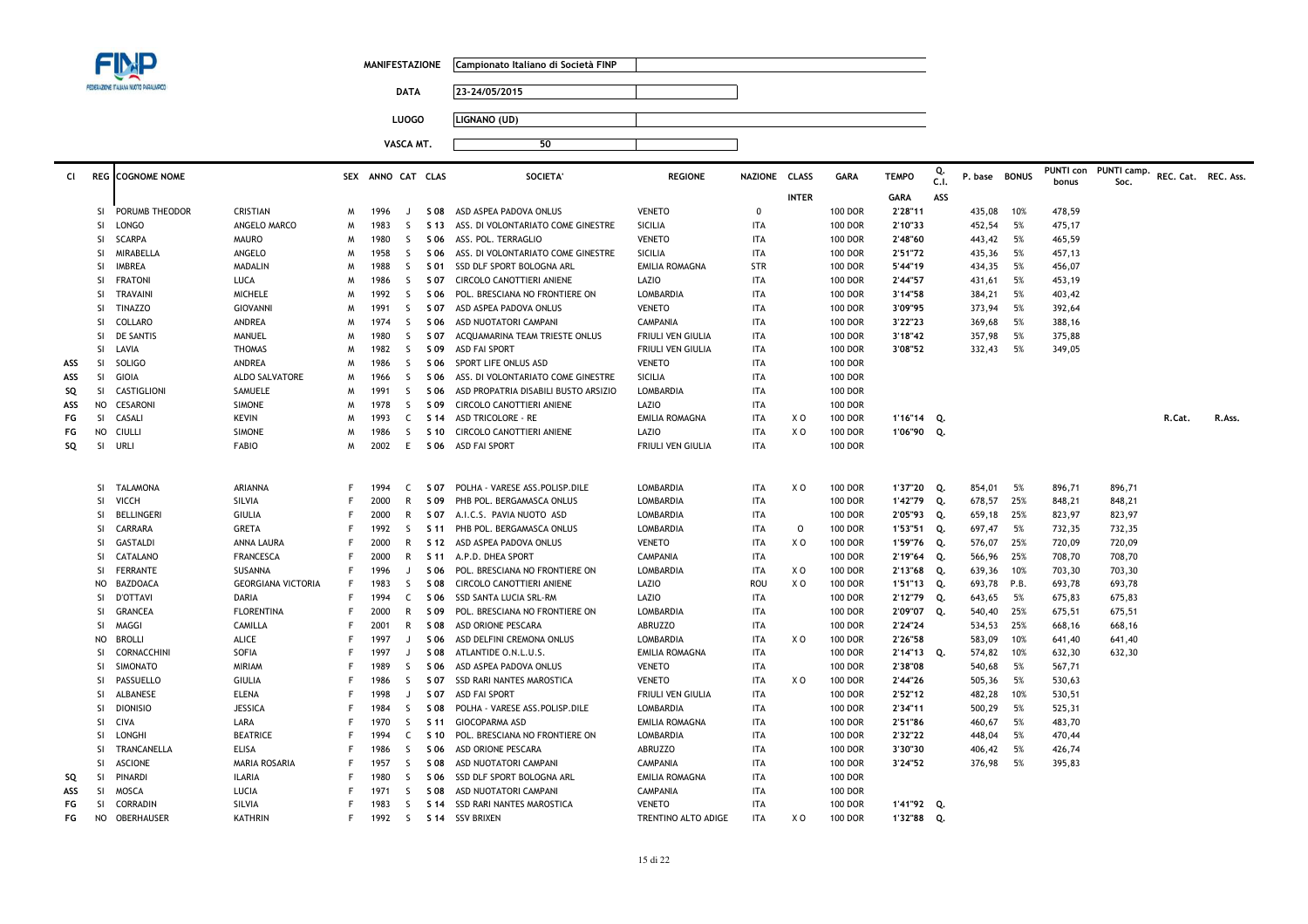| <b>MINTO DIQILMPICO</b><br><b>ATTANA</b><br>FRAZINE IT |  |
|--------------------------------------------------------|--|

| MANIFESTAZIONE       Campionato Italiano di Società FINP |  |
|----------------------------------------------------------|--|
|----------------------------------------------------------|--|

**LUOGO LIGNANO (UD)**

| Cl  |                      | <b>REG</b> COGNOME NOME           |                                       |    | SEX ANNO CAT CLAS |              |                 | <b>SOCIETA</b>                                           | <b>REGIONE</b>                           | NAZIONE CLASS           |                | <b>GARA</b>                      | <b>TEMPO</b>             | Q.<br>C.1 | P. base BONUS    |             | bonus            | PUNTI con PUNTI camp.<br>Soc. | REC. Cat. REC. Ass. |        |
|-----|----------------------|-----------------------------------|---------------------------------------|----|-------------------|--------------|-----------------|----------------------------------------------------------|------------------------------------------|-------------------------|----------------|----------------------------------|--------------------------|-----------|------------------|-------------|------------------|-------------------------------|---------------------|--------|
|     |                      |                                   |                                       |    |                   |              |                 |                                                          |                                          |                         | <b>INTER</b>   |                                  | <b>GARA</b>              | ASS       |                  |             |                  |                               |                     |        |
|     |                      | SI PORUMB THEODOR                 | <b>CRISTIAN</b>                       | M  | 1996              | - 1          | S 08            | ASD ASPEA PADOVA ONLUS                                   | <b>VENETO</b>                            | $\overline{\mathbf{0}}$ |                | <b>100 DOR</b>                   | 2'28"11                  |           | 435,08           | 10%         | 478,59           |                               |                     |        |
|     | <b>SI</b>            | <b>LONGO</b>                      | ANGELO MARCO                          | M  | 1983              | S.           | S 13            | ASS. DI VOLONTARIATO COME GINESTRE                       | SICILIA                                  | <b>ITA</b>              |                | <b>100 DOR</b>                   | 2'10"33                  |           | 452,54           | 5%          | 475,17           |                               |                     |        |
|     | -SI                  | SCARPA                            | <b>MAURO</b>                          | M  | 1980              | -S           | S 06            | ASS. POL. TERRAGLIO                                      | <b>VENETO</b>                            | ITA                     |                | <b>100 DOR</b>                   | 2'48"60                  |           | 443,42           | - 5%        | 465,59           |                               |                     |        |
|     | -SI                  | MIRABELLA                         | ANGELO                                | M  | 1958              | -S           | S 06            | ASS. DI VOLONTARIATO COME GINESTRE                       | <b>SICILIA</b>                           | ITA                     |                | <b>100 DOR</b>                   | 2'51"72                  |           | 435,36           | - 5%        | 457,13           |                               |                     |        |
|     | -SI                  | IMBREA                            | <b>MADALIN</b>                        | M  | 1988              | -S           | S 01            | SSD DLF SPORT BOLOGNA ARL                                | <b>EMILIA ROMAGNA</b>                    | STR                     |                | <b>100 DOR</b>                   | 5'44"19                  |           | 434,35           | 5%          | 456,07           |                               |                     |        |
|     | SI                   | <b>FRATONI</b>                    | LUCA                                  | M  | 1986              | S.           | S 07            | CIRCOLO CANOTTIERI ANIENE                                | LAZIO                                    | ITA                     |                | <b>100 DOR</b>                   | 2'44"57                  |           | 431,61           | 5%          | 453,19           |                               |                     |        |
|     | <sup>SI</sup>        | <b>TRAVAINI</b>                   | <b>MICHELE</b>                        | M  | 1992              | S.           | S 06            | POL. BRESCIANA NO FRONTIERE ON                           | LOMBARDIA                                | ITA                     |                | <b>100 DOR</b>                   | 3'14"58                  |           | 384,21           | 5%          | 403,42           |                               |                     |        |
|     | -SI                  | <b>TINAZZO</b>                    | <b>GIOVANNI</b>                       | M  | 1991              | -S           | S 07            | ASD ASPEA PADOVA ONLUS                                   | <b>VENETO</b>                            | ITA                     |                | <b>100 DOR</b>                   | 3'09"95                  |           | 373,94           | - 5%        | 392,64           |                               |                     |        |
|     | -SI                  | COLLARO                           | ANDREA                                | M  | 1974              | S.           | S 06            | ASD NUOTATORI CAMPANI                                    | <b>CAMPANIA</b>                          | ITA                     |                | 100 DOR                          | 3'22"23                  |           | 369,68           | - 5%        | 388,16           |                               |                     |        |
|     | SI                   | DE SANTIS                         | MANUEL                                | M  | 1980              | S.           | S 07            | ACQUAMARINA TEAM TRIESTE ONLUS                           | FRIULI VEN GIULIA                        | ITA                     |                | <b>100 DOR</b>                   | 3'18"42                  |           | 357,98           | 5%          | 375,88           |                               |                     |        |
|     | <b>SI</b>            | LAVIA                             | <b>THOMAS</b>                         | M  | 1982              | S.           | S 09            | <b>ASD FAI SPORT</b>                                     | FRIULI VEN GIULIA                        | ITA                     |                | <b>100 DOR</b>                   | 3'08"52                  |           | 332,43           | 5%          | 349,05           |                               |                     |        |
| ASS | -SI                  | <b>SOLIGO</b>                     | ANDREA                                | M  | 1986              | -S           | S 06            | SPORT LIFE ONLUS ASD                                     | <b>VENETO</b>                            | ITA                     |                | <b>100 DOR</b>                   |                          |           |                  |             |                  |                               |                     |        |
| ASS | SI                   | GIOIA                             | ALDO SALVATORE                        | M  | 1966              | -S           | S 06            | ASS. DI VOLONTARIATO COME GINESTRE                       | <b>SICILIA</b>                           | ITA                     |                | <b>100 DOR</b>                   |                          |           |                  |             |                  |                               |                     |        |
| SQ  | SI.                  | CASTIGLIONI                       | SAMUELE                               | M  | 1991              | <sub>S</sub> | S 06            | ASD PROPATRIA DISABILI BUSTO ARSIZIO                     | LOMBARDIA                                | ITA                     |                | <b>100 DOR</b>                   |                          |           |                  |             |                  |                               |                     |        |
| ASS |                      | NO CESARONI                       | <b>SIMONE</b>                         | M  | 1978              | S.           | S 09            | CIRCOLO CANOTTIERI ANIENE                                | LAZIO                                    | ITA                     |                | <b>100 DOR</b>                   |                          |           |                  |             |                  |                               |                     |        |
| FG  |                      | SI CASALI                         | <b>KEVIN</b>                          | M  | 1993              | C.           | S <sub>14</sub> | <b>ASD TRICOLORE - RE</b>                                | EMILIA ROMAGNA                           | ITA                     | x o            | <b>100 DOR</b>                   | 1'16"14 Q.               |           |                  |             |                  |                               | R.Cat.              | R.Ass. |
| FG  |                      | NO CIULLI                         | <b>SIMONE</b>                         | M  | 1986              | -S           | S 10            | CIRCOLO CANOTTIERI ANIENE                                | LAZIO                                    | ITA                     | X O            | <b>100 DOR</b>                   | 1'06"90 Q.               |           |                  |             |                  |                               |                     |        |
| SQ  | <b>SI</b>            | URLI                              | FABIO                                 | M  | 2002              | E.           | S 06            | ASD FAI SPORT                                            | FRIULI VEN GIULIA                        | ITA                     |                | <b>100 DOR</b>                   |                          |           |                  |             |                  |                               |                     |        |
|     | SI.                  | TALAMONA                          |                                       |    | 1994              | C.           | S 07            | POLHA - VARESE ASS.POLISP.DILE                           | LOMBARDIA                                |                         | X O            |                                  | 1'37"20 Q.               |           |                  | 5%          |                  |                               |                     |        |
|     | <b>SI</b>            |                                   | ARIANNA<br>SILVIA                     |    | 2000              | R            | S 09            | PHB POL. BERGAMASCA ONLUS                                | LOMBARDIA                                | ITA                     |                | <b>100 DOR</b><br><b>100 DOR</b> |                          |           | 854,01           | 25%         | 896,71           | 896,71                        |                     |        |
|     | <b>SI</b>            | VICCH<br>BELLINGERI               | GIULIA                                |    | 2000              | R            | S 07            | A.I.C.S. PAVIA NUOTO ASD                                 | LOMBARDIA                                | ITA<br>ITA              |                | <b>100 DOR</b>                   | 1'42"79 Q.<br>2'05"93 Q. |           | 678,57<br>659,18 | 25%         | 848,21<br>823,97 | 848,21<br>823,97              |                     |        |
|     | <b>SI</b>            | CARRARA                           | <b>GRETA</b>                          |    | 1992              | S.           | S 11            | PHB POL. BERGAMASCA ONLUS                                |                                          |                         | $\circ$        | <b>100 DOR</b>                   | 1'53''51Q.               |           |                  |             |                  | 732,35                        |                     |        |
|     |                      |                                   |                                       |    |                   |              |                 |                                                          | LOMBARDIA                                | ITA                     |                |                                  |                          |           | 697,47           | - 5%        | 732,35           |                               |                     |        |
|     | -SI<br><sup>SI</sup> | GASTALDI<br>CATALANO              | ANNA LAURA<br><b>FRANCESCA</b>        | E  | 2000<br>2000      | R<br>R       | S 12<br>S 11    | ASD ASPEA PADOVA ONLUS<br>A.P.D. DHEA SPORT              | <b>VENETO</b><br><b>CAMPANIA</b>         | ITA                     | X O            | 100 DOR<br><b>100 DOR</b>        | 1'59"76 Q.               |           | 576,07           | 25%         | 720,09           | 720,09                        |                     |        |
|     |                      |                                   |                                       |    | 1996              | J            |                 | POL. BRESCIANA NO FRONTIERE ON                           |                                          | ITA                     | X <sub>0</sub> |                                  | 2'19"64 Q.               |           | 566,96 25%       |             | 708,70           | 708,70                        |                     |        |
|     | SI                   | FERRANTE                          | SUSANNA                               |    |                   |              | S 06            |                                                          | LOMBARDIA                                | ITA                     | X O            | <b>100 DOR</b>                   | 2'13"68 Q.               |           | 639,36           | 10%         | 703,30           | 703,30                        |                     |        |
|     | NO.                  | BAZDOACA                          | <b>GEORGIANA VICTORIA</b>             |    | 1983              | S.           | S 08            | CIRCOLO CANOTTIERI ANIENE                                | LAZIO                                    | ROU                     |                | <b>100 DOR</b>                   | 1'51''13Q.               |           | 693,78 P.B.      |             | 693,78           | 693,78                        |                     |        |
|     | -SI<br><b>SI</b>     | <b>D'OTTAVI</b><br><b>GRANCEA</b> | DARIA<br><b>FLORENTINA</b>            | E  | 1994<br>2000      | C<br>R       | S 06<br>S 09    | SSD SANTA LUCIA SRL-RM<br>POL. BRESCIANA NO FRONTIERE ON | LAZIO<br>LOMBARDIA                       | ITA<br>ITA              |                | <b>100 DOR</b><br><b>100 DOR</b> | 2'12"79 Q.               |           | 643,65           | - 5%<br>25% | 675,83           | 675,83                        |                     |        |
|     |                      |                                   | CAMILLA                               |    |                   | R            |                 |                                                          |                                          |                         |                |                                  | 2'09"07 Q.               |           | 540,40           |             | 675,51           | 675,51                        |                     |        |
|     | SI                   | MAGGI<br>NO BROLLI                | ALICE                                 | E  | 2001<br>1997      | $\Box$       | S 08<br>S 06    | ASD ORIONE PESCARA<br>ASD DELFINI CREMONA ONLUS          | ABRUZZO<br><b>LOMBARDIA</b>              | ITA                     |                | <b>100 DOR</b>                   | 2'24"24<br>2'26"58       |           | 534,53           | 25%<br>10%  | 668,16           | 668,16                        |                     |        |
|     | SI.                  | CORNACCHINI                       | SOFIA                                 | F  | 1997              | $\Box$       | S 08            | ATLANTIDE O.N.L.U.S.                                     | <b>EMILIA ROMAGNA</b>                    | ITA<br>ITA              | X O            | <b>100 DOR</b><br><b>100 DOR</b> | 2'14"13 Q.               |           | 583,09<br>574,82 | 10%         | 641,40<br>632,30 | 641,40<br>632,30              |                     |        |
|     | <b>SI</b>            | <b>SIMONATO</b>                   | MIRIAM                                |    | 1989              | S.           | S 06            | ASD ASPEA PADOVA ONLUS                                   | <b>VENETO</b>                            | ITA                     |                | <b>100 DOR</b>                   | 2'38"08                  |           | 540,68           | 5%          | 567,71           |                               |                     |        |
|     | <b>SI</b>            | PASSUELLO                         | GIULIA                                |    | 1986              | <sub>S</sub> |                 | SSD RARI NANTES MAROSTICA                                |                                          | <b>ITA</b>              | X O            |                                  |                          |           | 505,36           | 5%          | 530,63           |                               |                     |        |
|     | <b>SI</b>            | ALBANESE                          | ELENA                                 |    | 1998              | $\mathbf{I}$ | S 07<br>S 07    | ASD FAI SPORT                                            | <b>VENETO</b><br>FRIULI VEN GIULIA       | ITA                     |                | <b>100 DOR</b><br><b>100 DOR</b> | 2'44"26<br>2'52"12       |           | 482,28           | 10%         | 530,51           |                               |                     |        |
|     | SI                   | <b>DIONISIO</b>                   | <b>JESSICA</b>                        |    | 1984              | S.           | S 08            | POLHA - VARESE ASS.POLISP.DILE                           | LOMBARDIA                                | ITA                     |                | <b>100 DOR</b>                   | 2'34"11                  |           | 500,29           | 5%          | 525,31           |                               |                     |        |
|     | SI                   | CIVA                              | LARA                                  |    | 1970              | -S           | S 11            | GIOCOPARMA ASD                                           | <b>EMILIA ROMAGNA</b>                    | ITA                     |                | <b>100 DOR</b>                   | 2'51"86                  |           |                  | 5%          | 483,70           |                               |                     |        |
|     | SI.                  | LONGHI                            | <b>BEATRICE</b>                       |    | 1994              | C.           | S 10            | POL. BRESCIANA NO FRONTIERE ON                           | LOMBARDIA                                | ITA                     |                | <b>100 DOR</b>                   | 2'32"22                  |           | 460,67           |             |                  |                               |                     |        |
|     | <sup>SI</sup>        | TRANCANELLA                       |                                       |    | 1986              | S.           | S 06            | ASD ORIONE PESCARA                                       | ABRUZZO                                  |                         |                | <b>100 DOR</b>                   |                          |           | 448,04           | 5%<br>5%    | 470,44           |                               |                     |        |
|     |                      | <b>ASCIONE</b>                    | ELISA                                 |    |                   |              |                 |                                                          |                                          | ITA                     |                |                                  | 3'30"30                  |           | 406,42           |             | 426,74           |                               |                     |        |
| SQ  | <b>SI</b><br>-SI     | PINARDI                           | <b>MARIA ROSARIA</b><br><b>ILARIA</b> | F  | 1957<br>1980      | S.<br>-S     | S 08<br>S 06    | ASD NUOTATORI CAMPANI<br>SSD DLF SPORT BOLOGNA ARL       | <b>CAMPANIA</b><br><b>EMILIA ROMAGNA</b> | ITA<br>ITA              |                | <b>100 DOR</b><br><b>100 DOR</b> | 3'24"52                  |           | 376,98           | 5%          | 395,83           |                               |                     |        |
|     | <b>SI</b>            | MOSCA                             |                                       | E  | 1971              | -S           | S 08            | ASD NUOTATORI CAMPANI                                    | <b>CAMPANIA</b>                          | ITA                     |                | <b>100 DOR</b>                   |                          |           |                  |             |                  |                               |                     |        |
| ASS | -SI                  |                                   | LUCIA                                 | F  | 1983              | -S           | S 14            | SSD RARI NANTES MAROSTICA                                | <b>VENETO</b>                            |                         |                | <b>100 DOR</b>                   |                          |           |                  |             |                  |                               |                     |        |
| FG  |                      | CORRADIN                          | SILVIA                                | F. |                   |              |                 |                                                          |                                          | ITA                     |                |                                  | 1'41"92 Q.               |           |                  |             |                  |                               |                     |        |
| FG  |                      | NO OBERHAUSER                     | <b>KATHRIN</b>                        |    | 1992              | S            |                 | S 14 SSV BRIXEN                                          | TRENTINO ALTO ADIGE                      | <b>ITA</b>              | X O            | <b>100 DOR</b>                   | 1'32"88 Q.               |           |                  |             |                  |                               |                     |        |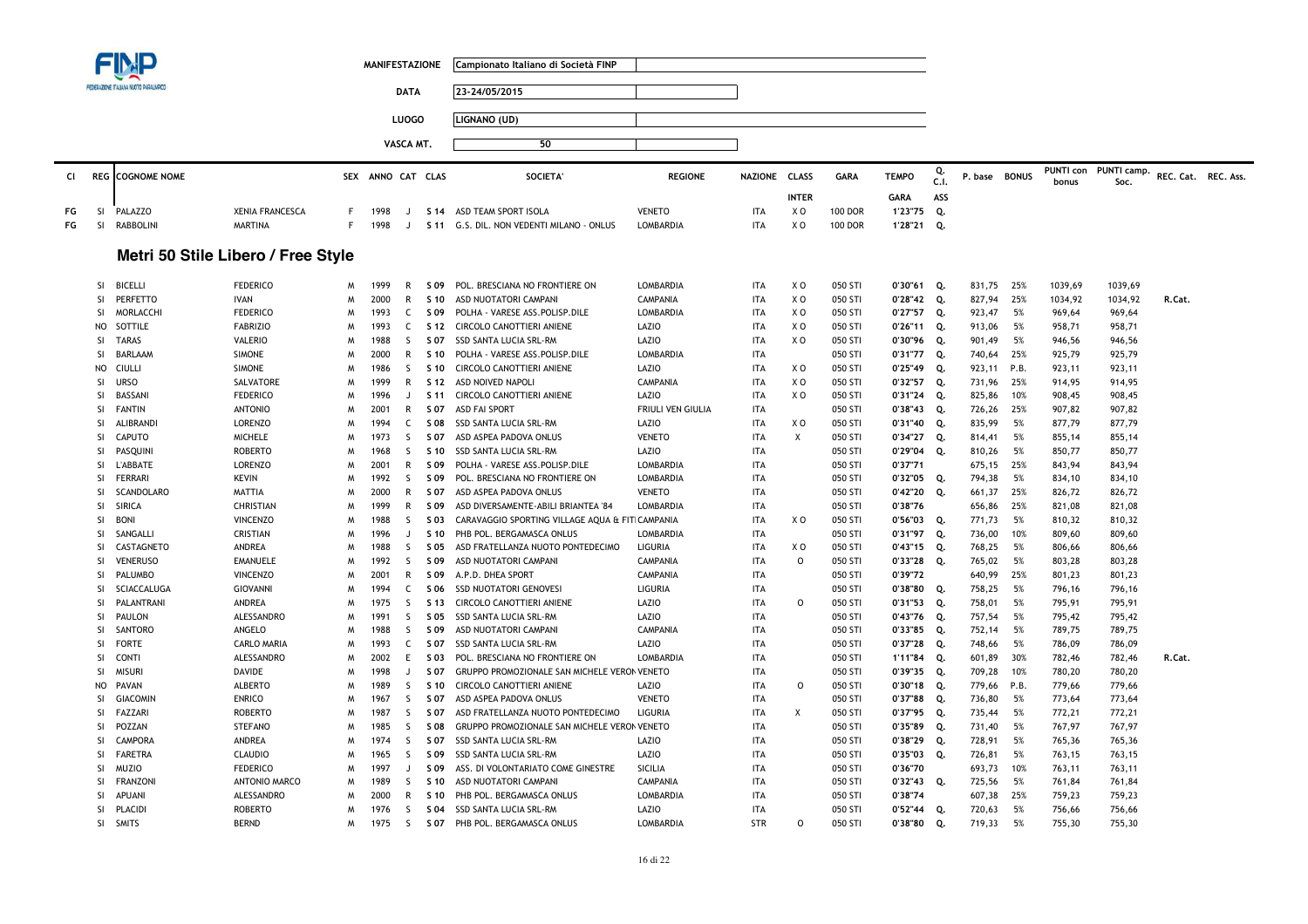|    |               |                                    |                        |        | <b>MANIFESTAZIONE</b> |              |              | Campionato Italiano di Società FINP                      |                            |                   |                |                    |                    |            |                  |           |                    |                     |                     |  |
|----|---------------|------------------------------------|------------------------|--------|-----------------------|--------------|--------------|----------------------------------------------------------|----------------------------|-------------------|----------------|--------------------|--------------------|------------|------------------|-----------|--------------------|---------------------|---------------------|--|
|    |               |                                    |                        |        |                       | <b>DATA</b>  |              | 23-24/05/2015                                            |                            |                   |                |                    |                    |            |                  |           |                    |                     |                     |  |
|    |               |                                    |                        |        |                       |              |              |                                                          |                            |                   |                |                    |                    |            |                  |           |                    |                     |                     |  |
|    |               |                                    |                        |        |                       | <b>LUOGO</b> |              | LIGNANO (UD)                                             |                            |                   |                |                    |                    |            |                  |           |                    |                     |                     |  |
|    |               |                                    |                        |        |                       | VASCA MT.    |              | 50                                                       |                            |                   |                |                    |                    |            |                  |           |                    |                     |                     |  |
|    |               |                                    |                        |        |                       |              |              |                                                          |                            |                   |                |                    |                    |            |                  |           |                    |                     |                     |  |
| CI | <b>REG</b>    | <b>COGNOME NOME</b>                |                        |        | SEX ANNO CAT CLAS     |              |              | <b>SOCIETA</b>                                           | <b>REGIONE</b>             | NAZIONE CLASS     |                | <b>GARA</b>        | <b>TEMPO</b>       | Q.<br>C.I. | P. base BONUS    |           | PUNTI con<br>bonus | PUNTI camp.<br>Soc. | REC. Cat. REC. Ass. |  |
|    |               |                                    |                        |        |                       |              |              |                                                          |                            |                   | <b>INTER</b>   |                    | <b>GARA</b>        | ASS        |                  |           |                    |                     |                     |  |
| FG | <b>SI</b>     | PALAZZO                            | <b>XENIA FRANCESCA</b> | F      | 1998                  | J            |              | S 14 ASD TEAM SPORT ISOLA                                | <b>VENETO</b>              | <b>ITA</b>        | X <sub>0</sub> | <b>100 DOR</b>     | 1'23"75            | Q.         |                  |           |                    |                     |                     |  |
| FG | <sub>SI</sub> | <b>RABBOLINI</b>                   | <b>MARTINA</b>         | F      | 1998                  | $\Box$       | S 11         | G.S. DIL. NON VEDENTI MILANO - ONLUS                     | <b>LOMBARDIA</b>           | <b>ITA</b>        | X <sub>0</sub> | <b>100 DOR</b>     | 1'28"21            | Q.         |                  |           |                    |                     |                     |  |
|    |               | Metri 50 Stile Libero / Free Style |                        |        |                       |              |              |                                                          |                            |                   |                |                    |                    |            |                  |           |                    |                     |                     |  |
|    | SI            | <b>BICELLI</b>                     | <b>FEDERICO</b>        | W      | 1999                  | R            | S 09         | POL. BRESCIANA NO FRONTIERE ON                           | LOMBARDIA                  | <b>ITA</b>        | X <sub>0</sub> | 050 STI            | 0'30"61            | Q.         | 831,75           | 25%       | 1039,69            | 1039,69             |                     |  |
|    | -SI           | PERFETTO                           | <b>IVAN</b>            | м      | 2000                  | $\mathsf{R}$ | S 10         | ASD NUOTATORI CAMPANI                                    | CAMPANIA                   | <b>ITA</b>        | X <sub>0</sub> | 050 STI            | 0'28"42            | Q.         | 827,94           | 25%       | 1034,92            | 1034,92             | R.Cat.              |  |
|    | SI            | MORLACCHI                          | <b>FEDERICO</b>        | W      | 1993                  | C            | S 09         | POLHA - VARESE ASS.POLISP.DILE                           | LOMBARDIA                  | <b>ITA</b>        | X <sub>0</sub> | 050 STI            | 0'27"57            | Q.         | 923,47           | 5%        | 969,64             | 969,64              |                     |  |
|    | NO            | SOTTILE                            | <b>FABRIZIO</b>        | M      | 1993                  | $\mathsf{C}$ | S 12         | CIRCOLO CANOTTIERI ANIENE                                | LAZIO                      | <b>ITA</b>        | X <sub>0</sub> | 050 STI            | 0'26"11            | Q.         | 913,06           | 5%        | 958,71             | 958,71              |                     |  |
|    | SI.           | <b>TARAS</b>                       | <b>VALERIO</b>         | M      | 1988                  | <sub>S</sub> | S 07         | <b>SSD SANTA LUCIA SRL-RM</b>                            | LAZIO                      | <b>ITA</b>        | X <sub>0</sub> | 050 STI            | 0'30"96            | Q.         | 901.49           | 5%        | 946,56             | 946,56              |                     |  |
|    | SI            | <b>BARLAAM</b>                     | <b>SIMONE</b>          | W      | 2000                  | R            | S 10         | POLHA - VARESE ASS.POLISP.DILE                           | LOMBARDIA                  | <b>ITA</b>        |                | 050 STI            | 0'31"77            | Q.         | 740,64           | 25%       | 925,79             | 925,79              |                     |  |
|    | NO            | CIULL                              | <b>SIMONE</b>          | M      | 1986                  | S            | S 10         | CIRCOLO CANOTTIERI ANIENE                                | LAZIO                      | <b>ITA</b>        | X <sub>0</sub> | 050 STI            | 0'25"49            | Q.         | 923,11           | P.B.      | 923,11             | 923,11              |                     |  |
|    | SI            | <b>URSO</b>                        | SALVATORE              | W      | 1999                  | R            | S 12         | ASD NOIVED NAPOLI                                        | <b>CAMPANIA</b>            | ITA               | X O            | 050 STI            | 0'32"57            | Q.         | 731,96           | 25%       | 914,95             | 914,95              |                     |  |
|    | <b>SI</b>     | BASSANI                            | <b>FEDERICO</b>        | W      | 1996                  | J            | S 11         | <b>CIRCOLO CANOTTIERI ANIENE</b>                         | LAZIO                      | <b>ITA</b>        | X <sub>0</sub> | 050 STI            | 0'31"24            | Q.         | 825,86           | 10%       | 908,45             | 908,45              |                     |  |
|    | SI.           | <b>FANTIN</b>                      | <b>ANTONIO</b>         | м      | 2001                  | $\mathsf{R}$ | S 07         | <b>ASD FAI SPORT</b>                                     | <b>FRIULI VEN GIULIA</b>   | <b>ITA</b>        |                | 050 STI            | 0'38"43            | Q.         | 726,26           | 25%       | 907,82             | 907,82              |                     |  |
|    | SI.           | ALIBRANDI                          | LORENZO                | W      | 1994                  | C            | S 08         | SSD SANTA LUCIA SRL-RM                                   | LAZIO                      | ITA               | X O            | 050 STI            | 0'31"40            | Q.         | 835,99           | 5%        | 877,79             | 877,79              |                     |  |
|    | SI            | CAPUTO                             | <b>MICHELE</b>         | W      | 1973                  | S            | S 07         | ASD ASPEA PADOVA ONLUS                                   | <b>VENETO</b>              | <b>ITA</b>        | Χ              | 050 STI            | 0'34"27            | Q.         | 814,41           | 5%        | 855,14             | 855,14              |                     |  |
|    | SI.           | PASQUINI                           | <b>ROBERTO</b>         | W      | 1968                  | S.           | S 10         | SSD SANTA LUCIA SRL-RM                                   | LAZIO                      | ITA               |                | 050 STI            | 0'29"04            | Q.         | 810,26           | 5%        | 850,77             | 850,77              |                     |  |
|    | SI            | <b>L'ABBATE</b>                    | <b>LORENZO</b>         | W<br>M | 2001                  | R            | S 09         | POLHA - VARESE ASS.POLISP.DILE                           | LOMBARDIA                  | ITA               |                | 050 STI            | 0'37"71            |            | 675,15           | 25%       | 843,94             | 843,94              |                     |  |
|    | SI<br>-SI     | FERRARI<br>SCANDOLARO              | <b>KEVIN</b><br>MATTIA | W      | 1992<br>2000          | S<br>R       | S 09<br>S 07 | POL. BRESCIANA NO FRONTIERE ON<br>ASD ASPEA PADOVA ONLUS | LOMBARDIA<br><b>VENETO</b> | <b>ITA</b><br>ITA |                | 050 STI<br>050 STI | 0'32"05<br>0'42"20 | Q.<br>Q.   | 794,38<br>661,37 | 5%<br>25% | 834,10<br>826,72   | 834,10<br>826,72    |                     |  |
|    | <b>SI</b>     | SIRICA                             | CHRISTIAN              | W      | 1999                  | R            | S 09         | ASD DIVERSAMENTE-ABILI BRIANTEA '84                      | LOMBARDIA                  | <b>ITA</b>        |                | 050 STI            | 0'38"76            |            | 656,86           | 25%       | 821,08             | 821,08              |                     |  |
|    | SI            | <b>BONI</b>                        | <b>VINCENZO</b>        | м      | 1988                  | S            | S 03         | CARAVAGGIO SPORTING VILLAGE AQUA & FITICAMPANIA          |                            | <b>ITA</b>        | X <sub>0</sub> | 050 STI            | 0'56"03            | Q.         | 771,73           | 5%        | 810,32             | 810,32              |                     |  |
|    | SI.           | SANGALLI                           | <b>CRISTIAN</b>        | W      | 1996                  | J            | S 10         | PHB POL. BERGAMASCA ONLUS                                | LOMBARDIA                  | <b>ITA</b>        |                | 050 STI            | 0'31"97            | Q.         | 736,00           | 10%       | 809,60             | 809,60              |                     |  |
|    | -SI           | CASTAGNETO                         | ANDREA                 |        | 1988                  | S            | S 05         | ASD FRATELLANZA NUOTO PONTEDECIMO                        | LIGURIA                    | <b>ITA</b>        | X <sub>0</sub> | 050 STI            | 0'43"15            | Q.         | 768,25           | 5%        | 806,66             | 806,66              |                     |  |
|    | SI.           | <b>VENERUSO</b>                    | <b>EMANUELE</b>        | M      | 1992                  | <sub>S</sub> | S 09         | ASD NUOTATORI CAMPANI                                    | CAMPANIA                   | <b>ITA</b>        | $\circ$        | 050 STI            | 0'33"28            | Q.         | 765,02           | 5%        | 803,28             | 803,28              |                     |  |
|    | -SI           | PALUMBO                            | <b>VINCENZO</b>        | W      | 2001                  | R            | S 09         | A.P.D. DHEA SPORT                                        | <b>CAMPANIA</b>            | <b>ITA</b>        |                | 050 STI            | 0'39"72            |            | 640,99           | 25%       | 801,23             | 801,23              |                     |  |
|    | SI            | SCIACCALUGA                        | <b>GIOVANNI</b>        |        | 1994                  | $\mathsf{C}$ | S 06         | <b>SSD NUOTATORI GENOVESI</b>                            | LIGURIA                    | <b>ITA</b>        |                | 050 STI            | 0'38"80            | Q.         | 758,25           | 5%        | 796,16             | 796,16              |                     |  |
|    | -SI           | PALANTRANI                         | ANDREA                 | M      | 1975                  | <sub>S</sub> | S 13         | CIRCOLO CANOTTIERI ANIENE                                | LAZIO                      | <b>ITA</b>        | $\circ$        | 050 STI            | 0'31"53            | Q.         | 758.01           | 5%        | 795,91             | 795,91              |                     |  |
|    | SI            | PAULON                             | ALESSANDRO             | W      | 1991                  | S.           | S 05         | SSD SANTA LUCIA SRL-RM                                   | LAZIO                      | <b>ITA</b>        |                | 050 STI            | 0'43"76            | Q.         | 757,54           | 5%        | 795,42             | 795,42              |                     |  |
|    | SI            | SANTORO                            | ANGELO                 | м      | 1988                  | S.           | S 09         | ASD NUOTATORI CAMPANI                                    | CAMPANIA                   | <b>ITA</b>        |                | 050 STI            | 0'33"85            | Q.         | 752,14           | 5%        | 789,75             | 789,75              |                     |  |
|    | SI            | <b>FORTE</b>                       | <b>CARLO MARIA</b>     | W      | 1993                  | C            | S 07         | SSD SANTA LUCIA SRL-RM                                   | LAZIO                      | <b>ITA</b>        |                | 050 STI            | 0'37"28            | Q.         | 748,66           | 5%        | 786,09             | 786,09              |                     |  |
|    | <b>SI</b>     | <b>CONTI</b>                       | ALESSANDRO             | W      | 2002                  | E.           | S 03         | POL. BRESCIANA NO FRONTIERE ON                           | <b>LOMBARDIA</b>           | <b>ITA</b>        |                | 050 STI            | 1'11"84            | Q.         | 601,89           | 30%       | 782,46             | 782,46              | R.Cat.              |  |
|    | SI            | <b>MISURI</b>                      | <b>DAVIDE</b>          | м      | 1998                  | J            | S 07         | GRUPPO PROMOZIONALE SAN MICHELE VERON VENETO             |                            | <b>ITA</b>        |                | 050 STI            | 0'39"35            | Q.         | 709,28           | 10%       | 780,20             | 780,20              |                     |  |
|    | NO            | PAVAN                              | <b>ALBERTO</b>         | W      | 1989                  | S.           | S 10         | CIRCOLO CANOTTIERI ANIENE                                | LAZIO                      | <b>ITA</b>        | $\circ$        | 050 STI            | 0'30"18            | Q.         | 779,66           | P.B.      | 779,66             | 779,66              |                     |  |
|    | -SI           | <b>GIACOMIN</b>                    | <b>ENRICO</b>          | M      | 1967                  | S            | S 07         | ASD ASPEA PADOVA ONLUS                                   | <b>VENETO</b>              | <b>ITA</b>        |                | 050 STI            | 0'37"88            | Q.         | 736,80           | 5%        | 773,64             | 773,64              |                     |  |
|    | SI.           | FAZZARI                            | <b>ROBERTO</b>         | W      | 1987                  | S.           | S 07         | ASD FRATELLANZA NUOTO PONTEDECIMO                        | LIGURIA                    | ITA               | X              | 050 STI            | 0'37"95            | Q.         | 735,44           | 5%        | 772,21             | 772,21              |                     |  |
|    | -SI           | POZZAN                             | <b>STEFANO</b>         | W      | 1985                  | S.           | S 08         | GRUPPO PROMOZIONALE SAN MICHELE VERON VENETO             |                            | <b>ITA</b>        |                | 050 STI            | 0'35"89            | Q.         | 731,40           | 5%        | 767,97             | 767,97              |                     |  |
|    | SI            | CAMPORA                            | ANDREA                 | м      | 1974                  | S            | S 07         | SSD SANTA LUCIA SRL-RM                                   | LAZIO                      | <b>ITA</b>        |                | 050 STI            | 0'38"29            | Q.         | 728,91           | 5%        | 765,36             | 765,36              |                     |  |
|    | SI.           | <b>FARETRA</b>                     | <b>CLAUDIO</b>         | W      | 1965                  | S.           | S 09         | SSD SANTA LUCIA SRL-RM                                   | LAZIO                      | ITA               |                | 050 STI            | 0'35"03            | Q.         | 726,81           | 5%        | 763,15             | 763,15              |                     |  |
|    | SI            | <b>MUZIO</b>                       | <b>FEDERICO</b>        | W      | 1997                  | $\mathbf{J}$ | S 09         | ASS. DI VOLONTARIATO COME GINESTRE                       | SICILIA                    | <b>ITA</b>        |                | 050 STI            | 0'36"70            |            | 693,73           | 10%       | 763,11             | 763,11              |                     |  |
|    | -SI           | <b>FRANZONI</b>                    | ANTONIO MARCO          | м      | 1989                  | S            | S 10         | ASD NUOTATORI CAMPANI                                    | CAMPANIA                   | <b>ITA</b>        |                | 050 STI            | 0'32"43            | Q.         | 725,56           | 5%        | 761,84             | 761,84              |                     |  |
|    | -SI           | APUANI                             | ALESSANDRO             | м      | 2000                  | R            | S 10         | PHB POL. BERGAMASCA ONLUS                                | LOMBARDIA                  | <b>ITA</b>        |                | 050 STI            | 0'38"74            |            | 607,38           | 25%       | 759,23             | 759,23              |                     |  |
|    | SI            | PLACIDI                            | <b>ROBERTO</b>         | W      | 1976                  | S            | S 04         | SSD SANTA LUCIA SRL-RM                                   | LAZIO                      | <b>ITA</b>        |                | 050 STI            | 0'52"44            | Q.         | 720,63           | 5%        | 756,66             | 756,66              |                     |  |
|    |               | SI SMITS                           | <b>BERND</b>           | W      | 1975                  | S.           | S 07         | PHB POL. BERGAMASCA ONLUS                                | <b>LOMBARDIA</b>           | <b>STR</b>        | $\Omega$       | 050 STI            | 0'38"80            | Q.         | 719,33           | 5%        | 755,30             | 755,30              |                     |  |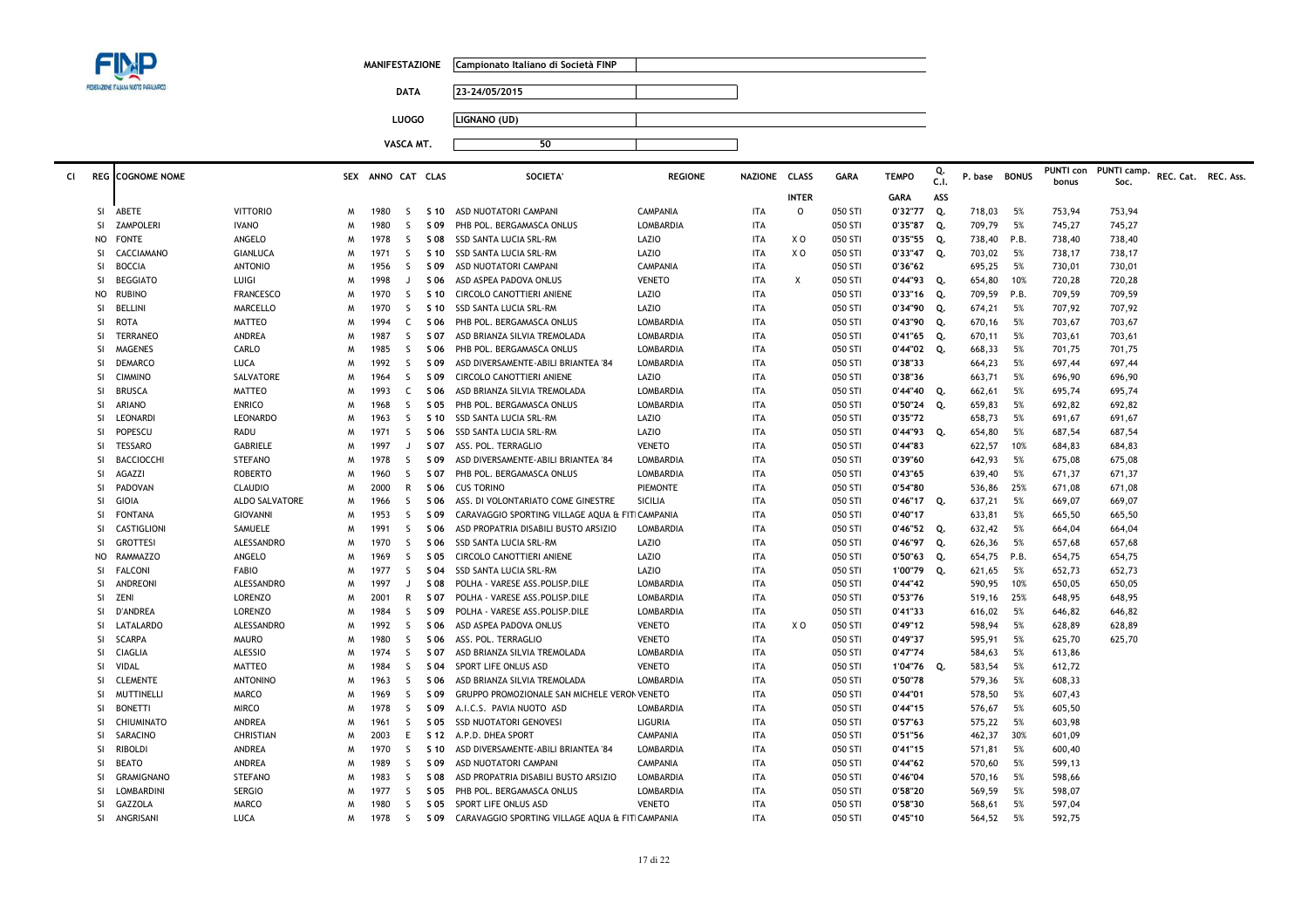| <b>WINE ITALIANA NUOTO PARALIMPICO</b> |  |
|----------------------------------------|--|

| MANIFESTAZIONE | Campionato Italiano di Società FINP |  |
|----------------|-------------------------------------|--|
|                |                                     |  |

**LUOGO LIGNANO (UD)**

| <b>CI</b> |               | <b>REG</b> COGNOME NOME |                       |   | SEX ANNO CAT CLAS |              |      | <b>SOCIETA</b>                                       | <b>REGIONE</b>   | NAZIONE CLASS |                | <b>GARA</b> | <b>TEMPO</b>  | Q.<br>C.1 | P. base BONUS |      | bonus  | PUNTI con PUNTI camp.<br>Soc. | REC. Cat. REC. Ass. |  |
|-----------|---------------|-------------------------|-----------------------|---|-------------------|--------------|------|------------------------------------------------------|------------------|---------------|----------------|-------------|---------------|-----------|---------------|------|--------|-------------------------------|---------------------|--|
|           |               |                         |                       |   |                   |              |      |                                                      |                  |               | <b>INTER</b>   |             | GARA          | ASS       |               |      |        |                               |                     |  |
|           | SI.           | ABETE                   | <b>VITTORIO</b>       | M | 1980              | -S           | S 10 | ASD NUOTATORI CAMPANI                                | <b>CAMPANIA</b>  | ITA           | $\circ$        | 050 STI     | 0'32"77       | Q.        | 718,03        | - 5% | 753,94 | 753,94                        |                     |  |
|           | SI.           | <b>ZAMPOLERI</b>        | <b>IVANO</b>          | M | 1980              | -S           | S 09 | PHB POL. BERGAMASCA ONLUS                            | LOMBARDIA        | ITA           |                | 050 STI     | 0'35"87       | Q.        | 709,79        | 5%   | 745,27 | 745,27                        |                     |  |
|           |               | NO FONTE                | ANGELO                | M | 1978              | -S           | S 08 | SSD SANTA LUCIA SRL-RM                               | LAZIO            | ITA           | x o            | 050 STI     | 0'35"55 Q.    |           | 738,40 P.B.   |      | 738,40 | 738,40                        |                     |  |
|           | <sub>SI</sub> | CACCIAMANO              | <b>GIANLUCA</b>       | M | 1971              | <sub>S</sub> | S 10 | SSD SANTA LUCIA SRL-RM                               | LAZIO            | ITA           | X <sub>0</sub> | 050 STI     | 0'33"47 Q.    |           | 703,02        | 5%   | 738,17 | 738,17                        |                     |  |
|           | SI.           | <b>BOCCIA</b>           | <b>ANTONIO</b>        | M | 1956              | S.           | S 09 | ASD NUOTATORI CAMPANI                                | <b>CAMPANIA</b>  | ITA           |                | 050 STI     | 0'36"62       |           | 695,25        | 5%   | 730,01 | 730,01                        |                     |  |
|           | <b>SI</b>     | <b>BEGGIATO</b>         | LUIGI                 | M | 1998              | J            | S 06 | ASD ASPEA PADOVA ONLUS                               | <b>VENETO</b>    | ITA           | $\times$       | 050 STI     | $0'44''930$ . |           | 654,80        | 10%  | 720,28 | 720,28                        |                     |  |
|           | NO.           | <b>RUBINO</b>           | <b>FRANCESCO</b>      | M | 1970              | <sub>S</sub> | S 10 | <b>CIRCOLO CANOTTIERI ANIENE</b>                     | LAZIO            | <b>ITA</b>    |                | 050 STI     | 0'33"16 Q.    |           | 709,59        | P.B. | 709,59 | 709,59                        |                     |  |
|           | SI.           | BELLINI                 | MARCELLO              | M | 1970              | <sub>S</sub> | S 10 | <b>SSD SANTA LUCIA SRL-RM</b>                        | LAZIO            | <b>ITA</b>    |                | 050 STI     | $0'34"900$ .  |           | 674,21        | - 5% | 707,92 | 707,92                        |                     |  |
|           | SI            | ROTA                    | MATTEO                | M | 1994              | C            | S 06 | PHB POL. BERGAMASCA ONLUS                            | LOMBARDIA        | ITA           |                | 050 STI     | $0'43''90$ Q. |           | 670,16        | 5%   | 703,67 | 703,67                        |                     |  |
|           | SI.           | TERRANEO                | ANDREA                | M | 1987              | S.           | S 07 | ASD BRIANZA SILVIA TREMOLADA                         | LOMBARDIA        | ITA           |                | 050 STI     | $0'41''65$ Q. |           | 670,11        | 5%   | 703,61 | 703,61                        |                     |  |
|           | <sub>SI</sub> | <b>MAGENES</b>          | CARLO                 | M | 1985              | S.           | S 06 | PHB POL. BERGAMASCA ONLUS                            | LOMBARDIA        | ITA           |                | 050 STI     | 0'44"02 Q.    |           | 668,33        | - 5% | 701,75 | 701,75                        |                     |  |
|           | <sub>SI</sub> | <b>DEMARCO</b>          | LUCA                  | M | 1992              | <sub>S</sub> | S 09 | ASD DIVERSAMENTE-ABILI BRIANTEA '84                  | LOMBARDIA        | <b>ITA</b>    |                | 050 STI     | 0'38"33       |           | 664,23        | 5%   | 697,44 | 697,44                        |                     |  |
|           | <sub>SI</sub> | <b>CIMMINO</b>          | SALVATORE             | M | 1964              | -S           | S 09 | CIRCOLO CANOTTIERI ANIENE                            | LAZIO            | <b>ITA</b>    |                | 050 STI     | 0'38"36       |           | 663,71        | 5%   | 696,90 | 696,90                        |                     |  |
|           | SI.           | <b>BRUSCA</b>           | <b>MATTEO</b>         | M | 1993              | C            | S 06 | ASD BRIANZA SILVIA TREMOLADA                         | LOMBARDIA        | ITA           |                | 050 STI     | 0'44"40 Q.    |           | 662,61        | 5%   | 695,74 | 695,74                        |                     |  |
|           | <sub>SI</sub> | ARIANO                  | <b>ENRICO</b>         | M | 1968              | <sub>S</sub> | S 05 | PHB POL. BERGAMASCA ONLUS                            | LOMBARDIA        | ITA           |                | 050 STI     | $0'50''24$ Q. |           | 659,83        | - 5% | 692,82 | 692,82                        |                     |  |
|           | <sub>SI</sub> | LEONARDI                | <b>LEONARDO</b>       | M | 1963              | S.           | S 10 | SSD SANTA LUCIA SRL-RM                               | LAZIO            | ITA           |                | 050 STI     | 0'35"72       |           | 658,73        | - 5% | 691,67 | 691,67                        |                     |  |
|           | <sub>SI</sub> | POPESCU                 | RADU                  | M | 1971              | -S           | S 06 | SSD SANTA LUCIA SRL-RM                               | LAZIO            | ITA           |                | 050 STI     | $0'44''93$ Q. |           | 654,80        | 5%   | 687,54 | 687,54                        |                     |  |
|           | <sub>SI</sub> | <b>TESSARO</b>          | <b>GABRIELE</b>       | M | 1997              | J            | S 07 | ASS. POL. TERRAGLIO                                  | <b>VENETO</b>    | ITA           |                | 050 STI     | 0'44''83      |           | 622,57        | 10%  | 684,83 | 684,83                        |                     |  |
|           | <sub>SI</sub> | <b>BACCIOCCHI</b>       | <b>STEFANO</b>        | M | 1978              | S            | S 09 | ASD DIVERSAMENTE-ABILI BRIANTEA '84                  | LOMBARDIA        | ITA           |                | 050 STI     | 0'39"60       |           | 642,93        | 5%   | 675,08 | 675,08                        |                     |  |
|           | SI            | AGAZZI                  | <b>ROBERTO</b>        | M | 1960              | S            | S 07 | PHB POL. BERGAMASCA ONLUS                            | LOMBARDIA        | ITA           |                | 050 STI     | 0'43"65       |           | 639,40        | 5%   | 671,37 | 671,37                        |                     |  |
|           | SI            | PADOVAN                 | <b>CLAUDIO</b>        | M | 2000              | R            | S 06 | <b>CUS TORINO</b>                                    | <b>PIEMONTE</b>  | ITA           |                | 050 STI     | 0'54"80       |           | 536,86        | 25%  | 671,08 | 671,08                        |                     |  |
|           | <sub>SI</sub> | GIOIA                   | <b>ALDO SALVATORE</b> | M | 1966              | -S           | S 06 | ASS. DI VOLONTARIATO COME GINESTRE                   | SICILIA          | <b>ITA</b>    |                | 050 STI     | 0'46"17 Q.    |           | 637,21        | - 5% | 669,07 | 669,07                        |                     |  |
|           | <sub>SI</sub> | FONTANA                 | <b>GIOVANNI</b>       | M | 1953              | -S           | S 09 | CARAVAGGIO SPORTING VILLAGE AQUA & FITICAMPANIA      |                  | ITA           |                | 050 STI     | 0'40"17       |           | 633,81        | 5%   | 665,50 | 665,50                        |                     |  |
|           | <sub>SI</sub> | CASTIGLIONI             | SAMUELE               | M | 1991              | -S           | S 06 | ASD PROPATRIA DISABILI BUSTO ARSIZIO                 | <b>LOMBARDIA</b> | ITA           |                | 050 STI     | 0'46"52 Q.    |           | 632,42        | 5%   | 664,04 | 664,04                        |                     |  |
|           | SI.           | GROTTESI                | ALESSANDRO            | M | 1970              | S.           | S 06 | SSD SANTA LUCIA SRL-RM                               | LAZIO            | ITA           |                | 050 STI     | 0'46"97 Q.    |           | 626,36        | - 5% | 657,68 | 657,68                        |                     |  |
|           | NO            | RAMMAZZO                | ANGELO                | M | 1969              | <sub>S</sub> | S 05 | CIRCOLO CANOTTIERI ANIENE                            | LAZIO            | <b>ITA</b>    |                | 050 STI     | $0'50''63$ Q. |           | 654,75        | P.B. | 654,75 | 654,75                        |                     |  |
|           | SI            | <b>FALCONI</b>          | FABIO                 | M | 1977              | S            | S 04 | SSD SANTA LUCIA SRL-RM                               | LAZIO            | <b>ITA</b>    |                | 050 STI     | 1'00"79       | Q.        | 621,65        | 5%   | 652,73 | 652,73                        |                     |  |
|           | <sub>SI</sub> | ANDREONI                | ALESSANDRO            | M | 1997              | J            | S 08 | POLHA - VARESE ASS.POLISP.DILE                       | LOMBARDIA        | ITA           |                | 050 STI     | 0'44"42       |           | 590,95        | 10%  | 650,05 | 650,05                        |                     |  |
|           | <sub>SI</sub> | ZEN                     | LORENZO               | M | 2001              | R            | S 07 | POLHA - VARESE ASS. POLISP. DILE                     | LOMBARDIA        | ITA           |                | 050 STI     | 0'53"76       |           | 519,16 25%    |      | 648,95 | 648,95                        |                     |  |
|           | SI.           | D'ANDREA                | LORENZO               | M | 1984              | <sub>S</sub> | S 09 | POLHA - VARESE ASS. POLISP. DILE                     | LOMBARDIA        | ITA           |                | 050 STI     | 0'41''33      |           | 616,02        | - 5% | 646,82 | 646,82                        |                     |  |
|           | <sub>SI</sub> | LATALARDO               | ALESSANDRO            | M | 1992              | -S           | S 06 | ASD ASPEA PADOVA ONLUS                               | <b>VENETO</b>    | ITA           | X O            | 050 STI     | 0'49"12       |           | 598,94        | 5%   | 628,89 | 628,89                        |                     |  |
|           | SI.           | SCARPA                  | <b>MAURO</b>          | M | 1980              | -S           | S 06 | ASS. POL. TERRAGLIO                                  | <b>VENETO</b>    | ITA           |                | 050 STI     | 0'49"37       |           | 595,91        | - 5% | 625,70 | 625,70                        |                     |  |
|           | SI            | <b>CIAGLIA</b>          | ALESSIO               | M | 1974              | <sub>S</sub> | S 07 | ASD BRIANZA SILVIA TREMOLADA                         | LOMBARDIA        | <b>ITA</b>    |                | 050 STI     | 0'47''74      |           | 584,63        | 5%   | 613,86 |                               |                     |  |
|           | SI            | VIDAL                   | MATTEO                | M | 1984              | S            | S 04 | SPORT LIFE ONLUS ASD                                 | <b>VENETO</b>    | ITA           |                | 050 STI     | 1'04"76 Q.    |           | 583,54        | 5%   | 612,72 |                               |                     |  |
|           | SI            | <b>CLEMENTE</b>         | <b>ANTONINO</b>       | M | 1963              | S            | S 06 | ASD BRIANZA SILVIA TREMOLADA                         | LOMBARDIA        | ITA           |                | 050 STI     | 0'50"78       |           | 579,36        | 5%   | 608,33 |                               |                     |  |
|           | SI.           | <b>MUTTINELLI</b>       | MARCO                 | M | 1969              | <sub>S</sub> | S 09 | <b>GRUPPO PROMOZIONALE SAN MICHELE VERON VENETO</b>  |                  | <b>ITA</b>    |                | 050 STI     | 0'44"01       |           | 578,50        | 5%   | 607,43 |                               |                     |  |
|           | <sub>SI</sub> | BONETTI                 | <b>MIRCO</b>          | M | 1978              | <sub>S</sub> | S 09 | A.I.C.S. PAVIA NUOTO ASD                             | <b>LOMBARDIA</b> | <b>ITA</b>    |                | 050 STI     | 0'44"15       |           | 576,67        | - 5% | 605,50 |                               |                     |  |
|           | <sub>SI</sub> | CHIUMINATO              | ANDREA                | M | 1961              | -S           | S 05 | <b>SSD NUOTATORI GENOVESI</b>                        | LIGURIA          | ITA           |                | 050 STI     | 0'57''63      |           | 575,22        | - 5% | 603,98 |                               |                     |  |
|           | SI.           | SARACINO                | CHRISTIAN             | M | 2003              | E.           | S 12 | A.P.D. DHEA SPORT                                    | <b>CAMPANIA</b>  | ITA           |                | 050 STI     | 0'51"56       |           | 462,37        | 30%  | 601,09 |                               |                     |  |
|           | <b>SI</b>     | <b>RIBOLDI</b>          | ANDREA                | M | 1970              | -S           | S 10 | ASD DIVERSAMENTE-ABILI BRIANTEA '84                  | LOMBARDIA        | ITA           |                | 050 STI     | 0'41''15      |           | 571,81        | 5%   | 600,40 |                               |                     |  |
|           | SI.           | <b>BEATO</b>            | ANDREA                | M | 1989              | S.           | S 09 | ASD NUOTATORI CAMPANI                                | <b>CAMPANIA</b>  | ITA           |                | 050 STI     | 0'44''62      |           | 570,60        | 5%   | 599,13 |                               |                     |  |
|           | <sub>SI</sub> | <b>GRAMIGNANO</b>       | <b>STEFANO</b>        | M | 1983              | <sub>S</sub> | S 08 | ASD PROPATRIA DISABILI BUSTO ARSIZIO                 | LOMBARDIA        | <b>ITA</b>    |                | 050 STI     | 0'46"04       |           | 570,16        | 5%   | 598,66 |                               |                     |  |
|           | <sub>SI</sub> | <b>LOMBARDINI</b>       | <b>SERGIO</b>         | M | 1977              | -S           | S 05 | PHB POL. BERGAMASCA ONLUS                            | <b>LOMBARDIA</b> | <b>ITA</b>    |                | 050 STI     | 0'58"20       |           | 569,59        | - 5% | 598,07 |                               |                     |  |
|           | ςı            | GAZZOLA                 | MARCO                 | M | 1980              | -S           | S 05 | SPORT LIFE ONLUS ASD                                 | <b>VENETO</b>    | ITA           |                | 050 STI     | 0'58"30       |           | 568,61        | 5%   | 597,04 |                               |                     |  |
|           |               | SI ANGRISANI            | LUCA                  | M | 1978              | S.           |      | S 09 CARAVAGGIO SPORTING VILLAGE AQUA & FITICAMPANIA |                  | <b>ITA</b>    |                | 050 STI     | 0'45"10       |           | 564,52        | - 5% | 592,75 |                               |                     |  |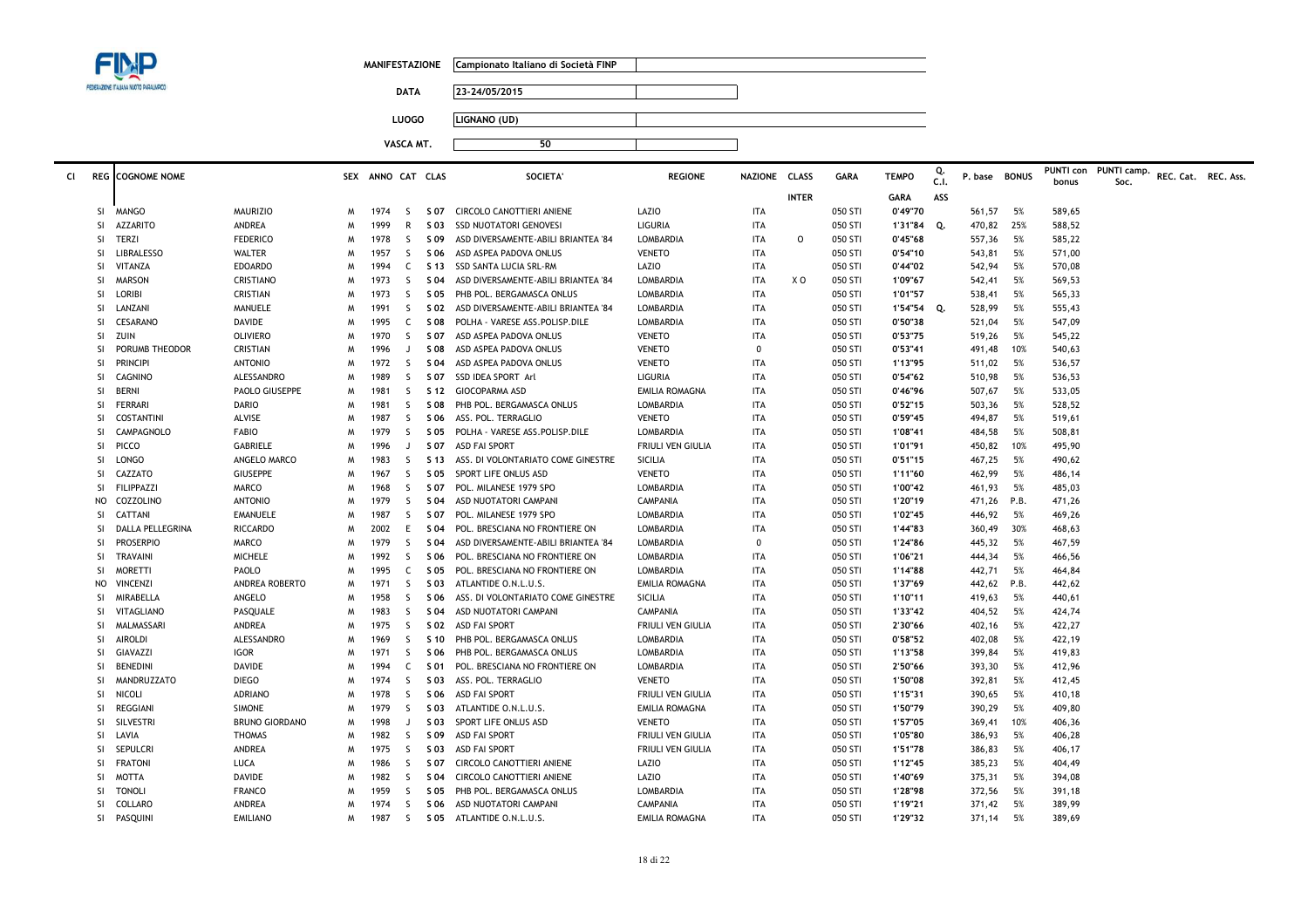| <b>MANA NIOTO PARALMPICO</b><br>VE ITI |
|----------------------------------------|
|                                        |

| <b>MANIFESTAZIONE</b> | Campionato Italiano di Società FINP |  |
|-----------------------|-------------------------------------|--|
|                       |                                     |  |

**LUOGO LIGNANO (UD)**

| <b>CI</b> | <b>REG</b> | <b>COGNOME NOME</b> |                       |   | SEX ANNO CAT CLAS |              |      | <b>SOCIETA</b>                      | <b>REGIONE</b>        | NAZIONE CLASS |              | <b>GARA</b> | <b>TEMPO</b>  | Q.<br>C.1. | P. base BONUS |      | bonus  | PUNTI con PUNTI camp.<br>Soc. | REC. Cat. REC. Ass. |  |
|-----------|------------|---------------------|-----------------------|---|-------------------|--------------|------|-------------------------------------|-----------------------|---------------|--------------|-------------|---------------|------------|---------------|------|--------|-------------------------------|---------------------|--|
|           |            |                     |                       |   |                   |              |      |                                     |                       |               | <b>INTER</b> |             | GARA          | ASS        |               |      |        |                               |                     |  |
|           |            | SI MANGO            | <b>MAURIZIO</b>       | M | 1974              | -S           |      | S 07 CIRCOLO CANOTTIERI ANIENE      | LAZIO                 | ITA           |              | 050 STI     | 0'49"70       |            | 561,57        | - 5% | 589,65 |                               |                     |  |
|           | SI         | AZZARITO            | ANDREA                | м | 1999              | R            | S 03 | SSD NUOTATORI GENOVESI              | LIGURIA               | <b>ITA</b>    |              | 050 STI     | 1'31"84 Q.    |            | 470,82        | 25%  | 588,52 |                               |                     |  |
|           |            | SI TERZI            | <b>FEDERICO</b>       | M | 1978              | <sub>S</sub> | S 09 | ASD DIVERSAMENTE-ABILI BRIANTEA '84 | <b>LOMBARDIA</b>      | <b>ITA</b>    | 0            | 050 STI     | 0'45''68      |            | 557,36        | - 5% | 585,22 |                               |                     |  |
|           | SI.        | LIBRALESSO          | WALTER                | м | 1957              | -S           | S 06 | ASD ASPEA PADOVA ONLUS              | <b>VENETO</b>         | ITA           |              | 050 STI     | 0'54''10      |            | 543,81        | 5%   | 571,00 |                               |                     |  |
|           |            | SI VITANZA          | <b>EDOARDO</b>        | M | 1994              | $\mathsf{C}$ |      | S 13 SSD SANTA LUCIA SRL-RM         | LAZIO                 | ITA           |              | 050 STI     | 0'44"02       |            | 542,94        | 5%   | 570,08 |                               |                     |  |
|           | SI         | <b>MARSON</b>       | CRISTIANO             | M | 1973              | S            | S 04 | ASD DIVERSAMENTE-ABILI BRIANTEA '84 | LOMBARDIA             | ITA           | X O          | 050 STI     | 1'09"67       |            | 542,41        | 5%   | 569,53 |                               |                     |  |
|           | SI         | LORIBI              | CRISTIAN              | M | 1973              | S            | S 05 | PHB POL. BERGAMASCA ONLUS           | LOMBARDIA             | ITA           |              | 050 STI     | 1'01"57       |            | 538,41        | 5%   | 565,33 |                               |                     |  |
|           |            | SI LANZANI          | <b>MANUELE</b>        | M | 1991              | -S           | S 02 | ASD DIVERSAMENTE-ABILI BRIANTEA '84 | <b>LOMBARDIA</b>      | ITA           |              | 050 STI     | $1'54''54$ Q. |            | 528,99        | - 5% | 555,43 |                               |                     |  |
|           | SI         | <b>CESARANO</b>     | DAVIDE                | M | 1995              | C            | S 08 | POLHA - VARESE ASS. POLISP. DILE    | LOMBARDIA             | ITA           |              | 050 STI     | 0'50"38       |            | 521,04        | 5%   | 547,09 |                               |                     |  |
|           |            | SI ZUIN             | OLIVIERO              | M | 1970              | S.           | S 07 | ASD ASPEA PADOVA ONLUS              | <b>VENETO</b>         | ITA           |              | 050 STI     | 0'53"75       |            | 519,26        | - 5% | 545,22 |                               |                     |  |
|           | SI         | PORUMB THEODOR      | CRISTIAN              | M | 1996              | J            | S 08 | ASD ASPEA PADOVA ONLUS              | <b>VENETO</b>         | $\mathbf 0$   |              | 050 STI     | 0'53"41       |            | 491,48        | 10%  | 540,63 |                               |                     |  |
|           |            | SI PRINCIPI         | <b>ANTONIO</b>        | M | 1972              | <sub>S</sub> | S 04 | ASD ASPEA PADOVA ONLUS              | <b>VENETO</b>         | <b>ITA</b>    |              | 050 STI     | 1'13"95       |            | 511,02        | 5%   | 536,57 |                               |                     |  |
|           | SI         | CAGNINO             | ALESSANDRO            | м | 1989              | <sub>S</sub> | S 07 | SSD IDEA SPORT Arl                  | LIGURIA               | ITA           |              | 050 STI     | 0'54''62      |            | 510,98        | 5%   | 536,53 |                               |                     |  |
|           |            | SI BERNI            | PAOLO GIUSEPPE        | M | 1981              | S.           |      | S 12 GIOCOPARMA ASD                 | <b>EMILIA ROMAGNA</b> | ITA           |              | 050 STI     | 0'46"96       |            | 507,67        | 5%   | 533,05 |                               |                     |  |
|           | SI         | FERRARI             | DARIO                 | M | 1981              | S.           | S 08 | PHB POL. BERGAMASCA ONLUS           | LOMBARDIA             | <b>ITA</b>    |              | 050 STI     | 0'52"15       |            | 503,36        | - 5% | 528,52 |                               |                     |  |
|           | SI         | COSTANTINI          | ALVISE                | M | 1987              | S.           | S 06 | ASS. POL. TERRAGLIO                 | <b>VENETO</b>         | ITA           |              | 050 STI     | 0'59''45      |            | 494,87        | 5%   | 519,61 |                               |                     |  |
|           | SI.        | CAMPAGNOLO          | FABIO                 | м | 1979              | <sub>S</sub> | S 05 | POLHA - VARESE ASS.POLISP.DILE      | <b>LOMBARDIA</b>      | ITA           |              | 050 STI     | 1'08"41       |            | 484,58        | - 5% | 508,81 |                               |                     |  |
|           | SI         | PICCO               | <b>GABRIELE</b>       | M | 1996              | J            | S 07 | ASD FAI SPORT                       | FRIULI VEN GIULIA     | ITA           |              | 050 STI     | 1'01"91       |            | 450,82        | 10%  | 495,90 |                               |                     |  |
|           | SI.        | LONGO               | ANGELO MARCO          | W | 1983              | S.           | S 13 | ASS. DI VOLONTARIATO COME GINESTRE  | SICILIA               | ITA           |              | 050 STI     | 0'51''15      |            | 467,25        | 5%   | 490,62 |                               |                     |  |
|           | SI         | CAZZATO             | <b>GIUSEPPE</b>       | M | 1967              | <sub>S</sub> | S 05 | SPORT LIFE ONLUS ASD                | <b>VENETO</b>         | <b>ITA</b>    |              | 050 STI     | 1'11"60       |            | 462,99        | 5%   | 486,14 |                               |                     |  |
|           |            | SI FILIPPAZZI       | <b>MARCO</b>          | M | 1968              | S.           | S 07 | POL. MILANESE 1979 SPO              | <b>LOMBARDIA</b>      | <b>ITA</b>    |              | 050 STI     | 1'00"42       |            | 461,93        | 5%   | 485,03 |                               |                     |  |
|           | NO.        | COZZOLINO           | <b>ANTONIO</b>        | м | 1979              | <sub>S</sub> | S 04 | ASD NUOTATORI CAMPANI               | <b>CAMPANIA</b>       | ITA           |              | 050 STI     | 1'20"19       |            | 471,26 P.B.   |      | 471,26 |                               |                     |  |
|           |            | SI CATTANI          | <b>EMANUELE</b>       | M | 1987              | S.           | S 07 | POL. MILANESE 1979 SPO              | LOMBARDIA             | ITA           |              | 050 STI     | 1'02"45       |            | 446,92        | 5%   | 469,26 |                               |                     |  |
|           | SI         | DALLA PELLEGRINA    | RICCARDO              | M | 2002              | E            | S 04 | POL. BRESCIANA NO FRONTIERE ON      | LOMBARDIA             | ITA           |              | 050 STI     | 1'44"83       |            | 360,49        | 30%  | 468,63 |                               |                     |  |
|           | SI         | <b>PROSERPIO</b>    | MARCO                 | M | 1979              | S            | S 04 | ASD DIVERSAMENTE-ABILI BRIANTEA '84 | LOMBARDIA             | 0             |              | 050 STI     | 1'24"86       |            | 445,32        | 5%   | 467,59 |                               |                     |  |
|           |            | SI TRAVAINI         | <b>MICHELE</b>        | м | 1992              | -S           | S 06 | POL. BRESCIANA NO FRONTIERE ON      | <b>LOMBARDIA</b>      | <b>ITA</b>    |              | 050 STI     | 1'06"21       |            | 444,34        | - 5% | 466,56 |                               |                     |  |
|           | SI         | <b>MORETTI</b>      | PAOLO                 | M | 1995              | C            | S 05 | POL. BRESCIANA NO FRONTIERE ON      | LOMBARDIA             | ITA           |              | 050 STI     | 1'14"88       |            | 442,71        | 5%   | 464,84 |                               |                     |  |
|           |            | NO VINCENZI         | ANDREA ROBERTO        | W | 1971              | S.           | S 03 | ATLANTIDE O.N.L.U.S.                | <b>EMILIA ROMAGNA</b> | ITA           |              | 050 STI     | 1'37"69       |            | 442,62 P.B.   |      | 442,62 |                               |                     |  |
|           | SI         | MIRABELLA           | ANGELO                | M | 1958              | <sub>S</sub> | S 06 | ASS. DI VOLONTARIATO COME GINESTRE  | SICILIA               | <b>ITA</b>    |              | 050 STI     | 1'10"11       |            | 419,63        | 5%   | 440,61 |                               |                     |  |
|           |            | SI VITAGLIANO       | PASQUALE              | M | 1983              | <sub>S</sub> | S 04 | ASD NUOTATORI CAMPANI               | <b>CAMPANIA</b>       | ITA           |              | 050 STI     | 1'33"42       |            | 404,52        | 5%   | 424,74 |                               |                     |  |
|           | SI.        | MALMASSARI          | ANDREA                | м | 1975              | S.           | S 02 | ASD FAI SPORT                       | FRIULI VEN GIULIA     | ITA           |              | 050 STI     | 2'30"66       |            | 402,16        | 5%   | 422,27 |                               |                     |  |
|           | SI.        | AIROLDI             | ALESSANDRO            | м | 1969              | S.           | S 10 | PHB POL. BERGAMASCA ONLUS           | LOMBARDIA             | ITA           |              | 050 STI     | 0'58"52       |            | 402,08        | 5%   | 422,19 |                               |                     |  |
|           | SI         | GIAVAZZI            | <b>IGOR</b>           | M | 1971              | S.           | S 06 | PHB POL. BERGAMASCA ONLUS           | LOMBARDIA             | ITA           |              | 050 STI     | 1'13"58       |            | 399,84        | - 5% | 419,83 |                               |                     |  |
|           | SI         | BENEDINI            | <b>DAVIDE</b>         | M | 1994              | $\mathsf{C}$ | S 01 | POL. BRESCIANA NO FRONTIERE ON      | LOMBARDIA             | ITA           |              | 050 STI     | 2'50"66       |            | 393,30        | 5%   | 412,96 |                               |                     |  |
|           | SI.        | MANDRUZZATO         | <b>DIEGO</b>          | W | 1974              | S.           | S 03 | ASS. POL. TERRAGLIO                 | <b>VENETO</b>         | ITA           |              | 050 STI     | 1'50"08       |            | 392,81        | - 5% | 412,45 |                               |                     |  |
|           | SI         | NICOLI              | <b>ADRIANO</b>        | M | 1978              | <sub>S</sub> | S 06 | ASD FAI SPORT                       | FRIULI VEN GIULIA     | ITA           |              | 050 STI     | 1'15"31       |            | 390,65        | 5%   | 410,18 |                               |                     |  |
|           | SI         | REGGIANI            | <b>SIMONE</b>         | W | 1979              | S.           |      | \$03 ATLANTIDE O.N.L.U.S.           | <b>EMILIA ROMAGNA</b> | ITA           |              | 050 STI     | 1'50"79       |            | 390,29        | 5%   | 409,80 |                               |                     |  |
|           | SI         | SILVESTRI           | <b>BRUNO GIORDANO</b> | M | 1998              | J            | S 03 | SPORT LIFE ONLUS ASD                | <b>VENETO</b>         | <b>ITA</b>    |              | 050 STI     | 1'57"05       |            | 369,41        | 10%  | 406,36 |                               |                     |  |
|           |            | SI LAVIA            | <b>THOMAS</b>         | M | 1982              | S.           | S 09 | ASD FAI SPORT                       | FRIULI VEN GIULIA     | ITA           |              | 050 STI     | 1'05"80       |            | 386,93        | 5%   | 406,28 |                               |                     |  |
|           | SI.        | SEPULCRI            | ANDREA                | м | 1975              | S.           | S 03 | ASD FAI SPORT                       | FRIULI VEN GIULIA     | ITA           |              | 050 STI     | 1'51"78       |            | 386,83        | 5%   | 406,17 |                               |                     |  |
|           |            | SI FRATONI          | LUCA                  | м | 1986              | S.           | S 07 | CIRCOLO CANOTTIERI ANIENE           | LAZIO                 | ITA           |              | 050 STI     | 1'12"45       |            | 385,23        | 5%   | 404,49 |                               |                     |  |
|           |            | SI MOTTA            | <b>DAVIDE</b>         | M | 1982              | <sub>S</sub> | S 04 | CIRCOLO CANOTTIERI ANIENE           | LAZIO                 | <b>ITA</b>    |              | 050 STI     | 1'40"69       |            | 375,31        | 5%   | 394,08 |                               |                     |  |
|           | SI.        | <b>TONOLI</b>       | <b>FRANCO</b>         | M | 1959              | <sub>S</sub> | S 05 | PHB POL. BERGAMASCA ONLUS           | <b>LOMBARDIA</b>      | ITA           |              | 050 STI     | 1'28"98       |            | 372,56        | 5%   | 391,18 |                               |                     |  |
|           | SI.        | COLLARO             | ANDREA                | M | 1974              | S.           | S 06 | ASD NUOTATORI CAMPANI               | <b>CAMPANIA</b>       | ITA           |              | 050 STI     | 1'19"21       |            | 371,42        | 5%   | 389,99 |                               |                     |  |
|           |            | SI PASQUINI         | <b>EMILIANO</b>       | M | 1987              | S.           |      | S 05 ATLANTIDE O.N.L.U.S.           | <b>EMILIA ROMAGNA</b> | <b>ITA</b>    |              | 050 STI     | 1'29"32       |            | 371,14 5%     |      | 389,69 |                               |                     |  |
|           |            |                     |                       |   |                   |              |      |                                     |                       |               |              |             |               |            |               |      |        |                               |                     |  |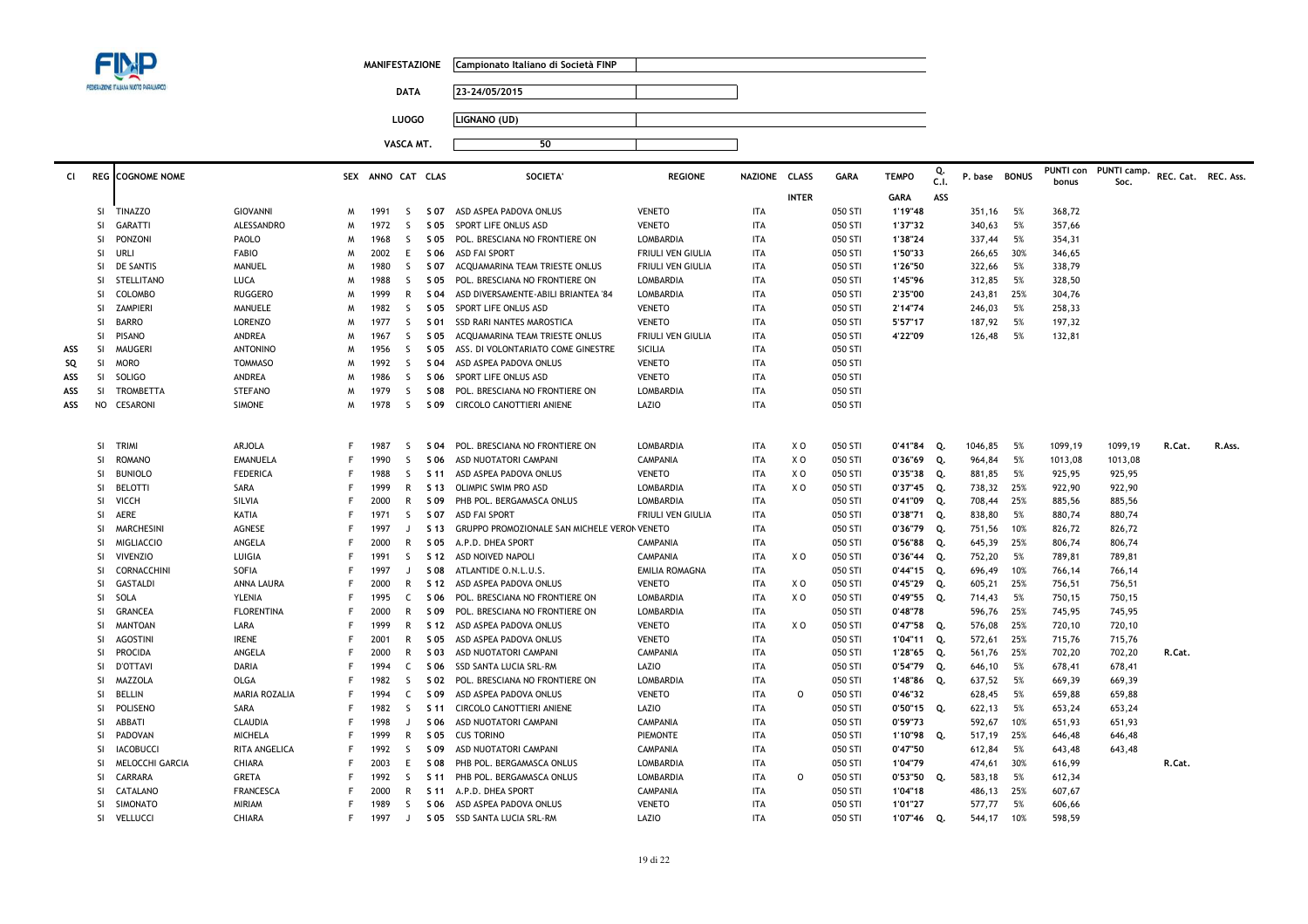| <b>TO DIDILI</b><br>orn |  |
|-------------------------|--|
| ×<br>na                 |  |

|  |  | MANIFESTAZIONE       Campionato Italiano di Società FINP |  |
|--|--|----------------------------------------------------------|--|
|--|--|----------------------------------------------------------|--|

**LUOGO LIGNANO (UD)**

| <b>CI</b> | <b>REG</b>    | <b>COGNOME NOME</b> |                   |    | SEX ANNO CAT CLAS |              |      | <b>SOCIETA'</b>                              | <b>REGIONE</b>           | NAZIONE CLASS |              | <b>GARA</b> | <b>TEMPO</b>  | Q.   | P. base BONUS |      |         | PUNTI con PUNTI camp. | REC. Cat. REC. Ass. |        |
|-----------|---------------|---------------------|-------------------|----|-------------------|--------------|------|----------------------------------------------|--------------------------|---------------|--------------|-------------|---------------|------|---------------|------|---------|-----------------------|---------------------|--------|
|           |               |                     |                   |    |                   |              |      |                                              |                          |               |              |             |               | C.I. |               |      | bonus   | Soc.                  |                     |        |
|           |               |                     |                   |    |                   |              |      |                                              |                          |               | <b>INTER</b> |             | <b>GARA</b>   | ASS  |               |      |         |                       |                     |        |
|           | SI.           | <b>TINAZZO</b>      | <b>GIOVANNI</b>   | M  | 1991              | S.           | S 07 | ASD ASPEA PADOVA ONLUS                       | <b>VENETO</b>            | <b>ITA</b>    |              | 050 STI     | 1'19''48      |      | 351,16        | 5%   | 368,72  |                       |                     |        |
|           | -SI           | <b>GARATTI</b>      | <b>ALESSANDRO</b> | М  | 1972              | S.           | S 05 | SPORT LIFE ONLUS ASD                         | <b>VENETO</b>            | <b>ITA</b>    |              | 050 STI     | 1'37"32       |      | 340,63        | 5%   | 357,66  |                       |                     |        |
|           | SI.           | <b>PONZONI</b>      | PAOLO             | M  | 1968              | S.           | S 05 | POL. BRESCIANA NO FRONTIERE ON               | <b>LOMBARDIA</b>         | ITA           |              | 050 STI     | 1'38"24       |      | 337,44        | 5%   | 354,31  |                       |                     |        |
|           | SI.           | URLI                | FABIO             | M  | 2002              | E            | S 06 | ASD FAI SPORT                                | <b>FRIULI VEN GIULIA</b> | ITA           |              | 050 STI     | 1'50"33       |      | 266,65        | 30%  | 346,65  |                       |                     |        |
|           | SI.           | DE SANTIS           | MANUEL            | M  | 1980              | S.           | S 07 | ACQUAMARINA TEAM TRIESTE ONLUS               | <b>FRIULI VEN GIULIA</b> | ITA           |              | 050 STI     | 1'26"50       |      | 322,66        | - 5% | 338,79  |                       |                     |        |
|           | SI.           | <b>STELLITANO</b>   | LUCA              | М  | 1988              | -S           | S 05 | POL. BRESCIANA NO FRONTIERE ON               | <b>LOMBARDIA</b>         | <b>ITA</b>    |              | 050 STI     | 1'45"96       |      | 312,85        | 5%   | 328,50  |                       |                     |        |
|           | SI.           | <b>COLOMBO</b>      | <b>RUGGERO</b>    | м  | 1999              | R            | S 04 | ASD DIVERSAMENTE-ABILI BRIANTEA '84          | LOMBARDIA                | <b>ITA</b>    |              | 050 STI     | 2'35"00       |      | 243,81        | 25%  | 304,76  |                       |                     |        |
|           | -SI           | ZAMPIERI            | MANUELE           | М  | 1982              | -S           | S 05 | SPORT LIFE ONLUS ASD                         | <b>VENETO</b>            | ITA           |              | 050 STI     | 2'14"74       |      | 246,03        | 5%   | 258,33  |                       |                     |        |
|           | <b>SI</b>     | <b>BARRO</b>        | <b>LORENZO</b>    | м  | 1977              | S.           | S 01 | <b>SSD RARI NANTES MAROSTICA</b>             | <b>VENETO</b>            | ITA           |              | 050 STI     | 5'57"17       |      | 187,92        | 5%   | 197,32  |                       |                     |        |
|           | SI.           | <b>PISANO</b>       | ANDREA            | м  | 1967              | S.           | S 05 | ACQUAMARINA TEAM TRIESTE ONLUS               | <b>FRIULI VEN GIULIA</b> | <b>ITA</b>    |              | 050 STI     | 4'22"09       |      | 126,48        | 5%   | 132,81  |                       |                     |        |
| ASS       | <b>SI</b>     | <b>MAUGERI</b>      | <b>ANTONINO</b>   | м  | 1956              | S.           | S 05 | ASS. DI VOLONTARIATO COME GINESTRE           | <b>SICILIA</b>           | <b>ITA</b>    |              | 050 STI     |               |      |               |      |         |                       |                     |        |
| SQ        | <b>SI</b>     | <b>MORO</b>         | <b>TOMMASO</b>    | М  | 1992              | S.           | S 04 | ASD ASPEA PADOVA ONLUS                       | <b>VENETO</b>            | <b>ITA</b>    |              | 050 STI     |               |      |               |      |         |                       |                     |        |
| ASS       | <b>SI</b>     | <b>SOLIGO</b>       | ANDREA            | М  | 1986              | S.           | S 06 | SPORT LIFE ONLUS ASD                         | <b>VENETO</b>            | <b>ITA</b>    |              | 050 STI     |               |      |               |      |         |                       |                     |        |
| ASS       | <sup>SI</sup> | TROMBETTA           | <b>STEFANO</b>    | M  | 1979              | S.           | S 08 | POL. BRESCIANA NO FRONTIERE ON               | <b>LOMBARDIA</b>         | <b>ITA</b>    |              | 050 STI     |               |      |               |      |         |                       |                     |        |
| ASS       | NO.           | <b>CESARONI</b>     | <b>SIMONE</b>     | M  | 1978              | S.           | S 09 | CIRCOLO CANOTTIERI ANIENE                    | LAZIO                    | <b>ITA</b>    |              | 050 STI     |               |      |               |      |         |                       |                     |        |
|           |               |                     |                   |    |                   |              |      |                                              |                          |               |              |             |               |      |               |      |         |                       |                     |        |
|           | SI.           | <b>TRIMI</b>        | <b>ARJOLA</b>     | F. | 1987              | -S           | S 04 | POL. BRESCIANA NO FRONTIERE ON               | <b>LOMBARDIA</b>         | <b>ITA</b>    | X O          | 050 STI     | 0'41"84       | Q.   | 1046,85       | 5%   | 1099,19 | 1099,19               | R.Cat.              | R.Ass. |
|           | SI.           | <b>ROMANO</b>       | <b>EMANUELA</b>   |    | 1990              | <sub>S</sub> | S 06 | ASD NUOTATORI CAMPANI                        | <b>CAMPANIA</b>          | <b>ITA</b>    | X O          | 050 STI     | 0'36"69       | Q.   | 964,84        | 5%   | 1013,08 | 1013,08               |                     |        |
|           | -SI           | <b>BUNIOLO</b>      | <b>FEDERICA</b>   |    | 1988              | S.           | S 11 | ASD ASPEA PADOVA ONLUS                       | <b>VENETO</b>            | ITA           | X O          | 050 STI     | 0'35"38       | Q.   | 881,85        | 5%   | 925,95  | 925,95                |                     |        |
|           | <b>SI</b>     | <b>BELOTTI</b>      | SARA              |    | 1999              | R            | S 13 | OLIMPIC SWIM PRO ASD                         | LOMBARDIA                | ITA           | ΧO           | 050 STI     | $0'37''45$ Q. |      | 738,32        | 25%  | 922,90  | 922,90                |                     |        |
|           | <b>SI</b>     | VICCH               | SILVIA            |    | 2000              | R            | S 09 | PHB POL. BERGAMASCA ONLUS                    | LOMBARDIA                | <b>ITA</b>    |              | 050 STI     | 0'41"09       | Q.   | 708,44        | 25%  | 885,56  | 885,56                |                     |        |
|           | SI.           | AERE                | KATIA             |    | 1971              | S            | S 07 | <b>ASD FAI SPORT</b>                         | <b>FRIULI VEN GIULIA</b> | <b>ITA</b>    |              | 050 STI     | 0'38"71       | Q.   | 838,80        | 5%   | 880,74  | 880,74                |                     |        |
|           | SI            | <b>MARCHESINI</b>   | AGNESE            |    | 1997              | $\mathbf{J}$ | S 13 | GRUPPO PROMOZIONALE SAN MICHELE VERON VENETO |                          | <b>ITA</b>    |              | 050 STI     | 0'36"79       | Q.   | 751,56        | 10%  | 826,72  | 826,72                |                     |        |
|           | <b>SI</b>     | <b>MIGLIACCIO</b>   | ANGELA            |    | 2000              | R            | S 05 | A.P.D. DHEA SPORT                            | <b>CAMPANIA</b>          | ITA           |              | 050 STI     | $0'56''88$ Q. |      | 645,39        | 25%  | 806,74  | 806,74                |                     |        |
|           | -SI           | <b>VIVENZIO</b>     | LUIGIA            |    | 1991              | S            | S 12 | ASD NOIVED NAPOLI                            | <b>CAMPANIA</b>          | <b>ITA</b>    | ΧO           | 050 STI     | 0'36"44       | Q.   | 752,20        | 5%   | 789,81  | 789,81                |                     |        |
|           | -SI           | <b>CORNACCHINI</b>  | SOFIA             |    | 1997              | J            | S 08 | ATLANTIDE O.N.L.U.S.                         | <b>EMILIA ROMAGNA</b>    | ITA           |              | 050 STI     | $0'44''15$ Q. |      | 696,49        | 10%  | 766,14  | 766,14                |                     |        |
|           | <b>SI</b>     | <b>GASTALDI</b>     | ANNA LAURA        |    | 2000              | R            | S 12 | ASD ASPEA PADOVA ONLUS                       | <b>VENETO</b>            | <b>ITA</b>    | X O          | 050 STI     | 0'45"29       | Q.   | 605,21        | 25%  | 756,51  | 756,51                |                     |        |
|           | <b>SI</b>     | SOL                 | YLENIA            |    | 1995              | C            | S 06 | POL. BRESCIANA NO FRONTIERE ON               | LOMBARDIA                | <b>ITA</b>    | X O          | 050 STI     | 0'49"55 Q.    |      | 714,43        | 5%   | 750,15  | 750,15                |                     |        |
|           | <b>SI</b>     | <b>GRANCEA</b>      | <b>FLORENTINA</b> |    | 2000              | R            | S 09 | POL. BRESCIANA NO FRONTIERE ON               | LOMBARDIA                | <b>ITA</b>    |              | 050 STI     | 0'48"78       |      | 596,76        | 25%  | 745,95  | 745,95                |                     |        |
|           | SI.           | <b>MANTOAN</b>      | LARA              |    | 1999              | R            | S 12 | ASD ASPEA PADOVA ONLUS                       | <b>VENETO</b>            | <b>ITA</b>    | ΧO           | 050 STI     | 0'47"58 Q.    |      | 576,08        | 25%  | 720,10  | 720,10                |                     |        |
|           | <b>SI</b>     | <b>AGOSTINI</b>     | <b>IRENE</b>      |    | 200 <sup>-</sup>  | R            | S 05 | ASD ASPEA PADOVA ONLUS                       | <b>VENETO</b>            | <b>ITA</b>    |              | 050 STI     | 1'04"11       | Q.   | 572,61        | 25%  | 715,76  | 715,76                |                     |        |
|           | <b>SI</b>     | PROCIDA             | ANGELA            |    | 2000              | R            | S 03 | ASD NUOTATORI CAMPANI                        | <b>CAMPANIA</b>          | <b>ITA</b>    |              | 050 STI     | 1'28"65       | Q.   | 561,76        | 25%  | 702,20  | 702,20                | R.Cat.              |        |
|           | SI.           | <b>D'OTTAVI</b>     | DARIA             |    | 1994              | C            | S 06 | SSD SANTA LUCIA SRL-RM                       | LAZIO                    | <b>ITA</b>    |              | 050 STI     | 0'54"79 Q.    |      | 646,10        | 5%   | 678,41  | 678,41                |                     |        |
|           | SI            | MAZZOLA             | <b>OLGA</b>       |    | 1982              | S            | S 02 | POL. BRESCIANA NO FRONTIERE ON               | LOMBARDIA                | <b>ITA</b>    |              | 050 STI     | 1'48"86       | Q.   | 637,52        | 5%   | 669,39  | 669,39                |                     |        |
|           | <b>SI</b>     | <b>BELLIN</b>       | MARIA ROZALIA     |    |                   | C            | S 09 | ASD ASPEA PADOVA ONLUS                       | <b>VENETO</b>            | ITA           | $\Omega$     | 050 STI     | 0'46"32       |      | 628,45        | 5%   | 659,88  | 659,88                |                     |        |
|           | -SI           | <b>POLISENO</b>     | SARA              |    | 1982              | S.           | S 11 | CIRCOLO CANOTTIERI ANIENE                    | LAZIO                    | ITA           |              | 050 STI     | $0'50''15$ Q. |      | 622,13        | 5%   | 653,24  | 653,24                |                     |        |
|           | SI            | ABBATI              | CLAUDIA           |    | 1998              | J            | S 06 | ASD NUOTATORI CAMPANI                        | <b>CAMPANIA</b>          | ITA           |              | 050 STI     | 0'59"73       |      | 592,67        | 10%  | 651,93  | 651,93                |                     |        |
|           | <b>SI</b>     | PADOVAN             | <b>MICHELA</b>    |    | 1999              | R            | S 05 | <b>CUS TORINO</b>                            | PIEMONTE                 | <b>ITA</b>    |              | 050 STI     | 1'10"98       | Q.   | 517,19        | 25%  | 646,48  | 646,48                |                     |        |
|           | SI.           | <b>IACOBUCCI</b>    | RITA ANGELICA     |    | 1992              | -S           | S 09 | ASD NUOTATORI CAMPANI                        | <b>CAMPANIA</b>          | <b>ITA</b>    |              | 050 STI     | 0'47"50       |      | 612,84        | 5%   | 643,48  | 643,48                |                     |        |
|           | SI.           | MELOCCHI GARCIA     | CHIARA            |    | 2003              | Ε            | S 08 | PHB POL. BERGAMASCA ONLUS                    | LOMBARDIA                | <b>ITA</b>    |              | 050 STI     | 1'04"79       |      | 474,61        | 30%  | 616,99  |                       | R.Cat.              |        |
|           | SI.           | CARRARA             | GRETA             |    | 1992              | S            | S 11 | PHB POL. BERGAMASCA ONLUS                    | LOMBARDIA                | ITA           | $\Omega$     | 050 STI     | 0'53"50 Q.    |      | 583,18        | 5%   | 612,34  |                       |                     |        |
|           | SI.           | CATALANO            | <b>FRANCESCA</b>  |    | 2000              | R            | S 11 | A.P.D. DHEA SPORT                            | <b>CAMPANIA</b>          | ITA           |              | 050 STI     | 1'04"18       |      | 486,13        | 25%  | 607,67  |                       |                     |        |
|           | SI.           | SIMONATO            | MIRIAM            |    | 1989              | S.           | S 06 | ASD ASPEA PADOVA ONLUS                       | <b>VENETO</b>            | <b>ITA</b>    |              | 050 STI     | 1'01"27       |      | 577,77        | 5%   | 606,66  |                       |                     |        |
|           | SI.           | VELLUCCI            | CHIARA            | F. | 1997              | J            | S 05 | SSD SANTA LUCIA SRL-RM                       | LAZIO                    | <b>ITA</b>    |              | 050 STI     | 1'07"46 Q.    |      | 544,17        | 10%  | 598,59  |                       |                     |        |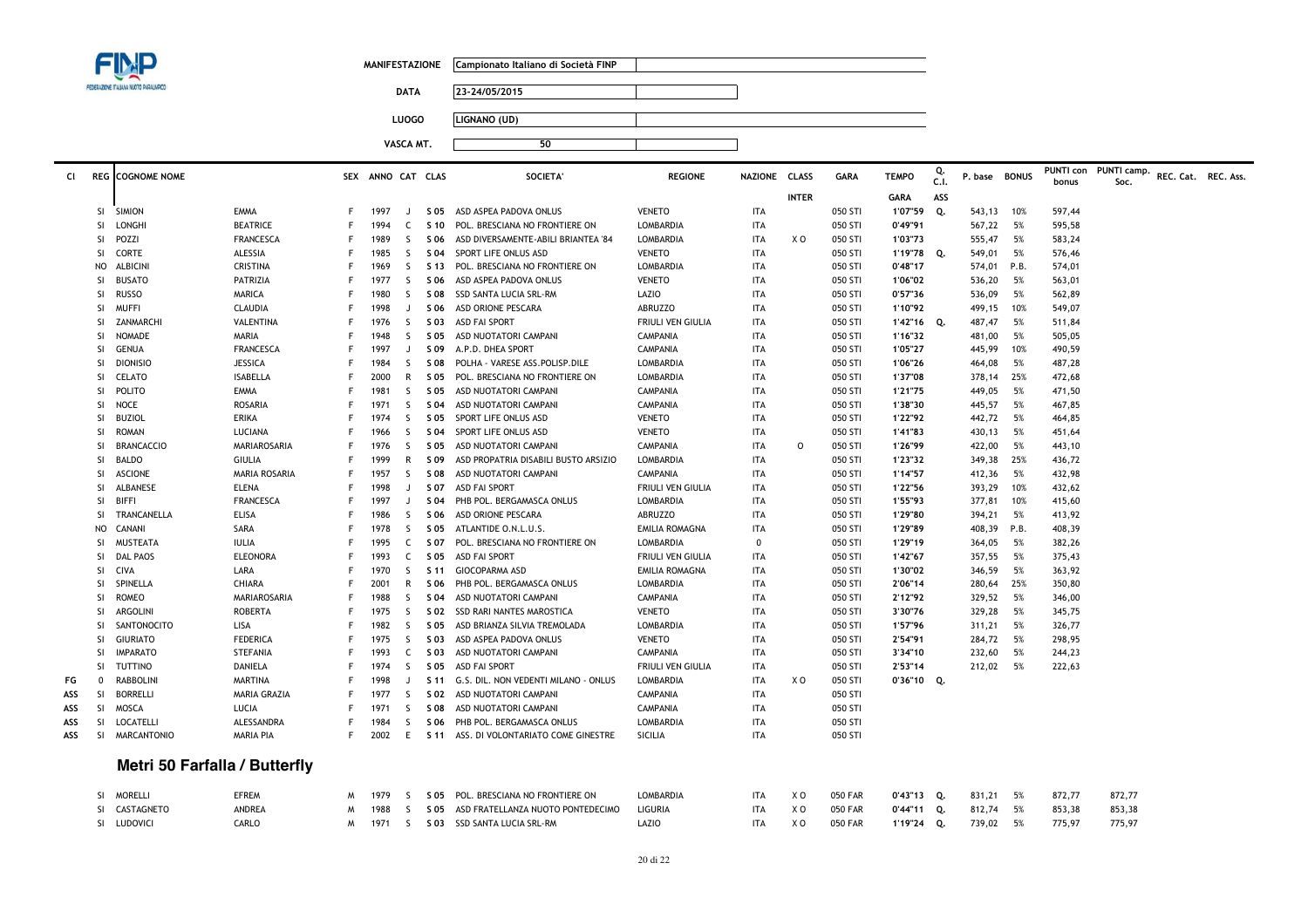| <b>TO DIDILI</b><br>orn<br>×<br>na |  |
|------------------------------------|--|

| MANIFESTAZIONE | Campionato Italiano di Società FINP |  |
|----------------|-------------------------------------|--|
|----------------|-------------------------------------|--|

**LUOGO LIGNANO (UD)**

| REC. Cat. REC. Ass.<br>P. base BONUS<br>C.1<br>bonus<br>Soc.<br><b>INTER</b><br><b>GARA</b><br>ASS<br>EMMA<br>S 05 ASD ASPEA PADOVA ONLUS<br><b>VENETO</b><br>SI.<br><b>SIMION</b><br>1997<br>ITA<br>050 STI<br>1'07"59 Q.<br>543,13<br>10%<br>597,44<br>F.<br>J<br><b>BEATRICE</b><br>LONGHI<br>C<br>S 10<br>POL. BRESCIANA NO FRONTIERE ON<br>LOMBARDIA<br>050 STI<br>0'49"91<br>567,22<br>5%<br>595,58<br>-SI<br>1994<br>ITA<br>POZZI<br><b>FRANCESCA</b><br><sub>S</sub><br>S 06<br>ASD DIVERSAMENTE-ABILI BRIANTEA '84<br>LOMBARDIA<br><b>ITA</b><br>X O<br>050 STI<br>1'03"73<br>555,47<br>5%<br>583,24<br>SI<br>1989<br>CORTE<br>ALESSIA<br>SPORT LIFE ONLUS ASD<br>ITA<br>050 STI<br>1'19"78 Q.<br>549,01<br>5%<br>576,46<br>SI<br>1985<br>S.<br>S 04<br><b>VENETO</b><br>F<br>ALBICINI<br>CRISTINA<br>POL. BRESCIANA NO FRONTIERE ON<br>LOMBARDIA<br><b>ITA</b><br>050 STI<br>0'48"17<br>574,01 P.B.<br>574,01<br>NO<br>1969<br>-S<br>S 13<br><b>BUSATO</b><br>PATRIZIA<br><b>VENETO</b><br>536,20<br>563,01<br>SI<br>1977<br>S.<br>S 06<br>ASD ASPEA PADOVA ONLUS<br>ITA<br>050 STI<br>1'06"02<br>5%<br><b>RUSSO</b><br>MARICA<br><sub>S</sub><br>SSD SANTA LUCIA SRL-RM<br>LAZIO<br><b>ITA</b><br>050 STI<br>0'57''36<br>536,09<br>5%<br>562,89<br><sup>SI</sup><br>1980<br>S 08<br>ASD ORIONE PESCARA<br><b>MUFFI</b><br><b>CLAUDIA</b><br>1998<br>S 06<br>ABRUZZO<br>ITA<br>050 STI<br>1'10"92<br>499,15<br>10%<br>549,07<br>SI.<br>$\mathbf{I}$<br>S.<br><b>ASD FAI SPORT</b><br>5%<br>ZANMARCHI<br>VALENTINA<br>1976<br>S 03<br><b>FRIULI VEN GIULIA</b><br>ITA<br>050 STI<br>1'42"16 Q.<br>487,47<br>511,84<br>-SI<br>S.<br>1'16"32<br>5%<br>SI.<br><b>NOMADE</b><br>MARIA<br>1948<br>S 05<br>ASD NUOTATORI CAMPANI<br><b>CAMPANIA</b><br>ITA<br>050 STI<br>481,00<br>505,05<br><b>FRANCESCA</b><br>S 09<br>A.P.D. DHEA SPORT<br><b>CAMPANIA</b><br>ITA<br>050 STI<br>1'05"27<br>445,99<br>10%<br>490,59<br>SI.<br>GENUA<br>1997<br>J<br><b>DIONISIO</b><br><b>JESSICA</b><br><sub>S</sub><br>LOMBARDIA<br><b>ITA</b><br>050 STI<br>1'06"26<br>5%<br>487,28<br>SI<br>1984<br>S 08<br>POLHA - VARESE ASS. POLISP. DILE<br>464,08<br><b>CELATO</b><br><b>ISABELLA</b><br>R<br>POL. BRESCIANA NO FRONTIERE ON<br>ITA<br>050 STI<br>1'37"08<br>378,14 25%<br>472,68<br>SI<br>2000<br>S 05<br>LOMBARDIA<br>POLITO<br><b>EMMA</b><br><sub>S</sub><br>ASD NUOTATORI CAMPANI<br><b>ITA</b><br>050 STI<br>1'21"75<br>449,05<br>5%<br>471,50<br>SI<br>1981<br>S 05<br><b>CAMPANIA</b><br><b>ROSARIA</b><br>S.<br>ASD NUOTATORI CAMPANI<br>050 STI<br>1'38"30<br>445,57<br>467,85<br><sup>SI</sup><br><b>NOCE</b><br>1971<br>S 04<br><b>CAMPANIA</b><br>ITA<br>5%<br><b>BUZIOL</b><br>ERIKA<br>SPORT LIFE ONLUS ASD<br><b>VENETO</b><br>050 STI<br>1'22"92<br>5%<br><sup>SI</sup><br>-S<br>S 05<br>ITA<br>442,72<br>464,85<br>1974<br>S.<br><b>VENETO</b><br><b>ROMAN</b><br>LUCIANA<br>1966<br>S 04<br>SPORT LIFE ONLUS ASD<br>ITA<br>050 STI<br>1'41"83<br>430,13<br>5%<br>451,64<br>-SI<br><b>BRANCACCIO</b><br>MARIAROSARIA<br>-S<br>S 05<br>ASD NUOTATORI CAMPANI<br><b>CAMPANIA</b><br>ITA<br>$\Omega$<br>050 STI<br>1'26"99<br>422,00<br>- 5%<br>443,10<br>-SI<br>1976<br><b>SI</b><br><b>BALDO</b><br><b>GIULIA</b><br>1999<br>R<br>S 09<br>ASD PROPATRIA DISABILI BUSTO ARSIZIO<br>LOMBARDIA<br>ITA<br>050 STI<br>1'23"32<br>349,38 25%<br>436,72<br><b>ASCIONE</b><br>MARIA ROSARIA<br>S.<br>S 08<br>ASD NUOTATORI CAMPANI<br><b>CAMPANIA</b><br>050 STI<br>1'14"57<br>412,36<br>- 5%<br>432,98<br>SI<br>1957<br>ITA<br>F<br>ALBANESE<br><b>ELENA</b><br>1998<br>S 07<br><b>ASD FAI SPORT</b><br>050 STI<br>1'22"56<br>393,29<br>10%<br>432,62<br>SI<br>J<br><b>FRIULI VEN GIULIA</b><br>ITA<br>F.<br>SI BIFFI<br><b>FRANCESCA</b><br>1997<br>S 04<br>PHB POL. BERGAMASCA ONLUS<br>LOMBARDIA<br>ITA<br>050 STI<br>1'55"93<br>377,81<br>10%<br>415,60<br>F<br>J<br>TRANCANELLA<br><sub>S</sub><br>S 06<br>ASD ORIONE PESCARA<br><b>ABRUZZO</b><br>5%<br><b>SI</b><br><b>ELISA</b><br>1986<br>ITA<br>050 STI<br>1'29"80<br>394,21<br>413,92<br>SARA<br>S.<br>ATLANTIDE O.N.L.U.S.<br>050 STI<br>1'29"89<br>408,39 P.B.<br>408,39<br>NO CANANI<br>1978<br>S 05<br><b>EMILIA ROMAGNA</b><br>ITA<br>MUSTEATA<br>POL. BRESCIANA NO FRONTIERE ON<br>LOMBARDIA<br>$\mathbf 0$<br>050 STI<br>1'29"19<br>5%<br>382,26<br><b>SI</b><br><b>IULIA</b><br>1995<br>C<br>S 07<br>364,05<br><b>ELEONORA</b><br><b>DAL PAOS</b><br>1993<br>C<br>S 05<br><b>ASD FAI SPORT</b><br>ITA<br>050 STI<br>1'42"67<br>357,55<br>5%<br>375,43<br>SI<br>FRIULI VEN GIULIA<br>CIVA<br>LARA<br>-S<br>GIOCOPARMA ASD<br><b>EMILIA ROMAGNA</b><br>ITA<br>050 STI<br>1'30"02<br>346,59<br>5%<br>363,92<br>SI<br>1970<br>S 11<br>SPINELLA<br><b>CHIARA</b><br>R<br>S 06<br>PHB POL. BERGAMASCA ONLUS<br>LOMBARDIA<br>ITA<br>050 STI<br>2'06"14<br>25%<br>350,80<br>SI<br>E<br>2001<br>280,64<br><b>ROMEO</b><br>MARIAROSARIA<br>1988<br>S.<br>S 04<br>ASD NUOTATORI CAMPANI<br><b>CAMPANIA</b><br>050 STI<br>2'12"92<br>329,52<br>5%<br>346,00<br>SI<br>ITA<br>ARGOLINI<br><b>ROBERTA</b><br>1975<br>S.<br>S 02<br>SSD RARI NANTES MAROSTICA<br><b>VENETO</b><br><b>ITA</b><br>050 STI<br>3'30"76<br>329,28<br>5%<br>345,75<br>SI<br>SANTONOCITO<br>LISA<br><sub>S</sub><br>S 05<br>ASD BRIANZA SILVIA TREMOLADA<br>050 STI<br>1'57"96<br>326,77<br><b>SI</b><br>1982<br>LOMBARDIA<br>ITA<br>311,21<br>5% |  |
|---------------------------------------------------------------------------------------------------------------------------------------------------------------------------------------------------------------------------------------------------------------------------------------------------------------------------------------------------------------------------------------------------------------------------------------------------------------------------------------------------------------------------------------------------------------------------------------------------------------------------------------------------------------------------------------------------------------------------------------------------------------------------------------------------------------------------------------------------------------------------------------------------------------------------------------------------------------------------------------------------------------------------------------------------------------------------------------------------------------------------------------------------------------------------------------------------------------------------------------------------------------------------------------------------------------------------------------------------------------------------------------------------------------------------------------------------------------------------------------------------------------------------------------------------------------------------------------------------------------------------------------------------------------------------------------------------------------------------------------------------------------------------------------------------------------------------------------------------------------------------------------------------------------------------------------------------------------------------------------------------------------------------------------------------------------------------------------------------------------------------------------------------------------------------------------------------------------------------------------------------------------------------------------------------------------------------------------------------------------------------------------------------------------------------------------------------------------------------------------------------------------------------------------------------------------------------------------------------------------------------------------------------------------------------------------------------------------------------------------------------------------------------------------------------------------------------------------------------------------------------------------------------------------------------------------------------------------------------------------------------------------------------------------------------------------------------------------------------------------------------------------------------------------------------------------------------------------------------------------------------------------------------------------------------------------------------------------------------------------------------------------------------------------------------------------------------------------------------------------------------------------------------------------------------------------------------------------------------------------------------------------------------------------------------------------------------------------------------------------------------------------------------------------------------------------------------------------------------------------------------------------------------------------------------------------------------------------------------------------------------------------------------------------------------------------------------------------------------------------------------------------------------------------------------------------------------------------------------------------------------------------------------------------------------------------------------------------------------------------------------------------------------------------------------------------------------------------------------------------------------------------------------------------------------------------------------------------------------------------------------------------------------------------------------------------------------------------------------------------------------------------------------------------------------------------------------------------------------------------------------------------------------------------------------------------------------------------------------------------------------------------------------------------------------------------------------------------------------------------------------------------------------------------------------------------------------------------------------------------------------------------------------------------------------------------------------------------------------------------------------------------|--|
|                                                                                                                                                                                                                                                                                                                                                                                                                                                                                                                                                                                                                                                                                                                                                                                                                                                                                                                                                                                                                                                                                                                                                                                                                                                                                                                                                                                                                                                                                                                                                                                                                                                                                                                                                                                                                                                                                                                                                                                                                                                                                                                                                                                                                                                                                                                                                                                                                                                                                                                                                                                                                                                                                                                                                                                                                                                                                                                                                                                                                                                                                                                                                                                                                                                                                                                                                                                                                                                                                                                                                                                                                                                                                                                                                                                                                                                                                                                                                                                                                                                                                                                                                                                                                                                                                                                                                                                                                                                                                                                                                                                                                                                                                                                                                                                                                                                                                                                                                                                                                                                                                                                                                                                                                                                                                                                                                                                       |  |
|                                                                                                                                                                                                                                                                                                                                                                                                                                                                                                                                                                                                                                                                                                                                                                                                                                                                                                                                                                                                                                                                                                                                                                                                                                                                                                                                                                                                                                                                                                                                                                                                                                                                                                                                                                                                                                                                                                                                                                                                                                                                                                                                                                                                                                                                                                                                                                                                                                                                                                                                                                                                                                                                                                                                                                                                                                                                                                                                                                                                                                                                                                                                                                                                                                                                                                                                                                                                                                                                                                                                                                                                                                                                                                                                                                                                                                                                                                                                                                                                                                                                                                                                                                                                                                                                                                                                                                                                                                                                                                                                                                                                                                                                                                                                                                                                                                                                                                                                                                                                                                                                                                                                                                                                                                                                                                                                                                                       |  |
|                                                                                                                                                                                                                                                                                                                                                                                                                                                                                                                                                                                                                                                                                                                                                                                                                                                                                                                                                                                                                                                                                                                                                                                                                                                                                                                                                                                                                                                                                                                                                                                                                                                                                                                                                                                                                                                                                                                                                                                                                                                                                                                                                                                                                                                                                                                                                                                                                                                                                                                                                                                                                                                                                                                                                                                                                                                                                                                                                                                                                                                                                                                                                                                                                                                                                                                                                                                                                                                                                                                                                                                                                                                                                                                                                                                                                                                                                                                                                                                                                                                                                                                                                                                                                                                                                                                                                                                                                                                                                                                                                                                                                                                                                                                                                                                                                                                                                                                                                                                                                                                                                                                                                                                                                                                                                                                                                                                       |  |
|                                                                                                                                                                                                                                                                                                                                                                                                                                                                                                                                                                                                                                                                                                                                                                                                                                                                                                                                                                                                                                                                                                                                                                                                                                                                                                                                                                                                                                                                                                                                                                                                                                                                                                                                                                                                                                                                                                                                                                                                                                                                                                                                                                                                                                                                                                                                                                                                                                                                                                                                                                                                                                                                                                                                                                                                                                                                                                                                                                                                                                                                                                                                                                                                                                                                                                                                                                                                                                                                                                                                                                                                                                                                                                                                                                                                                                                                                                                                                                                                                                                                                                                                                                                                                                                                                                                                                                                                                                                                                                                                                                                                                                                                                                                                                                                                                                                                                                                                                                                                                                                                                                                                                                                                                                                                                                                                                                                       |  |
|                                                                                                                                                                                                                                                                                                                                                                                                                                                                                                                                                                                                                                                                                                                                                                                                                                                                                                                                                                                                                                                                                                                                                                                                                                                                                                                                                                                                                                                                                                                                                                                                                                                                                                                                                                                                                                                                                                                                                                                                                                                                                                                                                                                                                                                                                                                                                                                                                                                                                                                                                                                                                                                                                                                                                                                                                                                                                                                                                                                                                                                                                                                                                                                                                                                                                                                                                                                                                                                                                                                                                                                                                                                                                                                                                                                                                                                                                                                                                                                                                                                                                                                                                                                                                                                                                                                                                                                                                                                                                                                                                                                                                                                                                                                                                                                                                                                                                                                                                                                                                                                                                                                                                                                                                                                                                                                                                                                       |  |
|                                                                                                                                                                                                                                                                                                                                                                                                                                                                                                                                                                                                                                                                                                                                                                                                                                                                                                                                                                                                                                                                                                                                                                                                                                                                                                                                                                                                                                                                                                                                                                                                                                                                                                                                                                                                                                                                                                                                                                                                                                                                                                                                                                                                                                                                                                                                                                                                                                                                                                                                                                                                                                                                                                                                                                                                                                                                                                                                                                                                                                                                                                                                                                                                                                                                                                                                                                                                                                                                                                                                                                                                                                                                                                                                                                                                                                                                                                                                                                                                                                                                                                                                                                                                                                                                                                                                                                                                                                                                                                                                                                                                                                                                                                                                                                                                                                                                                                                                                                                                                                                                                                                                                                                                                                                                                                                                                                                       |  |
|                                                                                                                                                                                                                                                                                                                                                                                                                                                                                                                                                                                                                                                                                                                                                                                                                                                                                                                                                                                                                                                                                                                                                                                                                                                                                                                                                                                                                                                                                                                                                                                                                                                                                                                                                                                                                                                                                                                                                                                                                                                                                                                                                                                                                                                                                                                                                                                                                                                                                                                                                                                                                                                                                                                                                                                                                                                                                                                                                                                                                                                                                                                                                                                                                                                                                                                                                                                                                                                                                                                                                                                                                                                                                                                                                                                                                                                                                                                                                                                                                                                                                                                                                                                                                                                                                                                                                                                                                                                                                                                                                                                                                                                                                                                                                                                                                                                                                                                                                                                                                                                                                                                                                                                                                                                                                                                                                                                       |  |
|                                                                                                                                                                                                                                                                                                                                                                                                                                                                                                                                                                                                                                                                                                                                                                                                                                                                                                                                                                                                                                                                                                                                                                                                                                                                                                                                                                                                                                                                                                                                                                                                                                                                                                                                                                                                                                                                                                                                                                                                                                                                                                                                                                                                                                                                                                                                                                                                                                                                                                                                                                                                                                                                                                                                                                                                                                                                                                                                                                                                                                                                                                                                                                                                                                                                                                                                                                                                                                                                                                                                                                                                                                                                                                                                                                                                                                                                                                                                                                                                                                                                                                                                                                                                                                                                                                                                                                                                                                                                                                                                                                                                                                                                                                                                                                                                                                                                                                                                                                                                                                                                                                                                                                                                                                                                                                                                                                                       |  |
|                                                                                                                                                                                                                                                                                                                                                                                                                                                                                                                                                                                                                                                                                                                                                                                                                                                                                                                                                                                                                                                                                                                                                                                                                                                                                                                                                                                                                                                                                                                                                                                                                                                                                                                                                                                                                                                                                                                                                                                                                                                                                                                                                                                                                                                                                                                                                                                                                                                                                                                                                                                                                                                                                                                                                                                                                                                                                                                                                                                                                                                                                                                                                                                                                                                                                                                                                                                                                                                                                                                                                                                                                                                                                                                                                                                                                                                                                                                                                                                                                                                                                                                                                                                                                                                                                                                                                                                                                                                                                                                                                                                                                                                                                                                                                                                                                                                                                                                                                                                                                                                                                                                                                                                                                                                                                                                                                                                       |  |
|                                                                                                                                                                                                                                                                                                                                                                                                                                                                                                                                                                                                                                                                                                                                                                                                                                                                                                                                                                                                                                                                                                                                                                                                                                                                                                                                                                                                                                                                                                                                                                                                                                                                                                                                                                                                                                                                                                                                                                                                                                                                                                                                                                                                                                                                                                                                                                                                                                                                                                                                                                                                                                                                                                                                                                                                                                                                                                                                                                                                                                                                                                                                                                                                                                                                                                                                                                                                                                                                                                                                                                                                                                                                                                                                                                                                                                                                                                                                                                                                                                                                                                                                                                                                                                                                                                                                                                                                                                                                                                                                                                                                                                                                                                                                                                                                                                                                                                                                                                                                                                                                                                                                                                                                                                                                                                                                                                                       |  |
|                                                                                                                                                                                                                                                                                                                                                                                                                                                                                                                                                                                                                                                                                                                                                                                                                                                                                                                                                                                                                                                                                                                                                                                                                                                                                                                                                                                                                                                                                                                                                                                                                                                                                                                                                                                                                                                                                                                                                                                                                                                                                                                                                                                                                                                                                                                                                                                                                                                                                                                                                                                                                                                                                                                                                                                                                                                                                                                                                                                                                                                                                                                                                                                                                                                                                                                                                                                                                                                                                                                                                                                                                                                                                                                                                                                                                                                                                                                                                                                                                                                                                                                                                                                                                                                                                                                                                                                                                                                                                                                                                                                                                                                                                                                                                                                                                                                                                                                                                                                                                                                                                                                                                                                                                                                                                                                                                                                       |  |
|                                                                                                                                                                                                                                                                                                                                                                                                                                                                                                                                                                                                                                                                                                                                                                                                                                                                                                                                                                                                                                                                                                                                                                                                                                                                                                                                                                                                                                                                                                                                                                                                                                                                                                                                                                                                                                                                                                                                                                                                                                                                                                                                                                                                                                                                                                                                                                                                                                                                                                                                                                                                                                                                                                                                                                                                                                                                                                                                                                                                                                                                                                                                                                                                                                                                                                                                                                                                                                                                                                                                                                                                                                                                                                                                                                                                                                                                                                                                                                                                                                                                                                                                                                                                                                                                                                                                                                                                                                                                                                                                                                                                                                                                                                                                                                                                                                                                                                                                                                                                                                                                                                                                                                                                                                                                                                                                                                                       |  |
|                                                                                                                                                                                                                                                                                                                                                                                                                                                                                                                                                                                                                                                                                                                                                                                                                                                                                                                                                                                                                                                                                                                                                                                                                                                                                                                                                                                                                                                                                                                                                                                                                                                                                                                                                                                                                                                                                                                                                                                                                                                                                                                                                                                                                                                                                                                                                                                                                                                                                                                                                                                                                                                                                                                                                                                                                                                                                                                                                                                                                                                                                                                                                                                                                                                                                                                                                                                                                                                                                                                                                                                                                                                                                                                                                                                                                                                                                                                                                                                                                                                                                                                                                                                                                                                                                                                                                                                                                                                                                                                                                                                                                                                                                                                                                                                                                                                                                                                                                                                                                                                                                                                                                                                                                                                                                                                                                                                       |  |
|                                                                                                                                                                                                                                                                                                                                                                                                                                                                                                                                                                                                                                                                                                                                                                                                                                                                                                                                                                                                                                                                                                                                                                                                                                                                                                                                                                                                                                                                                                                                                                                                                                                                                                                                                                                                                                                                                                                                                                                                                                                                                                                                                                                                                                                                                                                                                                                                                                                                                                                                                                                                                                                                                                                                                                                                                                                                                                                                                                                                                                                                                                                                                                                                                                                                                                                                                                                                                                                                                                                                                                                                                                                                                                                                                                                                                                                                                                                                                                                                                                                                                                                                                                                                                                                                                                                                                                                                                                                                                                                                                                                                                                                                                                                                                                                                                                                                                                                                                                                                                                                                                                                                                                                                                                                                                                                                                                                       |  |
|                                                                                                                                                                                                                                                                                                                                                                                                                                                                                                                                                                                                                                                                                                                                                                                                                                                                                                                                                                                                                                                                                                                                                                                                                                                                                                                                                                                                                                                                                                                                                                                                                                                                                                                                                                                                                                                                                                                                                                                                                                                                                                                                                                                                                                                                                                                                                                                                                                                                                                                                                                                                                                                                                                                                                                                                                                                                                                                                                                                                                                                                                                                                                                                                                                                                                                                                                                                                                                                                                                                                                                                                                                                                                                                                                                                                                                                                                                                                                                                                                                                                                                                                                                                                                                                                                                                                                                                                                                                                                                                                                                                                                                                                                                                                                                                                                                                                                                                                                                                                                                                                                                                                                                                                                                                                                                                                                                                       |  |
|                                                                                                                                                                                                                                                                                                                                                                                                                                                                                                                                                                                                                                                                                                                                                                                                                                                                                                                                                                                                                                                                                                                                                                                                                                                                                                                                                                                                                                                                                                                                                                                                                                                                                                                                                                                                                                                                                                                                                                                                                                                                                                                                                                                                                                                                                                                                                                                                                                                                                                                                                                                                                                                                                                                                                                                                                                                                                                                                                                                                                                                                                                                                                                                                                                                                                                                                                                                                                                                                                                                                                                                                                                                                                                                                                                                                                                                                                                                                                                                                                                                                                                                                                                                                                                                                                                                                                                                                                                                                                                                                                                                                                                                                                                                                                                                                                                                                                                                                                                                                                                                                                                                                                                                                                                                                                                                                                                                       |  |
|                                                                                                                                                                                                                                                                                                                                                                                                                                                                                                                                                                                                                                                                                                                                                                                                                                                                                                                                                                                                                                                                                                                                                                                                                                                                                                                                                                                                                                                                                                                                                                                                                                                                                                                                                                                                                                                                                                                                                                                                                                                                                                                                                                                                                                                                                                                                                                                                                                                                                                                                                                                                                                                                                                                                                                                                                                                                                                                                                                                                                                                                                                                                                                                                                                                                                                                                                                                                                                                                                                                                                                                                                                                                                                                                                                                                                                                                                                                                                                                                                                                                                                                                                                                                                                                                                                                                                                                                                                                                                                                                                                                                                                                                                                                                                                                                                                                                                                                                                                                                                                                                                                                                                                                                                                                                                                                                                                                       |  |
|                                                                                                                                                                                                                                                                                                                                                                                                                                                                                                                                                                                                                                                                                                                                                                                                                                                                                                                                                                                                                                                                                                                                                                                                                                                                                                                                                                                                                                                                                                                                                                                                                                                                                                                                                                                                                                                                                                                                                                                                                                                                                                                                                                                                                                                                                                                                                                                                                                                                                                                                                                                                                                                                                                                                                                                                                                                                                                                                                                                                                                                                                                                                                                                                                                                                                                                                                                                                                                                                                                                                                                                                                                                                                                                                                                                                                                                                                                                                                                                                                                                                                                                                                                                                                                                                                                                                                                                                                                                                                                                                                                                                                                                                                                                                                                                                                                                                                                                                                                                                                                                                                                                                                                                                                                                                                                                                                                                       |  |
|                                                                                                                                                                                                                                                                                                                                                                                                                                                                                                                                                                                                                                                                                                                                                                                                                                                                                                                                                                                                                                                                                                                                                                                                                                                                                                                                                                                                                                                                                                                                                                                                                                                                                                                                                                                                                                                                                                                                                                                                                                                                                                                                                                                                                                                                                                                                                                                                                                                                                                                                                                                                                                                                                                                                                                                                                                                                                                                                                                                                                                                                                                                                                                                                                                                                                                                                                                                                                                                                                                                                                                                                                                                                                                                                                                                                                                                                                                                                                                                                                                                                                                                                                                                                                                                                                                                                                                                                                                                                                                                                                                                                                                                                                                                                                                                                                                                                                                                                                                                                                                                                                                                                                                                                                                                                                                                                                                                       |  |
|                                                                                                                                                                                                                                                                                                                                                                                                                                                                                                                                                                                                                                                                                                                                                                                                                                                                                                                                                                                                                                                                                                                                                                                                                                                                                                                                                                                                                                                                                                                                                                                                                                                                                                                                                                                                                                                                                                                                                                                                                                                                                                                                                                                                                                                                                                                                                                                                                                                                                                                                                                                                                                                                                                                                                                                                                                                                                                                                                                                                                                                                                                                                                                                                                                                                                                                                                                                                                                                                                                                                                                                                                                                                                                                                                                                                                                                                                                                                                                                                                                                                                                                                                                                                                                                                                                                                                                                                                                                                                                                                                                                                                                                                                                                                                                                                                                                                                                                                                                                                                                                                                                                                                                                                                                                                                                                                                                                       |  |
|                                                                                                                                                                                                                                                                                                                                                                                                                                                                                                                                                                                                                                                                                                                                                                                                                                                                                                                                                                                                                                                                                                                                                                                                                                                                                                                                                                                                                                                                                                                                                                                                                                                                                                                                                                                                                                                                                                                                                                                                                                                                                                                                                                                                                                                                                                                                                                                                                                                                                                                                                                                                                                                                                                                                                                                                                                                                                                                                                                                                                                                                                                                                                                                                                                                                                                                                                                                                                                                                                                                                                                                                                                                                                                                                                                                                                                                                                                                                                                                                                                                                                                                                                                                                                                                                                                                                                                                                                                                                                                                                                                                                                                                                                                                                                                                                                                                                                                                                                                                                                                                                                                                                                                                                                                                                                                                                                                                       |  |
|                                                                                                                                                                                                                                                                                                                                                                                                                                                                                                                                                                                                                                                                                                                                                                                                                                                                                                                                                                                                                                                                                                                                                                                                                                                                                                                                                                                                                                                                                                                                                                                                                                                                                                                                                                                                                                                                                                                                                                                                                                                                                                                                                                                                                                                                                                                                                                                                                                                                                                                                                                                                                                                                                                                                                                                                                                                                                                                                                                                                                                                                                                                                                                                                                                                                                                                                                                                                                                                                                                                                                                                                                                                                                                                                                                                                                                                                                                                                                                                                                                                                                                                                                                                                                                                                                                                                                                                                                                                                                                                                                                                                                                                                                                                                                                                                                                                                                                                                                                                                                                                                                                                                                                                                                                                                                                                                                                                       |  |
|                                                                                                                                                                                                                                                                                                                                                                                                                                                                                                                                                                                                                                                                                                                                                                                                                                                                                                                                                                                                                                                                                                                                                                                                                                                                                                                                                                                                                                                                                                                                                                                                                                                                                                                                                                                                                                                                                                                                                                                                                                                                                                                                                                                                                                                                                                                                                                                                                                                                                                                                                                                                                                                                                                                                                                                                                                                                                                                                                                                                                                                                                                                                                                                                                                                                                                                                                                                                                                                                                                                                                                                                                                                                                                                                                                                                                                                                                                                                                                                                                                                                                                                                                                                                                                                                                                                                                                                                                                                                                                                                                                                                                                                                                                                                                                                                                                                                                                                                                                                                                                                                                                                                                                                                                                                                                                                                                                                       |  |
|                                                                                                                                                                                                                                                                                                                                                                                                                                                                                                                                                                                                                                                                                                                                                                                                                                                                                                                                                                                                                                                                                                                                                                                                                                                                                                                                                                                                                                                                                                                                                                                                                                                                                                                                                                                                                                                                                                                                                                                                                                                                                                                                                                                                                                                                                                                                                                                                                                                                                                                                                                                                                                                                                                                                                                                                                                                                                                                                                                                                                                                                                                                                                                                                                                                                                                                                                                                                                                                                                                                                                                                                                                                                                                                                                                                                                                                                                                                                                                                                                                                                                                                                                                                                                                                                                                                                                                                                                                                                                                                                                                                                                                                                                                                                                                                                                                                                                                                                                                                                                                                                                                                                                                                                                                                                                                                                                                                       |  |
|                                                                                                                                                                                                                                                                                                                                                                                                                                                                                                                                                                                                                                                                                                                                                                                                                                                                                                                                                                                                                                                                                                                                                                                                                                                                                                                                                                                                                                                                                                                                                                                                                                                                                                                                                                                                                                                                                                                                                                                                                                                                                                                                                                                                                                                                                                                                                                                                                                                                                                                                                                                                                                                                                                                                                                                                                                                                                                                                                                                                                                                                                                                                                                                                                                                                                                                                                                                                                                                                                                                                                                                                                                                                                                                                                                                                                                                                                                                                                                                                                                                                                                                                                                                                                                                                                                                                                                                                                                                                                                                                                                                                                                                                                                                                                                                                                                                                                                                                                                                                                                                                                                                                                                                                                                                                                                                                                                                       |  |
|                                                                                                                                                                                                                                                                                                                                                                                                                                                                                                                                                                                                                                                                                                                                                                                                                                                                                                                                                                                                                                                                                                                                                                                                                                                                                                                                                                                                                                                                                                                                                                                                                                                                                                                                                                                                                                                                                                                                                                                                                                                                                                                                                                                                                                                                                                                                                                                                                                                                                                                                                                                                                                                                                                                                                                                                                                                                                                                                                                                                                                                                                                                                                                                                                                                                                                                                                                                                                                                                                                                                                                                                                                                                                                                                                                                                                                                                                                                                                                                                                                                                                                                                                                                                                                                                                                                                                                                                                                                                                                                                                                                                                                                                                                                                                                                                                                                                                                                                                                                                                                                                                                                                                                                                                                                                                                                                                                                       |  |
|                                                                                                                                                                                                                                                                                                                                                                                                                                                                                                                                                                                                                                                                                                                                                                                                                                                                                                                                                                                                                                                                                                                                                                                                                                                                                                                                                                                                                                                                                                                                                                                                                                                                                                                                                                                                                                                                                                                                                                                                                                                                                                                                                                                                                                                                                                                                                                                                                                                                                                                                                                                                                                                                                                                                                                                                                                                                                                                                                                                                                                                                                                                                                                                                                                                                                                                                                                                                                                                                                                                                                                                                                                                                                                                                                                                                                                                                                                                                                                                                                                                                                                                                                                                                                                                                                                                                                                                                                                                                                                                                                                                                                                                                                                                                                                                                                                                                                                                                                                                                                                                                                                                                                                                                                                                                                                                                                                                       |  |
|                                                                                                                                                                                                                                                                                                                                                                                                                                                                                                                                                                                                                                                                                                                                                                                                                                                                                                                                                                                                                                                                                                                                                                                                                                                                                                                                                                                                                                                                                                                                                                                                                                                                                                                                                                                                                                                                                                                                                                                                                                                                                                                                                                                                                                                                                                                                                                                                                                                                                                                                                                                                                                                                                                                                                                                                                                                                                                                                                                                                                                                                                                                                                                                                                                                                                                                                                                                                                                                                                                                                                                                                                                                                                                                                                                                                                                                                                                                                                                                                                                                                                                                                                                                                                                                                                                                                                                                                                                                                                                                                                                                                                                                                                                                                                                                                                                                                                                                                                                                                                                                                                                                                                                                                                                                                                                                                                                                       |  |
|                                                                                                                                                                                                                                                                                                                                                                                                                                                                                                                                                                                                                                                                                                                                                                                                                                                                                                                                                                                                                                                                                                                                                                                                                                                                                                                                                                                                                                                                                                                                                                                                                                                                                                                                                                                                                                                                                                                                                                                                                                                                                                                                                                                                                                                                                                                                                                                                                                                                                                                                                                                                                                                                                                                                                                                                                                                                                                                                                                                                                                                                                                                                                                                                                                                                                                                                                                                                                                                                                                                                                                                                                                                                                                                                                                                                                                                                                                                                                                                                                                                                                                                                                                                                                                                                                                                                                                                                                                                                                                                                                                                                                                                                                                                                                                                                                                                                                                                                                                                                                                                                                                                                                                                                                                                                                                                                                                                       |  |
|                                                                                                                                                                                                                                                                                                                                                                                                                                                                                                                                                                                                                                                                                                                                                                                                                                                                                                                                                                                                                                                                                                                                                                                                                                                                                                                                                                                                                                                                                                                                                                                                                                                                                                                                                                                                                                                                                                                                                                                                                                                                                                                                                                                                                                                                                                                                                                                                                                                                                                                                                                                                                                                                                                                                                                                                                                                                                                                                                                                                                                                                                                                                                                                                                                                                                                                                                                                                                                                                                                                                                                                                                                                                                                                                                                                                                                                                                                                                                                                                                                                                                                                                                                                                                                                                                                                                                                                                                                                                                                                                                                                                                                                                                                                                                                                                                                                                                                                                                                                                                                                                                                                                                                                                                                                                                                                                                                                       |  |
|                                                                                                                                                                                                                                                                                                                                                                                                                                                                                                                                                                                                                                                                                                                                                                                                                                                                                                                                                                                                                                                                                                                                                                                                                                                                                                                                                                                                                                                                                                                                                                                                                                                                                                                                                                                                                                                                                                                                                                                                                                                                                                                                                                                                                                                                                                                                                                                                                                                                                                                                                                                                                                                                                                                                                                                                                                                                                                                                                                                                                                                                                                                                                                                                                                                                                                                                                                                                                                                                                                                                                                                                                                                                                                                                                                                                                                                                                                                                                                                                                                                                                                                                                                                                                                                                                                                                                                                                                                                                                                                                                                                                                                                                                                                                                                                                                                                                                                                                                                                                                                                                                                                                                                                                                                                                                                                                                                                       |  |
|                                                                                                                                                                                                                                                                                                                                                                                                                                                                                                                                                                                                                                                                                                                                                                                                                                                                                                                                                                                                                                                                                                                                                                                                                                                                                                                                                                                                                                                                                                                                                                                                                                                                                                                                                                                                                                                                                                                                                                                                                                                                                                                                                                                                                                                                                                                                                                                                                                                                                                                                                                                                                                                                                                                                                                                                                                                                                                                                                                                                                                                                                                                                                                                                                                                                                                                                                                                                                                                                                                                                                                                                                                                                                                                                                                                                                                                                                                                                                                                                                                                                                                                                                                                                                                                                                                                                                                                                                                                                                                                                                                                                                                                                                                                                                                                                                                                                                                                                                                                                                                                                                                                                                                                                                                                                                                                                                                                       |  |
|                                                                                                                                                                                                                                                                                                                                                                                                                                                                                                                                                                                                                                                                                                                                                                                                                                                                                                                                                                                                                                                                                                                                                                                                                                                                                                                                                                                                                                                                                                                                                                                                                                                                                                                                                                                                                                                                                                                                                                                                                                                                                                                                                                                                                                                                                                                                                                                                                                                                                                                                                                                                                                                                                                                                                                                                                                                                                                                                                                                                                                                                                                                                                                                                                                                                                                                                                                                                                                                                                                                                                                                                                                                                                                                                                                                                                                                                                                                                                                                                                                                                                                                                                                                                                                                                                                                                                                                                                                                                                                                                                                                                                                                                                                                                                                                                                                                                                                                                                                                                                                                                                                                                                                                                                                                                                                                                                                                       |  |
| <b>FEDERICA</b><br><sub>S</sub><br>S 03<br>ASD ASPEA PADOVA ONLUS<br>5%<br><b>SI</b><br><b>GIURIATO</b><br>1975<br><b>VENETO</b><br><b>ITA</b><br>050 STI<br>2'54"91<br>284,72<br>298,95<br>F                                                                                                                                                                                                                                                                                                                                                                                                                                                                                                                                                                                                                                                                                                                                                                                                                                                                                                                                                                                                                                                                                                                                                                                                                                                                                                                                                                                                                                                                                                                                                                                                                                                                                                                                                                                                                                                                                                                                                                                                                                                                                                                                                                                                                                                                                                                                                                                                                                                                                                                                                                                                                                                                                                                                                                                                                                                                                                                                                                                                                                                                                                                                                                                                                                                                                                                                                                                                                                                                                                                                                                                                                                                                                                                                                                                                                                                                                                                                                                                                                                                                                                                                                                                                                                                                                                                                                                                                                                                                                                                                                                                                                                                                                                                                                                                                                                                                                                                                                                                                                                                                                                                                                                                         |  |
| <b>SI</b><br><b>IMPARATO</b><br><b>STEFANIA</b><br>1993<br>C.<br>S 03<br>ASD NUOTATORI CAMPANI<br><b>CAMPANIA</b><br>ITA<br>050 STI<br>3'34"10<br>232,60<br>5%<br>244,23<br>E                                                                                                                                                                                                                                                                                                                                                                                                                                                                                                                                                                                                                                                                                                                                                                                                                                                                                                                                                                                                                                                                                                                                                                                                                                                                                                                                                                                                                                                                                                                                                                                                                                                                                                                                                                                                                                                                                                                                                                                                                                                                                                                                                                                                                                                                                                                                                                                                                                                                                                                                                                                                                                                                                                                                                                                                                                                                                                                                                                                                                                                                                                                                                                                                                                                                                                                                                                                                                                                                                                                                                                                                                                                                                                                                                                                                                                                                                                                                                                                                                                                                                                                                                                                                                                                                                                                                                                                                                                                                                                                                                                                                                                                                                                                                                                                                                                                                                                                                                                                                                                                                                                                                                                                                         |  |
| TUTTINO<br><b>DANIELA</b><br><b>ASD FAI SPORT</b><br>2'53"14<br>5%<br><b>SI</b><br>1974<br>-S<br>S 05<br>FRIULI VEN GIULIA<br>ITA<br>050 STI<br>212,02<br>222,63                                                                                                                                                                                                                                                                                                                                                                                                                                                                                                                                                                                                                                                                                                                                                                                                                                                                                                                                                                                                                                                                                                                                                                                                                                                                                                                                                                                                                                                                                                                                                                                                                                                                                                                                                                                                                                                                                                                                                                                                                                                                                                                                                                                                                                                                                                                                                                                                                                                                                                                                                                                                                                                                                                                                                                                                                                                                                                                                                                                                                                                                                                                                                                                                                                                                                                                                                                                                                                                                                                                                                                                                                                                                                                                                                                                                                                                                                                                                                                                                                                                                                                                                                                                                                                                                                                                                                                                                                                                                                                                                                                                                                                                                                                                                                                                                                                                                                                                                                                                                                                                                                                                                                                                                                      |  |
| <b>RABBOLINI</b><br><b>ITA</b><br>050 STI<br><b>MARTINA</b><br>1998<br>S 11 G.S. DIL. NON VEDENTI MILANO - ONLUS<br><b>LOMBARDIA</b><br>X O<br>$0'36''10$ Q.<br>FG<br>$\Omega$<br>- 1                                                                                                                                                                                                                                                                                                                                                                                                                                                                                                                                                                                                                                                                                                                                                                                                                                                                                                                                                                                                                                                                                                                                                                                                                                                                                                                                                                                                                                                                                                                                                                                                                                                                                                                                                                                                                                                                                                                                                                                                                                                                                                                                                                                                                                                                                                                                                                                                                                                                                                                                                                                                                                                                                                                                                                                                                                                                                                                                                                                                                                                                                                                                                                                                                                                                                                                                                                                                                                                                                                                                                                                                                                                                                                                                                                                                                                                                                                                                                                                                                                                                                                                                                                                                                                                                                                                                                                                                                                                                                                                                                                                                                                                                                                                                                                                                                                                                                                                                                                                                                                                                                                                                                                                                 |  |
| <b>SI</b><br><b>BORRELLI</b><br>050 STI<br>MARIA GRAZIA<br>-S<br>S 02<br>ASD NUOTATORI CAMPANI<br><b>CAMPANIA</b><br>ITA<br>ASS<br>1977                                                                                                                                                                                                                                                                                                                                                                                                                                                                                                                                                                                                                                                                                                                                                                                                                                                                                                                                                                                                                                                                                                                                                                                                                                                                                                                                                                                                                                                                                                                                                                                                                                                                                                                                                                                                                                                                                                                                                                                                                                                                                                                                                                                                                                                                                                                                                                                                                                                                                                                                                                                                                                                                                                                                                                                                                                                                                                                                                                                                                                                                                                                                                                                                                                                                                                                                                                                                                                                                                                                                                                                                                                                                                                                                                                                                                                                                                                                                                                                                                                                                                                                                                                                                                                                                                                                                                                                                                                                                                                                                                                                                                                                                                                                                                                                                                                                                                                                                                                                                                                                                                                                                                                                                                                               |  |
| SI<br>MOSCA<br>LUCIA<br>-S<br>ASD NUOTATORI CAMPANI<br><b>CAMPANIA</b><br>050 STI<br>ASS<br>1971<br>S 08<br>ITA                                                                                                                                                                                                                                                                                                                                                                                                                                                                                                                                                                                                                                                                                                                                                                                                                                                                                                                                                                                                                                                                                                                                                                                                                                                                                                                                                                                                                                                                                                                                                                                                                                                                                                                                                                                                                                                                                                                                                                                                                                                                                                                                                                                                                                                                                                                                                                                                                                                                                                                                                                                                                                                                                                                                                                                                                                                                                                                                                                                                                                                                                                                                                                                                                                                                                                                                                                                                                                                                                                                                                                                                                                                                                                                                                                                                                                                                                                                                                                                                                                                                                                                                                                                                                                                                                                                                                                                                                                                                                                                                                                                                                                                                                                                                                                                                                                                                                                                                                                                                                                                                                                                                                                                                                                                                       |  |
| SI<br><b>LOCATELLI</b><br>ALESSANDRA<br><sub>S</sub><br>PHB POL. BERGAMASCA ONLUS<br>LOMBARDIA<br>050 STI<br>ASS<br>1984<br>S 06<br>ITA                                                                                                                                                                                                                                                                                                                                                                                                                                                                                                                                                                                                                                                                                                                                                                                                                                                                                                                                                                                                                                                                                                                                                                                                                                                                                                                                                                                                                                                                                                                                                                                                                                                                                                                                                                                                                                                                                                                                                                                                                                                                                                                                                                                                                                                                                                                                                                                                                                                                                                                                                                                                                                                                                                                                                                                                                                                                                                                                                                                                                                                                                                                                                                                                                                                                                                                                                                                                                                                                                                                                                                                                                                                                                                                                                                                                                                                                                                                                                                                                                                                                                                                                                                                                                                                                                                                                                                                                                                                                                                                                                                                                                                                                                                                                                                                                                                                                                                                                                                                                                                                                                                                                                                                                                                               |  |
| <b>SI</b><br><b>MARCANTONIO</b><br><b>MARIA PIA</b><br>E<br>S 11 ASS. DI VOLONTARIATO COME GINESTRE<br>SICILIA<br>050 STI<br>ASS<br>F.<br>2002<br>ITA                                                                                                                                                                                                                                                                                                                                                                                                                                                                                                                                                                                                                                                                                                                                                                                                                                                                                                                                                                                                                                                                                                                                                                                                                                                                                                                                                                                                                                                                                                                                                                                                                                                                                                                                                                                                                                                                                                                                                                                                                                                                                                                                                                                                                                                                                                                                                                                                                                                                                                                                                                                                                                                                                                                                                                                                                                                                                                                                                                                                                                                                                                                                                                                                                                                                                                                                                                                                                                                                                                                                                                                                                                                                                                                                                                                                                                                                                                                                                                                                                                                                                                                                                                                                                                                                                                                                                                                                                                                                                                                                                                                                                                                                                                                                                                                                                                                                                                                                                                                                                                                                                                                                                                                                                                 |  |
| Metri 50 Farfalla / Butterfly                                                                                                                                                                                                                                                                                                                                                                                                                                                                                                                                                                                                                                                                                                                                                                                                                                                                                                                                                                                                                                                                                                                                                                                                                                                                                                                                                                                                                                                                                                                                                                                                                                                                                                                                                                                                                                                                                                                                                                                                                                                                                                                                                                                                                                                                                                                                                                                                                                                                                                                                                                                                                                                                                                                                                                                                                                                                                                                                                                                                                                                                                                                                                                                                                                                                                                                                                                                                                                                                                                                                                                                                                                                                                                                                                                                                                                                                                                                                                                                                                                                                                                                                                                                                                                                                                                                                                                                                                                                                                                                                                                                                                                                                                                                                                                                                                                                                                                                                                                                                                                                                                                                                                                                                                                                                                                                                                         |  |
| <b>MORELLI</b><br><b>EFREM</b><br>\$05 POL. BRESCIANA NO FRONTIERE ON<br>LOMBARDIA<br>X <sub>0</sub><br><b>050 FAR</b><br>$0'43''13$ Q.<br>5%<br>872,77<br>872,77<br><sup>SI</sup><br>1979<br>-S<br>ITA<br>831,21<br>M                                                                                                                                                                                                                                                                                                                                                                                                                                                                                                                                                                                                                                                                                                                                                                                                                                                                                                                                                                                                                                                                                                                                                                                                                                                                                                                                                                                                                                                                                                                                                                                                                                                                                                                                                                                                                                                                                                                                                                                                                                                                                                                                                                                                                                                                                                                                                                                                                                                                                                                                                                                                                                                                                                                                                                                                                                                                                                                                                                                                                                                                                                                                                                                                                                                                                                                                                                                                                                                                                                                                                                                                                                                                                                                                                                                                                                                                                                                                                                                                                                                                                                                                                                                                                                                                                                                                                                                                                                                                                                                                                                                                                                                                                                                                                                                                                                                                                                                                                                                                                                                                                                                                                                |  |
| 853,38<br>CASTAGNETO<br>ANDREA<br>1988<br>S<br>S 05 ASD FRATELLANZA NUOTO PONTEDECIMO<br>LIGURIA<br><b>ITA</b><br>X O<br>050 FAR<br>0'44"11 Q.<br>812,74<br>5%<br>853,38<br><sup>SI</sup><br>M                                                                                                                                                                                                                                                                                                                                                                                                                                                                                                                                                                                                                                                                                                                                                                                                                                                                                                                                                                                                                                                                                                                                                                                                                                                                                                                                                                                                                                                                                                                                                                                                                                                                                                                                                                                                                                                                                                                                                                                                                                                                                                                                                                                                                                                                                                                                                                                                                                                                                                                                                                                                                                                                                                                                                                                                                                                                                                                                                                                                                                                                                                                                                                                                                                                                                                                                                                                                                                                                                                                                                                                                                                                                                                                                                                                                                                                                                                                                                                                                                                                                                                                                                                                                                                                                                                                                                                                                                                                                                                                                                                                                                                                                                                                                                                                                                                                                                                                                                                                                                                                                                                                                                                                        |  |
| LAZIO<br>775,97<br>SI LUDOVICI<br>CARLO<br>1971<br>S<br>S 03 SSD SANTA LUCIA SRL-RM<br>ITA<br>X <sub>0</sub><br><b>050 FAR</b><br>1'19"24 Q.<br>739,02<br>5%<br>775,97<br>M                                                                                                                                                                                                                                                                                                                                                                                                                                                                                                                                                                                                                                                                                                                                                                                                                                                                                                                                                                                                                                                                                                                                                                                                                                                                                                                                                                                                                                                                                                                                                                                                                                                                                                                                                                                                                                                                                                                                                                                                                                                                                                                                                                                                                                                                                                                                                                                                                                                                                                                                                                                                                                                                                                                                                                                                                                                                                                                                                                                                                                                                                                                                                                                                                                                                                                                                                                                                                                                                                                                                                                                                                                                                                                                                                                                                                                                                                                                                                                                                                                                                                                                                                                                                                                                                                                                                                                                                                                                                                                                                                                                                                                                                                                                                                                                                                                                                                                                                                                                                                                                                                                                                                                                                           |  |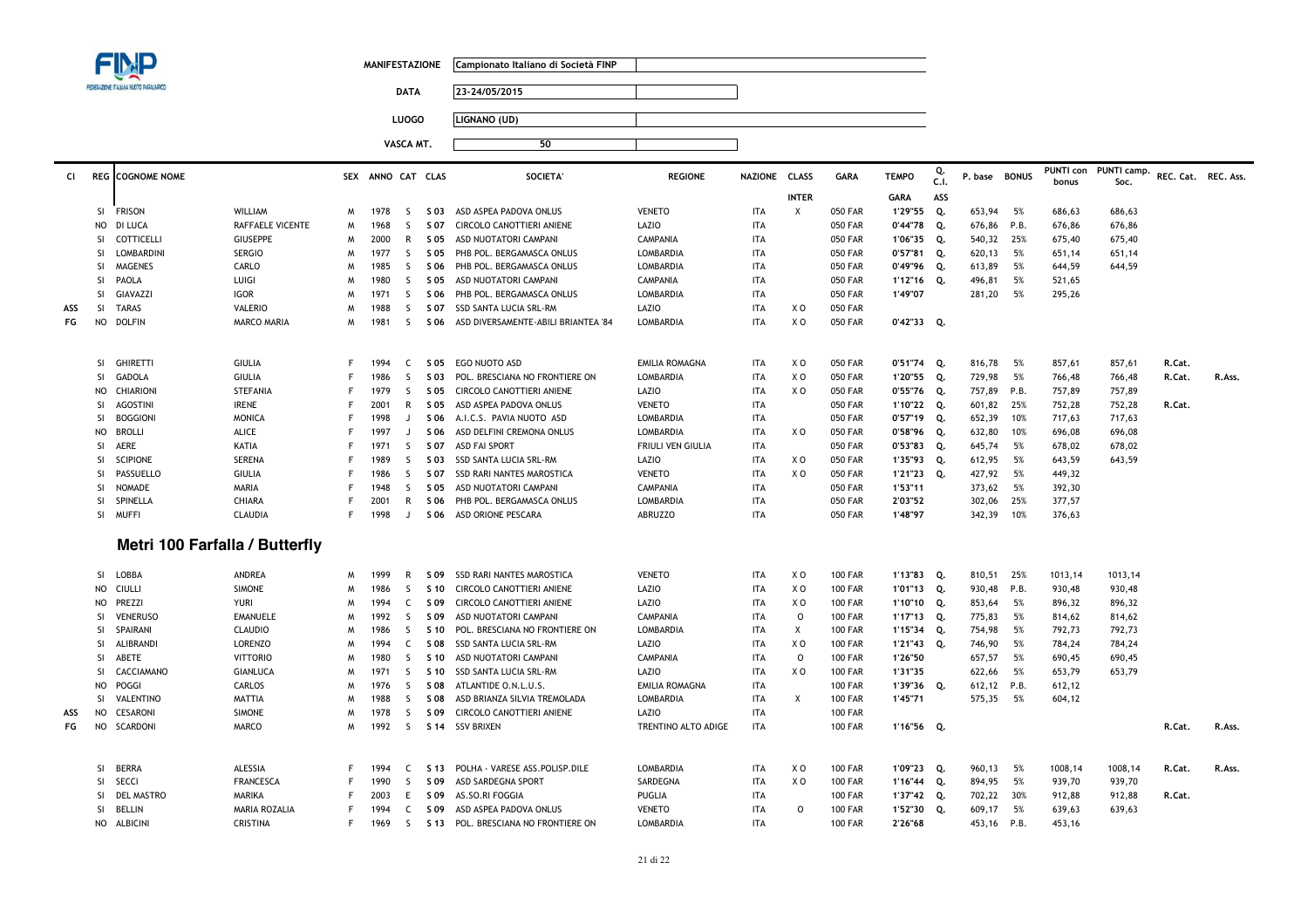|  | MANIFESTAZIONE       Campionato Italiano di Società FINP |  |
|--|----------------------------------------------------------|--|
|--|----------------------------------------------------------|--|

**LUOGO LIGNANO (UD)**

| CI. | <b>REG</b> | <b>COGNOME NOME</b>            |                      |    |      |              | SEX ANNO CAT CLAS | SOCIETA'                              | <b>REGIONE</b>        | NAZIONE CLASS |                              | <b>GARA</b>    | <b>TEMPO</b>           | Q.        | P. base BONUS |      |         | PUNTI con PUNTI camp. | REC. Cat. REC. Ass. |        |
|-----|------------|--------------------------------|----------------------|----|------|--------------|-------------------|---------------------------------------|-----------------------|---------------|------------------------------|----------------|------------------------|-----------|---------------|------|---------|-----------------------|---------------------|--------|
|     |            |                                |                      |    |      |              |                   |                                       |                       |               |                              |                |                        | C.I.      |               |      | bonus   | Soc.                  |                     |        |
|     | <b>SI</b>  | <b>FRISON</b>                  | <b>WILLIAM</b>       |    | 1978 | -S           | S 03              | ASD ASPEA PADOVA ONLUS                | <b>VENETO</b>         | ITA           | <b>INTER</b><br>$\mathsf{X}$ | <b>050 FAR</b> | <b>GARA</b><br>1'29"55 | ASS<br>Q. | 653,94        | 5%   | 686,63  | 686,63                |                     |        |
|     |            | NO DI LUCA                     | RAFFAELE VICENTE     | M  | 1968 | S.           | S 07              | CIRCOLO CANOTTIERI ANIENE             | LAZIO                 | <b>ITA</b>    |                              | <b>050 FAR</b> | 0'44"78                | Q.        | 676,86 P.B.   |      | 676,86  | 676,86                |                     |        |
|     | SI.        | COTTICELLI                     | <b>GIUSEPPE</b>      |    | 2000 | R            | S 05              | ASD NUOTATORI CAMPANI                 | <b>CAMPANIA</b>       | <b>ITA</b>    |                              | <b>050 FAR</b> | 1'06"35 Q.             |           | 540,32 25%    |      | 675,40  | 675,40                |                     |        |
|     | <b>SI</b>  | LOMBARDINI                     | <b>SERGIO</b>        | M  | 1977 | S.           | S 05              | PHB POL. BERGAMASCA ONLUS             | LOMBARDIA             | ITA           |                              | <b>050 FAR</b> | 0'57"81                | Q.        | 620,13        | 5%   | 651,14  | 651,14                |                     |        |
|     | SI         | <b>MAGENES</b>                 | CARLO                |    | 1985 | S.           | S 06              | PHB POL. BERGAMASCA ONLUS             | LOMBARDIA             | ITA           |                              | <b>050 FAR</b> | 0'49"96                | Q.        | 613,89        | 5%   | 644,59  | 644,59                |                     |        |
|     | <b>SI</b>  | PAOLA                          | LUIGI                |    | 1980 | S.           | S 05              | ASD NUOTATORI CAMPANI                 | <b>CAMPANIA</b>       | <b>ITA</b>    |                              | <b>050 FAR</b> | 1'12"16                | Q.        | 496,81        | 5%   | 521,65  |                       |                     |        |
|     | SI.        | GIAVAZZI                       | <b>IGOR</b>          |    | 1971 | -S           | S 06              | PHB POL. BERGAMASCA ONLUS             | LOMBARDIA             | ITA           |                              | <b>050 FAR</b> | 1'49"07                |           | 281,20        | 5%   | 295,26  |                       |                     |        |
| ASS | <b>SI</b>  | <b>TARAS</b>                   | <b>VALERIO</b>       |    | 1988 | <sub>S</sub> | S 07              | SSD SANTA LUCIA SRL-RM                | LAZIO                 | <b>ITA</b>    | X O                          | <b>050 FAR</b> |                        |           |               |      |         |                       |                     |        |
| FG  | NO         | <b>DOLFIN</b>                  | <b>MARCO MARIA</b>   | M  | 1981 | S.           | S 06              | ASD DIVERSAMENTE-ABILI BRIANTEA '84   | LOMBARDIA             | <b>ITA</b>    | X O                          | 050 FAR        | 0'42''33Q.             |           |               |      |         |                       |                     |        |
|     |            |                                |                      |    |      |              |                   |                                       |                       |               |                              |                |                        |           |               |      |         |                       |                     |        |
|     | <b>SI</b>  | <b>GHIRETTI</b>                | <b>GIULIA</b>        |    | 1994 | C.           | S 05              | EGO NUOTO ASD                         | <b>EMILIA ROMAGNA</b> | ITA           | X O                          | <b>050 FAR</b> | 0'51"74                | Q.        | 816,78        | 5%   | 857,61  | 857,61                | R.Cat.              |        |
|     | SI.        | GADOLA                         | GIULIA               |    | 1986 | <sub>S</sub> | S 03              | POL. BRESCIANA NO FRONTIERE ON        | LOMBARDIA             | <b>ITA</b>    | X O                          | <b>050 FAR</b> | 1'20"55                | Q.        | 729,98        | 5%   | 766,48  | 766,48                | R.Cat.              | R.Ass. |
|     | NO         | CHIARIONI                      | STEFANIA             |    | 1979 | S.           | S 05              | CIRCOLO CANOTTIERI ANIENE             | LAZIO                 | ITA           | X O                          | <b>050 FAR</b> | 0'55"76                | Q.        | 757,89        | P.B. | 757,89  | 757,89                |                     |        |
|     | SI         | AGOSTINI                       | <b>IRENE</b>         |    | 2001 | R            | S 05              | ASD ASPEA PADOVA ONLUS                | <b>VENETO</b>         | ITA           |                              | <b>050 FAR</b> | 1'10"22 Q.             |           | 601,82 25%    |      | 752,28  | 752,28                | R.Cat.              |        |
|     | <b>SI</b>  | <b>BOGGIONI</b>                | <b>MONICA</b>        |    | 1998 | $\cdot$      | S 06              | A.I.C.S. PAVIA NUOTO ASD              | LOMBARDIA             | <b>ITA</b>    |                              | <b>050 FAR</b> | 0'57"19                | Q.        | 652,39        | 10%  | 717,63  | 717,63                |                     |        |
|     |            | NO BROLLI                      | <b>ALICE</b>         |    | 1997 | $\perp$      | S 06              | ASD DELFINI CREMONA ONLUS             | LOMBARDIA             | ITA           | X O                          | <b>050 FAR</b> | 0'58"96                | Q.        | 632,80        | 10%  | 696,08  | 696,08                |                     |        |
|     | SI.        | AERE                           | KATIA                |    | 1971 | -S           | S 07              | <b>ASD FAI SPORT</b>                  | FRIULI VEN GIULIA     | <b>ITA</b>    |                              | <b>050 FAR</b> | 0'53"83                | О.        | 645,74        | 5%   | 678,02  | 678,02                |                     |        |
|     | SI         | <b>SCIPIONE</b>                | <b>SERENA</b>        |    | 1989 | -S           | S 03              | SSD SANTA LUCIA SRL-RM                | LAZIO                 | <b>ITA</b>    | X O                          | <b>050 FAR</b> | 1'35"93                | Q.        | 612,95        | 5%   | 643,59  | 643,59                |                     |        |
|     | SI.        | PASSUELLO                      | GIULIA               |    | 1986 | -S           | S 07              | SSD RARI NANTES MAROSTICA             | <b>VENETO</b>         | <b>ITA</b>    | X <sub>0</sub>               | <b>050 FAR</b> | 1'21"23                | Q.        | 427,92        | 5%   | 449,32  |                       |                     |        |
|     | SI.        | <b>NOMADE</b>                  | <b>MARIA</b>         |    | 1948 | -S           | S 05              | ASD NUOTATORI CAMPANI                 | <b>CAMPANIA</b>       | ITA           |                              | <b>050 FAR</b> | 1'53"11                |           | 373,62        | 5%   | 392,30  |                       |                     |        |
|     | <b>SI</b>  | SPINELLA                       | CHIARA               |    | 2001 | R            | S 06              | PHB POL. BERGAMASCA ONLUS             | LOMBARDIA             | ITA           |                              | 050 FAR        | 2'03"52                |           | 302,06        | 25%  | 377,57  |                       |                     |        |
|     | SI.        | <b>MUFFI</b>                   | CLAUDIA              | E  | 1998 | $\perp$      |                   | S 06 ASD ORIONE PESCARA               | ABRUZZO               | <b>ITA</b>    |                              | <b>050 FAR</b> | 1'48"97                |           | 342,39        | 10%  | 376,63  |                       |                     |        |
|     |            | Metri 100 Farfalla / Butterfly |                      |    |      |              |                   |                                       |                       |               |                              |                |                        |           |               |      |         |                       |                     |        |
|     | SI.        | LOBBA                          | ANDREA               | M  | 1999 | R            | S 09              | SSD RARI NANTES MAROSTICA             | <b>VENETO</b>         | ITA           | X O                          | <b>100 FAR</b> | 1'13"83 Q.             |           | 810,51        | 25%  | 1013,14 | 1013,14               |                     |        |
|     |            | NO CIULLI                      | <b>SIMONE</b>        | м  | 1986 | S.           | S 10              | <b>CIRCOLO CANOTTIERI ANIENE</b>      | LAZIO                 | <b>ITA</b>    | X O                          | <b>100 FAR</b> | 1'01"13                | Q.        | 930,48 P.B.   |      | 930,48  | 930,48                |                     |        |
|     |            | NO PREZZI                      | <b>YURI</b>          | M  | 1994 | C.           | S 09              | CIRCOLO CANOTTIERI ANIENE             | LAZIO                 | <b>ITA</b>    | X O                          | <b>100 FAR</b> | 1'10"10 Q.             |           | 853,64 5%     |      | 896,32  | 896,32                |                     |        |
|     | SI         | <b>VENERUSO</b>                | <b>EMANUELE</b>      |    | 1992 | -S           | S 09              | ASD NUOTATORI CAMPANI                 | CAMPANIA              | <b>ITA</b>    | $\circ$                      | <b>100 FAR</b> | 1'17"13                | Q.        | 775,83        | 5%   | 814,62  | 814,62                |                     |        |
|     | SI.        | SPAIRANI                       | CLAUDIO              |    | 1986 | -S           | S 10              | POL. BRESCIANA NO FRONTIERE ON        | LOMBARDIA             | ITA           | $\boldsymbol{\mathsf{X}}$    | <b>100 FAR</b> | 1'15"34                | Q.        | 754,98        | 5%   | 792,73  | 792,73                |                     |        |
|     | <b>SI</b>  | ALIBRANDI                      | <b>LORENZO</b>       |    | 1994 | C.           | S 08              | SSD SANTA LUCIA SRL-RM                | LAZIO                 | ITA           | X O                          | <b>100 FAR</b> | 1'21"43                | Q.        | 746,90        | 5%   | 784,24  | 784,24                |                     |        |
|     | SI.        | ABETE                          | <b>VITTORIO</b>      | M  | 1980 | -S           | S 10              | ASD NUOTATORI CAMPANI                 | <b>CAMPANIA</b>       | ITA           | $\circ$                      | <b>100 FAR</b> | 1'26"50                |           | 657.57        | 5%   | 690,45  | 690,45                |                     |        |
|     | SI         | CACCIAMANO                     | <b>GIANLUCA</b>      |    | 1971 | S.           | S 10              | SSD SANTA LUCIA SRL-RM                | LAZIO                 | ITA           | X O                          | <b>100 FAR</b> | 1'31"35                |           | 622,66        | 5%   | 653,79  | 653,79                |                     |        |
|     | <b>NO</b>  | POGGI                          | CARLOS               | м  | 1976 | -S           | S 08              | ATLANTIDE O.N.L.U.S.                  | <b>EMILIA ROMAGNA</b> | <b>ITA</b>    |                              | <b>100 FAR</b> | 1'39"36                | Q.        | 612,12 P.B.   |      | 612,12  |                       |                     |        |
|     | ςı         | VALENTINO                      | <b>MATTIA</b>        |    | 1988 | $\varsigma$  | S 08              | ASD BRIANZA SILVIA TREMOLADA          | <b>LOMBARDIA</b>      | <b>ITA</b>    | $\mathsf{x}$                 | <b>100 FAR</b> | 1'45"71                |           | 575,35        | 5%   | 604,12  |                       |                     |        |
| ASS | NO         | <b>CESARONI</b>                | <b>SIMONE</b>        |    | 1978 | S.           | S 09              | CIRCOLO CANOTTIERI ANIENE             | LAZIO                 | <b>ITA</b>    |                              | <b>100 FAR</b> |                        |           |               |      |         |                       |                     |        |
| FG  | <b>NO</b>  | SCARDONI                       | MARCO                |    | 1992 | S.           |                   | S 14 SSV BRIXEN                       | TRENTINO ALTO ADIGE   | <b>ITA</b>    |                              | <b>100 FAR</b> | $1'16''56$ Q.          |           |               |      |         |                       | R.Cat.              | R.Ass. |
|     |            |                                |                      |    |      |              |                   |                                       |                       |               |                              |                |                        |           |               |      |         |                       |                     |        |
|     | SI         | <b>BERRA</b>                   | ALESSIA              |    | 1994 | $\mathsf{C}$ | S 13              | POLHA - VARESE ASS.POLISP.DILE        | LOMBARDIA             | ITA           | X O                          | <b>100 FAR</b> | 1'09"23 Q.             |           | 960,13 5%     |      | 1008,14 | 1008,14               | R.Cat.              | R.Ass. |
|     | SI.        | SECCI                          | <b>FRANCESCA</b>     |    | 1990 | S.           | S 09              | ASD SARDEGNA SPORT                    | SARDEGNA              | <b>ITA</b>    | X O                          | <b>100 FAR</b> | $1'16''44$ Q.          |           | 894,95        | 5%   | 939,70  | 939,70                |                     |        |
|     | SI.        | DEL MASTRO                     | <b>MARIKA</b>        |    | 2003 | E            | S 09              | AS.SO.RI FOGGIA                       | <b>PUGLIA</b>         | ITA           |                              | <b>100 FAR</b> | 1'37"42                | Q.        | 702,22 30%    |      | 912,88  | 912,88                | R.Cat.              |        |
|     | SI.        | BELLIN                         | <b>MARIA ROZALIA</b> |    | 1994 | C            | S 09              | ASD ASPEA PADOVA ONLUS                | <b>VENETO</b>         | ITA           | $\circ$                      | <b>100 FAR</b> | 1'52"30                | Q.        | 609,17        | 5%   | 639,63  | 639,63                |                     |        |
|     |            | NO ALBICINI                    | <b>CRISTINA</b>      | F. | 1969 |              |                   | S S 13 POL. BRESCIANA NO FRONTIERE ON | LOMBARDIA             | <b>ITA</b>    |                              | <b>100 FAR</b> | 2'26"68                |           | 453,16 P.B.   |      | 453,16  |                       |                     |        |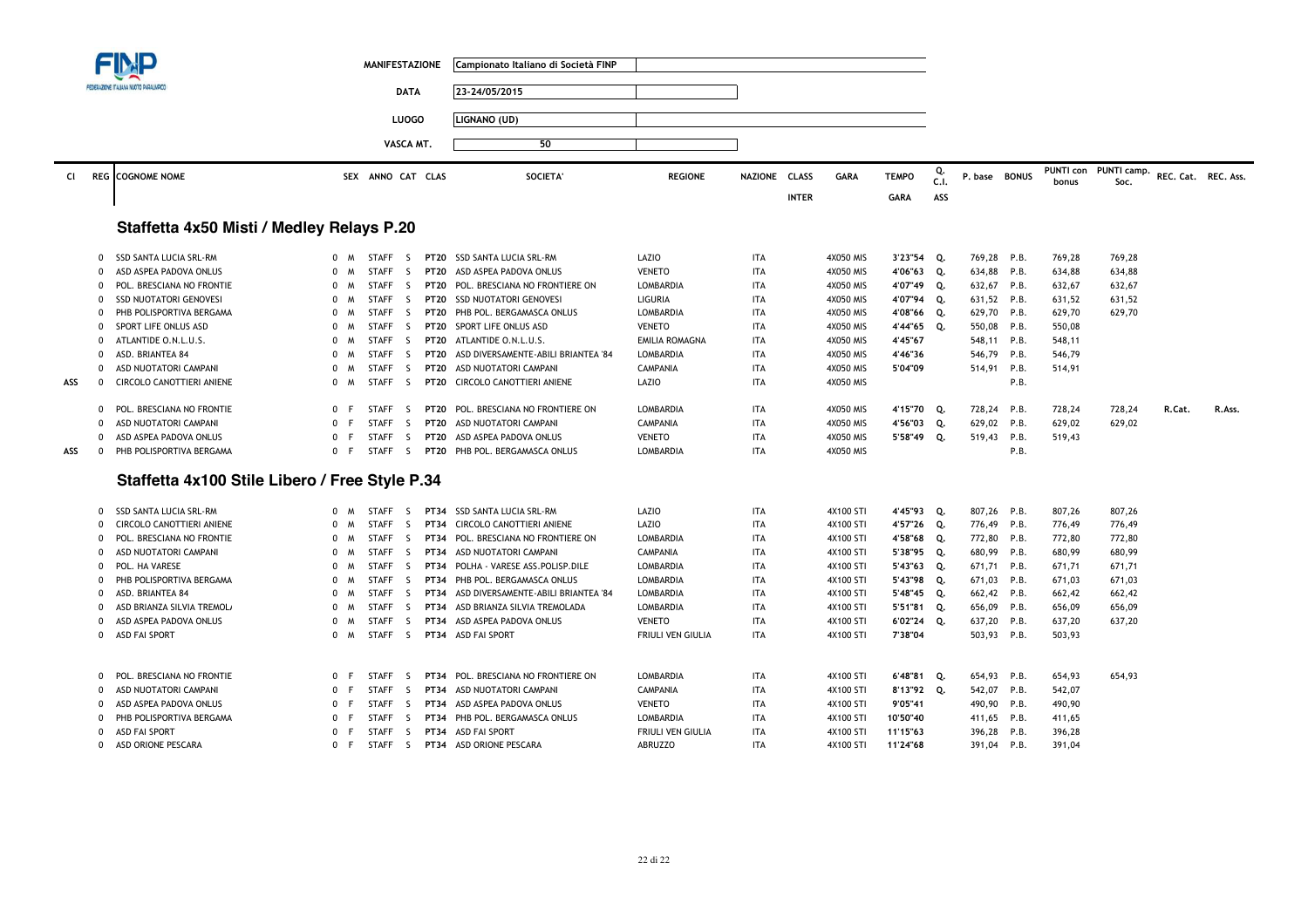|     |              |                                                |              |     | <b>MANIFESTAZIONE</b> |              |             | Campionato Italiano di Società FINP |                          |               |              |             |              |            |               |      |        |                               |                     |        |
|-----|--------------|------------------------------------------------|--------------|-----|-----------------------|--------------|-------------|-------------------------------------|--------------------------|---------------|--------------|-------------|--------------|------------|---------------|------|--------|-------------------------------|---------------------|--------|
|     |              | EDERAZIONE ITALIANA NUOTO PARALMPIO            |              |     |                       | <b>DATA</b>  |             | 23-24/05/2015                       |                          |               |              |             |              |            |               |      |        |                               |                     |        |
|     |              |                                                |              |     |                       | <b>LUOGO</b> |             | LIGNANO (UD)                        |                          |               |              |             |              |            |               |      |        |                               |                     |        |
|     |              |                                                |              |     |                       |              |             |                                     |                          |               |              |             |              |            |               |      |        |                               |                     |        |
|     |              |                                                |              |     |                       | VASCA MT.    |             | 50                                  |                          |               |              |             |              |            |               |      |        |                               |                     |        |
| CL  | <b>REG</b>   | <b>COGNOME NOME</b>                            |              |     | SEX ANNO CAT CLAS     |              |             | <b>SOCIETA</b>                      | <b>REGIONE</b>           | NAZIONE CLASS |              | <b>GARA</b> | <b>TEMPO</b> | Q.<br>C.1. | P. base BONUS |      | bonus  | PUNTI con PUNTI camp.<br>Soc. | REC. Cat. REC. Ass. |        |
|     |              |                                                |              |     |                       |              |             |                                     |                          |               | <b>INTER</b> |             | <b>GARA</b>  | ASS        |               |      |        |                               |                     |        |
|     |              | Staffetta 4x50 Misti / Medley Relays P.20      |              |     |                       |              |             |                                     |                          |               |              |             |              |            |               |      |        |                               |                     |        |
|     | $\Omega$     | SSD SANTA LUCIA SRL-RM                         | $\mathbf{0}$ | M   | STAFF                 | S.           |             | PT20 SSD SANTA LUCIA SRL-RM         | LAZIO                    | ITA           |              | 4X050 MIS   | 3'23"54      | Q.         | 769,28 P.B.   |      | 769,28 | 769,28                        |                     |        |
|     | $\Omega$     | ASD ASPEA PADOVA ONLUS                         | $\mathbf 0$  | M   | <b>STAFF</b>          | S            |             | PT20 ASD ASPEA PADOVA ONLUS         | <b>VENETO</b>            | <b>ITA</b>    |              | 4X050 MIS   | 4'06"63      | Q.         | 634,88 P.B.   |      | 634,88 | 634,88                        |                     |        |
|     |              | <b>BRESCIANA NO FRONTIE</b><br><b>POL</b>      | $\mathbf{0}$ |     | <b>STAFF</b>          | S.           |             | PT20 POL. BRESCIANA NO FRONTIERE ON | LOMBARDIA                | ITA           |              | 4X050 MIS   | 4'07"49      | Q.         | 632,67 P.B.   |      | 632,67 | 632,67                        |                     |        |
|     | $\Omega$     | <b>SSD NUOTATORI GENOVESI</b>                  | $\mathbf 0$  | M   | <b>STAFF</b>          | S.           |             | PT20 SSD NUOTATORI GENOVESI         | LIGURIA                  | ITA           |              | 4X050 MIS   | 4'07"94      | Q.         | 631,52 P.B.   |      | 631,52 | 631,52                        |                     |        |
|     | $\Omega$     | PHB POLISPORTIVA BERGAMA                       | $\Omega$     |     | <b>STAFF</b>          | S.           | <b>PT20</b> | PHB POL. BERGAMASCA ONLUS           | <b>LOMBARDIA</b>         | <b>ITA</b>    |              | 4X050 MIS   | 4'08"66      | Q.         | 629,70 P.B.   |      | 629,70 | 629,70                        |                     |        |
|     | $\Omega$     | SPORT LIFE ONLUS ASD                           | $\Omega$     | M   | <b>STAFF</b>          | S.           |             | PT20 SPORT LIFE ONLUS ASD           | <b>VENETO</b>            | <b>ITA</b>    |              | 4X050 MIS   | 4'44"65      | Q.         | 550,08        | P.B. | 550,08 |                               |                     |        |
|     | $\Omega$     | ATLANTIDE O.N.L.U.S.                           | $\Omega$     |     | <b>STAFF</b>          | S.           | <b>PT20</b> | ATLANTIDE O.N.L.U.S.                | <b>EMILIA ROMAGNA</b>    | <b>ITA</b>    |              | 4X050 MIS   | 4'45"67      |            | 548,11 P.B.   |      | 548,11 |                               |                     |        |
|     | $\Omega$     | ASD. BRIANTEA 84                               | $\mathbf 0$  |     | <b>STAFF</b>          | S.           | <b>PT20</b> | ASD DIVERSAMENTE-ABILI BRIANTEA '84 | LOMBARDIA                | <b>ITA</b>    |              | 4X050 MIS   | 4'46"36      |            | 546,79        | P.B. | 546,79 |                               |                     |        |
|     | $\Omega$     | ASD NUOTATORI CAMPANI                          | $\Omega$     |     | <b>STAFF</b>          | S.           | <b>PT20</b> | ASD NUOTATORI CAMPANI               | <b>CAMPANIA</b>          | <b>ITA</b>    |              | 4X050 MIS   | 5'04"09      |            | 514,91        | P.B. | 514,91 |                               |                     |        |
| ASS | $\mathbf{0}$ | CIRCOLO CANOTTIERI ANIENE                      | $\mathbf{0}$ | M   | STAFF S               |              | <b>PT20</b> | CIRCOLO CANOTTIERI ANIENE           | LAZIO                    | <b>ITA</b>    |              | 4X050 MIS   |              |            |               | P.B. |        |                               |                     |        |
|     | $\mathbf{0}$ | <b>BRESCIANA NO FRONTIE</b><br>POL.            | $\mathbf 0$  |     | STAFF                 | S.           | <b>PT20</b> | POL. BRESCIANA NO FRONTIERE ON      | LOMBARDIA                | <b>ITA</b>    |              | 4X050 MIS   | 4'15"70      | Q.         | 728,24 P.B.   |      | 728,24 | 728,24                        | R.Cat.              | R.Ass. |
|     | $\Omega$     | ASD NUOTATORI CAMPANI                          | $\mathbf{0}$ |     | <b>STAFF</b>          | S.           | <b>PT20</b> | ASD NUOTATORI CAMPANI               | CAMPANIA                 | <b>ITA</b>    |              | 4X050 MIS   | 4'56"03      | Q.         | 629,02        | P.B. | 629,02 | 629,02                        |                     |        |
|     | $\Omega$     | ASD ASPEA PADOVA ONLUS                         | $\mathbf{0}$ | - F | <b>STAFF</b>          | $\mathsf{S}$ | <b>PT20</b> | ASD ASPEA PADOVA ONLUS              | <b>VENETO</b>            | <b>ITA</b>    |              | 4X050 MIS   | 5'58"49      | Q.         | 519,43 P.B.   |      | 519,43 |                               |                     |        |
| ASS | $\Omega$     | PHB POLISPORTIVA BERGAMA                       |              | 0 F | STAFF S               |              | <b>PT20</b> | PHB POL. BERGAMASCA ONLUS           | LOMBARDIA                | <b>ITA</b>    |              | 4X050 MIS   |              |            |               | P.B. |        |                               |                     |        |
|     |              | Staffetta 4x100 Stile Libero / Free Style P.34 |              |     |                       |              |             |                                     |                          |               |              |             |              |            |               |      |        |                               |                     |        |
|     | $\Omega$     | SSD SANTA LUCIA SRL-RM                         | $\mathbf{0}$ | M   | STAFF                 | S.           |             | PT34 SSD SANTA LUCIA SRL-RM         | LAZIO                    | ITA           |              | 4X100 STI   | 4'45"93      | Q.         | 807,26 P.B.   |      | 807,26 | 807,26                        |                     |        |
|     |              | CIRCOLO CANOTTIERI ANIENE                      | $\Omega$     | M   | <b>STAFF</b>          | S.           | <b>PT34</b> | CIRCOLO CANOTTIERI ANIENE           | LAZIO                    | <b>ITA</b>    |              | 4X100 STI   | 4'57"26      | Q.         | 776,49 P.B.   |      | 776,49 | 776,49                        |                     |        |
|     |              | POL<br><b>BRESCIANA NO FRONTIE</b>             | $^{\circ}$   |     | <b>STAFF</b>          | S.           | <b>PT34</b> | POL. BRESCIANA NO FRONTIERE ON      | <b>LOMBARDIA</b>         | <b>ITA</b>    |              | 4X100 STI   | 4'58"68      | Q.         | 772,80 P.B.   |      | 772,80 | 772,80                        |                     |        |
|     | $\Omega$     | ASD NUOTATORI CAMPANI                          | $\mathbf{0}$ | M   | <b>STAFF</b>          | $\mathsf{S}$ | PT34        | ASD NUOTATORI CAMPANI               | CAMPANIA                 | <b>ITA</b>    |              | 4X100 STI   | 5'38"95      | Q.         | 680,99        | P.B. | 680,99 | 680,99                        |                     |        |
|     | $\Omega$     | <b>POL</b><br><b>HA VARESE</b>                 | $^{\circ}$   |     | <b>STAFF</b>          | S.           | PT34        | POLHA - VARESE ASS.POLISP.DILE      | LOMBARDIA                | ITA           |              | 4X100 STI   | 5'43"63      | Q.         | 671,71 P.B.   |      | 671,71 | 671,71                        |                     |        |
|     | $\Omega$     | PHB POLISPORTIVA BERGAMA                       | $\mathbf{0}$ | M   | <b>STAFF</b>          | S.           |             | PT34 PHB POL. BERGAMASCA ONLUS      | LOMBARDIA                | ITA           |              | 4X100 STI   | 5'43"98      | Q.         | 671,03 P.B.   |      | 671,03 | 671,03                        |                     |        |
|     | $\Omega$     | ASD. BRIANTEA 84                               | $^{\circ}$   |     | <b>STAFF</b>          | -S           | <b>PT34</b> | ASD DIVERSAMENTE-ABILI BRIANTEA '84 | LOMBARDIA                | <b>ITA</b>    |              | 4X100 STI   | 5'48"45      | Q.         | 662,42 P.B.   |      | 662,42 | 662,42                        |                     |        |
|     | $\Omega$     | ASD BRIANZA SILVIA TREMOL                      | $\mathbf{0}$ |     | <b>STAFF</b>          | -S           | <b>PT34</b> | ASD BRIANZA SILVIA TREMOLADA        | LOMBARDIA                | <b>ITA</b>    |              | 4X100 STI   | 5'51"81      | Q.         | 656,09 P.B.   |      | 656,09 | 656,09                        |                     |        |
|     |              | ASD ASPEA PADOVA ONLUS                         | $^{\circ}$   |     | <b>STAFF</b>          | -S           | <b>PT34</b> | ASD ASPEA PADOVA ONLUS              | <b>VENETO</b>            | <b>ITA</b>    |              | 4X100 STI   | 6'02"24      | Q.         | 637,20 P.B.   |      | 637,20 | 637,20                        |                     |        |
|     | $\Omega$     | ASD FAI SPORT                                  | $\Omega$     | M   | STAFF <sub>S</sub>    |              |             | PT34 ASD FAI SPORT                  | <b>FRIULI VEN GIULIA</b> | <b>ITA</b>    |              | 4X100 STI   | 7'38"04      |            | 503,93 P.B.   |      | 503,93 |                               |                     |        |
|     | $\Omega$     | <b>BRESCIANA NO FRONTIE</b><br>POL             | $\mathbf 0$  |     | <b>STAFF</b>          | - S          | PT34        | POL. BRESCIANA NO FRONTIERE ON      | LOMBARDIA                | ITA           |              | 4X100 STI   | 6'48"81      | Q.         | 654,93 P.B.   |      | 654,93 | 654,93                        |                     |        |
|     | $^{\circ}$   | ASD NUOTATORI CAMPANI                          | $\mathbf 0$  |     | STAFF                 | S.           | <b>PT34</b> | ASD NUOTATORI CAMPANI               | <b>CAMPANIA</b>          | <b>ITA</b>    |              | 4X100 STI   | 8'13"92 Q.   |            | 542,07 P.B.   |      | 542,07 |                               |                     |        |
|     | $\Omega$     | ASD ASPEA PADOVA ONLUS                         | $\mathbf 0$  |     | <b>STAFF</b>          | S.           | <b>PT34</b> | ASD ASPEA PADOVA ONLUS              | <b>VENETO</b>            | ITA           |              | 4X100 STI   | 9'05"41      |            | 490,90 P.B.   |      | 490,90 |                               |                     |        |
|     | $\Omega$     | PHB POLISPORTIVA BERGAMA                       | $\mathbf{0}$ |     | <b>STAFF</b>          | -S           | <b>PT34</b> | PHB POL. BERGAMASCA ONLUS           | LOMBARDIA                | ITA           |              | 4X100 STI   | 10'50"40     |            | 411,65 P.B.   |      | 411,65 |                               |                     |        |
|     |              | ASD FAI SPORT                                  | $\Omega$     |     | <b>STAFF</b>          | S.           |             | PT34 ASD FAI SPORT                  | <b>FRIULI VEN GIULIA</b> | <b>ITA</b>    |              | 4X100 STI   | 11'15"63     |            | 396,28        | P.B. | 396,28 |                               |                     |        |
|     | $\Omega$     | ASD ORIONE PESCARA                             |              | 0 F | STAFF <sub>S</sub>    |              |             | PT34 ASD ORIONE PESCARA             | ABRUZZO                  | <b>ITA</b>    |              | 4X100 STI   | 11'24"68     |            | 391.04 P.B.   |      | 391.04 |                               |                     |        |